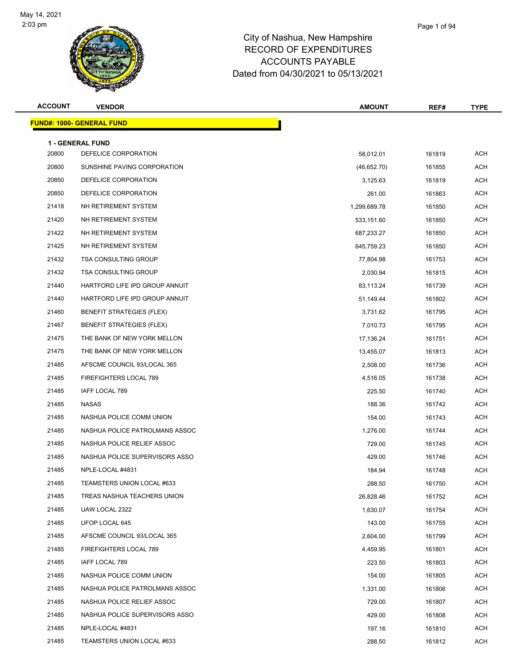

| <b>ACCOUNT</b> | <b>VENDOR</b>                     | <b>AMOUNT</b> | REF#   | <b>TYPE</b> |
|----------------|-----------------------------------|---------------|--------|-------------|
|                | <u> FUND#: 1000- GENERAL FUND</u> |               |        |             |
|                | <b>1 - GENERAL FUND</b>           |               |        |             |
| 20800          | DEFELICE CORPORATION              | 58,012.01     | 161819 | <b>ACH</b>  |
| 20800          | SUNSHINE PAVING CORPORATION       | (46,652.70)   | 161855 | ACH         |
| 20850          | DEFELICE CORPORATION              | 3,125.63      | 161819 | <b>ACH</b>  |
| 20850          | DEFELICE CORPORATION              | 261.00        | 161863 | <b>ACH</b>  |
| 21418          | NH RETIREMENT SYSTEM              | 1,299,689.78  | 161850 | <b>ACH</b>  |
| 21420          | NH RETIREMENT SYSTEM              | 533,151.60    | 161850 | <b>ACH</b>  |
| 21422          | NH RETIREMENT SYSTEM              | 687,233.27    | 161850 | ACH         |
| 21425          | NH RETIREMENT SYSTEM              | 645,759.23    | 161850 | <b>ACH</b>  |
| 21432          | <b>TSA CONSULTING GROUP</b>       | 77,804.98     | 161753 | <b>ACH</b>  |
| 21432          | <b>TSA CONSULTING GROUP</b>       | 2,030.94      | 161815 | <b>ACH</b>  |
| 21440          | HARTFORD LIFE IPD GROUP ANNUIT    | 83,113.24     | 161739 | <b>ACH</b>  |
| 21440          | HARTFORD LIFE IPD GROUP ANNUIT    | 51,149.44     | 161802 | <b>ACH</b>  |
| 21460          | <b>BENEFIT STRATEGIES (FLEX)</b>  | 3,731.62      | 161795 | <b>ACH</b>  |
| 21467          | <b>BENEFIT STRATEGIES (FLEX)</b>  | 7,010.73      | 161795 | <b>ACH</b>  |
| 21475          | THE BANK OF NEW YORK MELLON       | 17,136.24     | 161751 | <b>ACH</b>  |
| 21475          | THE BANK OF NEW YORK MELLON       | 13,455.07     | 161813 | <b>ACH</b>  |
| 21485          | AFSCME COUNCIL 93/LOCAL 365       | 2,508.00      | 161736 | ACH         |
| 21485          | FIREFIGHTERS LOCAL 789            | 4,516.05      | 161738 | <b>ACH</b>  |
| 21485          | IAFF LOCAL 789                    | 225.50        | 161740 | ACH         |
| 21485          | NASAS                             | 188.36        | 161742 | <b>ACH</b>  |
| 21485          | NASHUA POLICE COMM UNION          | 154.00        | 161743 | <b>ACH</b>  |
| 21485          | NASHUA POLICE PATROLMANS ASSOC    | 1,276.00      | 161744 | <b>ACH</b>  |
| 21485          | NASHUA POLICE RELIEF ASSOC        | 729.00        | 161745 | <b>ACH</b>  |
| 21485          | NASHUA POLICE SUPERVISORS ASSO    | 429.00        | 161746 | <b>ACH</b>  |
| 21485          | NPLE-LOCAL #4831                  | 184.94        | 161748 | <b>ACH</b>  |
| 21485          | TEAMSTERS UNION LOCAL #633        | 288.50        | 161750 | ACH         |
| 21485          | TREAS NASHUA TEACHERS UNION       | 26,828.46     | 161752 | ACH         |
| 21485          | UAW LOCAL 2322                    | 1,630.07      | 161754 | ACH         |
| 21485          | UFOP LOCAL 645                    | 143.00        | 161755 | ACH         |
| 21485          | AFSCME COUNCIL 93/LOCAL 365       | 2,604.00      | 161799 | ACH         |
| 21485          | FIREFIGHTERS LOCAL 789            | 4,459.95      | 161801 | ACH         |
| 21485          | IAFF LOCAL 789                    | 223.50        | 161803 | ACH         |
| 21485          | NASHUA POLICE COMM UNION          | 154.00        | 161805 | ACH         |
| 21485          | NASHUA POLICE PATROLMANS ASSOC    | 1,331.00      | 161806 | ACH         |
| 21485          | NASHUA POLICE RELIEF ASSOC        | 729.00        | 161807 | ACH         |
| 21485          | NASHUA POLICE SUPERVISORS ASSO    | 429.00        | 161808 | <b>ACH</b>  |
| 21485          | NPLE-LOCAL #4831                  | 197.16        | 161810 | ACH         |
| 21485          | TEAMSTERS UNION LOCAL #633        | 288.50        | 161812 | ACH         |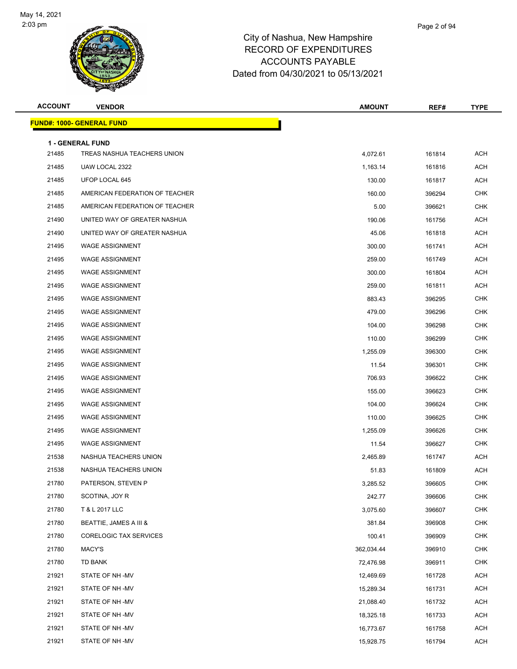

| <b>ACCOUNT</b> | <b>VENDOR</b>                                   | <b>AMOUNT</b> | REF#   | <b>TYPE</b> |
|----------------|-------------------------------------------------|---------------|--------|-------------|
|                | <u> FUND#: 1000- GENERAL FUND</u>               |               |        |             |
|                |                                                 |               |        |             |
| 21485          | 1 - GENERAL FUND<br>TREAS NASHUA TEACHERS UNION | 4,072.61      | 161814 | <b>ACH</b>  |
| 21485          | UAW LOCAL 2322                                  | 1,163.14      | 161816 | <b>ACH</b>  |
| 21485          | UFOP LOCAL 645                                  | 130.00        | 161817 | <b>ACH</b>  |
| 21485          | AMERICAN FEDERATION OF TEACHER                  | 160.00        | 396294 | <b>CHK</b>  |
| 21485          | AMERICAN FEDERATION OF TEACHER                  | 5.00          | 396621 | <b>CHK</b>  |
| 21490          | UNITED WAY OF GREATER NASHUA                    | 190.06        | 161756 | <b>ACH</b>  |
| 21490          | UNITED WAY OF GREATER NASHUA                    | 45.06         | 161818 | <b>ACH</b>  |
| 21495          | <b>WAGE ASSIGNMENT</b>                          | 300.00        | 161741 | <b>ACH</b>  |
| 21495          | <b>WAGE ASSIGNMENT</b>                          | 259.00        | 161749 | <b>ACH</b>  |
| 21495          | <b>WAGE ASSIGNMENT</b>                          | 300.00        | 161804 | <b>ACH</b>  |
| 21495          | <b>WAGE ASSIGNMENT</b>                          | 259.00        | 161811 | <b>ACH</b>  |
| 21495          | <b>WAGE ASSIGNMENT</b>                          | 883.43        | 396295 | <b>CHK</b>  |
| 21495          | <b>WAGE ASSIGNMENT</b>                          | 479.00        | 396296 | <b>CHK</b>  |
| 21495          | <b>WAGE ASSIGNMENT</b>                          | 104.00        | 396298 | <b>CHK</b>  |
| 21495          | <b>WAGE ASSIGNMENT</b>                          | 110.00        | 396299 | <b>CHK</b>  |
| 21495          | <b>WAGE ASSIGNMENT</b>                          | 1,255.09      | 396300 | CHK         |
| 21495          | <b>WAGE ASSIGNMENT</b>                          | 11.54         | 396301 | CHK         |
| 21495          | <b>WAGE ASSIGNMENT</b>                          | 706.93        | 396622 | <b>CHK</b>  |
| 21495          | <b>WAGE ASSIGNMENT</b>                          | 155.00        | 396623 | <b>CHK</b>  |
| 21495          | <b>WAGE ASSIGNMENT</b>                          | 104.00        | 396624 | <b>CHK</b>  |
| 21495          | <b>WAGE ASSIGNMENT</b>                          | 110.00        | 396625 | CHK         |
| 21495          | <b>WAGE ASSIGNMENT</b>                          | 1,255.09      | 396626 | <b>CHK</b>  |
| 21495          | <b>WAGE ASSIGNMENT</b>                          | 11.54         | 396627 | <b>CHK</b>  |
| 21538          | NASHUA TEACHERS UNION                           | 2,465.89      | 161747 | <b>ACH</b>  |
| 21538          | NASHUA TEACHERS UNION                           | 51.83         | 161809 | <b>ACH</b>  |
| 21780          | PATERSON, STEVEN P                              | 3,285.52      | 396605 | CHK         |
| 21780          | SCOTINA, JOY R                                  | 242.77        | 396606 | <b>CHK</b>  |
| 21780          | T & L 2017 LLC                                  | 3,075.60      | 396607 | <b>CHK</b>  |
| 21780          | BEATTIE, JAMES A III &                          | 381.84        | 396908 | <b>CHK</b>  |
| 21780          | <b>CORELOGIC TAX SERVICES</b>                   | 100.41        | 396909 | <b>CHK</b>  |
| 21780          | MACY'S                                          | 362,034.44    | 396910 | <b>CHK</b>  |
| 21780          | TD BANK                                         | 72,476.98     | 396911 | CHK         |
| 21921          | STATE OF NH-MV                                  | 12,469.69     | 161728 | <b>ACH</b>  |
| 21921          | STATE OF NH-MV                                  | 15,289.34     | 161731 | <b>ACH</b>  |
| 21921          | STATE OF NH-MV                                  | 21,088.40     | 161732 | ACH         |
| 21921          | STATE OF NH-MV                                  | 18,325.18     | 161733 | ACH         |
| 21921          | STATE OF NH -MV                                 | 16,773.67     | 161758 | <b>ACH</b>  |
| 21921          | STATE OF NH-MV                                  | 15,928.75     | 161794 | <b>ACH</b>  |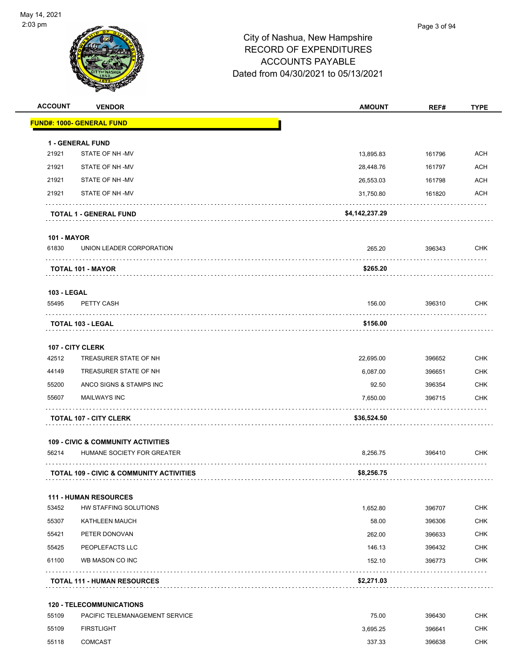

| <b>ACCOUNT</b>     | <b>VENDOR</b>                                       | <b>AMOUNT</b>  | REF#   | <b>TYPE</b> |
|--------------------|-----------------------------------------------------|----------------|--------|-------------|
|                    | <b>FUND#: 1000- GENERAL FUND</b>                    |                |        |             |
|                    | <b>1 - GENERAL FUND</b>                             |                |        |             |
| 21921              | STATE OF NH-MV                                      | 13,895.83      | 161796 | <b>ACH</b>  |
| 21921              | STATE OF NH-MV                                      | 28,448.76      | 161797 | <b>ACH</b>  |
| 21921              | STATE OF NH-MV                                      | 26,553.03      | 161798 | <b>ACH</b>  |
| 21921              | STATE OF NH-MV                                      | 31,750.80      | 161820 | <b>ACH</b>  |
|                    | <b>TOTAL 1 - GENERAL FUND</b>                       | \$4,142,237.29 |        |             |
| <b>101 - MAYOR</b> |                                                     |                |        |             |
| 61830              | UNION LEADER CORPORATION                            | 265.20         | 396343 | <b>CHK</b>  |
|                    | <b>TOTAL 101 - MAYOR</b>                            | \$265.20       |        |             |
| <b>103 - LEGAL</b> |                                                     |                |        |             |
| 55495              | PETTY CASH                                          | 156.00         | 396310 | CHK         |
|                    | <b>TOTAL 103 - LEGAL</b>                            | \$156.00       |        |             |
|                    | 107 - CITY CLERK                                    |                |        |             |
| 42512              | TREASURER STATE OF NH                               | 22,695.00      | 396652 | <b>CHK</b>  |
| 44149              | TREASURER STATE OF NH                               | 6,087.00       | 396651 | <b>CHK</b>  |
| 55200              | ANCO SIGNS & STAMPS INC                             | 92.50          | 396354 | <b>CHK</b>  |
| 55607              | <b>MAILWAYS INC</b>                                 | 7,650.00       | 396715 | <b>CHK</b>  |
|                    | <b>TOTAL 107 - CITY CLERK</b>                       | \$36,524.50    |        |             |
|                    | <b>109 - CIVIC &amp; COMMUNITY ACTIVITIES</b>       |                |        |             |
| 56214              | HUMANE SOCIETY FOR GREATER                          | 8,256.75       | 396410 | CHK         |
|                    | <b>TOTAL 109 - CIVIC &amp; COMMUNITY ACTIVITIES</b> | \$8,256.75     |        |             |
|                    | <b>111 - HUMAN RESOURCES</b>                        |                |        |             |
| 53452              | HW STAFFING SOLUTIONS                               | 1,652.80       | 396707 | <b>CHK</b>  |
| 55307              | KATHLEEN MAUCH                                      | 58.00          | 396306 | <b>CHK</b>  |
| 55421              | PETER DONOVAN                                       | 262.00         | 396633 | CHK         |
| 55425              | PEOPLEFACTS LLC                                     | 146.13         | 396432 | <b>CHK</b>  |
| 61100              | WB MASON CO INC                                     | 152.10         | 396773 | CHK         |
|                    | <b>TOTAL 111 - HUMAN RESOURCES</b>                  | \$2,271.03     | .      |             |
|                    | <b>120 - TELECOMMUNICATIONS</b>                     |                |        |             |
| 55109              | PACIFIC TELEMANAGEMENT SERVICE                      | 75.00          | 396430 | CHK         |
| 55109              | <b>FIRSTLIGHT</b>                                   | 3,695.25       | 396641 | <b>CHK</b>  |

55118 COMCAST 337.33 396638 CHK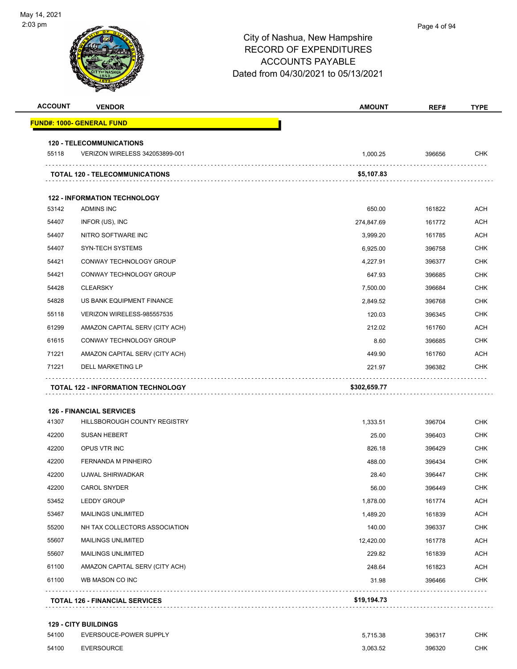| <b>ACCOUNT</b> | <b>VENDOR</b>                         | <b>AMOUNT</b> | REF#   | <b>TYPE</b> |
|----------------|---------------------------------------|---------------|--------|-------------|
|                | <b>FUND#: 1000- GENERAL FUND</b>      |               |        |             |
|                | <b>120 - TELECOMMUNICATIONS</b>       |               |        |             |
| 55118          | VERIZON WIRELESS 342053899-001        | 1,000.25      | 396656 | <b>CHK</b>  |
|                | <b>TOTAL 120 - TELECOMMUNICATIONS</b> | \$5,107.83    |        |             |
|                | <b>122 - INFORMATION TECHNOLOGY</b>   |               |        |             |
| 53142          | <b>ADMINS INC</b>                     | 650.00        | 161822 | <b>ACH</b>  |
| 54407          | INFOR (US), INC                       | 274,847.69    | 161772 | <b>ACH</b>  |
| 54407          | NITRO SOFTWARE INC                    | 3,999.20      | 161785 | ACH         |
| 54407          | <b>SYN-TECH SYSTEMS</b>               | 6,925.00      | 396758 | <b>CHK</b>  |
| 54421          | CONWAY TECHNOLOGY GROUP               | 4,227.91      | 396377 | <b>CHK</b>  |
| 54421          | CONWAY TECHNOLOGY GROUP               | 647.93        | 396685 | <b>CHK</b>  |
| 54428          | <b>CLEARSKY</b>                       | 7,500.00      | 396684 | <b>CHK</b>  |
| 54828          | US BANK EQUIPMENT FINANCE             | 2,849.52      | 396768 | CHK         |
| 55118          | VERIZON WIRELESS-985557535            | 120.03        | 396345 | <b>CHK</b>  |
| 61299          | AMAZON CAPITAL SERV (CITY ACH)        | 212.02        | 161760 | <b>ACH</b>  |
| 61615          | CONWAY TECHNOLOGY GROUP               | 8.60          | 396685 | <b>CHK</b>  |
| 71221          | AMAZON CAPITAL SERV (CITY ACH)        | 449.90        | 161760 | ACH         |
| 71221          | <b>DELL MARKETING LP</b>              | 221.97        | 396382 | <b>CHK</b>  |
|                | TOTAL 122 - INFORMATION TECHNOLOGY    | \$302,659.77  |        |             |
|                | <b>126 - FINANCIAL SERVICES</b>       |               |        |             |
| 41307          | HILLSBOROUGH COUNTY REGISTRY          | 1,333.51      | 396704 | <b>CHK</b>  |
| 42200          | <b>SUSAN HEBERT</b>                   | 25.00         | 396403 | <b>CHK</b>  |
| 42200          | OPUS VTR INC                          | 826.18        | 396429 | CHK         |
| 42200          | FERNANDA M PINHEIRO                   | 488.00        | 396434 | <b>CHK</b>  |
| 42200          | UJWAL SHIRWADKAR                      | 28.40         | 396447 | <b>CHK</b>  |
| 42200          | <b>CAROL SNYDER</b>                   | 56.00         | 396449 | <b>CHK</b>  |
| 53452          | <b>LEDDY GROUP</b>                    | 1,878.00      | 161774 | <b>ACH</b>  |
| 53467          | <b>MAILINGS UNLIMITED</b>             | 1,489.20      | 161839 | <b>ACH</b>  |
| 55200          | NH TAX COLLECTORS ASSOCIATION         | 140.00        | 396337 | <b>CHK</b>  |
| 55607          | <b>MAILINGS UNLIMITED</b>             | 12,420.00     | 161778 | ACH         |
| 55607          | <b>MAILINGS UNLIMITED</b>             | 229.82        | 161839 | <b>ACH</b>  |
| 61100          | AMAZON CAPITAL SERV (CITY ACH)        | 248.64        | 161823 | <b>ACH</b>  |
| 61100          | WB MASON CO INC                       | 31.98         | 396466 | CHK         |
|                | <b>TOTAL 126 - FINANCIAL SERVICES</b> | \$19,194.73   |        |             |

#### **129 - CITY BUILDINGS**

| 54100 | EVERSOUCE-POWER SUPPLY | 5.715.38 | 396317 | CHK. |
|-------|------------------------|----------|--------|------|
| 54100 | EVERSOURCE             | 3.063.52 | 396320 | CHK  |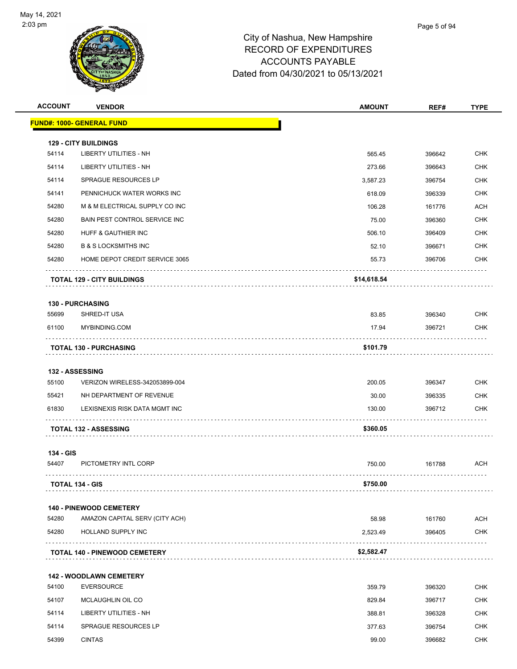

| <b>ACCOUNT</b> | <b>VENDOR</b>                        | <b>AMOUNT</b> | REF#   | <b>TYPE</b> |
|----------------|--------------------------------------|---------------|--------|-------------|
|                | <u> FUND#: 1000- GENERAL FUND</u>    |               |        |             |
|                | <b>129 - CITY BUILDINGS</b>          |               |        |             |
| 54114          | <b>LIBERTY UTILITIES - NH</b>        | 565.45        | 396642 | <b>CHK</b>  |
| 54114          | LIBERTY UTILITIES - NH               | 273.66        | 396643 | <b>CHK</b>  |
| 54114          | SPRAGUE RESOURCES LP                 | 3,587.23      | 396754 | <b>CHK</b>  |
| 54141          | PENNICHUCK WATER WORKS INC           | 618.09        | 396339 | <b>CHK</b>  |
| 54280          | M & M ELECTRICAL SUPPLY CO INC       | 106.28        | 161776 | ACH         |
| 54280          | <b>BAIN PEST CONTROL SERVICE INC</b> | 75.00         | 396360 | <b>CHK</b>  |
| 54280          | HUFF & GAUTHIER INC                  | 506.10        | 396409 | <b>CHK</b>  |
| 54280          | <b>B &amp; S LOCKSMITHS INC</b>      | 52.10         | 396671 | <b>CHK</b>  |
| 54280          | HOME DEPOT CREDIT SERVICE 3065       | 55.73         | 396706 | CHK         |
|                | <b>TOTAL 129 - CITY BUILDINGS</b>    | \$14,618.54   |        |             |
|                | <b>130 - PURCHASING</b>              |               |        |             |
| 55699          | SHRED-IT USA                         | 83.85         | 396340 | <b>CHK</b>  |
| 61100          | MYBINDING.COM                        | 17.94         | 396721 | <b>CHK</b>  |
|                | <b>TOTAL 130 - PURCHASING</b>        | \$101.79      |        |             |
|                | <b>132 - ASSESSING</b>               |               |        |             |
| 55100          | VERIZON WIRELESS-342053899-004       | 200.05        | 396347 | <b>CHK</b>  |
| 55421          | NH DEPARTMENT OF REVENUE             | 30.00         | 396335 | <b>CHK</b>  |
| 61830          | LEXISNEXIS RISK DATA MGMT INC        | 130.00        | 396712 | CHK         |
|                | <b>TOTAL 132 - ASSESSING</b>         | \$360.05      |        | .           |
| 134 - GIS      |                                      |               |        |             |
| 54407          | PICTOMETRY INTL CORP                 | 750.00        | 161788 | ACH         |
|                | <b>TOTAL 134 - GIS</b>               | \$750.00      |        |             |
|                | <b>140 - PINEWOOD CEMETERY</b>       |               |        |             |
| 54280          | AMAZON CAPITAL SERV (CITY ACH)       | 58.98         | 161760 | <b>ACH</b>  |
| 54280          | HOLLAND SUPPLY INC                   | 2,523.49      | 396405 | <b>CHK</b>  |
|                | <b>TOTAL 140 - PINEWOOD CEMETERY</b> | \$2,582.47    |        |             |
|                | <b>142 - WOODLAWN CEMETERY</b>       |               |        |             |
| 54100          | <b>EVERSOURCE</b>                    | 359.79        | 396320 | <b>CHK</b>  |
| 54107          | MCLAUGHLIN OIL CO                    | 829.84        | 396717 | CHK         |
| 54114          | LIBERTY UTILITIES - NH               | 388.81        | 396328 | <b>CHK</b>  |
| 54114          | <b>SPRAGUE RESOURCES LP</b>          | 377.63        | 396754 | <b>CHK</b>  |
| 54399          | <b>CINTAS</b>                        | 99.00         | 396682 | CHK         |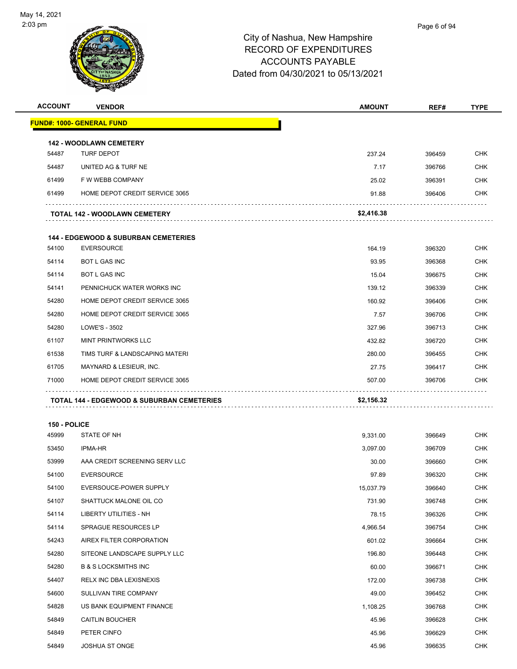| <b>ACCOUNT</b> | <b>VENDOR</b>                                         | <b>AMOUNT</b> | REF#   | <b>TYPE</b> |
|----------------|-------------------------------------------------------|---------------|--------|-------------|
|                | <u> FUND#: 1000- GENERAL FUND</u>                     |               |        |             |
|                | <b>142 - WOODLAWN CEMETERY</b>                        |               |        |             |
| 54487          | <b>TURF DEPOT</b>                                     | 237.24        | 396459 | <b>CHK</b>  |
| 54487          | UNITED AG & TURF NE                                   | 7.17          | 396766 | CHK         |
| 61499          | F W WEBB COMPANY                                      | 25.02         | 396391 | <b>CHK</b>  |
| 61499          | HOME DEPOT CREDIT SERVICE 3065                        | 91.88         | 396406 | CHK         |
|                | <b>TOTAL 142 - WOODLAWN CEMETERY</b>                  | \$2,416.38    |        |             |
|                | <b>144 - EDGEWOOD &amp; SUBURBAN CEMETERIES</b>       |               |        |             |
| 54100          | <b>EVERSOURCE</b>                                     | 164.19        | 396320 | <b>CHK</b>  |
| 54114          | <b>BOT L GAS INC</b>                                  | 93.95         | 396368 | CHK         |
| 54114          | <b>BOT L GAS INC</b>                                  | 15.04         | 396675 | CHK         |
| 54141          | PENNICHUCK WATER WORKS INC                            | 139.12        | 396339 | <b>CHK</b>  |
| 54280          | HOME DEPOT CREDIT SERVICE 3065                        | 160.92        | 396406 | CHK         |
| 54280          | HOME DEPOT CREDIT SERVICE 3065                        | 7.57          | 396706 | CHK         |
| 54280          | LOWE'S - 3502                                         | 327.96        | 396713 | CHK         |
| 61107          | <b>MINT PRINTWORKS LLC</b>                            | 432.82        | 396720 | CHK         |
| 61538          | TIMS TURF & LANDSCAPING MATERI                        | 280.00        | 396455 | <b>CHK</b>  |
| 61705          | MAYNARD & LESIEUR, INC.                               | 27.75         | 396417 | CHK         |
| 71000          | HOME DEPOT CREDIT SERVICE 3065                        | 507.00        | 396706 | CHK         |
|                |                                                       |               |        |             |
|                | <b>TOTAL 144 - EDGEWOOD &amp; SUBURBAN CEMETERIES</b> | \$2,156.32    |        |             |
| 150 - POLICE   |                                                       |               |        |             |
| 45999          | STATE OF NH                                           | 9,331.00      | 396649 | CHK         |
| 53450          | <b>IPMA-HR</b>                                        | 3,097.00      | 396709 | CHK         |
| 53999          | AAA CREDIT SCREENING SERV LLC                         | 30.00         | 396660 | CHK         |
| 54100          | <b>EVERSOURCE</b>                                     | 97.89         | 396320 | <b>CHK</b>  |
| 54100          | EVERSOUCE-POWER SUPPLY                                | 15,037.79     | 396640 | <b>CHK</b>  |
| 54107          | SHATTUCK MALONE OIL CO                                | 731.90        | 396748 | <b>CHK</b>  |
| 54114          | LIBERTY UTILITIES - NH                                | 78.15         | 396326 | CHK         |
| 54114          | SPRAGUE RESOURCES LP                                  | 4,966.54      | 396754 | <b>CHK</b>  |
| 54243          | AIREX FILTER CORPORATION                              | 601.02        | 396664 | <b>CHK</b>  |
| 54280          | SITEONE LANDSCAPE SUPPLY LLC                          | 196.80        | 396448 | <b>CHK</b>  |
| 54280          | <b>B &amp; S LOCKSMITHS INC</b>                       | 60.00         | 396671 | <b>CHK</b>  |
| 54407          | RELX INC DBA LEXISNEXIS                               | 172.00        | 396738 | CHK         |
| 54600          | SULLIVAN TIRE COMPANY                                 | 49.00         | 396452 | <b>CHK</b>  |
| 54828          | US BANK EQUIPMENT FINANCE                             | 1,108.25      | 396768 | <b>CHK</b>  |
| 54849          | <b>CAITLIN BOUCHER</b>                                | 45.96         | 396628 | <b>CHK</b>  |
| 54849          | PETER CINFO                                           | 45.96         | 396629 | CHK         |
| 54849          | JOSHUA ST ONGE                                        | 45.96         | 396635 | <b>CHK</b>  |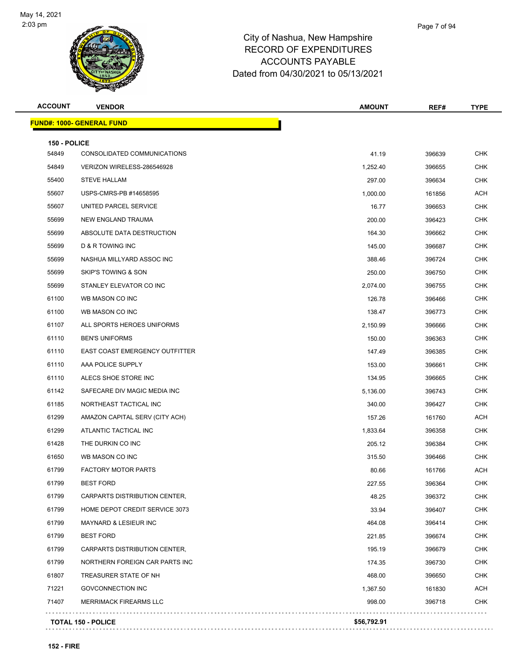

#### City of Nashua, New Hampshire RECORD OF **ACCOUN** Dated from 04/30

| <b>ACCOUNT</b> | <b>VENDOR</b>                    | <b>AMOUNT</b> | REF#   | <b>TYPE</b> |
|----------------|----------------------------------|---------------|--------|-------------|
|                | <b>FUND#: 1000- GENERAL FUND</b> |               |        |             |
| 150 - POLICE   |                                  |               |        |             |
| 54849          | CONSOLIDATED COMMUNICATIONS      | 41.19         | 396639 | <b>CHK</b>  |
| 54849          | VERIZON WIRELESS-286546928       | 1,252.40      | 396655 | <b>CHK</b>  |
| 55400          | <b>STEVE HALLAM</b>              | 297.00        | 396634 | <b>CHK</b>  |
| 55607          | USPS-CMRS-PB #14658595           | 1,000.00      | 161856 | <b>ACH</b>  |
| 55607          | UNITED PARCEL SERVICE            | 16.77         | 396653 | <b>CHK</b>  |
| 55699          | <b>NEW ENGLAND TRAUMA</b>        | 200.00        | 396423 | <b>CHK</b>  |
| 55699          | ABSOLUTE DATA DESTRUCTION        | 164.30        | 396662 | CHK         |
| 55699          | D & R TOWING INC                 | 145.00        | 396687 | <b>CHK</b>  |
| 55699          | NASHUA MILLYARD ASSOC INC        | 388.46        | 396724 | <b>CHK</b>  |
| 55699          | <b>SKIP'S TOWING &amp; SON</b>   | 250.00        | 396750 | <b>CHK</b>  |
| 55699          | STANLEY ELEVATOR CO INC          | 2,074.00      | 396755 | <b>CHK</b>  |
| 61100          | WB MASON CO INC                  | 126.78        | 396466 | <b>CHK</b>  |
| 61100          | WB MASON CO INC                  | 138.47        | 396773 | <b>CHK</b>  |
| 61107          | ALL SPORTS HEROES UNIFORMS       | 2,150.99      | 396666 | <b>CHK</b>  |
| 61110          | <b>BEN'S UNIFORMS</b>            | 150.00        | 396363 | <b>CHK</b>  |
| 61110          | EAST COAST EMERGENCY OUTFITTER   | 147.49        | 396385 | <b>CHK</b>  |
| 61110          | AAA POLICE SUPPLY                | 153.00        | 396661 | CHK         |
| 61110          | ALECS SHOE STORE INC             | 134.95        | 396665 | <b>CHK</b>  |
| 61142          | SAFECARE DIV MAGIC MEDIA INC     | 5,136.00      | 396743 | <b>CHK</b>  |
| 61185          | NORTHEAST TACTICAL INC           | 340.00        | 396427 | <b>CHK</b>  |
| 61299          | AMAZON CAPITAL SERV (CITY ACH)   | 157.26        | 161760 | <b>ACH</b>  |
| 61299          | ATLANTIC TACTICAL INC            | 1,833.64      | 396358 | <b>CHK</b>  |
| 61428          | THE DURKIN CO INC                | 205.12        | 396384 | <b>CHK</b>  |
| 61650          | WB MASON CO INC                  | 315.50        | 396466 | <b>CHK</b>  |
| 61799          | <b>FACTORY MOTOR PARTS</b>       | 80.66         | 161766 | <b>ACH</b>  |
| 61799          | <b>BEST FORD</b>                 | 227.55        | 396364 | <b>CHK</b>  |
| 61799          | CARPARTS DISTRIBUTION CENTER,    | 48.25         | 396372 | <b>CHK</b>  |
| 61799          | HOME DEPOT CREDIT SERVICE 3073   | 33.94         | 396407 | <b>CHK</b>  |
| 61799          | <b>MAYNARD &amp; LESIEUR INC</b> | 464.08        | 396414 | <b>CHK</b>  |
| 61799          | <b>BEST FORD</b>                 | 221.85        | 396674 | <b>CHK</b>  |
| 61799          | CARPARTS DISTRIBUTION CENTER,    | 195.19        | 396679 | <b>CHK</b>  |
| 61799          | NORTHERN FOREIGN CAR PARTS INC   | 174.35        | 396730 | CHK         |
| 61807          | TREASURER STATE OF NH            | 468.00        | 396650 | <b>CHK</b>  |
| 71221          | GOVCONNECTION INC                | 1,367.50      | 161830 | <b>ACH</b>  |
| 71407          | <b>MERRIMACK FIREARMS LLC</b>    | 998.00        | 396718 | <b>CHK</b>  |
|                | <b>TOTAL 150 - POLICE</b>        | \$56,792.91   |        |             |
|                |                                  |               |        |             |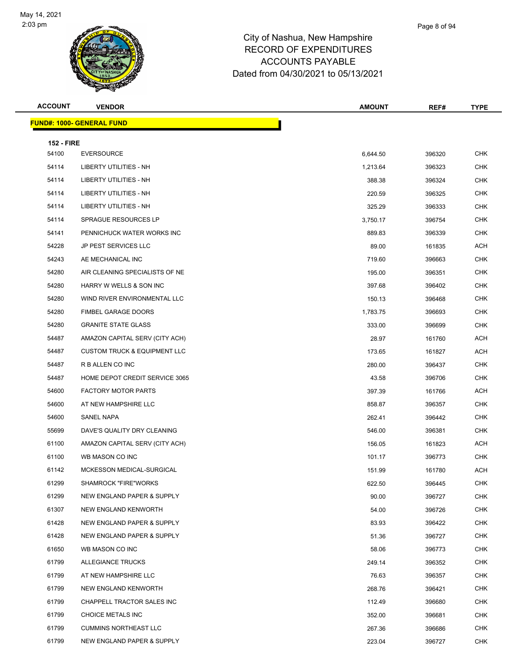

|      | Page 8 of 94 |
|------|--------------|
| iire |              |

**FUND#: 100** 

| ACCOUNT           | <b>VENDOR</b>                    | <b>AMOUNT</b> | REF#   | <b>TYPE</b> |
|-------------------|----------------------------------|---------------|--------|-------------|
|                   | <u> IND#: 1000- GENERAL FUND</u> |               |        |             |
| <b>152 - FIRE</b> |                                  |               |        |             |
| 54100             | <b>EVERSOURCE</b>                | 6.644.50      | 396320 | <b>CHK</b>  |
| 54114             | <b>LIBERTY UTILITIES - NH</b>    | 1,213.64      | 396323 | <b>CHK</b>  |
| 54114             | LIBERTY UTILITIES - NH           | 388.38        | 396324 | <b>CHK</b>  |
| 54114             | LIBERTY UTILITIES - NH           | 220.59        | 396325 | <b>CHK</b>  |
| 54114             | LIBERTY UTILITIES - NH           | 325.29        | 396333 | <b>CHK</b>  |

SPRAGUE RESOURCES LP 3,750.17 396754 CHK

| 54141 | PENNICHUCK WATER WORKS INC              | 889.83   | 396339 | <b>CHK</b> |
|-------|-----------------------------------------|----------|--------|------------|
| 54228 | JP PEST SERVICES LLC                    | 89.00    | 161835 | ACH        |
| 54243 | AE MECHANICAL INC                       | 719.60   | 396663 | <b>CHK</b> |
| 54280 | AIR CLEANING SPECIALISTS OF NE          | 195.00   | 396351 | <b>CHK</b> |
| 54280 | HARRY W WELLS & SON INC                 | 397.68   | 396402 | <b>CHK</b> |
| 54280 | WIND RIVER ENVIRONMENTAL LLC            | 150.13   | 396468 | <b>CHK</b> |
| 54280 | <b>FIMBEL GARAGE DOORS</b>              | 1,783.75 | 396693 | <b>CHK</b> |
| 54280 | <b>GRANITE STATE GLASS</b>              | 333.00   | 396699 | <b>CHK</b> |
| 54487 | AMAZON CAPITAL SERV (CITY ACH)          | 28.97    | 161760 | ACH        |
| 54487 | <b>CUSTOM TRUCK &amp; EQUIPMENT LLC</b> | 173.65   | 161827 | ACH        |
| 54487 | R B ALLEN CO INC                        | 280.00   | 396437 | <b>CHK</b> |
| 54487 | HOME DEPOT CREDIT SERVICE 3065          | 43.58    | 396706 | <b>CHK</b> |
| 54600 | <b>FACTORY MOTOR PARTS</b>              | 397.39   | 161766 | <b>ACH</b> |
| 54600 | AT NEW HAMPSHIRE LLC                    | 858.87   | 396357 | <b>CHK</b> |
| 54600 | SANEL NAPA                              | 262.41   | 396442 | CHK        |
| 55699 | DAVE'S QUALITY DRY CLEANING             | 546.00   | 396381 | CHK        |
| 61100 | AMAZON CAPITAL SERV (CITY ACH)          | 156.05   | 161823 | ACH        |
| 61100 | WB MASON CO INC                         | 101.17   | 396773 | <b>CHK</b> |
| 61142 | MCKESSON MEDICAL-SURGICAL               | 151.99   | 161780 | <b>ACH</b> |
| 61299 | <b>SHAMROCK "FIRE"WORKS</b>             | 622.50   | 396445 | <b>CHK</b> |
| 61299 | NEW ENGLAND PAPER & SUPPLY              | 90.00    | 396727 | <b>CHK</b> |
| 61307 | NEW ENGLAND KENWORTH                    | 54.00    | 396726 | <b>CHK</b> |
| 61428 | NEW ENGLAND PAPER & SUPPLY              | 83.93    | 396422 | <b>CHK</b> |
| 61428 | NEW ENGLAND PAPER & SUPPLY              | 51.36    | 396727 | <b>CHK</b> |
| 61650 | WB MASON CO INC                         | 58.06    | 396773 | <b>CHK</b> |
| 61799 | <b>ALLEGIANCE TRUCKS</b>                | 249.14   | 396352 | <b>CHK</b> |
| 61799 | AT NEW HAMPSHIRE LLC                    | 76.63    | 396357 | <b>CHK</b> |
| 61799 | <b>NEW ENGLAND KENWORTH</b>             | 268.76   | 396421 | <b>CHK</b> |
| 61799 | CHAPPELL TRACTOR SALES INC              | 112.49   | 396680 | <b>CHK</b> |

 CHOICE METALS INC 352.00 396681 CHK CUMMINS NORTHEAST LLC 267.36 396686 CHK NEW ENGLAND PAPER & SUPPLY 223.04 396727 CHK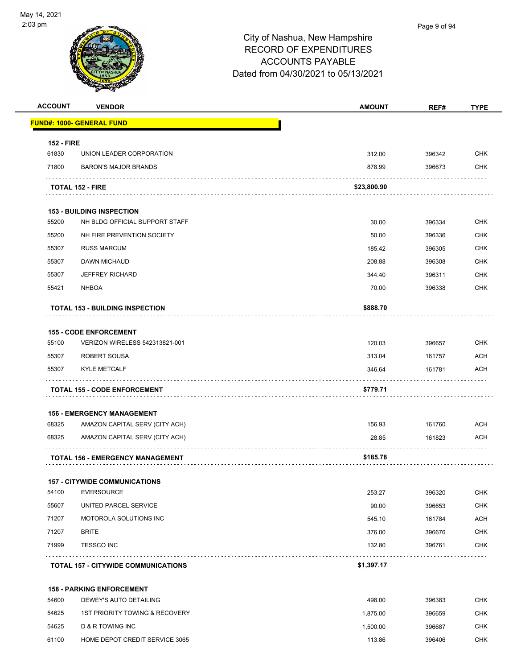

| <b>ACCOUNT</b>    | <b>VENDOR</b>                                             | <b>AMOUNT</b> | REF#   | <b>TYPE</b> |
|-------------------|-----------------------------------------------------------|---------------|--------|-------------|
|                   | <b>FUND#: 1000- GENERAL FUND</b>                          |               |        |             |
| <b>152 - FIRE</b> |                                                           |               |        |             |
| 61830             | UNION LEADER CORPORATION                                  | 312.00        | 396342 | <b>CHK</b>  |
| 71800             | <b>BARON'S MAJOR BRANDS</b>                               | 878.99        | 396673 | <b>CHK</b>  |
|                   |                                                           |               |        |             |
|                   | <b>TOTAL 152 - FIRE</b>                                   | \$23,800.90   |        |             |
|                   | <b>153 - BUILDING INSPECTION</b>                          |               |        |             |
| 55200             | NH BLDG OFFICIAL SUPPORT STAFF                            | 30.00         | 396334 | <b>CHK</b>  |
| 55200             | NH FIRE PREVENTION SOCIETY                                | 50.00         | 396336 | CHK         |
| 55307             | <b>RUSS MARCUM</b>                                        | 185.42        | 396305 | <b>CHK</b>  |
| 55307             | DAWN MICHAUD                                              | 208.88        | 396308 | <b>CHK</b>  |
| 55307             | <b>JEFFREY RICHARD</b>                                    | 344.40        | 396311 | <b>CHK</b>  |
| 55421             | <b>NHBOA</b>                                              | 70.00         | 396338 | <b>CHK</b>  |
|                   | <b>TOTAL 153 - BUILDING INSPECTION</b>                    | \$888.70      |        |             |
|                   |                                                           |               |        |             |
|                   | <b>155 - CODE ENFORCEMENT</b>                             |               |        |             |
| 55100             | VERIZON WIRELESS 542313821-001                            | 120.03        | 396657 | <b>CHK</b>  |
| 55307             | ROBERT SOUSA                                              | 313.04        | 161757 | <b>ACH</b>  |
| 55307             | <b>KYLE METCALF</b>                                       | 346.64        | 161781 | <b>ACH</b>  |
|                   | <b>TOTAL 155 - CODE ENFORCEMENT</b>                       | \$779.71      |        |             |
|                   | <b>156 - EMERGENCY MANAGEMENT</b>                         |               |        |             |
| 68325             | AMAZON CAPITAL SERV (CITY ACH)                            | 156.93        | 161760 | <b>ACH</b>  |
| 68325             | AMAZON CAPITAL SERV (CITY ACH)                            | 28.85         | 161823 | <b>ACH</b>  |
|                   | <b>TOTAL 156 - EMERGENCY MANAGEMENT</b>                   | \$185.78      |        |             |
|                   |                                                           |               |        |             |
| 54100             | <b>157 - CITYWIDE COMMUNICATIONS</b><br><b>EVERSOURCE</b> | 253.27        | 396320 | CHK         |
| 55607             | UNITED PARCEL SERVICE                                     | 90.00         | 396653 | <b>CHK</b>  |
| 71207             | MOTOROLA SOLUTIONS INC                                    | 545.10        | 161784 | <b>ACH</b>  |
| 71207             | <b>BRITE</b>                                              | 376.00        | 396676 | <b>CHK</b>  |
| 71999             | <b>TESSCO INC</b>                                         | 132.80        | 396761 | <b>CHK</b>  |
|                   |                                                           |               |        |             |
|                   | <b>TOTAL 157 - CITYWIDE COMMUNICATIONS</b>                | \$1,397.17    |        |             |
|                   | <b>158 - PARKING ENFORCEMENT</b>                          |               |        |             |
| 54600             | DEWEY'S AUTO DETAILING                                    | 498.00        | 396383 | <b>CHK</b>  |
| 54625             | 1ST PRIORITY TOWING & RECOVERY                            | 1,875.00      | 396659 | <b>CHK</b>  |
| 54625             | D & R TOWING INC                                          | 1,500.00      | 396687 | <b>CHK</b>  |
| 61100             | HOME DEPOT CREDIT SERVICE 3065                            | 113.86        | 396406 | <b>CHK</b>  |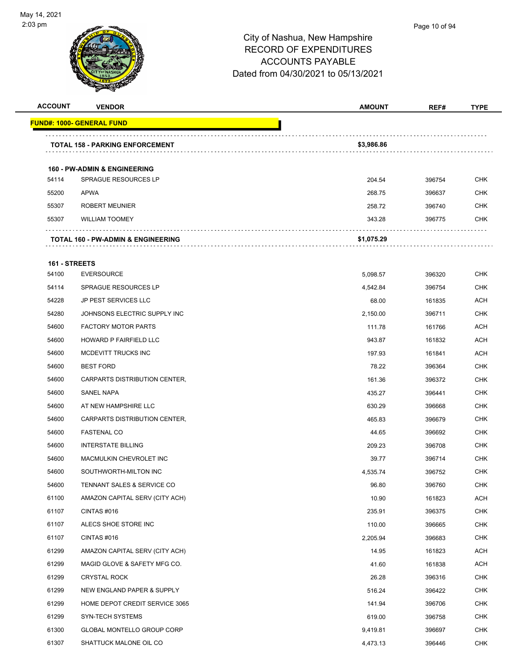

# Page 10 of 94

| <b>ACCOUNT</b> | <b>VENDOR</b>                                                          | <b>AMOUNT</b> | REF#   | TYPE       |
|----------------|------------------------------------------------------------------------|---------------|--------|------------|
|                | <b>FUND#: 1000- GENERAL FUND</b>                                       |               |        |            |
|                | <b>TOTAL 158 - PARKING ENFORCEMENT</b>                                 | \$3,986.86    |        |            |
|                |                                                                        |               |        |            |
| 54114          | <b>160 - PW-ADMIN &amp; ENGINEERING</b><br><b>SPRAGUE RESOURCES LP</b> | 204.54        | 396754 | CHK        |
| 55200          | <b>APWA</b>                                                            | 268.75        | 396637 | <b>CHK</b> |
| 55307          | <b>ROBERT MEUNIER</b>                                                  | 258.72        | 396740 | CHK        |
| 55307          | <b>WILLIAM TOOMEY</b>                                                  | 343.28        | 396775 | <b>CHK</b> |
|                |                                                                        |               |        |            |
|                | <b>TOTAL 160 - PW-ADMIN &amp; ENGINEERING</b>                          | \$1,075.29    |        |            |
| 161 - STREETS  |                                                                        |               |        |            |
| 54100          | <b>EVERSOURCE</b>                                                      | 5,098.57      | 396320 | <b>CHK</b> |
| 54114          | <b>SPRAGUE RESOURCES LP</b>                                            | 4,542.84      | 396754 | <b>CHK</b> |
| 54228          | <b>JP PEST SERVICES LLC</b>                                            | 68.00         | 161835 | <b>ACH</b> |
| 54280          | JOHNSONS ELECTRIC SUPPLY INC                                           | 2,150.00      | 396711 | <b>CHK</b> |
| 54600          | <b>FACTORY MOTOR PARTS</b>                                             | 111.78        | 161766 | <b>ACH</b> |
| 54600          | HOWARD P FAIRFIELD LLC                                                 | 943.87        | 161832 | ACH        |
| 54600          | MCDEVITT TRUCKS INC                                                    | 197.93        | 161841 | ACH        |
| 54600          | <b>BEST FORD</b>                                                       | 78.22         | 396364 | <b>CHK</b> |
| 54600          | CARPARTS DISTRIBUTION CENTER,                                          | 161.36        | 396372 | <b>CHK</b> |
| 54600          | <b>SANEL NAPA</b>                                                      | 435.27        | 396441 | <b>CHK</b> |
| 54600          | AT NEW HAMPSHIRE LLC                                                   | 630.29        | 396668 | <b>CHK</b> |
| 54600          | CARPARTS DISTRIBUTION CENTER,                                          | 465.83        | 396679 | <b>CHK</b> |
| 54600          | <b>FASTENAL CO</b>                                                     | 44.65         | 396692 | <b>CHK</b> |
| 54600          | <b>INTERSTATE BILLING</b>                                              | 209.23        | 396708 | <b>CHK</b> |
| 54600          | MACMULKIN CHEVROLET INC                                                | 39.77         | 396714 | <b>CHK</b> |
| 54600          | SOUTHWORTH-MILTON INC                                                  | 4,535.74      | 396752 | <b>CHK</b> |
| 54600          | TENNANT SALES & SERVICE CO                                             | 96.80         | 396760 | CHK        |
| 61100          | AMAZON CAPITAL SERV (CITY ACH)                                         | 10.90         | 161823 | ACH        |
| 61107          | CINTAS #016                                                            | 235.91        | 396375 | <b>CHK</b> |
| 61107          | ALECS SHOE STORE INC                                                   | 110.00        | 396665 | <b>CHK</b> |
| 61107          | CINTAS #016                                                            | 2,205.94      | 396683 | <b>CHK</b> |
| 61299          | AMAZON CAPITAL SERV (CITY ACH)                                         | 14.95         | 161823 | ACH        |
| 61299          | MAGID GLOVE & SAFETY MFG CO.                                           | 41.60         | 161838 | ACH        |
| 61299          | <b>CRYSTAL ROCK</b>                                                    | 26.28         | 396316 | <b>CHK</b> |
| 61299          | NEW ENGLAND PAPER & SUPPLY                                             | 516.24        | 396422 | <b>CHK</b> |
| 61299          | HOME DEPOT CREDIT SERVICE 3065                                         | 141.94        | 396706 | <b>CHK</b> |
| 61299          | SYN-TECH SYSTEMS                                                       | 619.00        | 396758 | <b>CHK</b> |
| 61300          | GLOBAL MONTELLO GROUP CORP                                             | 9,419.81      | 396697 | <b>CHK</b> |
| 61307          | SHATTUCK MALONE OIL CO                                                 | 4,473.13      | 396446 | <b>CHK</b> |
|                |                                                                        |               |        |            |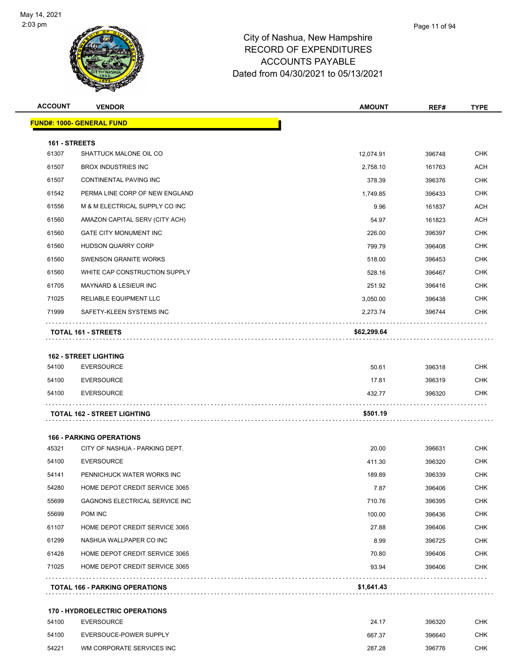

| <b>ACCOUNT</b> | <b>VENDOR</b>                                              | <b>AMOUNT</b> | REF#   | <b>TYPE</b> |
|----------------|------------------------------------------------------------|---------------|--------|-------------|
|                | <u> FUND#: 1000- GENERAL FUND</u>                          |               |        |             |
| 161 - STREETS  |                                                            |               |        |             |
| 61307          | SHATTUCK MALONE OIL CO                                     | 12,074.91     | 396748 | <b>CHK</b>  |
| 61507          | <b>BROX INDUSTRIES INC</b>                                 | 2,758.10      | 161763 | ACH         |
| 61507          | CONTINENTAL PAVING INC                                     | 378.39        | 396376 | <b>CHK</b>  |
| 61542          | PERMA LINE CORP OF NEW ENGLAND                             | 1,749.85      | 396433 | <b>CHK</b>  |
| 61556          | M & M ELECTRICAL SUPPLY CO INC                             | 9.96          | 161837 | ACH         |
| 61560          | AMAZON CAPITAL SERV (CITY ACH)                             | 54.97         | 161823 | <b>ACH</b>  |
| 61560          | <b>GATE CITY MONUMENT INC</b>                              | 226.00        | 396397 | <b>CHK</b>  |
| 61560          | HUDSON QUARRY CORP                                         | 799.79        | 396408 | <b>CHK</b>  |
| 61560          | <b>SWENSON GRANITE WORKS</b>                               | 518.00        | 396453 | <b>CHK</b>  |
| 61560          | WHITE CAP CONSTRUCTION SUPPLY                              | 528.16        | 396467 | <b>CHK</b>  |
| 61705          | <b>MAYNARD &amp; LESIEUR INC</b>                           | 251.92        | 396416 | <b>CHK</b>  |
| 71025          | RELIABLE EQUIPMENT LLC                                     | 3,050.00      | 396438 | <b>CHK</b>  |
| 71999          | SAFETY-KLEEN SYSTEMS INC                                   | 2,273.74      | 396744 | <b>CHK</b>  |
|                | <b>TOTAL 161 - STREETS</b>                                 | \$62,299.64   |        |             |
|                |                                                            |               |        |             |
|                | <b>162 - STREET LIGHTING</b>                               |               |        |             |
| 54100          | <b>EVERSOURCE</b>                                          | 50.61         | 396318 | <b>CHK</b>  |
| 54100          | <b>EVERSOURCE</b>                                          | 17.81         | 396319 | CHK         |
| 54100          | <b>EVERSOURCE</b>                                          | 432.77        | 396320 | <b>CHK</b>  |
|                | TOTAL 162 - STREET LIGHTING                                | \$501.19      |        |             |
|                | <b>166 - PARKING OPERATIONS</b>                            |               |        |             |
| 45321          | CITY OF NASHUA - PARKING DEPT.                             | 20.00         | 396631 | <b>CHK</b>  |
| 54100          | <b>EVERSOURCE</b>                                          | 411.30        | 396320 | <b>CHK</b>  |
| 54141          | PENNICHUCK WATER WORKS INC                                 | 189.89        | 396339 | <b>CHK</b>  |
| 54280          | HOME DEPOT CREDIT SERVICE 3065                             | 7.87          | 396406 | <b>CHK</b>  |
| 55699          | <b>GAGNONS ELECTRICAL SERVICE INC</b>                      | 710.76        | 396395 | <b>CHK</b>  |
| 55699          | POM INC                                                    | 100.00        | 396436 | <b>CHK</b>  |
| 61107          | HOME DEPOT CREDIT SERVICE 3065                             | 27.88         | 396406 | <b>CHK</b>  |
| 61299          | NASHUA WALLPAPER CO INC                                    | 8.99          | 396725 | <b>CHK</b>  |
| 61428          | HOME DEPOT CREDIT SERVICE 3065                             | 70.80         | 396406 | <b>CHK</b>  |
| 71025          | HOME DEPOT CREDIT SERVICE 3065                             | 93.94         | 396406 | <b>CHK</b>  |
|                | <b>TOTAL 166 - PARKING OPERATIONS</b>                      | \$1,641.43    |        |             |
|                |                                                            |               |        |             |
| 54100          | <b>170 - HYDROELECTRIC OPERATIONS</b><br><b>EVERSOURCE</b> | 24.17         | 396320 | <b>CHK</b>  |
| 54100          | EVERSOUCE-POWER SUPPLY                                     | 667.37        | 396640 | <b>CHK</b>  |
| 54221          | WM CORPORATE SERVICES INC                                  | 287.28        | 396776 | <b>CHK</b>  |
|                |                                                            |               |        |             |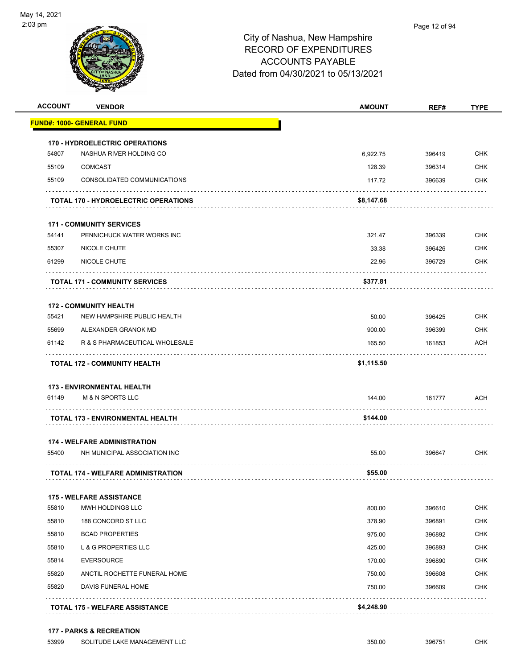

| <b>ACCOUNT</b> | <b>VENDOR</b>                               | <b>AMOUNT</b> | REF#   | <b>TYPE</b> |
|----------------|---------------------------------------------|---------------|--------|-------------|
|                | <b>FUND#: 1000- GENERAL FUND</b>            |               |        |             |
|                | <b>170 - HYDROELECTRIC OPERATIONS</b>       |               |        |             |
| 54807          | NASHUA RIVER HOLDING CO                     | 6,922.75      | 396419 | <b>CHK</b>  |
| 55109          | <b>COMCAST</b>                              | 128.39        | 396314 | <b>CHK</b>  |
| 55109          | CONSOLIDATED COMMUNICATIONS                 | 117.72        | 396639 | CHK         |
|                | <b>TOTAL 170 - HYDROELECTRIC OPERATIONS</b> | \$8,147.68    |        |             |
|                | <b>171 - COMMUNITY SERVICES</b>             |               |        |             |
| 54141          | PENNICHUCK WATER WORKS INC                  | 321.47        | 396339 | <b>CHK</b>  |
| 55307          | NICOLE CHUTE                                | 33.38         | 396426 | CHK         |
| 61299          | NICOLE CHUTE                                | 22.96         | 396729 | CHK         |
|                | <b>TOTAL 171 - COMMUNITY SERVICES</b>       | \$377.81      |        |             |
|                | <b>172 - COMMUNITY HEALTH</b>               |               |        |             |
| 55421          | NEW HAMPSHIRE PUBLIC HEALTH                 | 50.00         | 396425 | <b>CHK</b>  |
| 55699          | ALEXANDER GRANOK MD                         | 900.00        | 396399 | CHK         |
| 61142          | R & S PHARMACEUTICAL WHOLESALE              | 165.50        | 161853 | <b>ACH</b>  |
|                | <b>TOTAL 172 - COMMUNITY HEALTH</b>         | \$1,115.50    |        |             |
|                | <b>173 - ENVIRONMENTAL HEALTH</b>           |               |        |             |
| 61149          | <b>M &amp; N SPORTS LLC</b>                 | 144.00        | 161777 | <b>ACH</b>  |
|                | TOTAL 173 - ENVIRONMENTAL HEALTH            | \$144.00      |        |             |
|                | <b>174 - WELFARE ADMINISTRATION</b>         |               |        |             |
| 55400          | NH MUNICIPAL ASSOCIATION INC                | 55.00         | 396647 | CHK         |
|                | <b>TOTAL 174 - WELFARE ADMINISTRATION</b>   | \$55.00       |        |             |
|                | <b>175 - WELFARE ASSISTANCE</b>             |               |        |             |
| 55810          | MWH HOLDINGS LLC                            | 800.00        | 396610 | <b>CHK</b>  |
| 55810          | 188 CONCORD ST LLC                          | 378.90        | 396891 | <b>CHK</b>  |
| 55810          | <b>BCAD PROPERTIES</b>                      | 975.00        | 396892 | <b>CHK</b>  |
| 55810          | L & G PROPERTIES LLC                        | 425.00        | 396893 | <b>CHK</b>  |
| 55814          | <b>EVERSOURCE</b>                           | 170.00        | 396890 | CHK         |
| 55820          | ANCTIL ROCHETTE FUNERAL HOME                | 750.00        | 396608 | <b>CHK</b>  |
| 55820          | DAVIS FUNERAL HOME                          | 750.00        | 396609 | <b>CHK</b>  |
|                | <b>TOTAL 175 - WELFARE ASSISTANCE</b>       | \$4,248.90    |        |             |
|                |                                             |               |        |             |

#### **177 - PARKS & RECREATION**

53999 SOLITUDE LAKE MANAGEMENT LLC 350.00 396751 CHK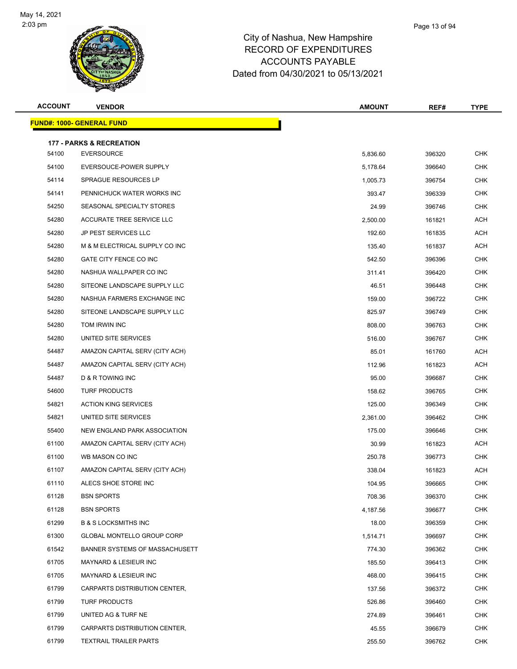

| <b>ACCOUNT</b> | <b>VENDOR</b>                       | <b>AMOUNT</b> | REF#   | <b>TYPE</b> |
|----------------|-------------------------------------|---------------|--------|-------------|
|                | <b>FUND#: 1000- GENERAL FUND</b>    |               |        |             |
|                | <b>177 - PARKS &amp; RECREATION</b> |               |        |             |
| 54100          | <b>EVERSOURCE</b>                   | 5,836.60      | 396320 | <b>CHK</b>  |
| 54100          | EVERSOUCE-POWER SUPPLY              | 5,178.64      | 396640 | <b>CHK</b>  |
| 54114          | <b>SPRAGUE RESOURCES LP</b>         | 1,005.73      | 396754 | <b>CHK</b>  |
| 54141          | PENNICHUCK WATER WORKS INC          | 393.47        | 396339 | <b>CHK</b>  |
| 54250          | SEASONAL SPECIALTY STORES           | 24.99         | 396746 | <b>CHK</b>  |
| 54280          | ACCURATE TREE SERVICE LLC           | 2,500.00      | 161821 | <b>ACH</b>  |
| 54280          | <b>JP PEST SERVICES LLC</b>         | 192.60        | 161835 | ACH         |
| 54280          | M & M ELECTRICAL SUPPLY CO INC      | 135.40        | 161837 | <b>ACH</b>  |
| 54280          | GATE CITY FENCE CO INC              | 542.50        | 396396 | <b>CHK</b>  |
| 54280          | NASHUA WALLPAPER CO INC             | 311.41        | 396420 | <b>CHK</b>  |
| 54280          | SITEONE LANDSCAPE SUPPLY LLC        | 46.51         | 396448 | <b>CHK</b>  |
| 54280          | NASHUA FARMERS EXCHANGE INC         | 159.00        | 396722 | <b>CHK</b>  |
| 54280          | SITEONE LANDSCAPE SUPPLY LLC        | 825.97        | 396749 | <b>CHK</b>  |
| 54280          | TOM IRWIN INC                       | 808.00        | 396763 | <b>CHK</b>  |
| 54280          | UNITED SITE SERVICES                | 516.00        | 396767 | <b>CHK</b>  |
| 54487          | AMAZON CAPITAL SERV (CITY ACH)      | 85.01         | 161760 | ACH         |
| 54487          | AMAZON CAPITAL SERV (CITY ACH)      | 112.96        | 161823 | ACH         |
| 54487          | D & R TOWING INC                    | 95.00         | 396687 | <b>CHK</b>  |
| 54600          | <b>TURF PRODUCTS</b>                | 158.62        | 396765 | <b>CHK</b>  |
| 54821          | <b>ACTION KING SERVICES</b>         | 125.00        | 396349 | <b>CHK</b>  |
| 54821          | UNITED SITE SERVICES                | 2,361.00      | 396462 | <b>CHK</b>  |
| 55400          | NEW ENGLAND PARK ASSOCIATION        | 175.00        | 396646 | <b>CHK</b>  |
| 61100          | AMAZON CAPITAL SERV (CITY ACH)      | 30.99         | 161823 | <b>ACH</b>  |
| 61100          | WB MASON CO INC                     | 250.78        | 396773 | <b>CHK</b>  |
| 61107          | AMAZON CAPITAL SERV (CITY ACH)      | 338.04        | 161823 | <b>ACH</b>  |
| 61110          | ALECS SHOE STORE INC                | 104.95        | 396665 | <b>CHK</b>  |
| 61128          | <b>BSN SPORTS</b>                   | 708.36        | 396370 | <b>CHK</b>  |
| 61128          | <b>BSN SPORTS</b>                   | 4,187.56      | 396677 | <b>CHK</b>  |
| 61299          | <b>B &amp; S LOCKSMITHS INC</b>     | 18.00         | 396359 | CHK         |
| 61300          | <b>GLOBAL MONTELLO GROUP CORP</b>   | 1,514.71      | 396697 | <b>CHK</b>  |
| 61542          | BANNER SYSTEMS OF MASSACHUSETT      | 774.30        | 396362 | <b>CHK</b>  |
| 61705          | <b>MAYNARD &amp; LESIEUR INC</b>    | 185.50        | 396413 | CHK         |
| 61705          | <b>MAYNARD &amp; LESIEUR INC</b>    | 468.00        | 396415 | <b>CHK</b>  |
| 61799          | CARPARTS DISTRIBUTION CENTER,       | 137.56        | 396372 | <b>CHK</b>  |
| 61799          | <b>TURF PRODUCTS</b>                | 526.86        | 396460 | <b>CHK</b>  |
| 61799          | UNITED AG & TURF NE                 | 274.89        | 396461 | <b>CHK</b>  |
| 61799          | CARPARTS DISTRIBUTION CENTER,       | 45.55         | 396679 | CHK         |
| 61799          | <b>TEXTRAIL TRAILER PARTS</b>       | 255.50        | 396762 | <b>CHK</b>  |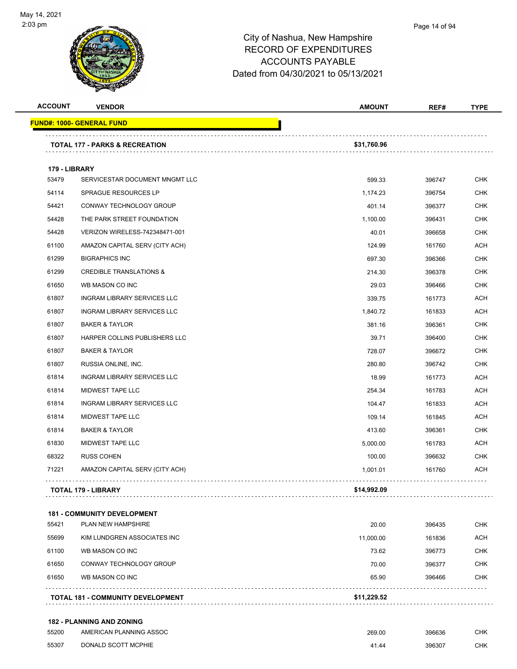

#### Page 14 of 94

### City of Nashua, New Hampshire RECORD OF EXPENDITURES ACCOUNTS PAYABLE Dated from 04/30/2021 to 05/13/2021

| <b>ACCOUNT</b> | <b>VENDOR</b>                             | <b>AMOUNT</b> | REF#   | <b>TYPE</b> |
|----------------|-------------------------------------------|---------------|--------|-------------|
|                | <b>FUND#: 1000- GENERAL FUND</b>          |               |        |             |
|                | <b>TOTAL 177 - PARKS &amp; RECREATION</b> | \$31,760.96   |        |             |
| 179 - LIBRARY  |                                           |               |        |             |
| 53479          | SERVICESTAR DOCUMENT MNGMT LLC            | 599.33        | 396747 | <b>CHK</b>  |
| 54114          | SPRAGUE RESOURCES LP                      | 1,174.23      | 396754 | <b>CHK</b>  |
| 54421          | CONWAY TECHNOLOGY GROUP                   | 401.14        | 396377 | <b>CHK</b>  |
| 54428          | THE PARK STREET FOUNDATION                | 1,100.00      | 396431 | <b>CHK</b>  |
| 54428          | VERIZON WIRELESS-742348471-001            | 40.01         | 396658 | <b>CHK</b>  |
| 61100          | AMAZON CAPITAL SERV (CITY ACH)            | 124.99        | 161760 | <b>ACH</b>  |
| 61299          | <b>BIGRAPHICS INC</b>                     | 697.30        | 396366 | <b>CHK</b>  |
| 61299          | <b>CREDIBLE TRANSLATIONS &amp;</b>        | 214.30        | 396378 | <b>CHK</b>  |
| 61650          | WB MASON CO INC                           | 29.03         | 396466 | <b>CHK</b>  |
| 61807          | INGRAM LIBRARY SERVICES LLC               | 339.75        | 161773 | <b>ACH</b>  |
| 61807          | <b>INGRAM LIBRARY SERVICES LLC</b>        | 1,840.72      | 161833 | <b>ACH</b>  |
| 61807          | <b>BAKER &amp; TAYLOR</b>                 | 381.16        | 396361 | <b>CHK</b>  |
| 61807          | HARPER COLLINS PUBLISHERS LLC             | 39.71         | 396400 | <b>CHK</b>  |
| 61807          | <b>BAKER &amp; TAYLOR</b>                 | 728.07        | 396672 | <b>CHK</b>  |
| 61807          | RUSSIA ONLINE, INC.                       | 280.80        | 396742 | <b>CHK</b>  |
| 61814          | <b>INGRAM LIBRARY SERVICES LLC</b>        | 18.99         | 161773 | <b>ACH</b>  |
| 61814          | MIDWEST TAPE LLC                          | 254.34        | 161783 | <b>ACH</b>  |
| 61814          | <b>INGRAM LIBRARY SERVICES LLC</b>        | 104.47        | 161833 | ACH         |
| 61814          | MIDWEST TAPE LLC                          | 109.14        | 161845 | <b>ACH</b>  |
| 61814          | <b>BAKER &amp; TAYLOR</b>                 | 413.60        | 396361 | <b>CHK</b>  |
| 61830          | MIDWEST TAPE LLC                          | 5,000.00      | 161783 | ACH         |
| 68322          | <b>RUSS COHEN</b>                         | 100.00        | 396632 | <b>CHK</b>  |
| 71221          | AMAZON CAPITAL SERV (CITY ACH)            | 1,001.01      | 161760 | <b>ACH</b>  |
|                | <b>TOTAL 179 - LIBRARY</b>                | \$14,992.09   |        |             |
|                |                                           |               |        |             |
|                | <b>181 - COMMUNITY DEVELOPMENT</b>        |               |        |             |
| 55421          | <b>PLAN NEW HAMPSHIRE</b>                 | 20.00         | 396435 | <b>CHK</b>  |
| 55699          | KIM LUNDGREN ASSOCIATES INC               | 11,000.00     | 161836 | <b>ACH</b>  |
| 61100          | WB MASON CO INC                           | 73.62         | 396773 | <b>CHK</b>  |
| 61650          | CONWAY TECHNOLOGY GROUP                   | 70.00         | 396377 | <b>CHK</b>  |
| 61650          | WB MASON CO INC                           | 65.90         | 396466 | <b>CHK</b>  |
|                |                                           |               |        |             |

**TOTAL 181 - COMMUNITY DEVELOPMENT \$11,229.52**

#### **182 - PLANNING AND ZONING**

| 55200 | AMERICAN PLANNING ASSOC | 269.00 | 396636 | CHK |
|-------|-------------------------|--------|--------|-----|
| 55307 | DONALD SCOTT MCPHIE     | 41.44  | 396307 | СНК |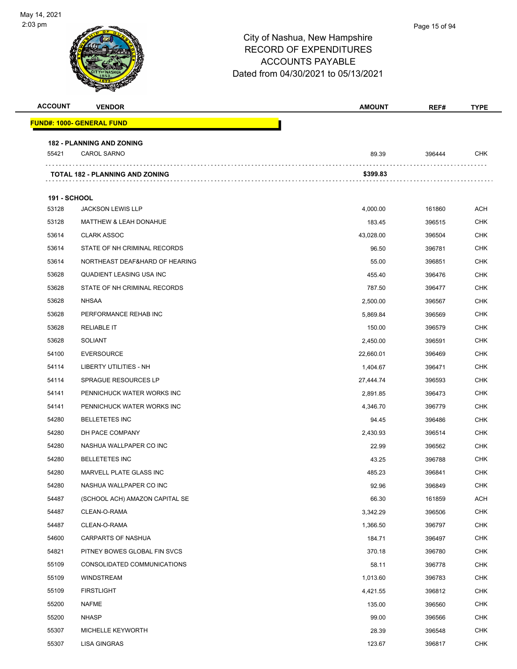# City of Nashua, New Hampshire RECORD OF EXPENDITURES ACCOUNTS PAYABLE Dated from 04/30/2021 to 05/13/2021 **ACCOUNT VENDOR AMOUNT REF# TYPE FUND#: 1000- GENERAL FUND 182 - PLANNING AND ZONING** CAROL SARNO 89.39 396444 CHK . . . . . . . . . . . . . . . . . **TOTAL 182 - PLANNING AND ZONING \$399.83 191 - SCHOOL** JACKSON LEWIS LLP 4,000.00 161860 ACH 53128 MATTHEW & LEAH DONAHUE 2000 183.45 183.45 296515 CHK CLARK ASSOC 43,028.00 396504 CHK STATE OF NH CRIMINAL RECORDS 96.50 396781 CHK NORTHEAST DEAF&HARD OF HEARING 55.00 396851 CHK QUADIENT LEASING USA INC 455.40 396476 CHK STATE OF NH CRIMINAL RECORDS 787.50 396477 CHK NHSAA 2,500.00 396567 CHK PERFORMANCE REHAB INC 5,869.84 396569 CHK RELIABLE IT 150.00 396579 CHK SOLIANT 2,450.00 396591 CHK EVERSOURCE 22,660.01 396469 CHK LIBERTY UTILITIES - NH 1,404.67 396471 CHK SPRAGUE RESOURCES LP 27,444.74 396593 CHK PENNICHUCK WATER WORKS INC 2,891.85 396473 CHK PENNICHUCK WATER WORKS INC 4,346.70 396779 CHK BELLETETES INC 94.45 396486 CHK DH PACE COMPANY 2,430.93 396514 CHK NASHUA WALLPAPER CO INC 22.99 396562 CHK BELLETETES INC 43.25 396788 CHK MARVELL PLATE GLASS INC 485.23 396841 CHK NASHUA WALLPAPER CO INC 92.96 396849 CHK (SCHOOL ACH) AMAZON CAPITAL SE 66.30 161859 ACH CLEAN-O-RAMA 3,342.29 396506 CHK CLEAN-O-RAMA 1,366.50 396797 CHK CARPARTS OF NASHUA 184.71 396497 CHK PITNEY BOWES GLOBAL FIN SVCS 370.18 396780 CHK CONSOLIDATED COMMUNICATIONS 58.11 396778 CHK WINDSTREAM 1,013.60 396783 CHK FIRSTLIGHT 4,421.55 396812 CHK NAFME 135.00 396560 CHK NHASP 99.00 396566 CHK MICHELLE KEYWORTH 28.39 396548 CHK LISA GINGRAS 123.67 396817 CHK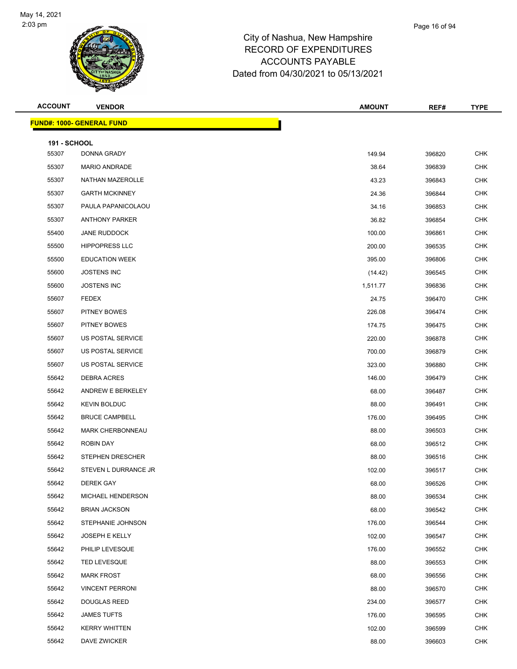

| <b>ACCOUNT</b>      | <b>VENDOR</b>                    | <b>AMOUNT</b> | REF#   | <b>TYPE</b> |
|---------------------|----------------------------------|---------------|--------|-------------|
|                     | <b>FUND#: 1000- GENERAL FUND</b> |               |        |             |
| <b>191 - SCHOOL</b> |                                  |               |        |             |
| 55307               | DONNA GRADY                      | 149.94        | 396820 | CHK         |
| 55307               | MARIO ANDRADE                    | 38.64         | 396839 | <b>CHK</b>  |
| 55307               | NATHAN MAZEROLLE                 | 43.23         | 396843 | <b>CHK</b>  |
| 55307               | <b>GARTH MCKINNEY</b>            | 24.36         | 396844 | <b>CHK</b>  |
| 55307               | PAULA PAPANICOLAOU               | 34.16         | 396853 | <b>CHK</b>  |
| 55307               | <b>ANTHONY PARKER</b>            | 36.82         | 396854 | <b>CHK</b>  |
| 55400               | <b>JANE RUDDOCK</b>              | 100.00        | 396861 | <b>CHK</b>  |
| 55500               | <b>HIPPOPRESS LLC</b>            | 200.00        | 396535 | <b>CHK</b>  |
| 55500               | <b>EDUCATION WEEK</b>            | 395.00        | 396806 | <b>CHK</b>  |
| 55600               | <b>JOSTENS INC</b>               | (14.42)       | 396545 | <b>CHK</b>  |
| 55600               | <b>JOSTENS INC</b>               | 1,511.77      | 396836 | <b>CHK</b>  |
| 55607               | <b>FEDEX</b>                     | 24.75         | 396470 | <b>CHK</b>  |
| 55607               | PITNEY BOWES                     | 226.08        | 396474 | <b>CHK</b>  |
| 55607               | PITNEY BOWES                     | 174.75        | 396475 | <b>CHK</b>  |
| 55607               | US POSTAL SERVICE                | 220.00        | 396878 | <b>CHK</b>  |
| 55607               | US POSTAL SERVICE                | 700.00        | 396879 | <b>CHK</b>  |
| 55607               | US POSTAL SERVICE                | 323.00        | 396880 | <b>CHK</b>  |
| 55642               | DEBRA ACRES                      | 146.00        | 396479 | <b>CHK</b>  |
| 55642               | ANDREW E BERKELEY                | 68.00         | 396487 | <b>CHK</b>  |
| 55642               | <b>KEVIN BOLDUC</b>              | 88.00         | 396491 | <b>CHK</b>  |
| 55642               | <b>BRUCE CAMPBELL</b>            | 176.00        | 396495 | <b>CHK</b>  |
| 55642               | <b>MARK CHERBONNEAU</b>          | 88.00         | 396503 | <b>CHK</b>  |
| 55642               | ROBIN DAY                        | 68.00         | 396512 | <b>CHK</b>  |
| 55642               | <b>STEPHEN DRESCHER</b>          | 88.00         | 396516 | <b>CHK</b>  |
| 55642               | STEVEN L DURRANCE JR             | 102.00        | 396517 | <b>CHK</b>  |
| 55642               | DEREK GAY                        | 68.00         | 396526 | <b>CHK</b>  |
| 55642               | MICHAEL HENDERSON                | 88.00         | 396534 | <b>CHK</b>  |
| 55642               | <b>BRIAN JACKSON</b>             | 68.00         | 396542 | <b>CHK</b>  |
| 55642               | STEPHANIE JOHNSON                | 176.00        | 396544 | <b>CHK</b>  |
| 55642               | <b>JOSEPH E KELLY</b>            | 102.00        | 396547 | <b>CHK</b>  |
| 55642               | PHILIP LEVESQUE                  | 176.00        | 396552 | <b>CHK</b>  |
| 55642               | <b>TED LEVESQUE</b>              | 88.00         | 396553 | <b>CHK</b>  |
| 55642               | <b>MARK FROST</b>                | 68.00         | 396556 | <b>CHK</b>  |
| 55642               | <b>VINCENT PERRONI</b>           | 88.00         | 396570 | <b>CHK</b>  |
| 55642               | <b>DOUGLAS REED</b>              | 234.00        | 396577 | <b>CHK</b>  |
| 55642               | <b>JAMES TUFTS</b>               | 176.00        | 396595 | <b>CHK</b>  |
| 55642               | <b>KERRY WHITTEN</b>             | 102.00        | 396599 | <b>CHK</b>  |
| 55642               | DAVE ZWICKER                     | 88.00         | 396603 | <b>CHK</b>  |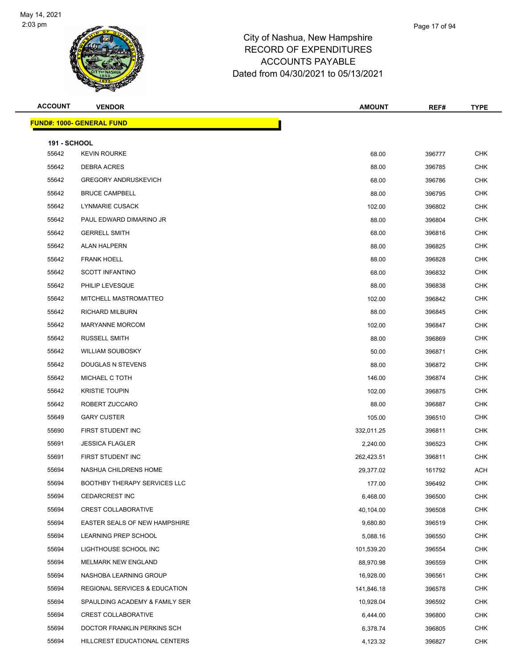

| <b>ACCOUNT</b>               | <b>VENDOR</b>                    | <b>AMOUNT</b> | REF#   | <b>TYPE</b> |
|------------------------------|----------------------------------|---------------|--------|-------------|
|                              | <b>FUND#: 1000- GENERAL FUND</b> |               |        |             |
|                              |                                  |               |        |             |
| <b>191 - SCHOOL</b><br>55642 | <b>KEVIN ROURKE</b>              | 68.00         | 396777 | <b>CHK</b>  |
| 55642                        | DEBRA ACRES                      | 88.00         | 396785 | <b>CHK</b>  |
| 55642                        | <b>GREGORY ANDRUSKEVICH</b>      | 68.00         | 396786 | <b>CHK</b>  |
| 55642                        | <b>BRUCE CAMPBELL</b>            | 88.00         | 396795 | <b>CHK</b>  |
| 55642                        | <b>LYNMARIE CUSACK</b>           | 102.00        | 396802 | <b>CHK</b>  |
| 55642                        | PAUL EDWARD DIMARINO JR          | 88.00         | 396804 | <b>CHK</b>  |
| 55642                        | <b>GERRELL SMITH</b>             | 68.00         | 396816 | <b>CHK</b>  |
| 55642                        | <b>ALAN HALPERN</b>              | 88.00         | 396825 | <b>CHK</b>  |
| 55642                        | <b>FRANK HOELL</b>               | 88.00         | 396828 | <b>CHK</b>  |
| 55642                        | <b>SCOTT INFANTINO</b>           | 68.00         | 396832 | <b>CHK</b>  |
| 55642                        | PHILIP LEVESQUE                  | 88.00         | 396838 | <b>CHK</b>  |
| 55642                        | MITCHELL MASTROMATTEO            | 102.00        | 396842 | <b>CHK</b>  |
| 55642                        | <b>RICHARD MILBURN</b>           | 88.00         | 396845 | <b>CHK</b>  |
| 55642                        | <b>MARYANNE MORCOM</b>           | 102.00        | 396847 | <b>CHK</b>  |
| 55642                        | <b>RUSSELL SMITH</b>             | 88.00         | 396869 | <b>CHK</b>  |
| 55642                        | <b>WILLIAM SOUBOSKY</b>          | 50.00         | 396871 | <b>CHK</b>  |
| 55642                        | DOUGLAS N STEVENS                | 88.00         | 396872 | <b>CHK</b>  |
| 55642                        | MICHAEL C TOTH                   | 146.00        | 396874 | <b>CHK</b>  |
| 55642                        | <b>KRISTIE TOUPIN</b>            | 102.00        | 396875 | <b>CHK</b>  |
| 55642                        | ROBERT ZUCCARO                   | 88.00         | 396887 | <b>CHK</b>  |
| 55649                        | <b>GARY CUSTER</b>               | 105.00        | 396510 | <b>CHK</b>  |
| 55690                        | FIRST STUDENT INC                | 332,011.25    | 396811 | <b>CHK</b>  |
| 55691                        | <b>JESSICA FLAGLER</b>           | 2,240.00      | 396523 | <b>CHK</b>  |
| 55691                        | FIRST STUDENT INC                | 262,423.51    | 396811 | <b>CHK</b>  |
| 55694                        | NASHUA CHILDRENS HOME            | 29,377.02     | 161792 | ACH         |
| 55694                        | BOOTHBY THERAPY SERVICES LLC     | 177.00        | 396492 | <b>CHK</b>  |
| 55694                        | <b>CEDARCREST INC</b>            | 6,468.00      | 396500 | <b>CHK</b>  |
| 55694                        | <b>CREST COLLABORATIVE</b>       | 40,104.00     | 396508 | <b>CHK</b>  |
| 55694                        | EASTER SEALS OF NEW HAMPSHIRE    | 9,680.80      | 396519 | <b>CHK</b>  |
| 55694                        | LEARNING PREP SCHOOL             | 5,088.16      | 396550 | CHK         |
| 55694                        | LIGHTHOUSE SCHOOL INC            | 101,539.20    | 396554 | <b>CHK</b>  |
| 55694                        | <b>MELMARK NEW ENGLAND</b>       | 88,970.98     | 396559 | <b>CHK</b>  |
| 55694                        | NASHOBA LEARNING GROUP           | 16,928.00     | 396561 | <b>CHK</b>  |
| 55694                        | REGIONAL SERVICES & EDUCATION    | 141,846.18    | 396578 | <b>CHK</b>  |
| 55694                        | SPAULDING ACADEMY & FAMILY SER   | 10,928.04     | 396592 | CHK         |
| 55694                        | <b>CREST COLLABORATIVE</b>       | 6,444.00      | 396800 | <b>CHK</b>  |
| 55694                        | DOCTOR FRANKLIN PERKINS SCH      | 6,378.74      | 396805 | <b>CHK</b>  |
| 55694                        | HILLCREST EDUCATIONAL CENTERS    | 4,123.32      | 396827 | <b>CHK</b>  |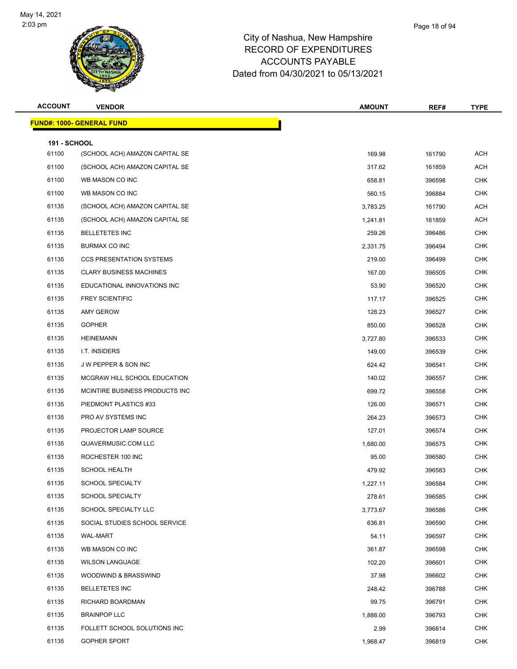

| <b>ACCOUNT</b>      | <b>VENDOR</b>                    | <b>AMOUNT</b> | REF#   | <b>TYPE</b> |
|---------------------|----------------------------------|---------------|--------|-------------|
|                     | <b>FUND#: 1000- GENERAL FUND</b> |               |        |             |
| <b>191 - SCHOOL</b> |                                  |               |        |             |
| 61100               | (SCHOOL ACH) AMAZON CAPITAL SE   | 169.98        | 161790 | <b>ACH</b>  |
| 61100               | (SCHOOL ACH) AMAZON CAPITAL SE   | 317.62        | 161859 | <b>ACH</b>  |
| 61100               | WB MASON CO INC                  | 658.81        | 396598 | <b>CHK</b>  |
| 61100               | WB MASON CO INC                  | 560.15        | 396884 | <b>CHK</b>  |
| 61135               | (SCHOOL ACH) AMAZON CAPITAL SE   | 3,783.25      | 161790 | <b>ACH</b>  |
| 61135               | (SCHOOL ACH) AMAZON CAPITAL SE   | 1,241.81      | 161859 | ACH         |
| 61135               | <b>BELLETETES INC</b>            | 259.26        | 396486 | <b>CHK</b>  |
| 61135               | BURMAX CO INC                    | 2,331.75      | 396494 | <b>CHK</b>  |
| 61135               | <b>CCS PRESENTATION SYSTEMS</b>  | 219.00        | 396499 | <b>CHK</b>  |
| 61135               | <b>CLARY BUSINESS MACHINES</b>   | 167.00        | 396505 | <b>CHK</b>  |
| 61135               | EDUCATIONAL INNOVATIONS INC      | 53.90         | 396520 | <b>CHK</b>  |
| 61135               | <b>FREY SCIENTIFIC</b>           | 117.17        | 396525 | <b>CHK</b>  |
| 61135               | AMY GEROW                        | 128.23        | 396527 | <b>CHK</b>  |
| 61135               | <b>GOPHER</b>                    | 850.00        | 396528 | <b>CHK</b>  |
| 61135               | <b>HEINEMANN</b>                 | 3,727.80      | 396533 | <b>CHK</b>  |
| 61135               | I.T. INSIDERS                    | 149.00        | 396539 | <b>CHK</b>  |
| 61135               | <b>JW PEPPER &amp; SON INC</b>   | 624.42        | 396541 | <b>CHK</b>  |
| 61135               | MCGRAW HILL SCHOOL EDUCATION     | 140.02        | 396557 | <b>CHK</b>  |
| 61135               | MCINTIRE BUSINESS PRODUCTS INC   | 699.72        | 396558 | <b>CHK</b>  |
| 61135               | PIEDMONT PLASTICS #33            | 126.00        | 396571 | <b>CHK</b>  |
| 61135               | PRO AV SYSTEMS INC               | 264.23        | 396573 | <b>CHK</b>  |
| 61135               | PROJECTOR LAMP SOURCE            | 127.01        | 396574 | <b>CHK</b>  |
| 61135               | QUAVERMUSIC.COM LLC              | 1,680.00      | 396575 | <b>CHK</b>  |
| 61135               | ROCHESTER 100 INC                | 95.00         | 396580 | <b>CHK</b>  |
| 61135               | <b>SCHOOL HEALTH</b>             | 479.92        | 396583 | <b>CHK</b>  |
| 61135               | SCHOOL SPECIALTY                 | 1,227.11      | 396584 | <b>CHK</b>  |
| 61135               | <b>SCHOOL SPECIALTY</b>          | 278.61        | 396585 | <b>CHK</b>  |
| 61135               | SCHOOL SPECIALTY LLC             | 3,773.67      | 396586 | <b>CHK</b>  |
| 61135               | SOCIAL STUDIES SCHOOL SERVICE    | 636.81        | 396590 | <b>CHK</b>  |
| 61135               | WAL-MART                         | 54.11         | 396597 | <b>CHK</b>  |
| 61135               | WB MASON CO INC                  | 361.87        | 396598 | <b>CHK</b>  |
| 61135               | <b>WILSON LANGUAGE</b>           | 102.20        | 396601 | <b>CHK</b>  |
| 61135               | WOODWIND & BRASSWIND             | 37.98         | 396602 | <b>CHK</b>  |
| 61135               | <b>BELLETETES INC</b>            | 248.42        | 396788 | <b>CHK</b>  |
| 61135               | RICHARD BOARDMAN                 | 99.75         | 396791 | <b>CHK</b>  |
| 61135               | <b>BRAINPOP LLC</b>              | 1,888.00      | 396793 | <b>CHK</b>  |
| 61135               | FOLLETT SCHOOL SOLUTIONS INC     | 2.99          | 396814 | <b>CHK</b>  |
| 61135               | GOPHER SPORT                     | 1,968.47      | 396819 | <b>CHK</b>  |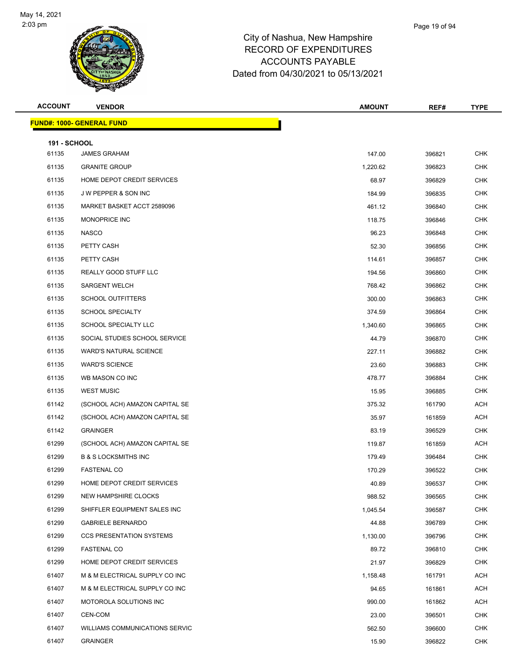

| <b>ACCOUNT</b>               | <b>VENDOR</b>                     | <b>AMOUNT</b> | REF#   | <b>TYPE</b> |
|------------------------------|-----------------------------------|---------------|--------|-------------|
|                              | <u> FUND#: 1000- GENERAL FUND</u> |               |        |             |
|                              |                                   |               |        |             |
| <b>191 - SCHOOL</b><br>61135 | <b>JAMES GRAHAM</b>               | 147.00        | 396821 | <b>CHK</b>  |
| 61135                        | <b>GRANITE GROUP</b>              | 1,220.62      | 396823 | <b>CHK</b>  |
| 61135                        | HOME DEPOT CREDIT SERVICES        | 68.97         | 396829 | <b>CHK</b>  |
| 61135                        | J W PEPPER & SON INC              | 184.99        | 396835 | <b>CHK</b>  |
| 61135                        | MARKET BASKET ACCT 2589096        | 461.12        | 396840 | <b>CHK</b>  |
| 61135                        | MONOPRICE INC                     | 118.75        | 396846 | <b>CHK</b>  |
| 61135                        | <b>NASCO</b>                      | 96.23         | 396848 | <b>CHK</b>  |
| 61135                        | PETTY CASH                        | 52.30         | 396856 | <b>CHK</b>  |
| 61135                        | PETTY CASH                        | 114.61        | 396857 | <b>CHK</b>  |
| 61135                        | REALLY GOOD STUFF LLC             | 194.56        | 396860 | <b>CHK</b>  |
| 61135                        | <b>SARGENT WELCH</b>              | 768.42        | 396862 | <b>CHK</b>  |
| 61135                        | <b>SCHOOL OUTFITTERS</b>          | 300.00        | 396863 | <b>CHK</b>  |
| 61135                        | <b>SCHOOL SPECIALTY</b>           | 374.59        | 396864 | <b>CHK</b>  |
| 61135                        | SCHOOL SPECIALTY LLC              | 1,340.60      | 396865 | <b>CHK</b>  |
| 61135                        | SOCIAL STUDIES SCHOOL SERVICE     | 44.79         | 396870 | <b>CHK</b>  |
| 61135                        | <b>WARD'S NATURAL SCIENCE</b>     | 227.11        | 396882 | <b>CHK</b>  |
| 61135                        | <b>WARD'S SCIENCE</b>             | 23.60         | 396883 | <b>CHK</b>  |
| 61135                        | WB MASON CO INC                   | 478.77        | 396884 | <b>CHK</b>  |
| 61135                        | <b>WEST MUSIC</b>                 | 15.95         | 396885 | <b>CHK</b>  |
| 61142                        | (SCHOOL ACH) AMAZON CAPITAL SE    | 375.32        | 161790 | ACH         |
| 61142                        | (SCHOOL ACH) AMAZON CAPITAL SE    | 35.97         | 161859 | ACH         |
| 61142                        | <b>GRAINGER</b>                   | 83.19         | 396529 | <b>CHK</b>  |
| 61299                        | (SCHOOL ACH) AMAZON CAPITAL SE    | 119.87        | 161859 | ACH         |
| 61299                        | <b>B &amp; S LOCKSMITHS INC</b>   | 179.49        | 396484 | <b>CHK</b>  |
| 61299                        | <b>FASTENAL CO</b>                | 170.29        | 396522 | <b>CHK</b>  |
| 61299                        | HOME DEPOT CREDIT SERVICES        | 40.89         | 396537 | <b>CHK</b>  |
| 61299                        | NEW HAMPSHIRE CLOCKS              | 988.52        | 396565 | <b>CHK</b>  |
| 61299                        | SHIFFLER EQUIPMENT SALES INC      | 1,045.54      | 396587 | <b>CHK</b>  |
| 61299                        | <b>GABRIELE BERNARDO</b>          | 44.88         | 396789 | <b>CHK</b>  |
| 61299                        | <b>CCS PRESENTATION SYSTEMS</b>   | 1,130.00      | 396796 | <b>CHK</b>  |
| 61299                        | <b>FASTENAL CO</b>                | 89.72         | 396810 | <b>CHK</b>  |
| 61299                        | HOME DEPOT CREDIT SERVICES        | 21.97         | 396829 | <b>CHK</b>  |
| 61407                        | M & M ELECTRICAL SUPPLY CO INC    | 1,158.48      | 161791 | ACH         |
| 61407                        | M & M ELECTRICAL SUPPLY CO INC    | 94.65         | 161861 | ACH         |
| 61407                        | MOTOROLA SOLUTIONS INC            | 990.00        | 161862 | ACH         |
| 61407                        | CEN-COM                           | 23.00         | 396501 | <b>CHK</b>  |
| 61407                        | WILLIAMS COMMUNICATIONS SERVIC    | 562.50        | 396600 | CHK         |
| 61407                        | <b>GRAINGER</b>                   | 15.90         | 396822 | <b>CHK</b>  |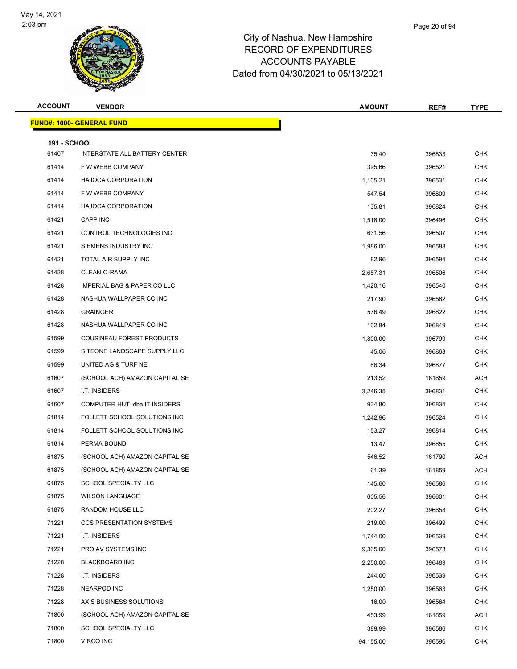

| <b>ACCOUNT</b>               | <b>VENDOR</b>                    | <b>AMOUNT</b>     | REF#             | <b>TYPE</b>              |
|------------------------------|----------------------------------|-------------------|------------------|--------------------------|
|                              | <b>FUND#: 1000- GENERAL FUND</b> |                   |                  |                          |
|                              |                                  |                   |                  |                          |
| <b>191 - SCHOOL</b><br>61407 | INTERSTATE ALL BATTERY CENTER    | 35.40             | 396833           | <b>CHK</b>               |
| 61414                        | F W WEBB COMPANY                 | 395.66            | 396521           | CHK                      |
| 61414                        | <b>HAJOCA CORPORATION</b>        | 1,105.21          | 396531           | <b>CHK</b>               |
| 61414                        | F W WEBB COMPANY                 | 547.54            | 396809           | <b>CHK</b>               |
| 61414                        | <b>HAJOCA CORPORATION</b>        | 135.81            | 396824           | <b>CHK</b>               |
| 61421                        | CAPP INC                         | 1,518.00          | 396496           | <b>CHK</b>               |
| 61421                        | CONTROL TECHNOLOGIES INC         | 631.56            | 396507           | CHK                      |
| 61421                        | SIEMENS INDUSTRY INC             |                   |                  | <b>CHK</b>               |
| 61421                        | TOTAL AIR SUPPLY INC             | 1,986.00<br>82.96 | 396588<br>396594 | <b>CHK</b>               |
| 61428                        | CLEAN-O-RAMA                     | 2,687.31          | 396506           | <b>CHK</b>               |
| 61428                        | IMPERIAL BAG & PAPER CO LLC      |                   | 396540           | <b>CHK</b>               |
| 61428                        | NASHUA WALLPAPER CO INC          | 1,420.16          |                  | CHK                      |
| 61428                        | <b>GRAINGER</b>                  | 217.90            | 396562           | <b>CHK</b>               |
| 61428                        | NASHUA WALLPAPER CO INC          | 576.49            | 396822           |                          |
|                              |                                  | 102.84            | 396849<br>396799 | <b>CHK</b><br><b>CHK</b> |
| 61599                        | COUSINEAU FOREST PRODUCTS        | 1,800.00          |                  |                          |
| 61599                        | SITEONE LANDSCAPE SUPPLY LLC     | 45.06             | 396868           | <b>CHK</b>               |
| 61599                        | UNITED AG & TURF NE              | 66.34             | 396877           | CHK                      |
| 61607                        | (SCHOOL ACH) AMAZON CAPITAL SE   | 213.52            | 161859           | <b>ACH</b>               |
| 61607                        | I.T. INSIDERS                    | 3,246.35          | 396831           | <b>CHK</b>               |
| 61607                        | COMPUTER HUT dba IT INSIDERS     | 934.80            | 396834           | <b>CHK</b>               |
| 61814                        | FOLLETT SCHOOL SOLUTIONS INC     | 1,242.96          | 396524           | <b>CHK</b>               |
| 61814                        | FOLLETT SCHOOL SOLUTIONS INC     | 153.27            | 396814           | CHK                      |
| 61814                        | PERMA-BOUND                      | 13.47             | 396855           | <b>CHK</b>               |
| 61875                        | (SCHOOL ACH) AMAZON CAPITAL SE   | 546.52            | 161790           | ACH                      |
| 61875                        | (SCHOOL ACH) AMAZON CAPITAL SE   | 61.39             | 161859           | ACH                      |
| 61875                        | SCHOOL SPECIALTY LLC             | 145.60            | 396586           | <b>CHK</b>               |
| 61875                        | <b>WILSON LANGUAGE</b>           | 605.56            | 396601           | <b>CHK</b>               |
| 61875                        | RANDOM HOUSE LLC                 | 202.27            | 396858           | <b>CHK</b>               |
| 71221                        | <b>CCS PRESENTATION SYSTEMS</b>  | 219.00            | 396499           | <b>CHK</b>               |
| 71221                        | I.T. INSIDERS                    | 1,744.00          | 396539           | <b>CHK</b>               |
| 71221                        | PRO AV SYSTEMS INC               | 9,365.00          | 396573           | <b>CHK</b>               |
| 71228                        | <b>BLACKBOARD INC</b>            | 2,250.00          | 396489           | CHK                      |
| 71228                        | I.T. INSIDERS                    | 244.00            | 396539           | <b>CHK</b>               |
| 71228                        | <b>NEARPOD INC</b>               | 1,250.00          | 396563           | <b>CHK</b>               |
| 71228                        | AXIS BUSINESS SOLUTIONS          | 16.00             | 396564           | <b>CHK</b>               |
| 71800                        | (SCHOOL ACH) AMAZON CAPITAL SE   | 453.99            | 161859           | ACH                      |
| 71800                        | SCHOOL SPECIALTY LLC             | 389.99            | 396586           | CHK                      |
| 71800                        | VIRCO INC                        | 94,155.00         | 396596           | <b>CHK</b>               |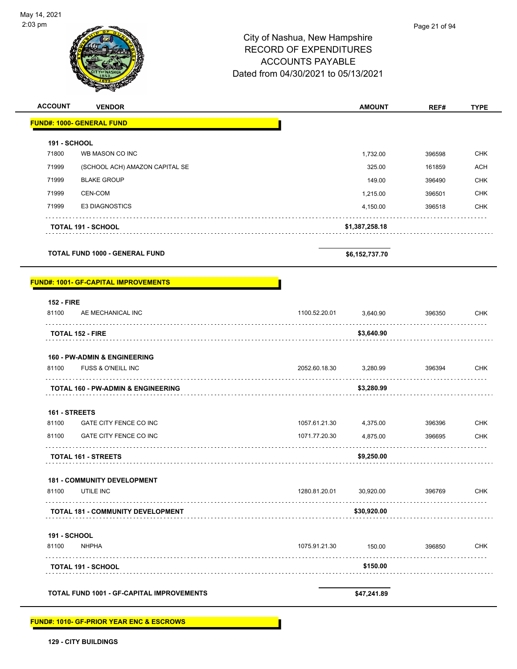

| <b>ACCOUNT</b><br><b>VENDOR</b>               |               | <b>AMOUNT</b>  | REF#   | <b>TYPE</b> |
|-----------------------------------------------|---------------|----------------|--------|-------------|
| <b>FUND#: 1000- GENERAL FUND</b>              |               |                |        |             |
| <b>191 - SCHOOL</b>                           |               |                |        |             |
| 71800<br>WB MASON CO INC                      |               | 1,732.00       | 396598 | <b>CHK</b>  |
| 71999<br>(SCHOOL ACH) AMAZON CAPITAL SE       |               | 325.00         | 161859 | <b>ACH</b>  |
| 71999<br><b>BLAKE GROUP</b>                   |               | 149.00         | 396490 | <b>CHK</b>  |
| 71999<br>CEN-COM                              |               | 1,215.00       | 396501 | <b>CHK</b>  |
| 71999<br><b>E3 DIAGNOSTICS</b>                |               | 4,150.00       | 396518 | <b>CHK</b>  |
| <b>TOTAL 191 - SCHOOL</b>                     |               | \$1,387,258.18 |        |             |
| <b>TOTAL FUND 1000 - GENERAL FUND</b>         |               | \$6,152,737.70 |        |             |
| <b>FUND#: 1001- GF-CAPITAL IMPROVEMENTS</b>   |               |                |        |             |
| <b>152 - FIRE</b>                             |               |                |        |             |
| 81100<br>AE MECHANICAL INC                    | 1100.52.20.01 | 3,640.90       | 396350 | <b>CHK</b>  |
| <b>TOTAL 152 - FIRE</b>                       |               | \$3,640.90     |        |             |
| <b>160 - PW-ADMIN &amp; ENGINEERING</b>       |               |                |        |             |
| FUSS & O'NEILL INC<br>81100                   | 2052.60.18.30 | 3,280.99       | 396394 | <b>CHK</b>  |
| <b>TOTAL 160 - PW-ADMIN &amp; ENGINEERING</b> |               | \$3,280.99     |        |             |
| 161 - STREETS                                 |               |                |        |             |
| 81100<br>GATE CITY FENCE CO INC               | 1057.61.21.30 | 4,375.00       | 396396 | <b>CHK</b>  |
| GATE CITY FENCE CO INC<br>81100               | 1071.77.20.30 | 4,875.00       | 396695 | CHK         |
| <b>TOTAL 161 - STREETS</b>                    |               | \$9,250.00     |        |             |
| <b>181 - COMMUNITY DEVELOPMENT</b>            |               |                |        |             |
| UTILE INC<br>81100                            | 1280.81.20.01 | 30,920.00      | 396769 | <b>CHK</b>  |
| TOTAL 181 - COMMUNITY DEVELOPMENT             |               | \$30,920.00    |        |             |
| <b>191 - SCHOOL</b>                           |               |                |        |             |
| <b>NHPHA</b><br>81100                         | 1075.91.21.30 | 150.00         | 396850 | <b>CHK</b>  |
| <b>TOTAL 191 - SCHOOL</b>                     |               | \$150.00       |        |             |
| TOTAL FUND 1001 - GF-CAPITAL IMPROVEMENTS     |               | \$47,241.89    |        |             |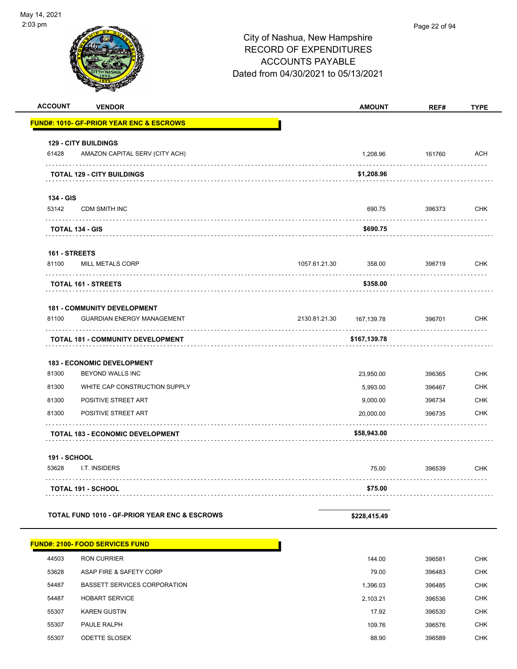| <b>ACCOUNT</b> | <b>VENDOR</b>                                       |               | <b>AMOUNT</b>         | REF#             | <b>TYPE</b> |
|----------------|-----------------------------------------------------|---------------|-----------------------|------------------|-------------|
|                | <b>FUND#: 1010- GF-PRIOR YEAR ENC &amp; ESCROWS</b> |               |                       |                  |             |
|                | <b>129 - CITY BUILDINGS</b>                         |               |                       |                  |             |
| 61428          | AMAZON CAPITAL SERV (CITY ACH)                      |               | 1,208.96              | 161760           | <b>ACH</b>  |
| .              |                                                     |               |                       |                  | .           |
|                | <b>TOTAL 129 - CITY BUILDINGS</b>                   |               | \$1,208.96            |                  |             |
| 134 - GIS      |                                                     |               |                       |                  |             |
| 53142          | <b>CDM SMITH INC</b>                                |               | 690.75                | 396373           | <b>CHK</b>  |
|                |                                                     |               | \$690.75              |                  |             |
|                | <b>TOTAL 134 - GIS</b>                              |               |                       |                  |             |
| 161 - STREETS  |                                                     |               |                       |                  |             |
| 81100          | <b>MILL METALS CORP</b>                             | 1057.61.21.30 | 358.00                | 396719           | <b>CHK</b>  |
|                | <b>TOTAL 161 - STREETS</b>                          |               | \$358.00              |                  |             |
|                |                                                     |               |                       |                  |             |
|                | <b>181 - COMMUNITY DEVELOPMENT</b>                  |               |                       |                  |             |
| 81100          | <b>GUARDIAN ENERGY MANAGEMENT</b>                   | 2130.81.21.30 | 167,139.78            | 396701           | <b>CHK</b>  |
|                | <b>TOTAL 181 - COMMUNITY DEVELOPMENT</b>            |               | \$167,139.78          |                  |             |
|                |                                                     |               |                       |                  |             |
| 81300          | 183 - ECONOMIC DEVELOPMENT                          |               |                       |                  | <b>CHK</b>  |
| 81300          | BEYOND WALLS INC<br>WHITE CAP CONSTRUCTION SUPPLY   |               | 23,950.00<br>5,993.00 | 396365<br>396467 | <b>CHK</b>  |
| 81300          | POSITIVE STREET ART                                 |               | 9,000.00              | 396734           | <b>CHK</b>  |
| 81300          | POSITIVE STREET ART                                 |               | 20,000.00             | 396735           | <b>CHK</b>  |
|                |                                                     |               |                       |                  |             |
|                | <b>TOTAL 183 - ECONOMIC DEVELOPMENT</b>             |               | \$58,943.00           |                  |             |
| 191 - SCHOOL   |                                                     |               |                       |                  |             |
| 53628          | I.T. INSIDERS                                       |               | 75.00                 | 396539           | <b>CHK</b>  |
|                |                                                     |               | \$75.00               |                  |             |
|                | <b>TOTAL 191 - SCHOOL</b>                           |               |                       |                  |             |
|                | TOTAL FUND 1010 - GF-PRIOR YEAR ENC & ESCROWS       |               | \$228,415.49          |                  |             |
|                |                                                     |               |                       |                  |             |
|                | <b>FUND#: 2100- FOOD SERVICES FUND</b>              |               |                       |                  |             |
| 44503          | RON CURRIER                                         |               | 144.00                | 396581           | <b>CHK</b>  |
| 53628          | ASAP FIRE & SAFETY CORP                             |               | 79.00                 | 396483           | <b>CHK</b>  |
| 54487          | <b>BASSETT SERVICES CORPORATION</b>                 |               | 1,396.03              | 396485           | <b>CHK</b>  |
| 54487          | <b>HOBART SERVICE</b>                               |               | 2,103.21              | 396536           | <b>CHK</b>  |
| 55307          | <b>KAREN GUSTIN</b>                                 |               | 17.92                 | 396530           | <b>CHK</b>  |
| 55307          | PAULE RALPH                                         |               | 109.76                | 396576           | <b>CHK</b>  |
| 55307          | ODETTE SLOSEK                                       |               | 88.90                 | 396589           | <b>CHK</b>  |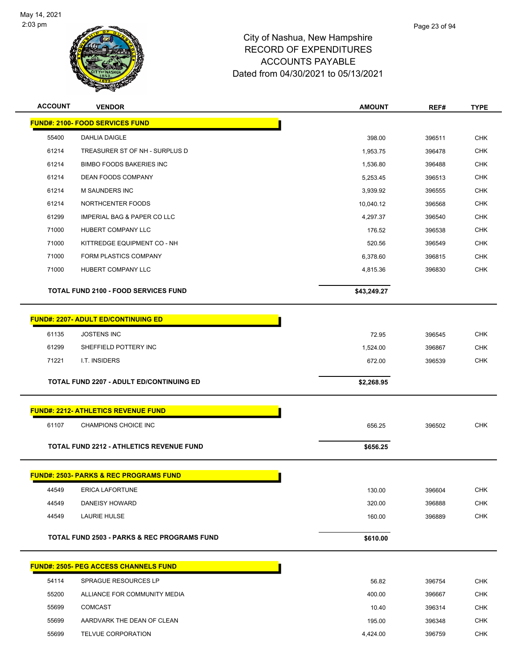

| <b>ACCOUNT</b> | <b>VENDOR</b>                                     | <b>AMOUNT</b> | REF#   | <b>TYPE</b> |
|----------------|---------------------------------------------------|---------------|--------|-------------|
|                | <b>FUND#: 2100- FOOD SERVICES FUND</b>            |               |        |             |
| 55400          | DAHLIA DAIGLE                                     | 398.00        | 396511 | <b>CHK</b>  |
| 61214          | TREASURER ST OF NH - SURPLUS D                    | 1,953.75      | 396478 | <b>CHK</b>  |
| 61214          | <b>BIMBO FOODS BAKERIES INC</b>                   | 1,536.80      | 396488 | <b>CHK</b>  |
| 61214          | DEAN FOODS COMPANY                                | 5,253.45      | 396513 | <b>CHK</b>  |
| 61214          | M SAUNDERS INC                                    | 3,939.92      | 396555 | <b>CHK</b>  |
| 61214          | NORTHCENTER FOODS                                 | 10,040.12     | 396568 | <b>CHK</b>  |
| 61299          | IMPERIAL BAG & PAPER CO LLC                       | 4,297.37      | 396540 | <b>CHK</b>  |
| 71000          | HUBERT COMPANY LLC                                | 176.52        | 396538 | <b>CHK</b>  |
| 71000          | KITTREDGE EQUIPMENT CO - NH                       | 520.56        | 396549 | <b>CHK</b>  |
| 71000          | FORM PLASTICS COMPANY                             | 6,378.60      | 396815 | <b>CHK</b>  |
| 71000          | HUBERT COMPANY LLC                                | 4,815.36      | 396830 | <b>CHK</b>  |
|                | <b>TOTAL FUND 2100 - FOOD SERVICES FUND</b>       | \$43,249.27   |        |             |
|                | <b>FUND#: 2207- ADULT ED/CONTINUING ED</b>        |               |        |             |
| 61135          | <b>JOSTENS INC</b>                                | 72.95         | 396545 | <b>CHK</b>  |
| 61299          | SHEFFIELD POTTERY INC                             | 1,524.00      | 396867 | CHK         |
| 71221          | I.T. INSIDERS                                     | 672.00        | 396539 | <b>CHK</b>  |
|                |                                                   |               |        |             |
|                | <b>TOTAL FUND 2207 - ADULT ED/CONTINUING ED</b>   | \$2,268.95    |        |             |
|                | <b>FUND#: 2212- ATHLETICS REVENUE FUND</b>        |               |        |             |
| 61107          | CHAMPIONS CHOICE INC                              | 656.25        | 396502 | <b>CHK</b>  |
|                | TOTAL FUND 2212 - ATHLETICS REVENUE FUND          | \$656.25      |        |             |
|                | <b>FUND#: 2503- PARKS &amp; REC PROGRAMS FUND</b> |               |        |             |
| 44549          | <b>ERICA LAFORTUNE</b>                            | 130.00        | 396604 | <b>CHK</b>  |
| 44549          | DANEISY HOWARD                                    | 320.00        | 396888 | <b>CHK</b>  |
| 44549          | LAURIE HULSE                                      | 160.00        | 396889 | <b>CHK</b>  |
|                | TOTAL FUND 2503 - PARKS & REC PROGRAMS FUND       | \$610.00      |        |             |
|                |                                                   |               |        |             |
|                | <b>FUND#: 2505- PEG ACCESS CHANNELS FUND</b>      |               |        |             |
| 54114          | SPRAGUE RESOURCES LP                              | 56.82         | 396754 | <b>CHK</b>  |
| 55200          | ALLIANCE FOR COMMUNITY MEDIA                      | 400.00        | 396667 | <b>CHK</b>  |
| 55699          | <b>COMCAST</b>                                    | 10.40         | 396314 | <b>CHK</b>  |
| 55699          | AARDVARK THE DEAN OF CLEAN                        | 195.00        | 396348 | <b>CHK</b>  |
| 55699          | TELVUE CORPORATION                                | 4,424.00      | 396759 | <b>CHK</b>  |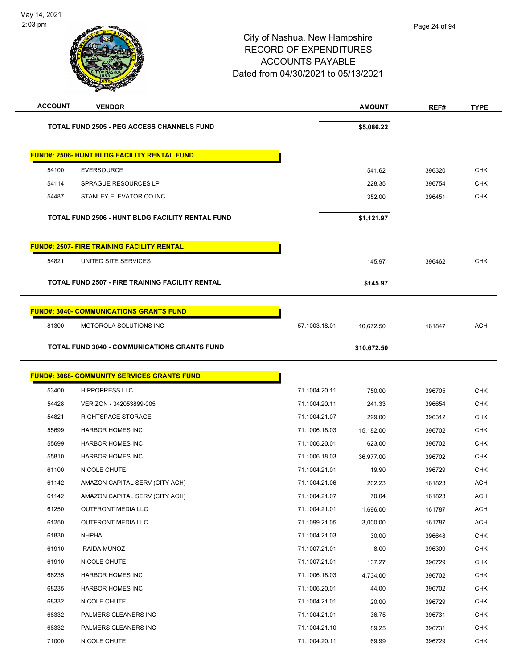| <b>ACCOUNT</b> | <b>VENDOR</b>                                          |               | <b>AMOUNT</b> | REF#   | <b>TYPE</b> |
|----------------|--------------------------------------------------------|---------------|---------------|--------|-------------|
|                | <b>TOTAL FUND 2505 - PEG ACCESS CHANNELS FUND</b>      |               | \$5,086.22    |        |             |
|                | <b>FUND#: 2506- HUNT BLDG FACILITY RENTAL FUND</b>     |               |               |        |             |
| 54100          | <b>EVERSOURCE</b>                                      |               | 541.62        | 396320 | <b>CHK</b>  |
| 54114          | SPRAGUE RESOURCES LP                                   |               | 228.35        | 396754 | <b>CHK</b>  |
| 54487          | STANLEY ELEVATOR CO INC                                |               | 352.00        | 396451 | <b>CHK</b>  |
|                | TOTAL FUND 2506 - HUNT BLDG FACILITY RENTAL FUND       |               | \$1,121.97    |        |             |
|                | <b>FUND#: 2507- FIRE TRAINING FACILITY RENTAL</b>      |               |               |        |             |
| 54821          | UNITED SITE SERVICES                                   |               | 145.97        | 396462 | <b>CHK</b>  |
|                | <b>TOTAL FUND 2507 - FIRE TRAINING FACILITY RENTAL</b> |               | \$145.97      |        |             |
|                | <b>FUND#: 3040- COMMUNICATIONS GRANTS FUND</b>         |               |               |        |             |
| 81300          | MOTOROLA SOLUTIONS INC                                 | 57.1003.18.01 | 10,672.50     | 161847 | <b>ACH</b>  |
|                | <b>TOTAL FUND 3040 - COMMUNICATIONS GRANTS FUND</b>    |               | \$10,672.50   |        |             |
|                | <b>FUND#: 3068- COMMUNITY SERVICES GRANTS FUND</b>     |               |               |        |             |
| 53400          | <b>HIPPOPRESS LLC</b>                                  | 71.1004.20.11 | 750.00        | 396705 | <b>CHK</b>  |
| 54428          | VERIZON - 342053899-005                                | 71.1004.20.11 | 241.33        | 396654 | <b>CHK</b>  |
| 54821          | RIGHTSPACE STORAGE                                     | 71.1004.21.07 | 299.00        | 396312 | <b>CHK</b>  |
| 55699          | <b>HARBOR HOMES INC</b>                                | 71.1006.18.03 | 15,182.00     | 396702 | <b>CHK</b>  |
| 55699          | <b>HARBOR HOMES INC</b>                                | 71.1006.20.01 | 623.00        | 396702 | <b>CHK</b>  |
| 55810          | <b>HARBOR HOMES INC</b>                                | 71.1006.18.03 | 36,977.00     | 396702 | <b>CHK</b>  |
| 61100          | NICOLE CHUTE                                           | 71.1004.21.01 | 19.90         | 396729 | <b>CHK</b>  |
| 61142          | AMAZON CAPITAL SERV (CITY ACH)                         | 71.1004.21.06 | 202.23        | 161823 | ACH         |
| 61142          | AMAZON CAPITAL SERV (CITY ACH)                         | 71.1004.21.07 | 70.04         | 161823 | <b>ACH</b>  |
| 61250          | <b>OUTFRONT MEDIA LLC</b>                              | 71.1004.21.01 | 1,696.00      | 161787 | <b>ACH</b>  |
| 61250          | <b>OUTFRONT MEDIA LLC</b>                              | 71.1099.21.05 | 3,000.00      | 161787 | <b>ACH</b>  |
| 61830          | <b>NHPHA</b>                                           | 71.1004.21.03 | 30.00         | 396648 | <b>CHK</b>  |
| 61910          | <b>IRAIDA MUNOZ</b>                                    | 71.1007.21.01 | 8.00          | 396309 | <b>CHK</b>  |
| 61910          | NICOLE CHUTE                                           | 71.1007.21.01 | 137.27        | 396729 | <b>CHK</b>  |
| 68235          | HARBOR HOMES INC                                       | 71.1006.18.03 | 4,734.00      | 396702 | <b>CHK</b>  |
| 68235          | HARBOR HOMES INC                                       | 71.1006.20.01 | 44.00         | 396702 | <b>CHK</b>  |
| 68332          | NICOLE CHUTE                                           | 71.1004.21.01 | 20.00         | 396729 | <b>CHK</b>  |
| 68332          | PALMERS CLEANERS INC                                   | 71.1004.21.01 | 36.75         | 396731 | <b>CHK</b>  |
| 68332          | PALMERS CLEANERS INC                                   | 71.1004.21.10 | 89.25         | 396731 | <b>CHK</b>  |
| 71000          | NICOLE CHUTE                                           | 71.1004.20.11 | 69.99         | 396729 | <b>CHK</b>  |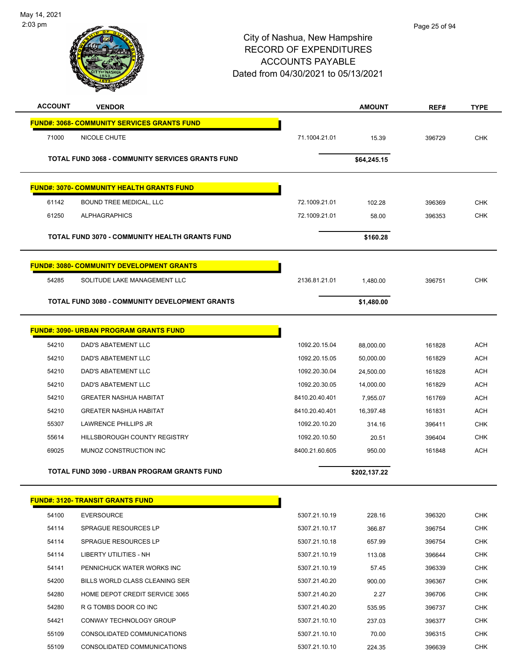

| <b>ACCOUNT</b> | <b>VENDOR</b>                                           |                                | <b>AMOUNT</b>    | REF#             | <b>TYPE</b>                                                        |
|----------------|---------------------------------------------------------|--------------------------------|------------------|------------------|--------------------------------------------------------------------|
|                | <b>FUND#: 3068- COMMUNITY SERVICES GRANTS FUND</b>      |                                |                  |                  |                                                                    |
| 71000          | NICOLE CHUTE                                            | 71.1004.21.01                  | 15.39            | 396729           | <b>CHK</b>                                                         |
|                | <b>TOTAL FUND 3068 - COMMUNITY SERVICES GRANTS FUND</b> |                                | \$64,245.15      |                  |                                                                    |
|                | <b>FUND#: 3070- COMMUNITY HEALTH GRANTS FUND</b>        |                                |                  |                  |                                                                    |
| 61142          | BOUND TREE MEDICAL, LLC                                 | 72.1009.21.01                  | 102.28           | 396369           | <b>CHK</b>                                                         |
| 61250          | <b>ALPHAGRAPHICS</b>                                    | 72.1009.21.01                  | 58.00            | 396353           | <b>CHK</b>                                                         |
|                |                                                         |                                |                  |                  |                                                                    |
|                | TOTAL FUND 3070 - COMMUNITY HEALTH GRANTS FUND          |                                | \$160.28         |                  |                                                                    |
|                | <b>FUND#: 3080- COMMUNITY DEVELOPMENT GRANTS</b>        |                                |                  |                  |                                                                    |
| 54285          | SOLITUDE LAKE MANAGEMENT LLC                            | 2136.81.21.01                  | 1,480.00         | 396751           | <b>CHK</b>                                                         |
|                | TOTAL FUND 3080 - COMMUNITY DEVELOPMENT GRANTS          |                                | \$1,480.00       |                  |                                                                    |
|                | <b>FUND#: 3090- URBAN PROGRAM GRANTS FUND</b>           |                                |                  |                  |                                                                    |
| 54210          | <b>DAD'S ABATEMENT LLC</b>                              | 1092.20.15.04                  | 88,000.00        | 161828           | <b>ACH</b>                                                         |
| 54210          | DAD'S ABATEMENT LLC                                     | 1092.20.15.05                  | 50,000.00        | 161829           | <b>ACH</b>                                                         |
| 54210          | DAD'S ABATEMENT LLC                                     | 1092.20.30.04                  | 24,500.00        | 161828           | <b>ACH</b>                                                         |
| 54210          | DAD'S ABATEMENT LLC                                     | 1092.20.30.05                  | 14,000.00        | 161829           | <b>ACH</b>                                                         |
| 54210          | <b>GREATER NASHUA HABITAT</b>                           | 8410.20.40.401                 | 7,955.07         | 161769           | <b>ACH</b>                                                         |
| 54210          | <b>GREATER NASHUA HABITAT</b>                           | 8410.20.40.401                 | 16,397.48        | 161831           | <b>ACH</b>                                                         |
| 55307          | LAWRENCE PHILLIPS JR                                    | 1092.20.10.20                  | 314.16           | 396411           | <b>CHK</b>                                                         |
| 55614          | HILLSBOROUGH COUNTY REGISTRY                            | 1092.20.10.50                  | 20.51            | 396404           | <b>CHK</b>                                                         |
| 69025          | MUNOZ CONSTRUCTION INC                                  | 8400.21.60.605                 | 950.00           | 161848           | <b>ACH</b>                                                         |
|                | TOTAL FUND 3090 - URBAN PROGRAM GRANTS FUND             |                                | \$202,137.22     |                  |                                                                    |
|                | <b>FUND#: 3120- TRANSIT GRANTS FUND</b>                 |                                |                  |                  |                                                                    |
| 54100          | <b>EVERSOURCE</b>                                       | 5307.21.10.19                  | 228.16           | 396320           | <b>CHK</b>                                                         |
| 54114          | SPRAGUE RESOURCES LP                                    | 5307.21.10.17                  | 366.87           | 396754           | <b>CHK</b>                                                         |
|                | SPRAGUE RESOURCES LP                                    | 5307.21.10.18                  | 657.99           | 396754           | <b>CHK</b>                                                         |
|                |                                                         |                                |                  | 396644           | <b>CHK</b>                                                         |
| 54114          |                                                         |                                |                  |                  |                                                                    |
| 54114<br>54141 | LIBERTY UTILITIES - NH<br>PENNICHUCK WATER WORKS INC    | 5307.21.10.19<br>5307.21.10.19 | 113.08           |                  |                                                                    |
| 54200          | BILLS WORLD CLASS CLEANING SER                          | 5307.21.40.20                  | 57.45            | 396339           |                                                                    |
|                | HOME DEPOT CREDIT SERVICE 3065                          | 5307.21.40.20                  | 900.00           | 396367           |                                                                    |
| 54280          | R G TOMBS DOOR CO INC                                   |                                | 2.27             | 396706           |                                                                    |
| 54280<br>54421 | CONWAY TECHNOLOGY GROUP                                 | 5307.21.40.20<br>5307.21.10.10 | 535.95<br>237.03 | 396737<br>396377 | <b>CHK</b><br><b>CHK</b><br><b>CHK</b><br><b>CHK</b><br><b>CHK</b> |
| 55109          | CONSOLIDATED COMMUNICATIONS                             | 5307.21.10.10                  | 70.00            | 396315           | <b>CHK</b>                                                         |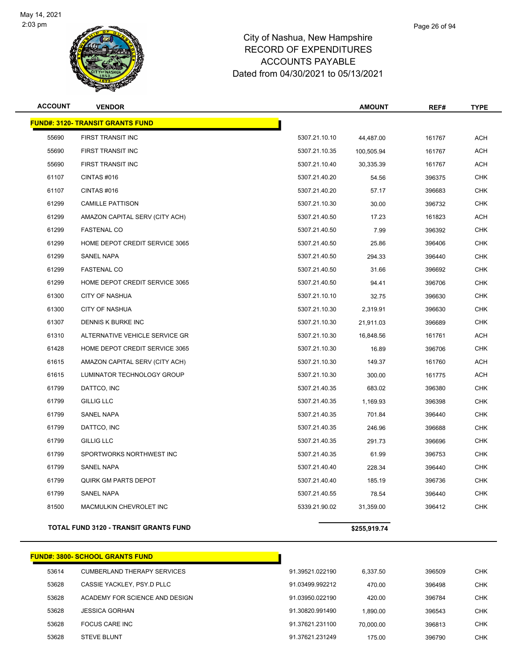

| <b>ACCOUNT</b> | <b>VENDOR</b>                           |               | <b>AMOUNT</b> | REF#   | <b>TYPE</b> |
|----------------|-----------------------------------------|---------------|---------------|--------|-------------|
|                | <b>FUND#: 3120- TRANSIT GRANTS FUND</b> |               |               |        |             |
| 55690          | FIRST TRANSIT INC                       | 5307.21.10.10 | 44,487.00     | 161767 | <b>ACH</b>  |
| 55690          | FIRST TRANSIT INC                       | 5307.21.10.35 | 100,505.94    | 161767 | <b>ACH</b>  |
| 55690          | FIRST TRANSIT INC                       | 5307.21.10.40 | 30,335.39     | 161767 | <b>ACH</b>  |
| 61107          | CINTAS #016                             | 5307.21.40.20 | 54.56         | 396375 | <b>CHK</b>  |
| 61107          | CINTAS#016                              | 5307.21.40.20 | 57.17         | 396683 | <b>CHK</b>  |
| 61299          | <b>CAMILLE PATTISON</b>                 | 5307.21.10.30 | 30.00         | 396732 | <b>CHK</b>  |
| 61299          | AMAZON CAPITAL SERV (CITY ACH)          | 5307.21.40.50 | 17.23         | 161823 | ACH         |
| 61299          | <b>FASTENAL CO</b>                      | 5307.21.40.50 | 7.99          | 396392 | <b>CHK</b>  |
| 61299          | HOME DEPOT CREDIT SERVICE 3065          | 5307.21.40.50 | 25.86         | 396406 | <b>CHK</b>  |
| 61299          | <b>SANEL NAPA</b>                       | 5307.21.40.50 | 294.33        | 396440 | <b>CHK</b>  |
| 61299          | <b>FASTENAL CO</b>                      | 5307.21.40.50 | 31.66         | 396692 | <b>CHK</b>  |
| 61299          | HOME DEPOT CREDIT SERVICE 3065          | 5307.21.40.50 | 94.41         | 396706 | <b>CHK</b>  |
| 61300          | <b>CITY OF NASHUA</b>                   | 5307.21.10.10 | 32.75         | 396630 | <b>CHK</b>  |
| 61300          | <b>CITY OF NASHUA</b>                   | 5307.21.10.30 | 2,319.91      | 396630 | <b>CHK</b>  |
| 61307          | DENNIS K BURKE INC                      | 5307.21.10.30 | 21,911.03     | 396689 | <b>CHK</b>  |
| 61310          | ALTERNATIVE VEHICLE SERVICE GR          | 5307.21.10.30 | 16,848.56     | 161761 | ACH         |
| 61428          | HOME DEPOT CREDIT SERVICE 3065          | 5307.21.10.30 | 16.89         | 396706 | <b>CHK</b>  |
| 61615          | AMAZON CAPITAL SERV (CITY ACH)          | 5307.21.10.30 | 149.37        | 161760 | <b>ACH</b>  |
| 61615          | LUMINATOR TECHNOLOGY GROUP              | 5307.21.10.30 | 300.00        | 161775 | <b>ACH</b>  |
| 61799          | DATTCO, INC                             | 5307.21.40.35 | 683.02        | 396380 | <b>CHK</b>  |
| 61799          | <b>GILLIG LLC</b>                       | 5307.21.40.35 | 1,169.93      | 396398 | <b>CHK</b>  |
| 61799          | <b>SANEL NAPA</b>                       | 5307.21.40.35 | 701.84        | 396440 | <b>CHK</b>  |
| 61799          | DATTCO, INC                             | 5307.21.40.35 | 246.96        | 396688 | <b>CHK</b>  |
| 61799          | GILLIG LLC                              | 5307.21.40.35 | 291.73        | 396696 | <b>CHK</b>  |
| 61799          | SPORTWORKS NORTHWEST INC                | 5307.21.40.35 | 61.99         | 396753 | <b>CHK</b>  |
| 61799          | SANEL NAPA                              | 5307.21.40.40 | 228.34        | 396440 | <b>CHK</b>  |
| 61799          | <b>QUIRK GM PARTS DEPOT</b>             | 5307.21.40.40 | 185.19        | 396736 | <b>CHK</b>  |
| 61799          | <b>SANEL NAPA</b>                       | 5307.21.40.55 | 78.54         | 396440 | <b>CHK</b>  |
| 81500          | MACMULKIN CHEVROLET INC                 | 5339.21.90.02 | 31,359.00     | 396412 | <b>CHK</b>  |
|                |                                         |               |               |        |             |

#### **TOTAL FUND 3120 - TRANSIT GRANTS FUND \$255,919.74**

|       | FUND#: 3800- SCHOOL GRANTS FUND_   |                 |           |        |            |
|-------|------------------------------------|-----------------|-----------|--------|------------|
| 53614 | <b>CUMBERLAND THERAPY SERVICES</b> | 91.39521.022190 | 6.337.50  | 396509 | <b>CHK</b> |
| 53628 | CASSIE YACKLEY, PSY.D PLLC         | 91.03499.992212 | 470.00    | 396498 | <b>CHK</b> |
| 53628 | ACADEMY FOR SCIENCE AND DESIGN     | 91.03950.022190 | 420.00    | 396784 | <b>CHK</b> |
| 53628 | <b>JESSICA GORHAN</b>              | 91.30820.991490 | 1.890.00  | 396543 | <b>CHK</b> |
| 53628 | FOCUS CARE INC                     | 91.37621.231100 | 70.000.00 | 396813 | <b>CHK</b> |
| 53628 | <b>STEVE BLUNT</b>                 | 91.37621.231249 | 175.00    | 396790 | <b>CHK</b> |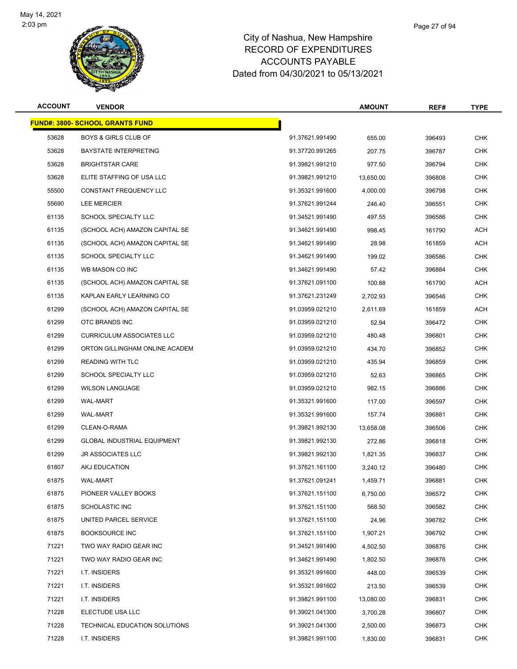

| <b>ACCOUNT</b> | <b>VENDOR</b>                          |                 | <b>AMOUNT</b> | REF#   | <b>TYPE</b> |
|----------------|----------------------------------------|-----------------|---------------|--------|-------------|
|                | <b>FUND#: 3800- SCHOOL GRANTS FUND</b> |                 |               |        |             |
| 53628          | <b>BOYS &amp; GIRLS CLUB OF</b>        | 91.37621.991490 | 655.00        | 396493 | <b>CHK</b>  |
| 53628          | <b>BAYSTATE INTERPRETING</b>           | 91.37720.991265 | 207.75        | 396787 | <b>CHK</b>  |
| 53628          | <b>BRIGHTSTAR CARE</b>                 | 91.39821.991210 | 977.50        | 396794 | <b>CHK</b>  |
| 53628          | ELITE STAFFING OF USA LLC              | 91.39821.991210 | 13,650.00     | 396808 | CHK         |
| 55500          | <b>CONSTANT FREQUENCY LLC</b>          | 91.35321.991600 | 4,000.00      | 396798 | <b>CHK</b>  |
| 55690          | LEE MERCIER                            | 91.37621.991244 | 246.40        | 396551 | <b>CHK</b>  |
| 61135          | <b>SCHOOL SPECIALTY LLC</b>            | 91.34521.991490 | 497.55        | 396586 | <b>CHK</b>  |
| 61135          | (SCHOOL ACH) AMAZON CAPITAL SE         | 91.34621.991490 | 998.45        | 161790 | ACH         |
| 61135          | (SCHOOL ACH) AMAZON CAPITAL SE         | 91.34621.991490 | 28.98         | 161859 | ACH         |
| 61135          | <b>SCHOOL SPECIALTY LLC</b>            | 91.34621.991490 | 199.02        | 396586 | <b>CHK</b>  |
| 61135          | WB MASON CO INC                        | 91.34621.991490 | 57.42         | 396884 | CHK         |
| 61135          | (SCHOOL ACH) AMAZON CAPITAL SE         | 91.37621.091100 | 100.88        | 161790 | <b>ACH</b>  |
| 61135          | KAPLAN EARLY LEARNING CO               | 91.37621.231249 | 2,702.93      | 396546 | <b>CHK</b>  |
| 61299          | (SCHOOL ACH) AMAZON CAPITAL SE         | 91.03959.021210 | 2,611.69      | 161859 | ACH         |
| 61299          | OTC BRANDS INC                         | 91.03959.021210 | 52.94         | 396472 | <b>CHK</b>  |
| 61299          | <b>CURRICULUM ASSOCIATES LLC</b>       | 91.03959.021210 | 480.48        | 396801 | <b>CHK</b>  |
| 61299          | ORTON GILLINGHAM ONLINE ACADEM         | 91.03959.021210 | 434.70        | 396852 | <b>CHK</b>  |
| 61299          | <b>READING WITH TLC</b>                | 91.03959.021210 | 435.94        | 396859 | <b>CHK</b>  |
| 61299          | SCHOOL SPECIALTY LLC                   | 91.03959.021210 | 52.63         | 396865 | <b>CHK</b>  |
| 61299          | <b>WILSON LANGUAGE</b>                 | 91.03959.021210 | 982.15        | 396886 | <b>CHK</b>  |
| 61299          | <b>WAL-MART</b>                        | 91.35321.991600 | 117.00        | 396597 | CHK         |
| 61299          | <b>WAL-MART</b>                        | 91.35321.991600 | 157.74        | 396881 | <b>CHK</b>  |
| 61299          | CLEAN-O-RAMA                           | 91.39821.992130 | 13,658.08     | 396506 | <b>CHK</b>  |
| 61299          | <b>GLOBAL INDUSTRIAL EQUIPMENT</b>     | 91.39821.992130 | 272.86        | 396818 | <b>CHK</b>  |
| 61299          | <b>JR ASSOCIATES LLC</b>               | 91.39821.992130 | 1,821.35      | 396837 | <b>CHK</b>  |
| 61807          | AKJ EDUCATION                          | 91.37621.161100 | 3,240.12      | 396480 | <b>CHK</b>  |
| 61875          | WAL-MART                               | 91.37621.091241 | 1,459.71      | 396881 | CHK         |
| 61875          | PIONEER VALLEY BOOKS                   | 91.37621.151100 | 6,750.00      | 396572 | CHK         |
| 61875          | <b>SCHOLASTIC INC</b>                  | 91.37621.151100 | 568.50        | 396582 | CHK         |
| 61875          | UNITED PARCEL SERVICE                  | 91.37621.151100 | 24.96         | 396782 | <b>CHK</b>  |
| 61875          | <b>BOOKSOURCE INC</b>                  | 91.37621.151100 | 1,907.21      | 396792 | CHK         |
| 71221          | TWO WAY RADIO GEAR INC                 | 91.34521.991490 | 4,502.50      | 396876 | <b>CHK</b>  |
| 71221          | TWO WAY RADIO GEAR INC                 | 91.34621.991490 | 1,802.50      | 396876 | <b>CHK</b>  |
| 71221          | I.T. INSIDERS                          | 91.35321.991600 | 448.00        | 396539 | CHK         |
| 71221          | I.T. INSIDERS                          | 91.35321.991602 | 213.50        | 396539 | <b>CHK</b>  |
| 71221          | I.T. INSIDERS                          | 91.39821.991100 | 13,080.00     | 396831 | CHK         |
| 71228          | ELECTUDE USA LLC                       | 91.39021.041300 | 3,700.28      | 396807 | CHK         |
| 71228          | TECHNICAL EDUCATION SOLUTIONS          | 91.39021.041300 | 2,500.00      | 396873 | <b>CHK</b>  |
| 71228          | I.T. INSIDERS                          | 91.39821.991100 | 1,830.00      | 396831 | <b>CHK</b>  |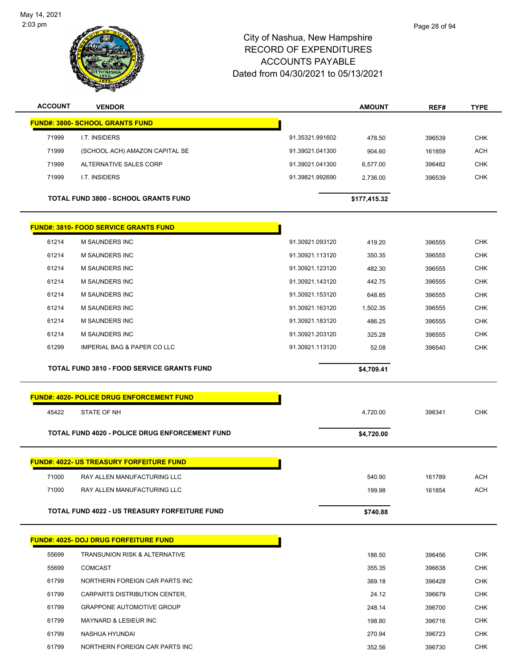

| <b>ACCOUNT</b> | <b>VENDOR</b>                                     |                 | <b>AMOUNT</b> | REF#   | <b>TYPE</b> |
|----------------|---------------------------------------------------|-----------------|---------------|--------|-------------|
|                | <b>FUND#: 3800- SCHOOL GRANTS FUND</b>            |                 |               |        |             |
| 71999          | I.T. INSIDERS                                     | 91.35321.991602 | 478.50        | 396539 | <b>CHK</b>  |
| 71999          | (SCHOOL ACH) AMAZON CAPITAL SE                    | 91.39021.041300 | 904.60        | 161859 | <b>ACH</b>  |
| 71999          | ALTERNATIVE SALES CORP                            | 91.39021.041300 | 6,577.00      | 396482 | <b>CHK</b>  |
| 71999          | I.T. INSIDERS                                     | 91.39821.992690 | 2,736.00      | 396539 | <b>CHK</b>  |
|                |                                                   |                 |               |        |             |
|                | TOTAL FUND 3800 - SCHOOL GRANTS FUND              |                 | \$177,415.32  |        |             |
|                | <b>FUND#: 3810- FOOD SERVICE GRANTS FUND</b>      |                 |               |        |             |
| 61214          | M SAUNDERS INC                                    | 91.30921.093120 | 419.20        | 396555 | <b>CHK</b>  |
| 61214          | <b>M SAUNDERS INC</b>                             | 91.30921.113120 | 350.35        | 396555 | <b>CHK</b>  |
| 61214          | <b>M SAUNDERS INC</b>                             | 91.30921.123120 | 482.30        | 396555 | <b>CHK</b>  |
| 61214          | <b>M SAUNDERS INC</b>                             | 91.30921.143120 | 442.75        | 396555 | <b>CHK</b>  |
| 61214          | <b>M SAUNDERS INC</b>                             | 91.30921.153120 | 648.85        | 396555 | <b>CHK</b>  |
| 61214          | <b>M SAUNDERS INC</b>                             | 91.30921.163120 | 1,502.35      | 396555 | CHK         |
| 61214          | <b>M SAUNDERS INC</b>                             | 91.30921.183120 | 486.25        | 396555 | <b>CHK</b>  |
| 61214          | M SAUNDERS INC                                    | 91.30921.203120 | 325.28        | 396555 | <b>CHK</b>  |
| 61299          | <b>IMPERIAL BAG &amp; PAPER CO LLC</b>            | 91.30921.113120 | 52.08         | 396540 | <b>CHK</b>  |
|                | <b>TOTAL FUND 3810 - FOOD SERVICE GRANTS FUND</b> |                 | \$4,709.41    |        |             |
|                |                                                   |                 |               |        |             |
|                | <b>FUND#: 4020- POLICE DRUG ENFORCEMENT FUND</b>  |                 |               |        |             |
| 45422          | STATE OF NH                                       |                 | 4,720.00      | 396341 | <b>CHK</b>  |
|                | TOTAL FUND 4020 - POLICE DRUG ENFORCEMENT FUND    |                 | \$4,720.00    |        |             |
|                | <u>FUND#: 4022- US TREASURY FORFEITURE FUND</u>   |                 |               |        |             |
| 71000          | RAY ALLEN MANUFACTURING LLC                       |                 | 540.90        | 161789 | <b>ACH</b>  |
| 71000          | RAY ALLEN MANUFACTURING LLC                       |                 | 199.98        | 161854 | <b>ACH</b>  |
|                |                                                   |                 |               |        |             |
|                | TOTAL FUND 4022 - US TREASURY FORFEITURE FUND     |                 | \$740.88      |        |             |
|                | <u> FUND#: 4025- DOJ DRUG FORFEITURE FUND</u>     |                 |               |        |             |
| 55699          | <b>TRANSUNION RISK &amp; ALTERNATIVE</b>          |                 | 186.50        | 396456 | <b>CHK</b>  |
| 55699          | <b>COMCAST</b>                                    |                 | 355.35        | 396638 | <b>CHK</b>  |
| 61799          | NORTHERN FOREIGN CAR PARTS INC                    |                 | 369.18        | 396428 | <b>CHK</b>  |
| 61799          | CARPARTS DISTRIBUTION CENTER,                     |                 | 24.12         | 396679 | <b>CHK</b>  |
| 61799          | <b>GRAPPONE AUTOMOTIVE GROUP</b>                  |                 | 248.14        | 396700 | <b>CHK</b>  |
| 61799          | MAYNARD & LESIEUR INC                             |                 | 198.80        | 396716 | CHK         |
| 61799          |                                                   |                 | 270.94        | 396723 | <b>CHK</b>  |
|                | NASHUA HYUNDAI                                    |                 |               |        |             |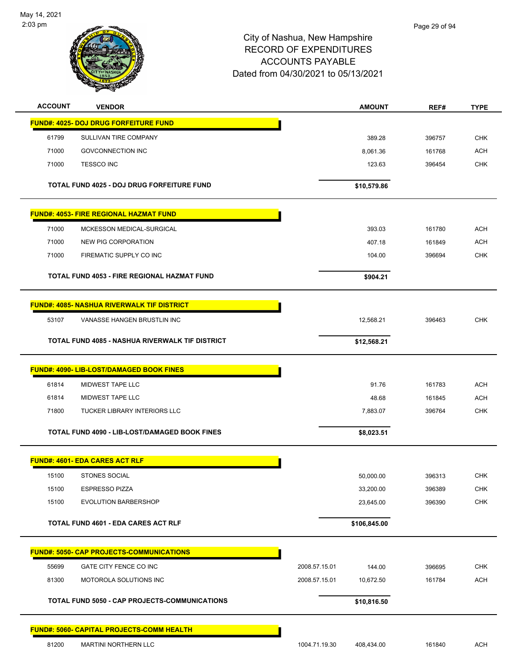

| <b>ACCOUNT</b> | <b>VENDOR</b>                                          | <b>AMOUNT</b>               | REF#   | <b>TYPE</b> |
|----------------|--------------------------------------------------------|-----------------------------|--------|-------------|
|                | <b>FUND#: 4025- DOJ DRUG FORFEITURE FUND</b>           |                             |        |             |
| 61799          | SULLIVAN TIRE COMPANY                                  | 389.28                      | 396757 | <b>CHK</b>  |
| 71000          | <b>GOVCONNECTION INC</b>                               | 8,061.36                    | 161768 | <b>ACH</b>  |
| 71000          | <b>TESSCO INC</b>                                      | 123.63                      | 396454 | <b>CHK</b>  |
|                | <b>TOTAL FUND 4025 - DOJ DRUG FORFEITURE FUND</b>      | \$10,579.86                 |        |             |
|                | <b>FUND#: 4053- FIRE REGIONAL HAZMAT FUND</b>          |                             |        |             |
| 71000          | MCKESSON MEDICAL-SURGICAL                              | 393.03                      | 161780 | <b>ACH</b>  |
| 71000          | <b>NEW PIG CORPORATION</b>                             | 407.18                      | 161849 | <b>ACH</b>  |
| 71000          | FIREMATIC SUPPLY CO INC                                | 104.00                      | 396694 | <b>CHK</b>  |
|                | TOTAL FUND 4053 - FIRE REGIONAL HAZMAT FUND            | \$904.21                    |        |             |
|                | <b>FUND#: 4085- NASHUA RIVERWALK TIF DISTRICT</b>      |                             |        |             |
| 53107          | VANASSE HANGEN BRUSTLIN INC                            | 12,568.21                   | 396463 | <b>CHK</b>  |
|                | <b>TOTAL FUND 4085 - NASHUA RIVERWALK TIF DISTRICT</b> | \$12,568.21                 |        |             |
|                | <b>FUND#: 4090- LIB-LOST/DAMAGED BOOK FINES</b>        |                             |        |             |
| 61814          | MIDWEST TAPE LLC                                       | 91.76                       | 161783 | <b>ACH</b>  |
| 61814          | MIDWEST TAPE LLC                                       | 48.68                       | 161845 | <b>ACH</b>  |
| 71800          | <b>TUCKER LIBRARY INTERIORS LLC</b>                    | 7,883.07                    | 396764 | <b>CHK</b>  |
|                | <b>TOTAL FUND 4090 - LIB-LOST/DAMAGED BOOK FINES</b>   | \$8,023.51                  |        |             |
|                | <b>FUND#: 4601- EDA CARES ACT RLF</b>                  |                             |        |             |
| 15100          | <b>STONES SOCIAL</b>                                   | 50,000.00                   | 396313 | CHK         |
| 15100          | <b>ESPRESSO PIZZA</b>                                  | 33,200.00                   | 396389 | CHK         |
| 15100          | <b>EVOLUTION BARBERSHOP</b>                            | 23,645.00                   | 396390 | CHK         |
|                | <b>TOTAL FUND 4601 - EDA CARES ACT RLF</b>             | \$106,845.00                |        |             |
|                | <b>FUND#: 5050- CAP PROJECTS-COMMUNICATIONS</b>        |                             |        |             |
| 55699          | GATE CITY FENCE CO INC                                 | 2008.57.15.01<br>144.00     | 396695 | <b>CHK</b>  |
| 81300          | MOTOROLA SOLUTIONS INC                                 | 2008.57.15.01<br>10,672.50  | 161784 | <b>ACH</b>  |
|                | TOTAL FUND 5050 - CAP PROJECTS-COMMUNICATIONS          | \$10,816.50                 |        |             |
|                | FUND#: 5060- CAPITAL PROJECTS-COMM HEALTH              |                             |        |             |
| 81200          | MARTINI NORTHERN LLC                                   | 1004.71.19.30<br>408,434.00 | 161840 | <b>ACH</b>  |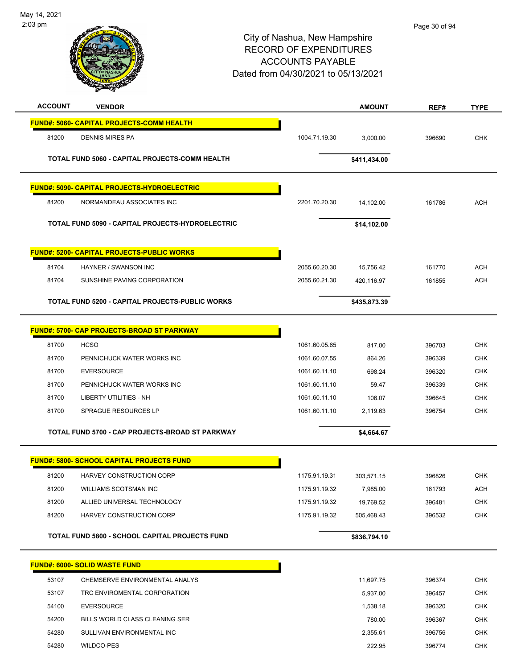

| <b>ACCOUNT</b> | <b>VENDOR</b>                                      |               | <b>AMOUNT</b> | REF#   | <b>TYPE</b> |
|----------------|----------------------------------------------------|---------------|---------------|--------|-------------|
|                | <b>FUND#: 5060- CAPITAL PROJECTS-COMM HEALTH</b>   |               |               |        |             |
| 81200          | <b>DENNIS MIRES PA</b>                             | 1004.71.19.30 | 3,000.00      | 396690 | <b>CHK</b>  |
|                | TOTAL FUND 5060 - CAPITAL PROJECTS-COMM HEALTH     |               | \$411,434.00  |        |             |
|                | <b>FUND#: 5090- CAPITAL PROJECTS-HYDROELECTRIC</b> |               |               |        |             |
| 81200          | NORMANDEAU ASSOCIATES INC                          | 2201.70.20.30 | 14,102.00     | 161786 | <b>ACH</b>  |
|                | TOTAL FUND 5090 - CAPITAL PROJECTS-HYDROELECTRIC   |               | \$14,102.00   |        |             |
|                | <u> FUND#: 5200- CAPITAL PROJECTS-PUBLIC WORKS</u> |               |               |        |             |
| 81704          | HAYNER / SWANSON INC                               | 2055.60.20.30 | 15,756.42     | 161770 | <b>ACH</b>  |
| 81704          | SUNSHINE PAVING CORPORATION                        | 2055.60.21.30 | 420,116.97    | 161855 | <b>ACH</b>  |
|                | TOTAL FUND 5200 - CAPITAL PROJECTS-PUBLIC WORKS    |               | \$435,873.39  |        |             |
|                | <b>FUND#: 5700- CAP PROJECTS-BROAD ST PARKWAY</b>  |               |               |        |             |
| 81700          | <b>HCSO</b>                                        | 1061.60.05.65 | 817.00        | 396703 | <b>CHK</b>  |
| 81700          | PENNICHUCK WATER WORKS INC                         | 1061.60.07.55 | 864.26        | 396339 | <b>CHK</b>  |
| 81700          | <b>EVERSOURCE</b>                                  | 1061.60.11.10 | 698.24        | 396320 | CHK         |
| 81700          | PENNICHUCK WATER WORKS INC                         | 1061.60.11.10 | 59.47         | 396339 | <b>CHK</b>  |
| 81700          | <b>LIBERTY UTILITIES - NH</b>                      | 1061.60.11.10 | 106.07        | 396645 | CHK         |
| 81700          | <b>SPRAGUE RESOURCES LP</b>                        | 1061.60.11.10 | 2,119.63      | 396754 | <b>CHK</b>  |
|                | TOTAL FUND 5700 - CAP PROJECTS-BROAD ST PARKWAY    |               | \$4,664.67    |        |             |
|                | <b>FUND#: 5800- SCHOOL CAPITAL PROJECTS FUND</b>   |               |               |        |             |
| 81200          | HARVEY CONSTRUCTION CORP                           | 1175.91.19.31 | 303,571.15    | 396826 | <b>CHK</b>  |
| 81200          | <b>WILLIAMS SCOTSMAN INC</b>                       | 1175.91.19.32 | 7,985.00      | 161793 | <b>ACH</b>  |
| 81200          | ALLIED UNIVERSAL TECHNOLOGY                        | 1175.91.19.32 | 19,769.52     | 396481 | <b>CHK</b>  |
| 81200          | HARVEY CONSTRUCTION CORP                           | 1175.91.19.32 | 505,468.43    | 396532 | <b>CHK</b>  |
|                | TOTAL FUND 5800 - SCHOOL CAPITAL PROJECTS FUND     |               | \$836,794.10  |        |             |
|                | <b>FUND#: 6000- SOLID WASTE FUND</b>               |               |               |        |             |
| 53107          | CHEMSERVE ENVIRONMENTAL ANALYS                     |               | 11,697.75     | 396374 | <b>CHK</b>  |
| 53107          | TRC ENVIROMENTAL CORPORATION                       |               | 5,937.00      | 396457 | <b>CHK</b>  |
| 54100          | <b>EVERSOURCE</b>                                  |               | 1,538.18      | 396320 | <b>CHK</b>  |
| 54200          | BILLS WORLD CLASS CLEANING SER                     |               | 780.00        | 396367 | <b>CHK</b>  |
| 54280          | SULLIVAN ENVIRONMENTAL INC                         |               | 2,355.61      | 396756 | <b>CHK</b>  |
| 54280          | WILDCO-PES                                         |               | 222.95        | 396774 | <b>CHK</b>  |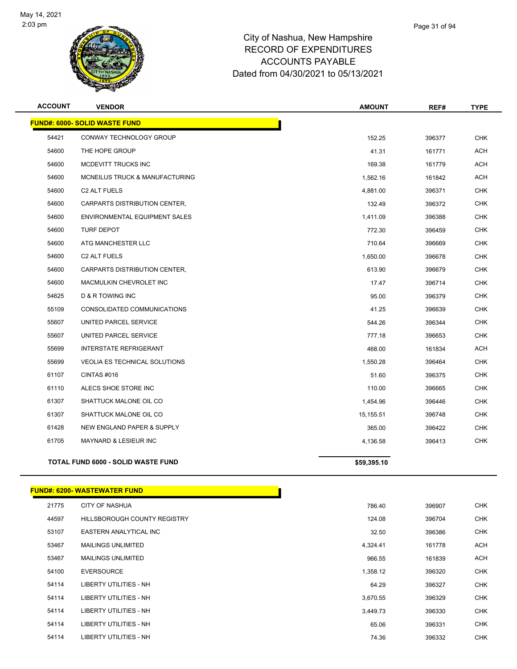

| <b>ACCOUNT</b> | <b>VENDOR</b>                             | <b>AMOUNT</b> | REF#   | <b>TYPE</b> |
|----------------|-------------------------------------------|---------------|--------|-------------|
|                | <b>FUND#: 6000- SOLID WASTE FUND</b>      |               |        |             |
| 54421          | CONWAY TECHNOLOGY GROUP                   | 152.25        | 396377 | <b>CHK</b>  |
| 54600          | THE HOPE GROUP                            | 41.31         | 161771 | <b>ACH</b>  |
| 54600          | MCDEVITT TRUCKS INC                       | 169.38        | 161779 | <b>ACH</b>  |
| 54600          | MCNEILUS TRUCK & MANUFACTURING            | 1,562.16      | 161842 | <b>ACH</b>  |
| 54600          | C <sub>2</sub> ALT FUELS                  | 4,881.00      | 396371 | <b>CHK</b>  |
| 54600          | CARPARTS DISTRIBUTION CENTER,             | 132.49        | 396372 | <b>CHK</b>  |
| 54600          | ENVIRONMENTAL EQUIPMENT SALES             | 1,411.09      | 396388 | <b>CHK</b>  |
| 54600          | <b>TURF DEPOT</b>                         | 772.30        | 396459 | <b>CHK</b>  |
| 54600          | ATG MANCHESTER LLC                        | 710.64        | 396669 | <b>CHK</b>  |
| 54600          | C <sub>2</sub> ALT FUELS                  | 1,650.00      | 396678 | <b>CHK</b>  |
| 54600          | CARPARTS DISTRIBUTION CENTER,             | 613.90        | 396679 | <b>CHK</b>  |
| 54600          | MACMULKIN CHEVROLET INC                   | 17.47         | 396714 | <b>CHK</b>  |
| 54625          | <b>D &amp; R TOWING INC</b>               | 95.00         | 396379 | <b>CHK</b>  |
| 55109          | CONSOLIDATED COMMUNICATIONS               | 41.25         | 396639 | <b>CHK</b>  |
| 55607          | UNITED PARCEL SERVICE                     | 544.26        | 396344 | <b>CHK</b>  |
| 55607          | UNITED PARCEL SERVICE                     | 777.18        | 396653 | CHK         |
| 55699          | <b>INTERSTATE REFRIGERANT</b>             | 468.00        | 161834 | <b>ACH</b>  |
| 55699          | <b>VEOLIA ES TECHNICAL SOLUTIONS</b>      | 1,550.28      | 396464 | <b>CHK</b>  |
| 61107          | CINTAS#016                                | 51.60         | 396375 | <b>CHK</b>  |
| 61110          | ALECS SHOE STORE INC                      | 110.00        | 396665 | <b>CHK</b>  |
| 61307          | SHATTUCK MALONE OIL CO                    | 1,454.96      | 396446 | CHK         |
| 61307          | SHATTUCK MALONE OIL CO                    | 15,155.51     | 396748 | <b>CHK</b>  |
| 61428          | <b>NEW ENGLAND PAPER &amp; SUPPLY</b>     | 365.00        | 396422 | <b>CHK</b>  |
| 61705          | MAYNARD & LESIEUR INC                     | 4,136.58      | 396413 | <b>CHK</b>  |
|                | <b>TOTAL FUND 6000 - SOLID WASTE FUND</b> | \$59,395.10   |        |             |
|                |                                           |               |        |             |

# **FUND#: 6200- WASTEWATER FUND**

| 21775 | <b>CITY OF NASHUA</b>               | 786.40   | 396907 | <b>CHK</b> |
|-------|-------------------------------------|----------|--------|------------|
| 44597 | <b>HILLSBOROUGH COUNTY REGISTRY</b> | 124.08   | 396704 | <b>CHK</b> |
| 53107 | EASTERN ANALYTICAL INC              | 32.50    | 396386 | <b>CHK</b> |
| 53467 | <b>MAILINGS UNLIMITED</b>           | 4,324.41 | 161778 | <b>ACH</b> |
| 53467 | <b>MAILINGS UNLIMITED</b>           | 966.55   | 161839 | ACH        |
| 54100 | <b>EVERSOURCE</b>                   | 1,358.12 | 396320 | <b>CHK</b> |
| 54114 | LIBERTY UTILITIES - NH              | 64.29    | 396327 | <b>CHK</b> |
| 54114 | LIBERTY UTILITIES - NH              | 3,670.55 | 396329 | <b>CHK</b> |
| 54114 | LIBERTY UTILITIES - NH              | 3,449.73 | 396330 | <b>CHK</b> |
| 54114 | <b>LIBERTY UTILITIES - NH</b>       | 65.06    | 396331 | <b>CHK</b> |
| 54114 | LIBERTY UTILITIES - NH              | 74.36    | 396332 | <b>CHK</b> |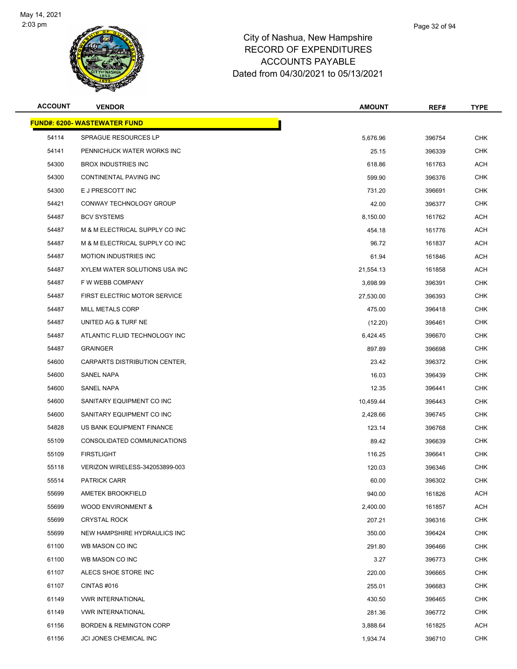

| <b>ACCOUNT</b> | <b>VENDOR</b>                       | <b>AMOUNT</b> | REF#   | <b>TYPE</b> |
|----------------|-------------------------------------|---------------|--------|-------------|
|                | <b>FUND#: 6200- WASTEWATER FUND</b> |               |        |             |
| 54114          | <b>SPRAGUE RESOURCES LP</b>         | 5,676.96      | 396754 | <b>CHK</b>  |
| 54141          | PENNICHUCK WATER WORKS INC          | 25.15         | 396339 | <b>CHK</b>  |
| 54300          | <b>BROX INDUSTRIES INC</b>          | 618.86        | 161763 | <b>ACH</b>  |
| 54300          | CONTINENTAL PAVING INC              | 599.90        | 396376 | <b>CHK</b>  |
| 54300          | E J PRESCOTT INC                    | 731.20        | 396691 | <b>CHK</b>  |
| 54421          | CONWAY TECHNOLOGY GROUP             | 42.00         | 396377 | <b>CHK</b>  |
| 54487          | <b>BCV SYSTEMS</b>                  | 8,150.00      | 161762 | <b>ACH</b>  |
| 54487          | M & M ELECTRICAL SUPPLY CO INC      | 454.18        | 161776 | <b>ACH</b>  |
| 54487          | M & M ELECTRICAL SUPPLY CO INC      | 96.72         | 161837 | <b>ACH</b>  |
| 54487          | <b>MOTION INDUSTRIES INC</b>        | 61.94         | 161846 | <b>ACH</b>  |
| 54487          | XYLEM WATER SOLUTIONS USA INC       | 21,554.13     | 161858 | <b>ACH</b>  |
| 54487          | F W WEBB COMPANY                    | 3,698.99      | 396391 | <b>CHK</b>  |
| 54487          | FIRST ELECTRIC MOTOR SERVICE        | 27,530.00     | 396393 | <b>CHK</b>  |
| 54487          | <b>MILL METALS CORP</b>             | 475.00        | 396418 | <b>CHK</b>  |
| 54487          | UNITED AG & TURF NE                 | (12.20)       | 396461 | <b>CHK</b>  |
| 54487          | ATLANTIC FLUID TECHNOLOGY INC       | 6,424.45      | 396670 | <b>CHK</b>  |
| 54487          | <b>GRAINGER</b>                     | 897.89        | 396698 | <b>CHK</b>  |
| 54600          | CARPARTS DISTRIBUTION CENTER,       | 23.42         | 396372 | <b>CHK</b>  |
| 54600          | <b>SANEL NAPA</b>                   | 16.03         | 396439 | <b>CHK</b>  |
| 54600          | SANEL NAPA                          | 12.35         | 396441 | <b>CHK</b>  |
| 54600          | SANITARY EQUIPMENT CO INC           | 10,459.44     | 396443 | <b>CHK</b>  |
| 54600          | SANITARY EQUIPMENT CO INC           | 2,428.66      | 396745 | <b>CHK</b>  |
| 54828          | US BANK EQUIPMENT FINANCE           | 123.14        | 396768 | <b>CHK</b>  |
| 55109          | CONSOLIDATED COMMUNICATIONS         | 89.42         | 396639 | <b>CHK</b>  |
| 55109          | <b>FIRSTLIGHT</b>                   | 116.25        | 396641 | <b>CHK</b>  |
| 55118          | VERIZON WIRELESS-342053899-003      | 120.03        | 396346 | <b>CHK</b>  |
| 55514          | PATRICK CARR                        | 60.00         | 396302 | <b>CHK</b>  |
| 55699          | <b>AMETEK BROOKFIELD</b>            | 940.00        | 161826 | <b>ACH</b>  |
| 55699          | <b>WOOD ENVIRONMENT &amp;</b>       | 2,400.00      | 161857 | <b>ACH</b>  |
| 55699          | <b>CRYSTAL ROCK</b>                 | 207.21        | 396316 | <b>CHK</b>  |
| 55699          | NEW HAMPSHIRE HYDRAULICS INC        | 350.00        | 396424 | <b>CHK</b>  |
| 61100          | WB MASON CO INC                     | 291.80        | 396466 | <b>CHK</b>  |
| 61100          | WB MASON CO INC                     | 3.27          | 396773 | CHK         |
| 61107          | ALECS SHOE STORE INC                | 220.00        | 396665 | <b>CHK</b>  |
| 61107          | CINTAS #016                         | 255.01        | 396683 | <b>CHK</b>  |
| 61149          | <b>VWR INTERNATIONAL</b>            | 430.50        | 396465 | <b>CHK</b>  |
| 61149          | <b>VWR INTERNATIONAL</b>            | 281.36        | 396772 | <b>CHK</b>  |
| 61156          | <b>BORDEN &amp; REMINGTON CORP</b>  | 3,888.64      | 161825 | <b>ACH</b>  |
| 61156          | JCI JONES CHEMICAL INC              | 1,934.74      | 396710 | <b>CHK</b>  |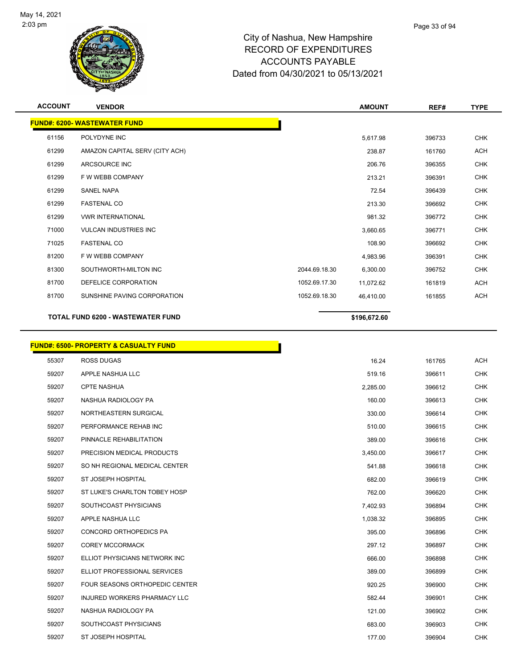

|    | Page 33 of 94 |
|----|---------------|
| rρ |               |

| <b>ACCOUNT</b> | <b>VENDOR</b>                            |               | <b>AMOUNT</b> | REF#   | <b>TYPE</b> |
|----------------|------------------------------------------|---------------|---------------|--------|-------------|
|                | <b>FUND#: 6200- WASTEWATER FUND</b>      |               |               |        |             |
| 61156          | POLYDYNE INC                             |               | 5.617.98      | 396733 | <b>CHK</b>  |
| 61299          | AMAZON CAPITAL SERV (CITY ACH)           |               | 238.87        | 161760 | <b>ACH</b>  |
| 61299          | ARCSOURCE INC                            |               | 206.76        | 396355 | <b>CHK</b>  |
| 61299          | F W WEBB COMPANY                         |               | 213.21        | 396391 | <b>CHK</b>  |
| 61299          | <b>SANEL NAPA</b>                        |               | 72.54         | 396439 | <b>CHK</b>  |
| 61299          | <b>FASTENAL CO</b>                       |               | 213.30        | 396692 | <b>CHK</b>  |
| 61299          | <b>VWR INTERNATIONAL</b>                 |               | 981.32        | 396772 | <b>CHK</b>  |
| 71000          | <b>VULCAN INDUSTRIES INC</b>             |               | 3,660.65      | 396771 | <b>CHK</b>  |
| 71025          | <b>FASTENAL CO</b>                       |               | 108.90        | 396692 | <b>CHK</b>  |
| 81200          | F W WEBB COMPANY                         |               | 4,983.96      | 396391 | <b>CHK</b>  |
| 81300          | SOUTHWORTH-MILTON INC                    | 2044.69.18.30 | 6,300.00      | 396752 | <b>CHK</b>  |
| 81700          | DEFELICE CORPORATION                     | 1052.69.17.30 | 11,072.62     | 161819 | <b>ACH</b>  |
| 81700          | SUNSHINE PAVING CORPORATION              | 1052.69.18.30 | 46,410.00     | 161855 | <b>ACH</b>  |
|                | <b>TOTAL FUND 6200 - WASTEWATER FUND</b> |               | \$196,672.60  |        |             |

|       | <b>FUND#: 6500- PROPERTY &amp; CASUALTY FUND</b> |          |
|-------|--------------------------------------------------|----------|
| 55307 | <b>ROSS DUGAS</b>                                |          |
| 59207 | APPLE NASHUA LLC                                 |          |
| 59207 | <b>CPTE NASHUA</b>                               |          |
| 59207 | NASHUA RADIOLOGY PA                              |          |
| 59207 | NORTHEASTERN SURGICAL                            |          |
| 59207 | PERFORMANCE REHAB INC                            |          |
| 59207 | PINNACLE REHABILITATION                          |          |
| 59207 | PRECISION MEDICAL PRODUCTS                       |          |
| 59207 | SO NH REGIONAL MEDICAL CENTER                    |          |
| 59207 | ST JOSEPH HOSPITAL                               |          |
| 59207 | ST LUKE'S CHARLTON TOBEY HOSP                    | 762.00   |
| 59207 | SOUTHCOAST PHYSICIANS                            | 7,402.93 |
| 59207 | APPLE NASHUA LLC                                 | 1,038.32 |
| 59207 | CONCORD ORTHOPEDICS PA                           | 395.00   |
| 59207 | <b>COREY MCCORMACK</b>                           | 297.12   |
| 59207 | ELLIOT PHYSICIANS NETWORK INC                    | 666.00   |
| 59207 | ELLIOT PROFESSIONAL SERVICES                     | 389.00   |
| 59207 | <b>FOUR SEASONS ORTHOPEDIC CENTER</b>            | 920.25   |
| 59207 | INJURED WORKERS PHARMACY LLC                     | 582.44   |
| 59207 | NASHUA RADIOLOGY PA                              | 121.00   |
| 59207 | SOUTHCOAST PHYSICIANS                            | 683.00   |
| 59207 | ST JOSEPH HOSPITAL                               | 177.00   |
|       |                                                  |          |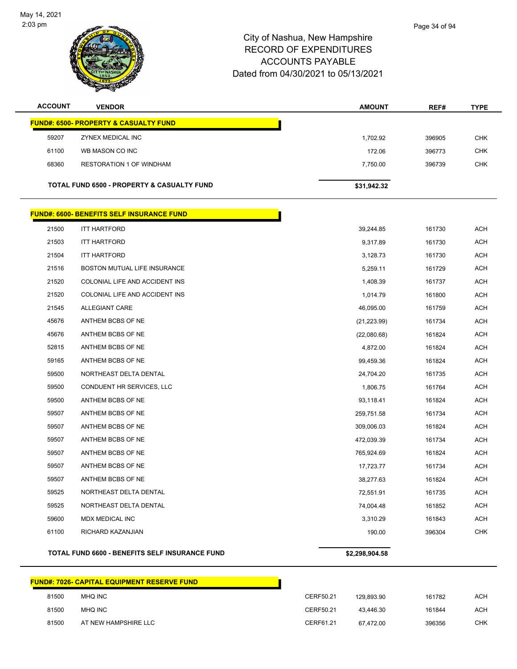

| Page 34 of 94 |
|---------------|
|               |

| <b>ACCOUNT</b> | <b>VENDOR</b>                                         | <b>AMOUNT</b> | REF#   | <b>TYPE</b> |
|----------------|-------------------------------------------------------|---------------|--------|-------------|
|                | <b>FUND#: 6500- PROPERTY &amp; CASUALTY FUND</b>      |               |        |             |
| 59207          | ZYNEX MEDICAL INC                                     | 1,702.92      | 396905 | <b>CHK</b>  |
| 61100          | WB MASON CO INC                                       | 172.06        | 396773 | <b>CHK</b>  |
| 68360          | <b>RESTORATION 1 OF WINDHAM</b>                       | 7,750.00      | 396739 | <b>CHK</b>  |
|                | <b>TOTAL FUND 6500 - PROPERTY &amp; CASUALTY FUND</b> | \$31,942.32   |        |             |

# **FUND#: 6600- BENEFITS SELF INSURANCE FUND** 21500 ITT HARTFORD 39,244.85 161730 ACH 21503 ITT HARTFORD 9,317.89 161730 ACH 21504 ITT HARTFORD 3,128.73 161730 ACH 21516 BOSTON MUTUAL LIFE INSURANCE AND STREAM CONTROL AND STREAM SERVED SERVED AS A SERVED ON A SERVED AND THE 21520 COLONIAL LIFE AND ACCIDENT INS 1,408.39 1408.39 161737 ACH 21520 COLONIAL LIFE AND ACCIDENT INS 1,014.79 1,014.79 161800 ACH 21545 ALLEGIANT CARE 46,095.00 161759 ACH 45676 ANTHEM BCBS OF NE (21,223.99) 161734 ACH 45676 ANTHEM BCBS OF NE (22,080.68) 161824 ACH 52815 ANTHEM BCBS OF NE 4,872.00 161824 ACH 59165 ANTHEM BCBS OF NE 2012 12:00 2004 15:00 2004 15:00 2004 161824 ACH 59500 NORTHEAST DELTA DENTAL 24,704.20 161735 ACH 59500 CONDUENT HR SERVICES, LLC 1,806.75 161764 ACH 59500 ANTHEM BCBS OF NE 2012 12:00 2009 12:00 2009 13:00 2009 13:00 2009 13:00 2009 14:00 2009 14:00 2009 14:0 59507 ANTHEM BCBS OF NE 259,751.58 161734 ACH 59507 ANTHEM BCBS OF NE 309,006.03 161824 ACH 59507 ANTHEM BCBS OF NE 472,039.39 161734 ACH 59507 ANTHEM BCBS OF NE 765,924.69 161824 ACH 59507 ANTHEM BCBS OF NE 17,723.77 161734 ACH 59507 ANTHEM BCBS OF NE 38,277.63 161824 ACH 59525 NORTHEAST DELTA DENTAL 72,551.91 161735 ACH 59525 NORTHEAST DELTA DENTAL 74,004.48 161852 ACH 59600 MDX MEDICAL INC 3,310.29 161843 ACH 61100 RICHARD KAZANJIAN 190.00 396304 CHK

#### **TOTAL FUND 6600 - BENEFITS SELF INSURANCE FUND \$2,298,904.58**

| FUND#: 7026- CAPITAL EQUIPMENT RESERVE FUND_ |                      |           |            |        |            |
|----------------------------------------------|----------------------|-----------|------------|--------|------------|
| 81500                                        | MHQ INC              | CERF50.21 | 129.893.90 | 161782 | <b>ACH</b> |
| 81500                                        | <b>MHQ INC</b>       | CERF50.21 | 43.446.30  | 161844 | <b>ACH</b> |
| 81500                                        | AT NEW HAMPSHIRE LLC | CERF61.21 | 67.472.00  | 396356 | <b>CHK</b> |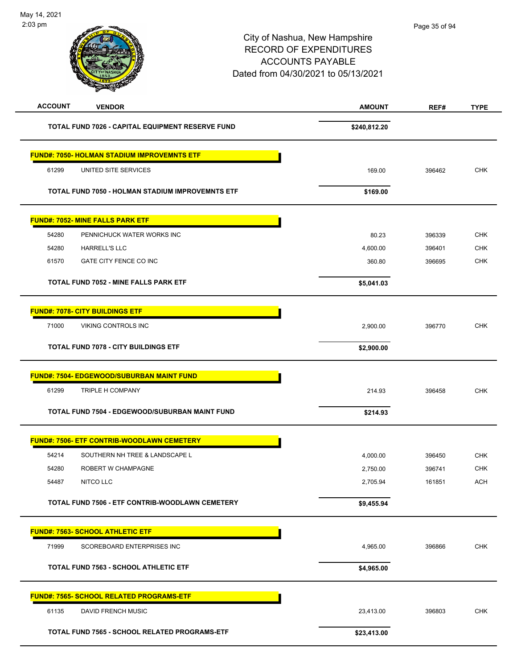| <b>ACCOUNT</b><br><b>VENDOR</b>                    | <b>AMOUNT</b> | REF#   | <b>TYPE</b> |
|----------------------------------------------------|---------------|--------|-------------|
| TOTAL FUND 7026 - CAPITAL EQUIPMENT RESERVE FUND   | \$240,812.20  |        |             |
| <b>FUND#: 7050- HOLMAN STADIUM IMPROVEMNTS ETF</b> |               |        |             |
| UNITED SITE SERVICES<br>61299                      | 169.00        | 396462 | <b>CHK</b>  |
| TOTAL FUND 7050 - HOLMAN STADIUM IMPROVEMNTS ETF   | \$169.00      |        |             |
|                                                    |               |        |             |
| <b>FUND#: 7052- MINE FALLS PARK ETF</b>            |               |        |             |
| 54280<br>PENNICHUCK WATER WORKS INC                | 80.23         | 396339 | <b>CHK</b>  |
| 54280<br>HARRELL'S LLC                             | 4,600.00      | 396401 | <b>CHK</b>  |
| 61570<br>GATE CITY FENCE CO INC                    | 360.80        | 396695 | <b>CHK</b>  |
| <b>TOTAL FUND 7052 - MINE FALLS PARK ETF</b>       | \$5,041.03    |        |             |
| <b>FUND#: 7078- CITY BUILDINGS ETF</b>             |               |        |             |
| 71000<br>VIKING CONTROLS INC                       | 2,900.00      | 396770 | <b>CHK</b>  |
| <b>TOTAL FUND 7078 - CITY BUILDINGS ETF</b>        | \$2,900.00    |        |             |
| <b>FUND#: 7504- EDGEWOOD/SUBURBAN MAINT FUND</b>   |               |        |             |
| 61299<br>TRIPLE H COMPANY                          | 214.93        | 396458 | <b>CHK</b>  |
| TOTAL FUND 7504 - EDGEWOOD/SUBURBAN MAINT FUND     | \$214.93      |        |             |
| <b>FUND#: 7506- ETF CONTRIB-WOODLAWN CEMETERY</b>  |               |        |             |
| 54214<br>SOUTHERN NH TREE & LANDSCAPE L            | 4,000.00      | 396450 | <b>CHK</b>  |
| 54280<br>ROBERT W CHAMPAGNE                        | 2,750.00      | 396741 | <b>CHK</b>  |
| NITCO LLC<br>54487                                 | 2,705.94      | 161851 | <b>ACH</b>  |
| TOTAL FUND 7506 - ETF CONTRIB-WOODLAWN CEMETERY    | \$9,455.94    |        |             |
| <b>FUND#: 7563- SCHOOL ATHLETIC ETF</b>            |               |        |             |
| 71999<br>SCOREBOARD ENTERPRISES INC                | 4,965.00      | 396866 | CHK         |
| <b>TOTAL FUND 7563 - SCHOOL ATHLETIC ETF</b>       | \$4,965.00    |        |             |
| <b>FUND#: 7565- SCHOOL RELATED PROGRAMS-ETF</b>    |               |        |             |
| 61135<br>DAVID FRENCH MUSIC                        | 23,413.00     | 396803 | <b>CHK</b>  |
| TOTAL FUND 7565 - SCHOOL RELATED PROGRAMS-ETF      | \$23,413.00   |        |             |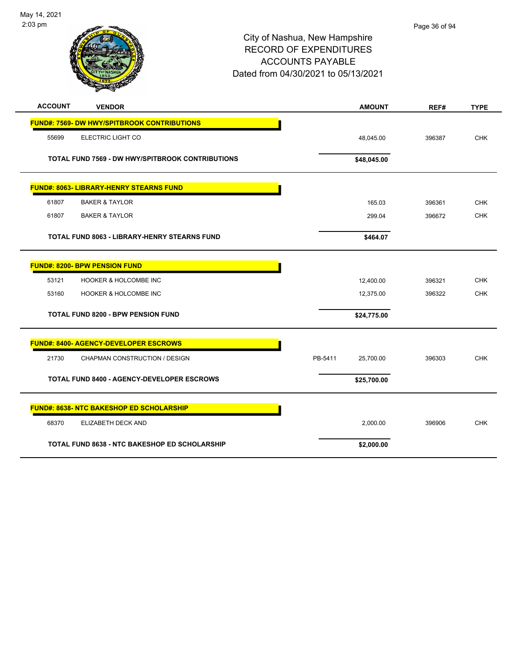

|                | <b>Anta</b>                                             |                      |        |             |
|----------------|---------------------------------------------------------|----------------------|--------|-------------|
| <b>ACCOUNT</b> | <b>VENDOR</b>                                           | <b>AMOUNT</b>        | REF#   | <b>TYPE</b> |
|                | <b>FUND#: 7569- DW HWY/SPITBROOK CONTRIBUTIONS</b>      |                      |        |             |
| 55699          | ELECTRIC LIGHT CO                                       | 48,045.00            | 396387 | <b>CHK</b>  |
|                | <b>TOTAL FUND 7569 - DW HWY/SPITBROOK CONTRIBUTIONS</b> | \$48,045.00          |        |             |
|                | <b>FUND#: 8063- LIBRARY-HENRY STEARNS FUND</b>          |                      |        |             |
| 61807          | <b>BAKER &amp; TAYLOR</b>                               | 165.03               | 396361 | <b>CHK</b>  |
| 61807          | <b>BAKER &amp; TAYLOR</b>                               | 299.04               | 396672 | <b>CHK</b>  |
|                | <b>TOTAL FUND 8063 - LIBRARY-HENRY STEARNS FUND</b>     | \$464.07             |        |             |
|                | <b>FUND#: 8200- BPW PENSION FUND</b>                    |                      |        |             |
| 53121          | HOOKER & HOLCOMBE INC                                   | 12,400.00            | 396321 | <b>CHK</b>  |
| 53160          | <b>HOOKER &amp; HOLCOMBE INC</b>                        | 12,375.00            | 396322 | <b>CHK</b>  |
|                | <b>TOTAL FUND 8200 - BPW PENSION FUND</b>               | \$24,775.00          |        |             |
|                | <b>FUND#: 8400- AGENCY-DEVELOPER ESCROWS</b>            |                      |        |             |
| 21730          | CHAPMAN CONSTRUCTION / DESIGN                           | PB-5411<br>25,700.00 | 396303 | <b>CHK</b>  |
|                | <b>TOTAL FUND 8400 - AGENCY-DEVELOPER ESCROWS</b>       | \$25,700.00          |        |             |
|                | <b>FUND#: 8638- NTC BAKESHOP ED SCHOLARSHIP</b>         |                      |        |             |
| 68370          | ELIZABETH DECK AND                                      | 2,000.00             | 396906 | <b>CHK</b>  |
|                | <b>TOTAL FUND 8638 - NTC BAKESHOP ED SCHOLARSHIP</b>    | \$2,000.00           |        |             |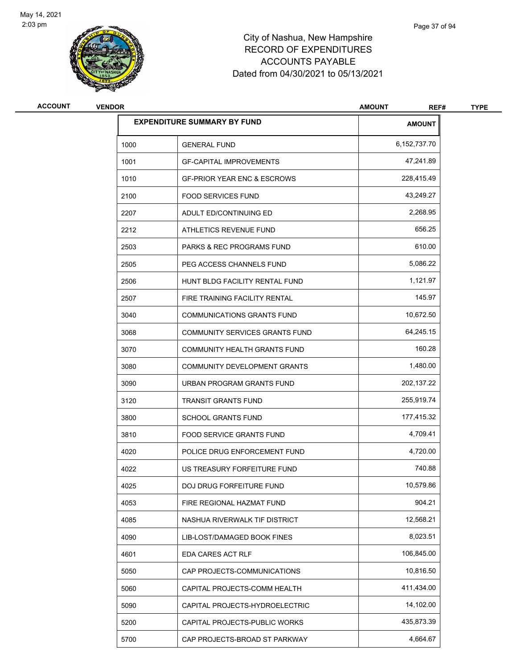

# City of Nashua, New Hampshire RECORD OF EXPENDITURES ACCOUNTS PAYABLE Dated from 04/30/2021 to 05/13/2021

| <b>VENDOR</b> |                                        | <b>AMOUNT</b><br>REF#              | <b>TYPE</b> |
|---------------|----------------------------------------|------------------------------------|-------------|
|               |                                        | <b>AMOUNT</b>                      |             |
| 1000          | <b>GENERAL FUND</b>                    | 6,152,737.70                       |             |
| 1001          | <b>GF-CAPITAL IMPROVEMENTS</b>         | 47,241.89                          |             |
| 1010          | <b>GF-PRIOR YEAR ENC &amp; ESCROWS</b> | 228,415.49                         |             |
| 2100          | <b>FOOD SERVICES FUND</b>              | 43,249.27                          |             |
| 2207          | ADULT ED/CONTINUING ED                 | 2,268.95                           |             |
| 2212          | ATHLETICS REVENUE FUND                 | 656.25                             |             |
| 2503          | <b>PARKS &amp; REC PROGRAMS FUND</b>   | 610.00                             |             |
| 2505          | PEG ACCESS CHANNELS FUND               | 5,086.22                           |             |
| 2506          | HUNT BLDG FACILITY RENTAL FUND         | 1,121.97                           |             |
| 2507          | FIRE TRAINING FACILITY RENTAL          | 145.97                             |             |
| 3040          | <b>COMMUNICATIONS GRANTS FUND</b>      | 10,672.50                          |             |
| 3068          | COMMUNITY SERVICES GRANTS FUND         | 64,245.15                          |             |
| 3070          | COMMUNITY HEALTH GRANTS FUND           | 160.28                             |             |
| 3080          | COMMUNITY DEVELOPMENT GRANTS           | 1,480.00                           |             |
| 3090          | URBAN PROGRAM GRANTS FUND              | 202,137.22                         |             |
| 3120          | <b>TRANSIT GRANTS FUND</b>             | 255,919.74                         |             |
| 3800          | <b>SCHOOL GRANTS FUND</b>              | 177,415.32                         |             |
| 3810          | <b>FOOD SERVICE GRANTS FUND</b>        | 4,709.41                           |             |
| 4020          | POLICE DRUG ENFORCEMENT FUND           | 4,720.00                           |             |
| 4022          | US TREASURY FORFEITURE FUND            | 740.88                             |             |
| 4025          | DOJ DRUG FORFEITURE FUND               | 10,579.86                          |             |
| 4053          | FIRE REGIONAL HAZMAT FUND              | 904.21                             |             |
| 4085          | NASHUA RIVERWALK TIF DISTRICT          | 12,568.21                          |             |
| 4090          | LIB-LOST/DAMAGED BOOK FINES            | 8,023.51                           |             |
| 4601          | EDA CARES ACT RLF                      | 106,845.00                         |             |
| 5050          | CAP PROJECTS-COMMUNICATIONS            | 10,816.50                          |             |
| 5060          | CAPITAL PROJECTS-COMM HEALTH           | 411,434.00                         |             |
| 5090          | CAPITAL PROJECTS-HYDROELECTRIC         | 14,102.00                          |             |
| 5200          | CAPITAL PROJECTS-PUBLIC WORKS          | 435,873.39                         |             |
| 5700          | CAP PROJECTS-BROAD ST PARKWAY          | 4,664.67                           |             |
|               |                                        | <b>EXPENDITURE SUMMARY BY FUND</b> |             |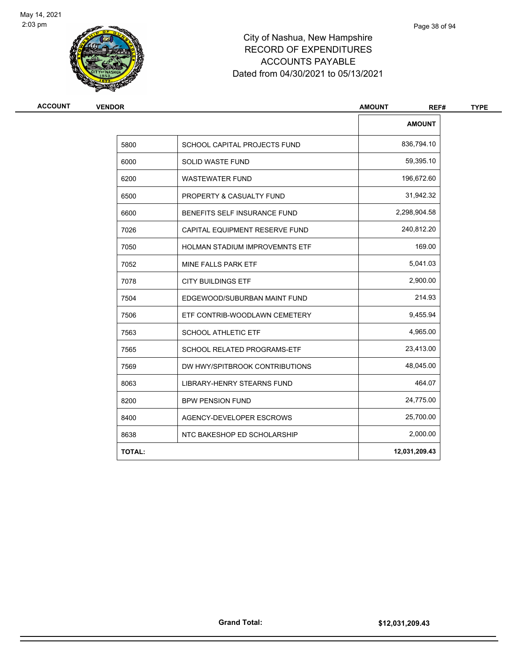

# City of Nashua, New Hampshire RECORD OF EXPENDITURES ACCOUNTS PAYABLE Dated from 04/30/2021 to 05/13/2021

| <b>VENDOR</b> |                                       | <b>AMOUNT</b><br>REF# |
|---------------|---------------------------------------|-----------------------|
|               |                                       | <b>AMOUNT</b>         |
| 5800          | SCHOOL CAPITAL PROJECTS FUND          | 836,794.10            |
| 6000          | <b>SOLID WASTE FUND</b>               | 59,395.10             |
| 6200          | <b>WASTEWATER FUND</b>                | 196,672.60            |
| 6500          | PROPERTY & CASUALTY FUND              | 31,942.32             |
| 6600          | BENEFITS SELF INSURANCE FUND          | 2,298,904.58          |
| 7026          | CAPITAL EQUIPMENT RESERVE FUND        | 240,812.20            |
| 7050          | <b>HOLMAN STADIUM IMPROVEMNTS ETF</b> | 169.00                |
| 7052          | MINE FALLS PARK ETF                   | 5,041.03              |
| 7078          | <b>CITY BUILDINGS ETF</b>             | 2,900.00              |
| 7504          | EDGEWOOD/SUBURBAN MAINT FUND          | 214.93                |
| 7506          | ETF CONTRIB-WOODLAWN CEMETERY         | 9,455.94              |
| 7563          | <b>SCHOOL ATHLETIC ETF</b>            | 4,965.00              |
| 7565          | <b>SCHOOL RELATED PROGRAMS-ETF</b>    | 23,413.00             |
| 7569          | DW HWY/SPITBROOK CONTRIBUTIONS        | 48,045.00             |
| 8063          | <b>LIBRARY-HENRY STEARNS FUND</b>     | 464.07                |
| 8200          | <b>BPW PENSION FUND</b>               | 24,775.00             |
| 8400          | AGENCY-DEVELOPER ESCROWS              | 25,700.00             |
| 8638          | NTC BAKESHOP ED SCHOLARSHIP           | 2,000.00              |
| <b>TOTAL:</b> |                                       | 12,031,209.43         |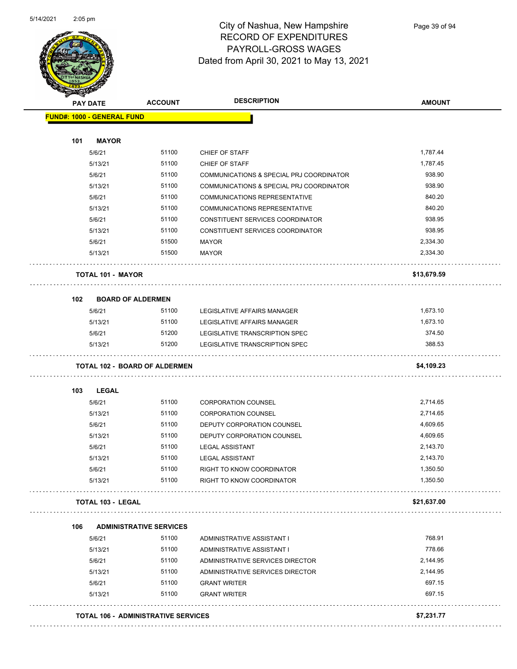

Page 39 of 94

| <b>PAY DATE</b>                   | <b>ACCOUNT</b>                             | <b>DESCRIPTION</b>                       | <b>AMOUNT</b> |
|-----------------------------------|--------------------------------------------|------------------------------------------|---------------|
| <b>FUND#: 1000 - GENERAL FUND</b> |                                            |                                          |               |
| 101<br><b>MAYOR</b>               |                                            |                                          |               |
| 5/6/21                            | 51100                                      | CHIEF OF STAFF                           | 1,787.44      |
| 5/13/21                           | 51100                                      | CHIEF OF STAFF                           | 1,787.45      |
| 5/6/21                            | 51100                                      | COMMUNICATIONS & SPECIAL PRJ COORDINATOR | 938.90        |
| 5/13/21                           | 51100                                      | COMMUNICATIONS & SPECIAL PRJ COORDINATOR | 938.90        |
| 5/6/21                            | 51100                                      | <b>COMMUNICATIONS REPRESENTATIVE</b>     | 840.20        |
| 5/13/21                           | 51100                                      | <b>COMMUNICATIONS REPRESENTATIVE</b>     | 840.20        |
| 5/6/21                            | 51100                                      | CONSTITUENT SERVICES COORDINATOR         | 938.95        |
| 5/13/21                           | 51100                                      | CONSTITUENT SERVICES COORDINATOR         | 938.95        |
| 5/6/21                            | 51500                                      | <b>MAYOR</b>                             | 2,334.30      |
| 5/13/21                           | 51500                                      | <b>MAYOR</b>                             | 2,334.30      |
| <b>TOTAL 101 - MAYOR</b>          |                                            |                                          | \$13,679.59   |
| 102                               | <b>BOARD OF ALDERMEN</b>                   |                                          |               |
| 5/6/21                            | 51100                                      | LEGISLATIVE AFFAIRS MANAGER              | 1,673.10      |
| 5/13/21                           | 51100                                      | LEGISLATIVE AFFAIRS MANAGER              | 1,673.10      |
| 5/6/21                            | 51200                                      | LEGISLATIVE TRANSCRIPTION SPEC           | 374.50        |
| 5/13/21                           | 51200                                      | LEGISLATIVE TRANSCRIPTION SPEC           | 388.53        |
|                                   | <b>TOTAL 102 - BOARD OF ALDERMEN</b>       |                                          | \$4,109.23    |
| 103<br>LEGAL                      |                                            |                                          |               |
| 5/6/21                            | 51100                                      | <b>CORPORATION COUNSEL</b>               | 2,714.65      |
| 5/13/21                           | 51100                                      | <b>CORPORATION COUNSEL</b>               | 2,714.65      |
| 5/6/21                            | 51100                                      | DEPUTY CORPORATION COUNSEL               | 4,609.65      |
| 5/13/21                           | 51100                                      | DEPUTY CORPORATION COUNSEL               | 4,609.65      |
| 5/6/21                            | 51100                                      | <b>LEGAL ASSISTANT</b>                   | 2,143.70      |
| 5/13/21                           | 51100                                      | <b>LEGAL ASSISTANT</b>                   | 2,143.70      |
| 5/6/21                            | 51100                                      | RIGHT TO KNOW COORDINATOR                | 1,350.50      |
| 5/13/21                           | 51100                                      | RIGHT TO KNOW COORDINATOR                | 1,350.50      |
| <b>TOTAL 103 - LEGAL</b>          |                                            |                                          | \$21,637.00   |
| 106                               | <b>ADMINISTRATIVE SERVICES</b>             |                                          |               |
| 5/6/21                            | 51100                                      | ADMINISTRATIVE ASSISTANT I               | 768.91        |
| 5/13/21                           | 51100                                      | ADMINISTRATIVE ASSISTANT I               | 778.66        |
| 5/6/21                            | 51100                                      | ADMINISTRATIVE SERVICES DIRECTOR         | 2,144.95      |
| 5/13/21                           | 51100                                      | ADMINISTRATIVE SERVICES DIRECTOR         | 2,144.95      |
| 5/6/21                            | 51100                                      | <b>GRANT WRITER</b>                      | 697.15        |
| 5/13/21                           | 51100                                      | <b>GRANT WRITER</b>                      | 697.15        |
|                                   | <b>TOTAL 106 - ADMINISTRATIVE SERVICES</b> |                                          | \$7,231.77    |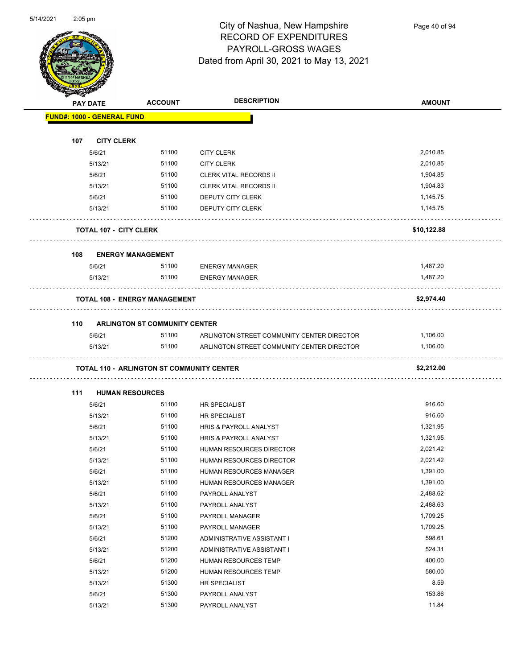

Page 40 of 94

| $\mathbb{Z}$ | <b>PAY DATE</b>                      | <b>ACCOUNT</b>                       | <b>DESCRIPTION</b>                         | <b>AMOUNT</b> |
|--------------|--------------------------------------|--------------------------------------|--------------------------------------------|---------------|
|              | <b>FUND#: 1000 - GENERAL FUND</b>    |                                      |                                            |               |
|              |                                      |                                      |                                            |               |
| 107          | <b>CITY CLERK</b>                    |                                      |                                            |               |
|              | 5/6/21                               | 51100                                | <b>CITY CLERK</b>                          | 2,010.85      |
|              | 5/13/21                              | 51100                                | <b>CITY CLERK</b>                          | 2,010.85      |
|              | 5/6/21                               | 51100                                | <b>CLERK VITAL RECORDS II</b>              | 1,904.85      |
|              | 5/13/21                              | 51100                                | <b>CLERK VITAL RECORDS II</b>              | 1,904.83      |
|              | 5/6/21                               | 51100                                | DEPUTY CITY CLERK                          | 1,145.75      |
|              | 5/13/21                              | 51100                                | DEPUTY CITY CLERK                          | 1,145.75      |
|              | <b>TOTAL 107 - CITY CLERK</b>        |                                      |                                            | \$10,122.88   |
| 108          | <b>ENERGY MANAGEMENT</b>             |                                      |                                            |               |
|              | 5/6/21                               | 51100                                | <b>ENERGY MANAGER</b>                      | 1,487.20      |
|              | 5/13/21                              | 51100                                | <b>ENERGY MANAGER</b>                      | 1,487.20      |
|              | <b>TOTAL 108 - ENERGY MANAGEMENT</b> |                                      |                                            | \$2,974.40    |
|              |                                      | <b>ARLINGTON ST COMMUNITY CENTER</b> |                                            |               |
| 110          | 5/6/21                               | 51100                                | ARLINGTON STREET COMMUNITY CENTER DIRECTOR | 1,106.00      |
|              | 5/13/21                              | 51100                                | ARLINGTON STREET COMMUNITY CENTER DIRECTOR | 1,106.00      |
|              |                                      |                                      |                                            | \$2,212.00    |
| 111          | <b>HUMAN RESOURCES</b>               |                                      |                                            |               |
|              | 5/6/21                               | 51100                                | <b>HR SPECIALIST</b>                       | 916.60        |
|              | 5/13/21                              | 51100                                | <b>HR SPECIALIST</b>                       | 916.60        |
|              | 5/6/21                               | 51100                                | HRIS & PAYROLL ANALYST                     | 1,321.95      |
|              | 5/13/21                              | 51100                                | HRIS & PAYROLL ANALYST                     | 1,321.95      |
|              | 5/6/21                               | 51100                                | HUMAN RESOURCES DIRECTOR                   | 2,021.42      |
|              | 5/13/21                              | 51100                                | HUMAN RESOURCES DIRECTOR                   | 2,021.42      |
|              | 5/6/21                               | 51100                                | HUMAN RESOURCES MANAGER                    | 1,391.00      |
|              | 5/13/21                              | 51100                                | HUMAN RESOURCES MANAGER                    | 1,391.00      |
|              | 5/6/21                               | 51100                                | PAYROLL ANALYST                            | 2,488.62      |
|              | 5/13/21                              | 51100                                | PAYROLL ANALYST                            | 2,488.63      |
|              | 5/6/21                               | 51100                                | PAYROLL MANAGER                            | 1,709.25      |
|              | 5/13/21                              | 51100                                | PAYROLL MANAGER                            | 1,709.25      |
|              | 5/6/21                               | 51200                                | ADMINISTRATIVE ASSISTANT I                 | 598.61        |
|              | 5/13/21                              | 51200                                | ADMINISTRATIVE ASSISTANT I                 | 524.31        |
|              | 5/6/21                               | 51200                                | HUMAN RESOURCES TEMP                       | 400.00        |
|              | 5/13/21                              | 51200                                | HUMAN RESOURCES TEMP                       | 580.00        |
|              | 5/13/21                              | 51300                                | HR SPECIALIST                              | 8.59          |
|              | 5/6/21                               | 51300                                | PAYROLL ANALYST                            | 153.86        |
|              | 5/13/21                              | 51300                                | PAYROLL ANALYST                            | 11.84         |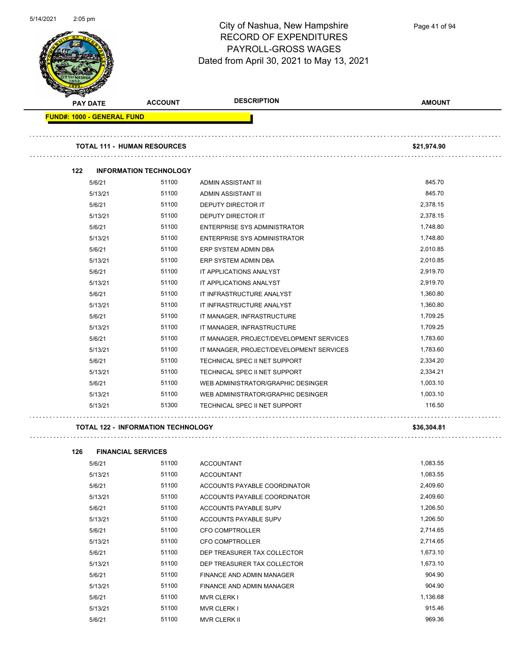

**FUND#: 1000 - GENERAL FUND**

#### City of Nashua, New Hampshire RECORD OF EXPENDITURES PAYROLL-GROSS WAGES Dated from April 30, 2021 to May 13, 2021

**PAY DATE ACCOUNT DESCRIPTION AMOUNT TOTAL 111 - HUMAN RESOURCES \$21,974.90** 

#### **122 INFORMATION TECHNOLOGY** 5/6/21 51100 ADMIN ASSISTANT III 845.70 5/13/21 51100 ADMIN ASSISTANT III 845.70 5/6/21 51100 DEPUTY DIRECTOR IT 2,378.15 5/13/21 51100 DEPUTY DIRECTOR IT 2,378.15 5/6/21 51100 ENTERPRISE SYS ADMINISTRATOR 1,748.80 5/13/21 51100 ENTERPRISE SYS ADMINISTRATOR 1,748.80 5/6/21 51100 ERP SYSTEM ADMIN DBA 2,010.85 5/13/21 51100 ERP SYSTEM ADMIN DBA 2,010.85 5/6/21 51100 IT APPLICATIONS ANALYST 2,919.70 5/13/21 51100 IT APPLICATIONS ANALYST 2,919.70 5/6/21 51100 IT INFRASTRUCTURE ANALYST 1,360.80 5/13/21 51100 IT INFRASTRUCTURE ANALYST 1,360.80 1,360.80 5/6/21 51100 IT MANAGER, INFRASTRUCTURE 1,709.25 5/13/21 5/100 IT MANAGER, INFRASTRUCTURE 1,709.25 5/6/21 51100 IT MANAGER, PROJECT/DEVELOPMENT SERVICES 1,783.60 5/13/21 51100 IT MANAGER, PROJECT/DEVELOPMENT SERVICES 1,783.60 5/6/21 51100 TECHNICAL SPEC II NET SUPPORT 2,334.20 5/13/21 51100 TECHNICAL SPEC II NET SUPPORT 2,334.21 5/6/21 51100 WEB ADMINISTRATOR/GRAPHIC DESINGER 1,003.10

#### **TOTAL 122 - INFORMATION TECHNOLOGY \$36,304.81**

. . . . . . . . . . . . . . .

| 126 | <b>FINANCIAL SERVICES</b> |       |                              |          |
|-----|---------------------------|-------|------------------------------|----------|
|     | 5/6/21                    | 51100 | <b>ACCOUNTANT</b>            | 1,083.55 |
|     | 5/13/21                   | 51100 | <b>ACCOUNTANT</b>            | 1,083.55 |
|     | 5/6/21                    | 51100 | ACCOUNTS PAYABLE COORDINATOR | 2,409.60 |
|     | 5/13/21                   | 51100 | ACCOUNTS PAYABLE COORDINATOR | 2,409.60 |
|     | 5/6/21                    | 51100 | ACCOUNTS PAYABLE SUPV        | 1,206.50 |
|     | 5/13/21                   | 51100 | ACCOUNTS PAYABLE SUPV        | 1,206.50 |
|     | 5/6/21                    | 51100 | <b>CFO COMPTROLLER</b>       | 2,714.65 |
|     | 5/13/21                   | 51100 | <b>CFO COMPTROLLER</b>       | 2,714.65 |
|     | 5/6/21                    | 51100 | DEP TREASURER TAX COLLECTOR  | 1,673.10 |
|     | 5/13/21                   | 51100 | DEP TREASURER TAX COLLECTOR  | 1,673.10 |
|     | 5/6/21                    | 51100 | FINANCE AND ADMIN MANAGER    | 904.90   |
|     | 5/13/21                   | 51100 | FINANCE AND ADMIN MANAGER    | 904.90   |
|     | 5/6/21                    | 51100 | <b>MVR CLERK I</b>           | 1,136.68 |
|     | 5/13/21                   | 51100 | <b>MVR CLERK I</b>           | 915.46   |
|     | 5/6/21                    | 51100 | <b>MVR CLERK II</b>          | 969.36   |

5/13/21 51100 WEB ADMINISTRATOR/GRAPHIC DESINGER 1,003.10 5/13/21 51300 TECHNICAL SPEC II NET SUPPORT 116.50

Page 41 of 94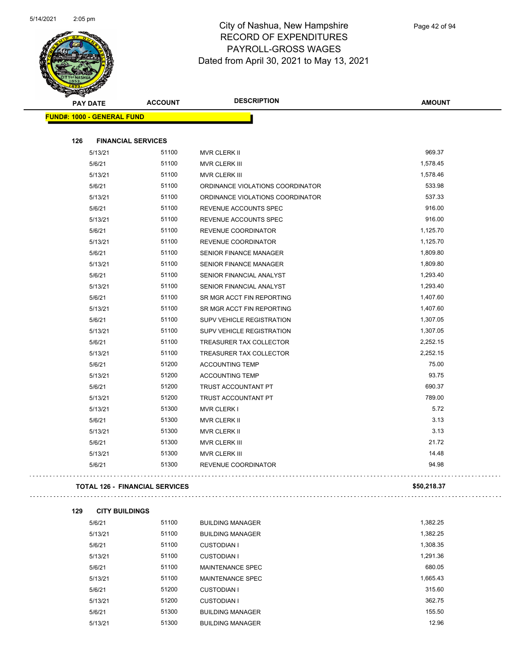

|                                   | <b>PAY DATE</b> | <b>ACCOUNT</b>                        | <b>DESCRIPTION</b>               | <b>AMOUNT</b> |
|-----------------------------------|-----------------|---------------------------------------|----------------------------------|---------------|
| <b>FUND#: 1000 - GENERAL FUND</b> |                 |                                       |                                  |               |
|                                   |                 |                                       |                                  |               |
| 126                               |                 | <b>FINANCIAL SERVICES</b>             |                                  |               |
|                                   | 5/13/21         | 51100                                 | MVR CLERK II                     | 969.37        |
|                                   | 5/6/21          | 51100                                 | MVR CLERK III                    | 1,578.45      |
|                                   | 5/13/21         | 51100                                 | MVR CLERK III                    | 1,578.46      |
|                                   | 5/6/21          | 51100                                 | ORDINANCE VIOLATIONS COORDINATOR | 533.98        |
|                                   | 5/13/21         | 51100                                 | ORDINANCE VIOLATIONS COORDINATOR | 537.33        |
|                                   | 5/6/21          | 51100                                 | REVENUE ACCOUNTS SPEC            | 916.00        |
|                                   | 5/13/21         | 51100                                 | REVENUE ACCOUNTS SPEC            | 916.00        |
|                                   | 5/6/21          | 51100                                 | REVENUE COORDINATOR              | 1,125.70      |
|                                   | 5/13/21         | 51100                                 | REVENUE COORDINATOR              | 1,125.70      |
|                                   | 5/6/21          | 51100                                 | <b>SENIOR FINANCE MANAGER</b>    | 1,809.80      |
|                                   | 5/13/21         | 51100                                 | <b>SENIOR FINANCE MANAGER</b>    | 1,809.80      |
|                                   | 5/6/21          | 51100                                 | SENIOR FINANCIAL ANALYST         | 1,293.40      |
|                                   | 5/13/21         | 51100                                 | SENIOR FINANCIAL ANALYST         | 1,293.40      |
|                                   | 5/6/21          | 51100                                 | SR MGR ACCT FIN REPORTING        | 1,407.60      |
|                                   | 5/13/21         | 51100                                 | SR MGR ACCT FIN REPORTING        | 1,407.60      |
|                                   | 5/6/21          | 51100                                 | SUPV VEHICLE REGISTRATION        | 1,307.05      |
|                                   | 5/13/21         | 51100                                 | SUPV VEHICLE REGISTRATION        | 1,307.05      |
|                                   | 5/6/21          | 51100                                 | TREASURER TAX COLLECTOR          | 2,252.15      |
|                                   | 5/13/21         | 51100                                 | TREASURER TAX COLLECTOR          | 2,252.15      |
|                                   | 5/6/21          | 51200                                 | <b>ACCOUNTING TEMP</b>           | 75.00         |
|                                   | 5/13/21         | 51200                                 | <b>ACCOUNTING TEMP</b>           | 93.75         |
|                                   | 5/6/21          | 51200                                 | TRUST ACCOUNTANT PT              | 690.37        |
|                                   | 5/13/21         | 51200                                 | TRUST ACCOUNTANT PT              | 789.00        |
|                                   | 5/13/21         | 51300                                 | <b>MVR CLERK I</b>               | 5.72          |
|                                   | 5/6/21          | 51300                                 | MVR CLERK II                     | 3.13          |
|                                   | 5/13/21         | 51300                                 | MVR CLERK II                     | 3.13          |
|                                   | 5/6/21          | 51300                                 | MVR CLERK III                    | 21.72         |
|                                   | 5/13/21         | 51300                                 | MVR CLERK III                    | 14.48         |
|                                   | 5/6/21          | 51300                                 | REVENUE COORDINATOR              | 94.98         |
|                                   |                 | <b>TOTAL 126 - FINANCIAL SERVICES</b> |                                  | \$50,218.37   |
| 129                               |                 | <b>CITY BUILDINGS</b>                 |                                  |               |
|                                   | 5/6/21          | 51100                                 | <b>BUILDING MANAGER</b>          | 1,382.25      |
|                                   | 5/13/21         | 51100                                 | <b>BUILDING MANAGER</b>          | 1,382.25      |
|                                   | 5/6/21          | 51100                                 | <b>CUSTODIAN I</b>               | 1,308.35      |
|                                   | 5/13/21         | 51100                                 | <b>CUSTODIAN I</b>               | 1,291.36      |
|                                   | 5/6/21          | 51100                                 | MAINTENANCE SPEC                 | 680.05        |
|                                   |                 |                                       |                                  |               |

| 5/6/21  | 51100 | MAINTENANCE SPEC        | 680.05   |
|---------|-------|-------------------------|----------|
| 5/13/21 | 51100 | <b>MAINTENANCE SPEC</b> | 1,665.43 |
| 5/6/21  | 51200 | <b>CUSTODIAN I</b>      | 315.60   |
| 5/13/21 | 51200 | CUSTODIAN I             | 362.75   |
| 5/6/21  | 51300 | <b>BUILDING MANAGER</b> | 155.50   |
| 5/13/21 | 51300 | <b>BUILDING MANAGER</b> | 12.96    |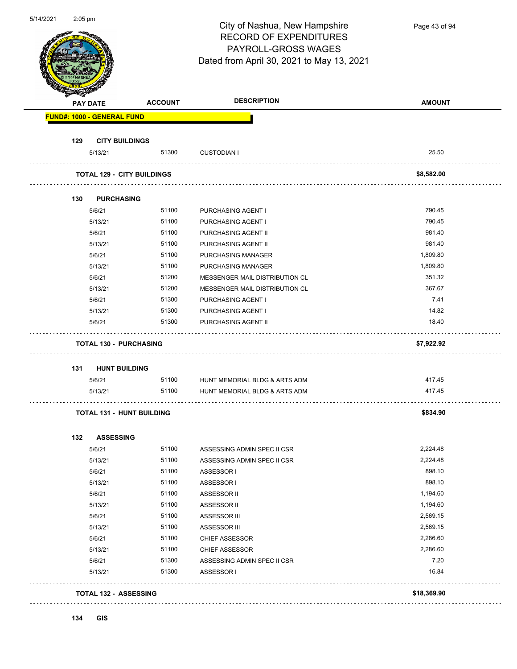|     | $2:05$ pm                         |                                   | City of Nashua, New Hampshire<br><b>RECORD OF EXPENDITURES</b><br>PAYROLL-GROSS WAGES<br>Dated from April 30, 2021 to May 13, 2021 | Page 43 of 94 |
|-----|-----------------------------------|-----------------------------------|------------------------------------------------------------------------------------------------------------------------------------|---------------|
|     | PAY DATE                          | <b>ACCOUNT</b>                    | <b>DESCRIPTION</b>                                                                                                                 | <b>AMOUNT</b> |
|     | <b>FUND#: 1000 - GENERAL FUND</b> |                                   |                                                                                                                                    |               |
| 129 | <b>CITY BUILDINGS</b>             |                                   |                                                                                                                                    |               |
|     | 5/13/21                           | 51300                             | <b>CUSTODIAN I</b>                                                                                                                 | 25.50         |
|     |                                   |                                   |                                                                                                                                    |               |
|     |                                   | <b>TOTAL 129 - CITY BUILDINGS</b> |                                                                                                                                    | \$8,582.00    |
| 130 | <b>PURCHASING</b>                 |                                   |                                                                                                                                    |               |
|     | 5/6/21                            | 51100                             | <b>PURCHASING AGENT I</b>                                                                                                          | 790.45        |
|     | 5/13/21                           | 51100                             | <b>PURCHASING AGENT I</b>                                                                                                          | 790.45        |
|     | 5/6/21                            | 51100                             | PURCHASING AGENT II                                                                                                                | 981.40        |
|     | 5/13/21                           | 51100                             | PURCHASING AGENT II                                                                                                                | 981.40        |
|     | 5/6/21                            | 51100                             | PURCHASING MANAGER                                                                                                                 | 1,809.80      |
|     | 5/13/21                           | 51100                             | PURCHASING MANAGER                                                                                                                 | 1,809.80      |
|     | 5/6/21                            | 51200                             | MESSENGER MAIL DISTRIBUTION CL                                                                                                     | 351.32        |
|     | 5/13/21                           | 51200                             | MESSENGER MAIL DISTRIBUTION CL                                                                                                     | 367.67        |
|     | 5/6/21                            | 51300                             | PURCHASING AGENT I                                                                                                                 | 7.41          |
|     | 5/13/21                           | 51300                             | PURCHASING AGENT I                                                                                                                 | 14.82         |
|     | 5/6/21                            | 51300                             | PURCHASING AGENT II                                                                                                                | 18.40         |
|     |                                   | <b>TOTAL 130 - PURCHASING</b>     |                                                                                                                                    | \$7,922.92    |
| 131 | <b>HUNT BUILDING</b>              |                                   |                                                                                                                                    |               |
|     | 5/6/21                            | 51100                             | HUNT MEMORIAL BLDG & ARTS ADM                                                                                                      | 417.45        |
|     | 5/13/21                           | 51100                             | HUNT MEMORIAL BLDG & ARTS ADM                                                                                                      | 417.45        |
|     |                                   | <b>TOTAL 131 - HUNT BUILDING</b>  |                                                                                                                                    | \$834.90      |
|     |                                   |                                   |                                                                                                                                    |               |
| 132 | <b>ASSESSING</b><br>5/6/21        | 51100                             |                                                                                                                                    | 2,224.48      |
|     | 5/13/21                           | 51100                             | ASSESSING ADMIN SPEC II CSR<br>ASSESSING ADMIN SPEC II CSR                                                                         | 2,224.48      |
|     | 5/6/21                            | 51100                             | ASSESSOR I                                                                                                                         | 898.10        |
|     | 5/13/21                           | 51100                             | ASSESSOR I                                                                                                                         | 898.10        |
|     | 5/6/21                            | 51100                             | ASSESSOR II                                                                                                                        | 1,194.60      |
|     | 5/13/21                           | 51100                             | ASSESSOR II                                                                                                                        | 1,194.60      |
|     | 5/6/21                            | 51100                             | ASSESSOR III                                                                                                                       | 2,569.15      |
|     | 5/13/21                           | 51100                             | ASSESSOR III                                                                                                                       | 2,569.15      |
|     | 5/6/21                            | 51100                             | <b>CHIEF ASSESSOR</b>                                                                                                              | 2,286.60      |
|     | 5/13/21                           | 51100                             | <b>CHIEF ASSESSOR</b>                                                                                                              | 2,286.60      |
|     | 5/6/21                            | 51300                             | ASSESSING ADMIN SPEC II CSR                                                                                                        | 7.20          |
|     | 5/13/21                           | 51300                             | ASSESSOR I                                                                                                                         | 16.84         |
|     | <b>TOTAL 132 - ASSESSING</b>      |                                   |                                                                                                                                    | \$18,369.90   |

**134 GIS**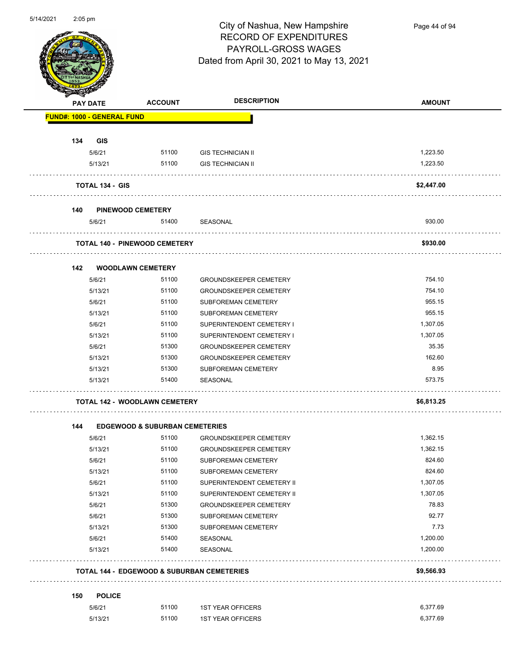

Page 44 of 94

| <b>PAY DATE</b>                   | <b>ACCOUNT</b>                            | <b>DESCRIPTION</b>                                    | <b>AMOUNT</b> |
|-----------------------------------|-------------------------------------------|-------------------------------------------------------|---------------|
| <b>FUND#: 1000 - GENERAL FUND</b> |                                           |                                                       |               |
| 134<br><b>GIS</b>                 |                                           |                                                       |               |
| 5/6/21                            | 51100                                     | <b>GIS TECHNICIAN II</b>                              | 1,223.50      |
| 5/13/21                           | 51100                                     | <b>GIS TECHNICIAN II</b>                              | 1,223.50      |
|                                   |                                           |                                                       |               |
| <b>TOTAL 134 - GIS</b>            |                                           |                                                       | \$2,447.00    |
| 140                               | <b>PINEWOOD CEMETERY</b>                  |                                                       |               |
| 5/6/21                            | 51400                                     | SEASONAL                                              | 930.00        |
|                                   | <b>TOTAL 140 - PINEWOOD CEMETERY</b>      |                                                       | \$930.00      |
|                                   |                                           |                                                       |               |
| 142                               | <b>WOODLAWN CEMETERY</b>                  |                                                       |               |
| 5/6/21                            | 51100                                     | <b>GROUNDSKEEPER CEMETERY</b>                         | 754.10        |
| 5/13/21                           | 51100                                     | <b>GROUNDSKEEPER CEMETERY</b>                         | 754.10        |
| 5/6/21                            | 51100                                     | SUBFOREMAN CEMETERY                                   | 955.15        |
| 5/13/21                           | 51100                                     | SUBFOREMAN CEMETERY                                   | 955.15        |
| 5/6/21                            | 51100                                     | SUPERINTENDENT CEMETERY I                             | 1,307.05      |
| 5/13/21                           | 51100                                     | SUPERINTENDENT CEMETERY I                             | 1,307.05      |
| 5/6/21                            | 51300                                     | <b>GROUNDSKEEPER CEMETERY</b>                         | 35.35         |
| 5/13/21                           | 51300                                     | <b>GROUNDSKEEPER CEMETERY</b>                         | 162.60        |
| 5/13/21                           | 51300                                     | SUBFOREMAN CEMETERY                                   | 8.95          |
| 5/13/21                           | 51400                                     | SEASONAL                                              | 573.75        |
|                                   | <b>TOTAL 142 - WOODLAWN CEMETERY</b>      |                                                       | \$6,813.25    |
|                                   |                                           |                                                       |               |
| 144                               | <b>EDGEWOOD &amp; SUBURBAN CEMETERIES</b> |                                                       |               |
| 5/6/21                            | 51100                                     | <b>GROUNDSKEEPER CEMETERY</b>                         | 1,362.15      |
| 5/13/21                           | 51100                                     | <b>GROUNDSKEEPER CEMETERY</b>                         | 1,362.15      |
| 5/6/21                            | 51100                                     | SUBFOREMAN CEMETERY                                   | 824.60        |
| 5/13/21                           | 51100                                     | SUBFOREMAN CEMETERY                                   | 824.60        |
| 5/6/21                            | 51100                                     | SUPERINTENDENT CEMETERY II                            | 1,307.05      |
| 5/13/21                           | 51100                                     | SUPERINTENDENT CEMETERY II                            | 1,307.05      |
| 5/6/21                            | 51300                                     | <b>GROUNDSKEEPER CEMETERY</b>                         | 78.83         |
| 5/6/21                            | 51300                                     | SUBFOREMAN CEMETERY                                   | 92.77         |
| 5/13/21                           | 51300                                     | SUBFOREMAN CEMETERY                                   | 7.73          |
| 5/6/21                            | 51400                                     | SEASONAL                                              | 1,200.00      |
| 5/13/21                           | 51400                                     | SEASONAL                                              | 1,200.00      |
|                                   |                                           | <b>TOTAL 144 - EDGEWOOD &amp; SUBURBAN CEMETERIES</b> | \$9,566.93    |
|                                   |                                           |                                                       |               |
|                                   |                                           |                                                       |               |
| 150<br><b>POLICE</b><br>5/6/21    | 51100                                     | <b>1ST YEAR OFFICERS</b>                              | 6,377.69      |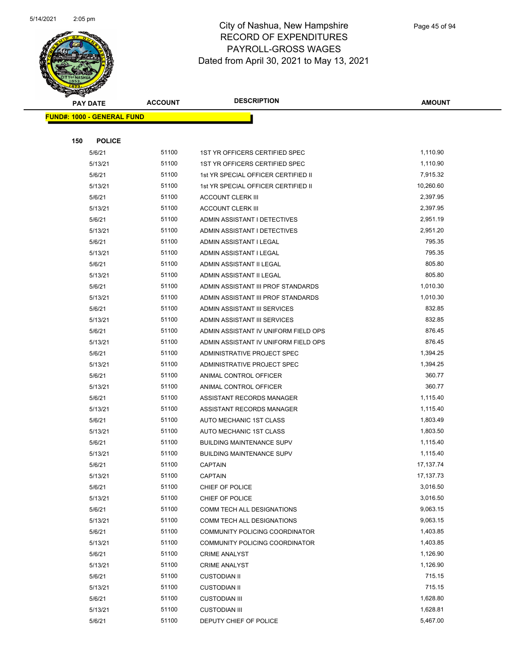

|     | <b>PAY DATE</b>                    | <b>ACCOUNT</b> | <b>DESCRIPTION</b>                   | <b>AMOUNT</b> |
|-----|------------------------------------|----------------|--------------------------------------|---------------|
|     | <u> FUND#: 1000 - GENERAL FUND</u> |                |                                      |               |
|     |                                    |                |                                      |               |
| 150 | <b>POLICE</b>                      |                |                                      |               |
|     | 5/6/21                             | 51100          | 1ST YR OFFICERS CERTIFIED SPEC       | 1,110.90      |
|     | 5/13/21                            | 51100          | 1ST YR OFFICERS CERTIFIED SPEC       | 1,110.90      |
|     | 5/6/21                             | 51100          | 1st YR SPECIAL OFFICER CERTIFIED II  | 7,915.32      |
|     | 5/13/21                            | 51100          | 1st YR SPECIAL OFFICER CERTIFIED II  | 10,260.60     |
|     | 5/6/21                             | 51100          | <b>ACCOUNT CLERK III</b>             | 2,397.95      |
|     | 5/13/21                            | 51100          | <b>ACCOUNT CLERK III</b>             | 2,397.95      |
|     | 5/6/21                             | 51100          | ADMIN ASSISTANT I DETECTIVES         | 2,951.19      |
|     | 5/13/21                            | 51100          | ADMIN ASSISTANT I DETECTIVES         | 2,951.20      |
|     | 5/6/21                             | 51100          | ADMIN ASSISTANT I LEGAL              | 795.35        |
|     | 5/13/21                            | 51100          | ADMIN ASSISTANT I LEGAL              | 795.35        |
|     | 5/6/21                             | 51100          | ADMIN ASSISTANT II LEGAL             | 805.80        |
|     | 5/13/21                            | 51100          | ADMIN ASSISTANT II LEGAL             | 805.80        |
|     | 5/6/21                             | 51100          | ADMIN ASSISTANT III PROF STANDARDS   | 1,010.30      |
|     | 5/13/21                            | 51100          | ADMIN ASSISTANT III PROF STANDARDS   | 1,010.30      |
|     | 5/6/21                             | 51100          | ADMIN ASSISTANT III SERVICES         | 832.85        |
|     | 5/13/21                            | 51100          | ADMIN ASSISTANT III SERVICES         | 832.85        |
|     | 5/6/21                             | 51100          | ADMIN ASSISTANT IV UNIFORM FIELD OPS | 876.45        |
|     | 5/13/21                            | 51100          | ADMIN ASSISTANT IV UNIFORM FIELD OPS | 876.45        |
|     | 5/6/21                             | 51100          | ADMINISTRATIVE PROJECT SPEC          | 1,394.25      |
|     | 5/13/21                            | 51100          | ADMINISTRATIVE PROJECT SPEC          | 1,394.25      |
|     | 5/6/21                             | 51100          | ANIMAL CONTROL OFFICER               | 360.77        |
|     | 5/13/21                            | 51100          | ANIMAL CONTROL OFFICER               | 360.77        |
|     | 5/6/21                             | 51100          | ASSISTANT RECORDS MANAGER            | 1,115.40      |
|     | 5/13/21                            | 51100          | ASSISTANT RECORDS MANAGER            | 1,115.40      |
|     | 5/6/21                             | 51100          | AUTO MECHANIC 1ST CLASS              | 1,803.49      |
|     | 5/13/21                            | 51100          | AUTO MECHANIC 1ST CLASS              | 1,803.50      |
|     | 5/6/21                             | 51100          | <b>BUILDING MAINTENANCE SUPV</b>     | 1,115.40      |
|     | 5/13/21                            | 51100          | <b>BUILDING MAINTENANCE SUPV</b>     | 1,115.40      |
|     | 5/6/21                             | 51100          | <b>CAPTAIN</b>                       | 17, 137. 74   |
|     | 5/13/21                            | 51100          | <b>CAPTAIN</b>                       | 17, 137. 73   |
|     | 5/6/21                             | 51100          | CHIEF OF POLICE                      | 3,016.50      |
|     | 5/13/21                            | 51100          | CHIEF OF POLICE                      | 3,016.50      |
|     | 5/6/21                             | 51100          | COMM TECH ALL DESIGNATIONS           | 9,063.15      |
|     | 5/13/21                            | 51100          | COMM TECH ALL DESIGNATIONS           | 9,063.15      |
|     | 5/6/21                             | 51100          | COMMUNITY POLICING COORDINATOR       | 1,403.85      |
|     | 5/13/21                            | 51100          | COMMUNITY POLICING COORDINATOR       | 1,403.85      |
|     | 5/6/21                             | 51100          | <b>CRIME ANALYST</b>                 | 1,126.90      |
|     | 5/13/21                            | 51100          | <b>CRIME ANALYST</b>                 | 1,126.90      |
|     | 5/6/21                             | 51100          | <b>CUSTODIAN II</b>                  | 715.15        |
|     | 5/13/21                            | 51100          | <b>CUSTODIAN II</b>                  | 715.15        |
|     | 5/6/21                             | 51100          | <b>CUSTODIAN III</b>                 | 1,628.80      |
|     | 5/13/21                            | 51100          | <b>CUSTODIAN III</b>                 | 1,628.81      |
|     | 5/6/21                             | 51100          | DEPUTY CHIEF OF POLICE               | 5,467.00      |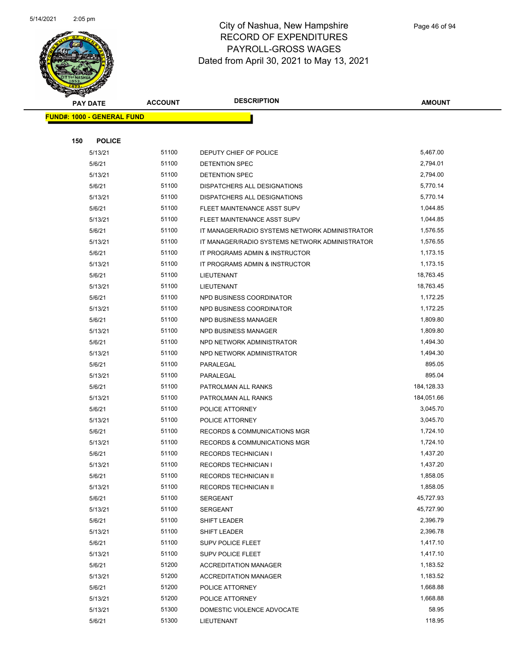

|     | <b>PAY DATE</b>                   | <b>ACCOUNT</b> | <b>DESCRIPTION</b>                             | <b>AMOUNT</b> |
|-----|-----------------------------------|----------------|------------------------------------------------|---------------|
|     | <b>FUND#: 1000 - GENERAL FUND</b> |                |                                                |               |
|     |                                   |                |                                                |               |
| 150 | <b>POLICE</b>                     |                |                                                |               |
|     | 5/13/21                           | 51100          | DEPUTY CHIEF OF POLICE                         | 5,467.00      |
|     | 5/6/21                            | 51100          | DETENTION SPEC                                 | 2,794.01      |
|     | 5/13/21                           | 51100          | DETENTION SPEC                                 | 2,794.00      |
|     | 5/6/21                            | 51100          | DISPATCHERS ALL DESIGNATIONS                   | 5,770.14      |
|     | 5/13/21                           | 51100          | DISPATCHERS ALL DESIGNATIONS                   | 5,770.14      |
|     | 5/6/21                            | 51100          | FLEET MAINTENANCE ASST SUPV                    | 1,044.85      |
|     | 5/13/21                           | 51100          | FLEET MAINTENANCE ASST SUPV                    | 1,044.85      |
|     | 5/6/21                            | 51100          | IT MANAGER/RADIO SYSTEMS NETWORK ADMINISTRATOR | 1,576.55      |
|     | 5/13/21                           | 51100          | IT MANAGER/RADIO SYSTEMS NETWORK ADMINISTRATOR | 1,576.55      |
|     | 5/6/21                            | 51100          | IT PROGRAMS ADMIN & INSTRUCTOR                 | 1,173.15      |
|     | 5/13/21                           | 51100          | IT PROGRAMS ADMIN & INSTRUCTOR                 | 1,173.15      |
|     | 5/6/21                            | 51100          | <b>LIEUTENANT</b>                              | 18,763.45     |
|     | 5/13/21                           | 51100          | LIEUTENANT                                     | 18,763.45     |
|     | 5/6/21                            | 51100          | NPD BUSINESS COORDINATOR                       | 1,172.25      |
|     | 5/13/21                           | 51100          | NPD BUSINESS COORDINATOR                       | 1,172.25      |
|     | 5/6/21                            | 51100          | <b>NPD BUSINESS MANAGER</b>                    | 1,809.80      |
|     | 5/13/21                           | 51100          | NPD BUSINESS MANAGER                           | 1,809.80      |
|     | 5/6/21                            | 51100          | NPD NETWORK ADMINISTRATOR                      | 1,494.30      |
|     | 5/13/21                           | 51100          | NPD NETWORK ADMINISTRATOR                      | 1,494.30      |
|     | 5/6/21                            | 51100          | PARALEGAL                                      | 895.05        |
|     | 5/13/21                           | 51100          | PARALEGAL                                      | 895.04        |
|     | 5/6/21                            | 51100          | PATROLMAN ALL RANKS                            | 184,128.33    |
|     | 5/13/21                           | 51100          | PATROLMAN ALL RANKS                            | 184,051.66    |
|     | 5/6/21                            | 51100          | POLICE ATTORNEY                                | 3,045.70      |
|     | 5/13/21                           | 51100          | POLICE ATTORNEY                                | 3,045.70      |
|     | 5/6/21                            | 51100          | <b>RECORDS &amp; COMMUNICATIONS MGR</b>        | 1,724.10      |
|     | 5/13/21                           | 51100          | <b>RECORDS &amp; COMMUNICATIONS MGR</b>        | 1,724.10      |
|     | 5/6/21                            | 51100          | <b>RECORDS TECHNICIAN I</b>                    | 1,437.20      |
|     | 5/13/21                           | 51100          | <b>RECORDS TECHNICIAN I</b>                    | 1,437.20      |
|     | 5/6/21                            | 51100          | <b>RECORDS TECHNICIAN II</b>                   | 1,858.05      |
|     | 5/13/21                           | 51100          | RECORDS TECHNICIAN II                          | 1,858.05      |
|     | 5/6/21                            | 51100          | <b>SERGEANT</b>                                | 45,727.93     |
|     | 5/13/21                           | 51100          | <b>SERGEANT</b>                                | 45,727.90     |
|     | 5/6/21                            | 51100          | SHIFT LEADER                                   | 2,396.79      |
|     | 5/13/21                           | 51100          | SHIFT LEADER                                   | 2,396.78      |
|     | 5/6/21                            | 51100          | SUPV POLICE FLEET                              | 1,417.10      |
|     | 5/13/21                           | 51100          | SUPV POLICE FLEET                              | 1,417.10      |
|     | 5/6/21                            | 51200          | <b>ACCREDITATION MANAGER</b>                   | 1,183.52      |
|     | 5/13/21                           | 51200          | <b>ACCREDITATION MANAGER</b>                   | 1,183.52      |
|     | 5/6/21                            | 51200          | POLICE ATTORNEY                                | 1,668.88      |
|     | 5/13/21                           | 51200          | POLICE ATTORNEY                                | 1,668.88      |
|     | 5/13/21                           | 51300          | DOMESTIC VIOLENCE ADVOCATE                     | 58.95         |
|     | 5/6/21                            | 51300          | LIEUTENANT                                     | 118.95        |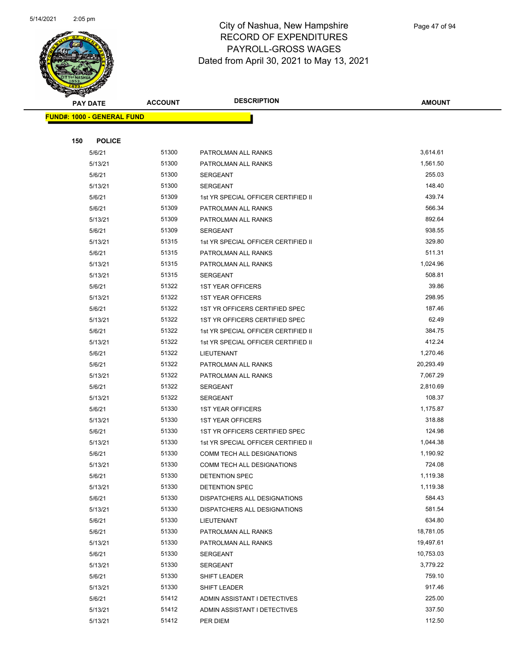

Page 47 of 94

| <b>PAY DATE</b>                   | <b>ACCOUNT</b> | <b>DESCRIPTION</b>                          | <b>AMOUNT</b>      |
|-----------------------------------|----------------|---------------------------------------------|--------------------|
| <b>FUND#: 1000 - GENERAL FUND</b> |                |                                             |                    |
|                                   |                |                                             |                    |
| 150<br><b>POLICE</b>              |                |                                             |                    |
| 5/6/21                            | 51300          | PATROLMAN ALL RANKS                         | 3,614.61           |
| 5/13/21                           | 51300          | PATROLMAN ALL RANKS                         | 1,561.50           |
| 5/6/21                            | 51300          | <b>SERGEANT</b>                             | 255.03             |
| 5/13/21                           | 51300          | SERGEANT                                    | 148.40             |
| 5/6/21                            | 51309          | 1st YR SPECIAL OFFICER CERTIFIED II         | 439.74             |
| 5/6/21                            | 51309          | PATROLMAN ALL RANKS                         | 566.34             |
| 5/13/21                           | 51309          | PATROLMAN ALL RANKS                         | 892.64             |
| 5/6/21                            | 51309          | <b>SERGEANT</b>                             | 938.55             |
| 5/13/21                           | 51315          | 1st YR SPECIAL OFFICER CERTIFIED II         | 329.80             |
| 5/6/21                            | 51315          | PATROLMAN ALL RANKS                         | 511.31             |
| 5/13/21                           | 51315<br>51315 | PATROLMAN ALL RANKS                         | 1,024.96<br>508.81 |
| 5/13/21<br>5/6/21                 | 51322          | <b>SERGEANT</b><br><b>1ST YEAR OFFICERS</b> | 39.86              |
| 5/13/21                           | 51322          | <b>1ST YEAR OFFICERS</b>                    | 298.95             |
| 5/6/21                            | 51322          | 1ST YR OFFICERS CERTIFIED SPEC              | 187.46             |
| 5/13/21                           | 51322          | 1ST YR OFFICERS CERTIFIED SPEC              | 62.49              |
| 5/6/21                            | 51322          | 1st YR SPECIAL OFFICER CERTIFIED II         | 384.75             |
| 5/13/21                           | 51322          | 1st YR SPECIAL OFFICER CERTIFIED II         | 412.24             |
| 5/6/21                            | 51322          | LIEUTENANT                                  | 1,270.46           |
| 5/6/21                            | 51322          | PATROLMAN ALL RANKS                         | 20,293.49          |
| 5/13/21                           | 51322          | PATROLMAN ALL RANKS                         | 7,067.29           |
| 5/6/21                            | 51322          | SERGEANT                                    | 2,810.69           |
| 5/13/21                           | 51322          | SERGEANT                                    | 108.37             |
| 5/6/21                            | 51330          | <b>1ST YEAR OFFICERS</b>                    | 1,175.87           |
| 5/13/21                           | 51330          | <b>1ST YEAR OFFICERS</b>                    | 318.88             |
| 5/6/21                            | 51330          | 1ST YR OFFICERS CERTIFIED SPEC              | 124.98             |
| 5/13/21                           | 51330          | 1st YR SPECIAL OFFICER CERTIFIED II         | 1,044.38           |
| 5/6/21                            | 51330          | COMM TECH ALL DESIGNATIONS                  | 1,190.92           |
| 5/13/21                           | 51330          | COMM TECH ALL DESIGNATIONS                  | 724.08             |
| 5/6/21                            | 51330          | DETENTION SPEC                              | 1,119.38           |
| 5/13/21                           | 51330          | DETENTION SPEC                              | 1,119.38           |
| 5/6/21                            | 51330          | DISPATCHERS ALL DESIGNATIONS                | 584.43             |
| 5/13/21                           | 51330<br>51330 | DISPATCHERS ALL DESIGNATIONS                | 581.54<br>634.80   |
| 5/6/21<br>5/6/21                  | 51330          | LIEUTENANT                                  | 18,781.05          |
| 5/13/21                           | 51330          | PATROLMAN ALL RANKS<br>PATROLMAN ALL RANKS  | 19,497.61          |
| 5/6/21                            | 51330          | SERGEANT                                    | 10,753.03          |
| 5/13/21                           | 51330          | <b>SERGEANT</b>                             | 3,779.22           |
| 5/6/21                            | 51330          | SHIFT LEADER                                | 759.10             |
| 5/13/21                           | 51330          | SHIFT LEADER                                | 917.46             |
| 5/6/21                            | 51412          | ADMIN ASSISTANT I DETECTIVES                | 225.00             |
| 5/13/21                           | 51412          | ADMIN ASSISTANT I DETECTIVES                | 337.50             |
| 5/13/21                           | 51412          | PER DIEM                                    | 112.50             |
|                                   |                |                                             |                    |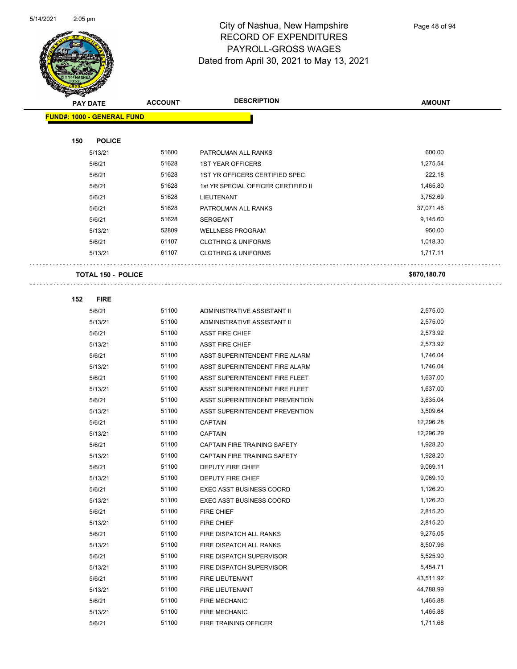

Page 48 of 94

|     | <b>PAY DATE</b>                   | <b>ACCOUNT</b> | <b>DESCRIPTION</b>                  | <b>AMOUNT</b> |
|-----|-----------------------------------|----------------|-------------------------------------|---------------|
|     | <b>FUND#: 1000 - GENERAL FUND</b> |                |                                     |               |
|     |                                   |                |                                     |               |
| 150 | <b>POLICE</b>                     |                |                                     |               |
|     | 5/13/21                           | 51600          | PATROLMAN ALL RANKS                 | 600.00        |
|     | 5/6/21                            | 51628          | <b>1ST YEAR OFFICERS</b>            | 1,275.54      |
|     | 5/6/21                            | 51628          | 1ST YR OFFICERS CERTIFIED SPEC      | 222.18        |
|     | 5/6/21                            | 51628          | 1st YR SPECIAL OFFICER CERTIFIED II | 1,465.80      |
|     | 5/6/21                            | 51628          | LIEUTENANT                          | 3,752.69      |
|     | 5/6/21                            | 51628          | PATROLMAN ALL RANKS                 | 37,071.46     |
|     | 5/6/21                            | 51628          | <b>SERGEANT</b>                     | 9,145.60      |
|     | 5/13/21                           | 52809          | <b>WELLNESS PROGRAM</b>             | 950.00        |
|     | 5/6/21                            | 61107          | <b>CLOTHING &amp; UNIFORMS</b>      | 1,018.30      |
|     | 5/13/21                           | 61107          | <b>CLOTHING &amp; UNIFORMS</b>      | 1,717.11      |
|     |                                   |                |                                     |               |
|     | <b>TOTAL 150 - POLICE</b>         |                |                                     | \$870,180.70  |
| 152 | <b>FIRE</b>                       |                |                                     |               |
|     | 5/6/21                            | 51100          | ADMINISTRATIVE ASSISTANT II         | 2,575.00      |
|     | 5/13/21                           | 51100          | ADMINISTRATIVE ASSISTANT II         | 2,575.00      |
|     | 5/6/21                            | 51100          | <b>ASST FIRE CHIEF</b>              | 2,573.92      |
|     | 5/13/21                           | 51100          | <b>ASST FIRE CHIEF</b>              | 2,573.92      |
|     | 5/6/21                            | 51100          | ASST SUPERINTENDENT FIRE ALARM      | 1,746.04      |
|     | 5/13/21                           | 51100          | ASST SUPERINTENDENT FIRE ALARM      | 1,746.04      |
|     | 5/6/21                            | 51100          | ASST SUPERINTENDENT FIRE FLEET      | 1,637.00      |
|     | 5/13/21                           | 51100          | ASST SUPERINTENDENT FIRE FLEET      | 1,637.00      |
|     | 5/6/21                            | 51100          | ASST SUPERINTENDENT PREVENTION      | 3,635.04      |
|     | 5/13/21                           | 51100          | ASST SUPERINTENDENT PREVENTION      | 3,509.64      |
|     | 5/6/21                            | 51100          | <b>CAPTAIN</b>                      | 12,296.28     |
|     | 5/13/21                           | 51100          | <b>CAPTAIN</b>                      | 12,296.29     |
|     | 5/6/21                            | 51100          | <b>CAPTAIN FIRE TRAINING SAFETY</b> | 1,928.20      |
|     | 5/13/21                           | 51100          | CAPTAIN FIRE TRAINING SAFETY        | 1,928.20      |
|     | 5/6/21                            | 51100          | DEPUTY FIRE CHIEF                   | 9,069.11      |
|     | 5/13/21                           | 51100          | DEPUTY FIRE CHIEF                   | 9,069.10      |
|     | 5/6/21                            | 51100          | <b>EXEC ASST BUSINESS COORD</b>     | 1,126.20      |
|     | 5/13/21                           | 51100          | <b>EXEC ASST BUSINESS COORD</b>     | 1,126.20      |
|     | 5/6/21                            | 51100          | FIRE CHIEF                          | 2,815.20      |
|     | 5/13/21                           | 51100          | FIRE CHIEF                          | 2,815.20      |
|     | 5/6/21                            | 51100          | FIRE DISPATCH ALL RANKS             | 9,275.05      |
|     | 5/13/21                           | 51100          | FIRE DISPATCH ALL RANKS             | 8,507.96      |
|     | 5/6/21                            | 51100          | FIRE DISPATCH SUPERVISOR            | 5,525.90      |
|     | 5/13/21                           | 51100          | FIRE DISPATCH SUPERVISOR            | 5,454.71      |
|     | 5/6/21                            | 51100          | FIRE LIEUTENANT                     | 43,511.92     |
|     | 5/13/21                           | 51100          | FIRE LIEUTENANT                     | 44,788.99     |
|     | 5/6/21                            | 51100          | <b>FIRE MECHANIC</b>                | 1,465.88      |
|     | 5/13/21                           | 51100          | FIRE MECHANIC                       | 1,465.88      |
|     | 5/6/21                            | 51100          | FIRE TRAINING OFFICER               | 1,711.68      |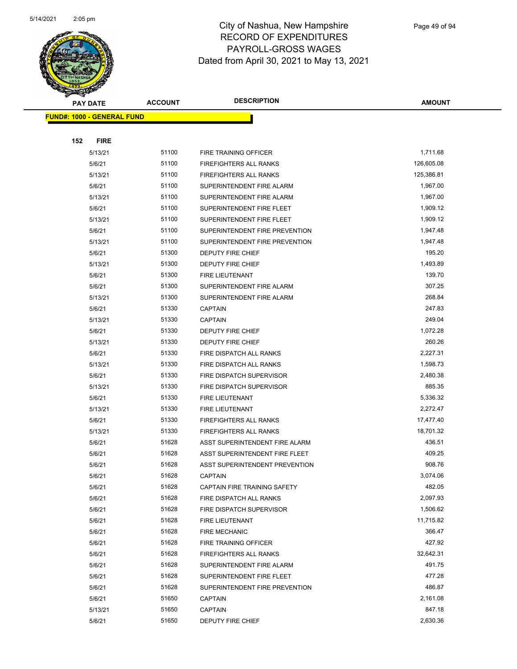

Page 49 of 94

|     | <b>PAY DATE</b>                   | <b>ACCOUNT</b> | <b>DESCRIPTION</b>             | <b>AMOUNT</b>    |
|-----|-----------------------------------|----------------|--------------------------------|------------------|
|     | <b>FUND#: 1000 - GENERAL FUND</b> |                |                                |                  |
|     |                                   |                |                                |                  |
| 152 | <b>FIRE</b>                       |                |                                |                  |
|     | 5/13/21                           | 51100          | FIRE TRAINING OFFICER          | 1,711.68         |
|     | 5/6/21                            | 51100          | FIREFIGHTERS ALL RANKS         | 126,605.08       |
|     | 5/13/21                           | 51100          | <b>FIREFIGHTERS ALL RANKS</b>  | 125,386.81       |
|     | 5/6/21                            | 51100          | SUPERINTENDENT FIRE ALARM      | 1,967.00         |
|     | 5/13/21                           | 51100          | SUPERINTENDENT FIRE ALARM      | 1,967.00         |
|     | 5/6/21                            | 51100          | SUPERINTENDENT FIRE FLEET      | 1,909.12         |
|     | 5/13/21                           | 51100          | SUPERINTENDENT FIRE FLEET      | 1,909.12         |
|     | 5/6/21                            | 51100          | SUPERINTENDENT FIRE PREVENTION | 1,947.48         |
|     | 5/13/21                           | 51100          | SUPERINTENDENT FIRE PREVENTION | 1,947.48         |
|     | 5/6/21                            | 51300          | DEPUTY FIRE CHIEF              | 195.20           |
|     | 5/13/21                           | 51300          | DEPUTY FIRE CHIEF              | 1,493.89         |
|     | 5/6/21                            | 51300          | <b>FIRE LIEUTENANT</b>         | 139.70           |
|     | 5/6/21                            | 51300          | SUPERINTENDENT FIRE ALARM      | 307.25           |
|     | 5/13/21                           | 51300          | SUPERINTENDENT FIRE ALARM      | 268.84           |
|     | 5/6/21                            | 51330          | <b>CAPTAIN</b>                 | 247.83           |
|     | 5/13/21                           | 51330          | <b>CAPTAIN</b>                 | 249.04           |
|     | 5/6/21                            | 51330          | DEPUTY FIRE CHIEF              | 1,072.28         |
|     | 5/13/21                           | 51330          | DEPUTY FIRE CHIEF              | 260.26           |
|     | 5/6/21                            | 51330          | FIRE DISPATCH ALL RANKS        | 2,227.31         |
|     | 5/13/21                           | 51330          | FIRE DISPATCH ALL RANKS        | 1,598.73         |
|     | 5/6/21                            | 51330          | FIRE DISPATCH SUPERVISOR       | 2,480.38         |
|     | 5/13/21                           | 51330          | FIRE DISPATCH SUPERVISOR       | 885.35           |
|     | 5/6/21                            | 51330          | <b>FIRE LIEUTENANT</b>         | 5,336.32         |
|     | 5/13/21                           | 51330          | FIRE LIEUTENANT                | 2,272.47         |
|     | 5/6/21                            | 51330          | <b>FIREFIGHTERS ALL RANKS</b>  | 17,477.40        |
|     | 5/13/21                           | 51330          | FIREFIGHTERS ALL RANKS         | 18,701.32        |
|     | 5/6/21                            | 51628          | ASST SUPERINTENDENT FIRE ALARM | 436.51           |
|     | 5/6/21                            | 51628          | ASST SUPERINTENDENT FIRE FLEET | 409.25           |
|     | 5/6/21                            | 51628          | ASST SUPERINTENDENT PREVENTION | 908.76           |
|     | 5/6/21                            | 51628          | CAPTAIN                        | 3,074.06         |
|     | 5/6/21                            | 51628          | CAPTAIN FIRE TRAINING SAFETY   | 482.05           |
|     | 5/6/21                            | 51628          | FIRE DISPATCH ALL RANKS        | 2,097.93         |
|     | 5/6/21                            | 51628          | FIRE DISPATCH SUPERVISOR       | 1,506.62         |
|     | 5/6/21                            | 51628          | FIRE LIEUTENANT                | 11,715.82        |
|     | 5/6/21                            | 51628          | <b>FIRE MECHANIC</b>           | 366.47           |
|     | 5/6/21                            | 51628          | FIRE TRAINING OFFICER          | 427.92           |
|     | 5/6/21                            | 51628          | <b>FIREFIGHTERS ALL RANKS</b>  | 32,642.31        |
|     | 5/6/21                            | 51628          | SUPERINTENDENT FIRE ALARM      | 491.75           |
|     | 5/6/21                            | 51628<br>51628 | SUPERINTENDENT FIRE FLEET      | 477.28<br>486.87 |
|     | 5/6/21                            | 51650          | SUPERINTENDENT FIRE PREVENTION | 2,161.08         |
|     | 5/6/21                            | 51650          | <b>CAPTAIN</b>                 | 847.18           |
|     | 5/13/21                           | 51650          | <b>CAPTAIN</b>                 | 2,630.36         |
|     | 5/6/21                            |                | DEPUTY FIRE CHIEF              |                  |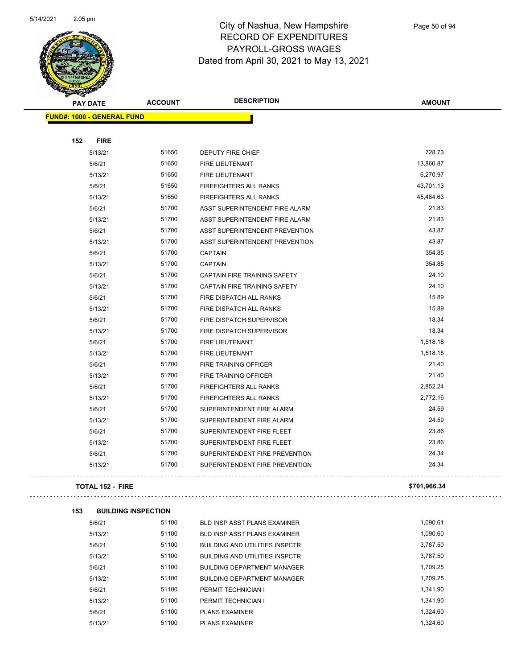

Page 50 of 94

| <b>STATERS</b>                    |                |                                       |               |
|-----------------------------------|----------------|---------------------------------------|---------------|
| <b>PAY DATE</b>                   | <b>ACCOUNT</b> | <b>DESCRIPTION</b>                    | <b>AMOUNT</b> |
| <b>FUND#: 1000 - GENERAL FUND</b> |                |                                       |               |
|                                   |                |                                       |               |
| 152<br><b>FIRE</b>                |                |                                       |               |
| 5/13/21                           | 51650          | DEPUTY FIRE CHIEF                     | 728.73        |
| 5/6/21                            | 51650          | FIRE LIEUTENANT                       | 13,860.87     |
| 5/13/21                           | 51650          | FIRE LIEUTENANT                       | 6,270.97      |
| 5/6/21                            | 51650          | FIREFIGHTERS ALL RANKS                | 43,701.13     |
| 5/13/21                           | 51650          | FIREFIGHTERS ALL RANKS                | 45,484.63     |
| 5/6/21                            | 51700          | ASST SUPERINTENDENT FIRE ALARM        | 21.83         |
| 5/13/21                           | 51700          | ASST SUPERINTENDENT FIRE ALARM        | 21.83         |
| 5/6/21                            | 51700          | ASST SUPERINTENDENT PREVENTION        | 43.87         |
| 5/13/21                           | 51700          | ASST SUPERINTENDENT PREVENTION        | 43.87         |
| 5/6/21                            | 51700          | <b>CAPTAIN</b>                        | 354.85        |
| 5/13/21                           | 51700          | <b>CAPTAIN</b>                        | 354.85        |
| 5/6/21                            | 51700          | CAPTAIN FIRE TRAINING SAFETY          | 24.10         |
| 5/13/21                           | 51700          | CAPTAIN FIRE TRAINING SAFETY          | 24.10         |
| 5/6/21                            | 51700          | FIRE DISPATCH ALL RANKS               | 15.89         |
| 5/13/21                           | 51700          | FIRE DISPATCH ALL RANKS               | 15.89         |
| 5/6/21                            | 51700          | FIRE DISPATCH SUPERVISOR              | 18.34         |
| 5/13/21                           | 51700          | FIRE DISPATCH SUPERVISOR              | 18.34         |
| 5/6/21                            | 51700          | FIRE LIEUTENANT                       | 1,518.18      |
| 5/13/21                           | 51700          | FIRE LIEUTENANT                       | 1,518.18      |
| 5/6/21                            | 51700          | FIRE TRAINING OFFICER                 | 21.40         |
| 5/13/21                           | 51700          | FIRE TRAINING OFFICER                 | 21.40         |
| 5/6/21                            | 51700          | <b>FIREFIGHTERS ALL RANKS</b>         | 2,852.24      |
| 5/13/21                           | 51700          | FIREFIGHTERS ALL RANKS                | 2,772.16      |
| 5/6/21                            | 51700          | SUPERINTENDENT FIRE ALARM             | 24.59         |
| 5/13/21                           | 51700          | SUPERINTENDENT FIRE ALARM             | 24.59         |
| 5/6/21                            | 51700          | SUPERINTENDENT FIRE FLEET             | 23.86         |
| 5/13/21                           | 51700          | SUPERINTENDENT FIRE FLEET             | 23.86         |
| 5/6/21                            | 51700          | SUPERINTENDENT FIRE PREVENTION        | 24.34         |
| 5/13/21                           | 51700          | SUPERINTENDENT FIRE PREVENTION        | 24.34         |
|                                   |                |                                       |               |
| <b>TOTAL 152 - FIRE</b>           |                |                                       | \$701,966.34  |
|                                   |                |                                       |               |
| 153<br><b>BUILDING INSPECTION</b> |                |                                       |               |
| 5/6/21                            | 51100          | BLD INSP ASST PLANS EXAMINER          | 1,090.61      |
| 5/13/21                           | 51100          | <b>BLD INSP ASST PLANS EXAMINER</b>   | 1,090.60      |
| 5/6/21                            | 51100          | <b>BUILDING AND UTILITIES INSPCTR</b> | 3,787.50      |
| 5/13/21                           | 51100          | <b>BUILDING AND UTILITIES INSPCTR</b> | 3,787.50      |
| 5/6/21                            | 51100          | <b>BUILDING DEPARTMENT MANAGER</b>    | 1,709.25      |
| 5/13/21                           | 51100          | <b>BUILDING DEPARTMENT MANAGER</b>    | 1,709.25      |
| 5/6/21                            | 51100          | DEDMIT TECHNICIAN I                   | 1 341 90      |

| 5/6/21  | 51100 | <b>BLD INSP ASST PLANS EXAMINER</b>   | 1.090.61 |
|---------|-------|---------------------------------------|----------|
| 5/13/21 | 51100 | BLD INSP ASST PLANS EXAMINER          | 1.090.60 |
| 5/6/21  | 51100 | <b>BUILDING AND UTILITIES INSPCTR</b> | 3,787.50 |
| 5/13/21 | 51100 | <b>BUILDING AND UTILITIES INSPCTR</b> | 3.787.50 |
| 5/6/21  | 51100 | <b>BUILDING DEPARTMENT MANAGER</b>    | 1.709.25 |
| 5/13/21 | 51100 | <b>BUILDING DEPARTMENT MANAGER</b>    | 1.709.25 |
| 5/6/21  | 51100 | PERMIT TECHNICIAN I                   | 1.341.90 |
| 5/13/21 | 51100 | PERMIT TECHNICIAN I                   | 1.341.90 |
| 5/6/21  | 51100 | <b>PI ANS EXAMINER</b>                | 1.324.60 |
| 5/13/21 | 51100 | <b>PLANS EXAMINER</b>                 | 1.324.60 |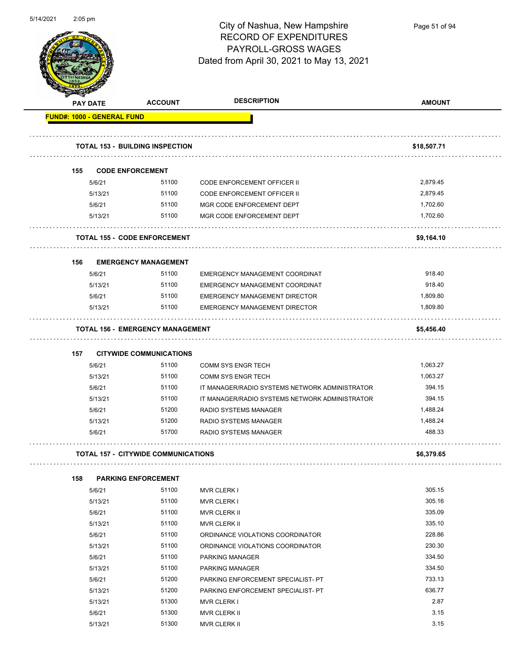

Page 51 of 94

|     | PAY DATE | <b>ACCOUNT</b>                             | <b>DESCRIPTION</b>                             | <b>AMOUNT</b> |
|-----|----------|--------------------------------------------|------------------------------------------------|---------------|
|     |          | <b>FUND#: 1000 - GENERAL FUND</b>          |                                                |               |
|     |          | <b>TOTAL 153 - BUILDING INSPECTION</b>     |                                                | \$18,507.71   |
| 155 |          | <b>CODE ENFORCEMENT</b>                    |                                                |               |
|     | 5/6/21   | 51100                                      | <b>CODE ENFORCEMENT OFFICER II</b>             | 2,879.45      |
|     | 5/13/21  | 51100                                      | <b>CODE ENFORCEMENT OFFICER II</b>             | 2,879.45      |
|     | 5/6/21   | 51100                                      | MGR CODE ENFORCEMENT DEPT                      | 1,702.60      |
|     | 5/13/21  | 51100                                      | MGR CODE ENFORCEMENT DEPT                      | 1,702.60      |
|     |          | <b>TOTAL 155 - CODE ENFORCEMENT</b>        |                                                | \$9,164.10    |
| 156 |          | <b>EMERGENCY MANAGEMENT</b>                |                                                |               |
|     | 5/6/21   | 51100                                      | EMERGENCY MANAGEMENT COORDINAT                 | 918.40        |
|     | 5/13/21  | 51100                                      | EMERGENCY MANAGEMENT COORDINAT                 | 918.40        |
|     | 5/6/21   | 51100                                      | <b>EMERGENCY MANAGEMENT DIRECTOR</b>           | 1,809.80      |
|     | 5/13/21  | 51100                                      | <b>EMERGENCY MANAGEMENT DIRECTOR</b>           | 1,809.80      |
|     |          | <b>TOTAL 156 - EMERGENCY MANAGEMENT</b>    |                                                | \$5,456.40    |
| 157 |          | <b>CITYWIDE COMMUNICATIONS</b>             |                                                |               |
|     | 5/6/21   | 51100                                      | <b>COMM SYS ENGR TECH</b>                      | 1,063.27      |
|     | 5/13/21  | 51100                                      | <b>COMM SYS ENGR TECH</b>                      | 1,063.27      |
|     | 5/6/21   | 51100                                      | IT MANAGER/RADIO SYSTEMS NETWORK ADMINISTRATOR | 394.15        |
|     | 5/13/21  | 51100                                      | IT MANAGER/RADIO SYSTEMS NETWORK ADMINISTRATOR | 394.15        |
|     | 5/6/21   | 51200                                      | RADIO SYSTEMS MANAGER                          | 1,488.24      |
|     | 5/13/21  | 51200                                      | <b>RADIO SYSTEMS MANAGER</b>                   | 1,488.24      |
|     | 5/6/21   | 51700                                      | RADIO SYSTEMS MANAGER                          | 488.33        |
|     |          | <b>TOTAL 157 - CITYWIDE COMMUNICATIONS</b> |                                                | \$6,379.65    |
| 158 |          | <b>PARKING ENFORCEMENT</b>                 |                                                |               |
|     | 5/6/21   | 51100                                      | MVR CLERK I                                    | 305.15        |
|     | 5/13/21  | 51100                                      | <b>MVR CLERK I</b>                             | 305.16        |
|     | 5/6/21   | 51100                                      | <b>MVR CLERK II</b>                            | 335.09        |
|     | 5/13/21  | 51100                                      | MVR CLERK II                                   | 335.10        |
|     | 5/6/21   | 51100                                      | ORDINANCE VIOLATIONS COORDINATOR               | 228.86        |
|     | 5/13/21  | 51100                                      | ORDINANCE VIOLATIONS COORDINATOR               | 230.30        |
|     | 5/6/21   | 51100                                      | <b>PARKING MANAGER</b>                         | 334.50        |
|     | 5/13/21  | 51100                                      | PARKING MANAGER                                | 334.50        |
|     | 5/6/21   | 51200                                      | PARKING ENFORCEMENT SPECIALIST- PT             | 733.13        |
|     | 5/13/21  | 51200                                      | PARKING ENFORCEMENT SPECIALIST- PT             | 636.77        |
|     | 5/13/21  | 51300                                      | MVR CLERK I                                    | 2.87          |
|     | 5/6/21   | 51300                                      | MVR CLERK II                                   | 3.15          |
|     | 5/13/21  | 51300                                      | <b>MVR CLERK II</b>                            | 3.15          |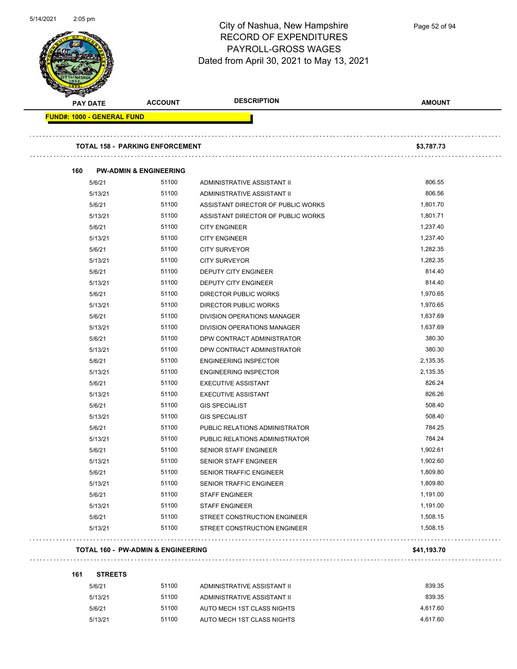$\overline{\phantom{0}}$ 



### City of Nashua, New Hampshire RECORD OF EXPENDITURES PAYROLL-GROSS WAGES Dated from April 30, 2021 to May 13, 2021

| <b>PAY DATE</b>                   | <b>ACCOUNT</b>                         | <b>DESCRIPTION</b>                 | <b>AMOUNT</b> |
|-----------------------------------|----------------------------------------|------------------------------------|---------------|
| <b>FUND#: 1000 - GENERAL FUND</b> |                                        |                                    |               |
|                                   | <b>TOTAL 158 - PARKING ENFORCEMENT</b> |                                    | \$3,787.73    |
|                                   |                                        |                                    |               |
| 160                               | <b>PW-ADMIN &amp; ENGINEERING</b>      |                                    |               |
| 5/6/21                            | 51100                                  | ADMINISTRATIVE ASSISTANT II        | 806.55        |
| 5/13/21                           | 51100                                  | ADMINISTRATIVE ASSISTANT II        | 806.56        |
| 5/6/21                            | 51100                                  | ASSISTANT DIRECTOR OF PUBLIC WORKS | 1,801.70      |
| 5/13/21                           | 51100                                  | ASSISTANT DIRECTOR OF PUBLIC WORKS | 1,801.71      |
| 5/6/21                            | 51100                                  | <b>CITY ENGINEER</b>               | 1,237.40      |
| 5/13/21                           | 51100                                  | <b>CITY ENGINEER</b>               | 1,237.40      |
| 5/6/21                            | 51100                                  | <b>CITY SURVEYOR</b>               | 1,282.35      |
| 5/13/21                           | 51100                                  | <b>CITY SURVEYOR</b>               | 1,282.35      |
| 5/6/21                            | 51100                                  | <b>DEPUTY CITY ENGINEER</b>        | 814.40        |
| 5/13/21                           | 51100                                  | DEPUTY CITY ENGINEER               | 814.40        |
| 5/6/21                            | 51100                                  | DIRECTOR PUBLIC WORKS              | 1,970.65      |
| 5/13/21                           | 51100                                  | DIRECTOR PUBLIC WORKS              | 1,970.65      |
| 5/6/21                            | 51100                                  | DIVISION OPERATIONS MANAGER        | 1,637.69      |
| 5/13/21                           | 51100                                  | DIVISION OPERATIONS MANAGER        | 1,637.69      |
| 5/6/21                            | 51100                                  | DPW CONTRACT ADMINISTRATOR         | 380.30        |
| 5/13/21                           | 51100                                  | DPW CONTRACT ADMINISTRATOR         | 380.30        |
| 5/6/21                            | 51100                                  | <b>ENGINEERING INSPECTOR</b>       | 2,135.35      |
| 5/13/21                           | 51100                                  | <b>ENGINEERING INSPECTOR</b>       | 2,135.35      |
| 5/6/21                            | 51100                                  | <b>EXECUTIVE ASSISTANT</b>         | 826.24        |
| 5/13/21                           | 51100                                  | <b>EXECUTIVE ASSISTANT</b>         | 826.26        |
| 5/6/21                            | 51100                                  | <b>GIS SPECIALIST</b>              | 508.40        |
| 5/13/21                           | 51100                                  | <b>GIS SPECIALIST</b>              | 508.40        |
| 5/6/21                            | 51100                                  | PUBLIC RELATIONS ADMINISTRATOR     | 784.25        |
| 5/13/21                           | 51100                                  | PUBLIC RELATIONS ADMINISTRATOR     | 784.24        |
| 5/6/21                            | 51100                                  | SENIOR STAFF ENGINEER              | 1,902.61      |
| 5/13/21                           | 51100                                  | SENIOR STAFF ENGINEER              | 1,902.60      |
| 5/6/21                            | 51100                                  | SENIOR TRAFFIC ENGINEER            | 1,809.80      |
| 5/13/21                           | 51100                                  | <b>SENIOR TRAFFIC ENGINEER</b>     | 1,809.80      |
| 5/6/21                            | 51100                                  | <b>STAFF ENGINEER</b>              | 1,191.00      |
| 5/13/21                           | 51100                                  | <b>STAFF ENGINEER</b>              | 1,191.00      |
| 5/6/21                            | 51100                                  | STREET CONSTRUCTION ENGINEER       | 1,508.15      |
| 5/13/21                           | 51100                                  | STREET CONSTRUCTION ENGINEER       | 1,508.15      |

#### **TOTAL 160 - PW-ADMIN & ENGINEERING \$41,193.70**

| 161 | <b>STREETS</b> |       |                             |          |
|-----|----------------|-------|-----------------------------|----------|
|     | 5/6/21         | 51100 | ADMINISTRATIVE ASSISTANT II | 839.35   |
|     | 5/13/21        | 51100 | ADMINISTRATIVE ASSISTANT II | 839.35   |
|     | 5/6/21         | 51100 | AUTO MECH 1ST CLASS NIGHTS  | 4.617.60 |
|     | 5/13/21        | 51100 | AUTO MECH 1ST CLASS NIGHTS  | 4.617.60 |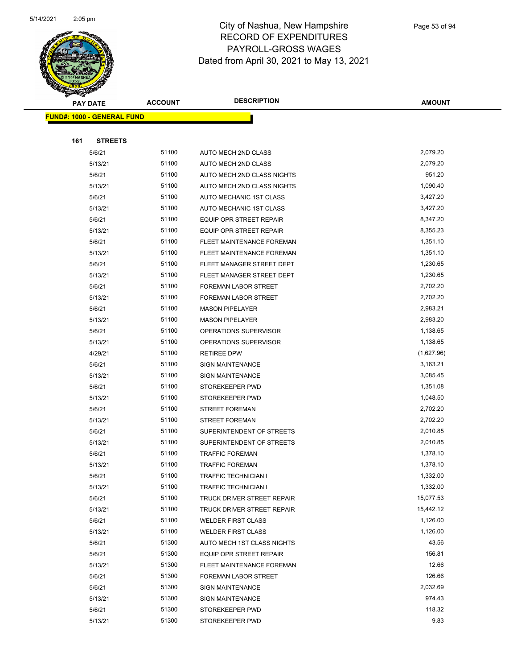

|     | <b>PAY DATE</b>                    | <b>ACCOUNT</b> | <b>DESCRIPTION</b>             | <b>AMOUNT</b> |  |
|-----|------------------------------------|----------------|--------------------------------|---------------|--|
|     | <u> FUND#: 1000 - GENERAL FUND</u> |                |                                |               |  |
|     |                                    |                |                                |               |  |
| 161 | <b>STREETS</b>                     |                |                                |               |  |
|     | 5/6/21                             | 51100          | AUTO MECH 2ND CLASS            | 2,079.20      |  |
|     | 5/13/21                            | 51100          | <b>AUTO MECH 2ND CLASS</b>     | 2,079.20      |  |
|     | 5/6/21                             | 51100          | AUTO MECH 2ND CLASS NIGHTS     | 951.20        |  |
|     | 5/13/21                            | 51100          | AUTO MECH 2ND CLASS NIGHTS     | 1,090.40      |  |
|     | 5/6/21                             | 51100          | AUTO MECHANIC 1ST CLASS        | 3,427.20      |  |
|     | 5/13/21                            | 51100          | AUTO MECHANIC 1ST CLASS        | 3,427.20      |  |
|     | 5/6/21                             | 51100          | EQUIP OPR STREET REPAIR        | 8,347.20      |  |
|     | 5/13/21                            | 51100          | <b>EQUIP OPR STREET REPAIR</b> | 8,355.23      |  |
|     | 5/6/21                             | 51100          | FLEET MAINTENANCE FOREMAN      | 1,351.10      |  |
|     | 5/13/21                            | 51100          | FLEET MAINTENANCE FOREMAN      | 1,351.10      |  |
|     | 5/6/21                             | 51100          | FLEET MANAGER STREET DEPT      | 1,230.65      |  |
|     | 5/13/21                            | 51100          | FLEET MANAGER STREET DEPT      | 1,230.65      |  |
|     | 5/6/21                             | 51100          | FOREMAN LABOR STREET           | 2,702.20      |  |
|     | 5/13/21                            | 51100          | FOREMAN LABOR STREET           | 2,702.20      |  |
|     | 5/6/21                             | 51100          | <b>MASON PIPELAYER</b>         | 2,983.21      |  |
|     | 5/13/21                            | 51100          | <b>MASON PIPELAYER</b>         | 2,983.20      |  |
|     | 5/6/21                             | 51100          | OPERATIONS SUPERVISOR          | 1,138.65      |  |
|     | 5/13/21                            | 51100          | OPERATIONS SUPERVISOR          | 1,138.65      |  |
|     | 4/29/21                            | 51100          | RETIREE DPW                    | (1,627.96)    |  |
|     | 5/6/21                             | 51100          | SIGN MAINTENANCE               | 3,163.21      |  |
|     | 5/13/21                            | 51100          | <b>SIGN MAINTENANCE</b>        | 3,085.45      |  |
|     | 5/6/21                             | 51100          | STOREKEEPER PWD                | 1,351.08      |  |
|     | 5/13/21                            | 51100          | STOREKEEPER PWD                | 1,048.50      |  |
|     | 5/6/21                             | 51100          | <b>STREET FOREMAN</b>          | 2,702.20      |  |
|     | 5/13/21                            | 51100          | <b>STREET FOREMAN</b>          | 2,702.20      |  |
|     | 5/6/21                             | 51100          | SUPERINTENDENT OF STREETS      | 2,010.85      |  |
|     | 5/13/21                            | 51100          | SUPERINTENDENT OF STREETS      | 2,010.85      |  |
|     | 5/6/21                             | 51100          | <b>TRAFFIC FOREMAN</b>         | 1,378.10      |  |
|     | 5/13/21                            | 51100          | <b>TRAFFIC FOREMAN</b>         | 1,378.10      |  |
|     | 5/6/21                             | 51100          | TRAFFIC TECHNICIAN I           | 1,332.00      |  |
|     | 5/13/21                            | 51100          | TRAFFIC TECHNICIAN I           | 1,332.00      |  |
|     | 5/6/21                             | 51100          | TRUCK DRIVER STREET REPAIR     | 15,077.53     |  |
|     | 5/13/21                            | 51100          | TRUCK DRIVER STREET REPAIR     | 15,442.12     |  |
|     | 5/6/21                             | 51100          | <b>WELDER FIRST CLASS</b>      | 1,126.00      |  |
|     | 5/13/21                            | 51100          | <b>WELDER FIRST CLASS</b>      | 1,126.00      |  |
|     | 5/6/21                             | 51300          | AUTO MECH 1ST CLASS NIGHTS     | 43.56         |  |
|     | 5/6/21                             | 51300          | EQUIP OPR STREET REPAIR        | 156.81        |  |
|     | 5/13/21                            | 51300          | FLEET MAINTENANCE FOREMAN      | 12.66         |  |
|     | 5/6/21                             | 51300          | FOREMAN LABOR STREET           | 126.66        |  |
|     | 5/6/21                             | 51300          | <b>SIGN MAINTENANCE</b>        | 2,032.69      |  |
|     | 5/13/21                            | 51300          | <b>SIGN MAINTENANCE</b>        | 974.43        |  |
|     | 5/6/21                             | 51300          | STOREKEEPER PWD                | 118.32        |  |
|     | 5/13/21                            | 51300          | STOREKEEPER PWD                | 9.83          |  |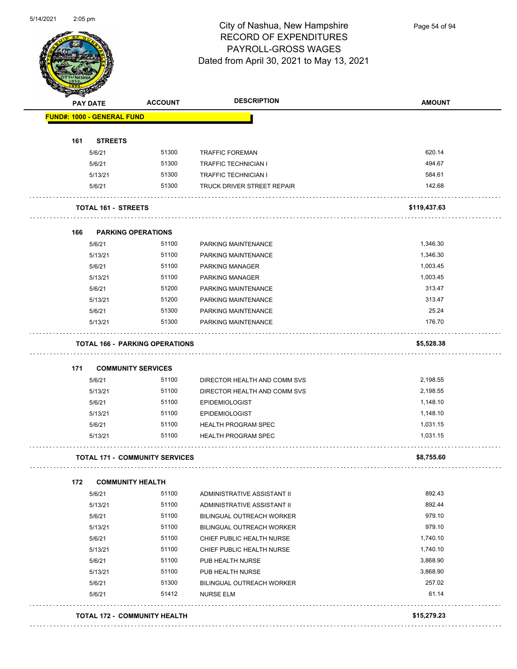

Page 54 of 94

|     | <b>PAY DATE</b>                   | <b>ACCOUNT</b>                        | <b>DESCRIPTION</b>           | <b>AMOUNT</b> |
|-----|-----------------------------------|---------------------------------------|------------------------------|---------------|
|     | <b>FUND#: 1000 - GENERAL FUND</b> |                                       |                              |               |
| 161 | <b>STREETS</b>                    |                                       |                              |               |
|     | 5/6/21                            | 51300                                 | <b>TRAFFIC FOREMAN</b>       | 620.14        |
|     | 5/6/21                            | 51300                                 | <b>TRAFFIC TECHNICIAN I</b>  | 494.67        |
|     | 5/13/21                           | 51300                                 | <b>TRAFFIC TECHNICIAN I</b>  | 584.61        |
|     | 5/6/21                            | 51300                                 | TRUCK DRIVER STREET REPAIR   | 142.68        |
|     | <b>TOTAL 161 - STREETS</b>        |                                       |                              | \$119,437.63  |
| 166 |                                   | <b>PARKING OPERATIONS</b>             |                              |               |
|     | 5/6/21                            | 51100                                 | PARKING MAINTENANCE          | 1,346.30      |
|     | 5/13/21                           | 51100                                 | PARKING MAINTENANCE          | 1,346.30      |
|     | 5/6/21                            | 51100                                 | PARKING MANAGER              | 1,003.45      |
|     | 5/13/21                           | 51100                                 | <b>PARKING MANAGER</b>       | 1,003.45      |
|     | 5/6/21                            | 51200                                 | PARKING MAINTENANCE          | 313.47        |
|     | 5/13/21                           | 51200                                 | PARKING MAINTENANCE          | 313.47        |
|     | 5/6/21                            | 51300                                 | PARKING MAINTENANCE          | 25.24         |
|     | 5/13/21                           | 51300                                 | PARKING MAINTENANCE          | 176.70        |
|     |                                   | <b>TOTAL 166 - PARKING OPERATIONS</b> |                              | \$5,528.38    |
| 171 |                                   | <b>COMMUNITY SERVICES</b>             |                              |               |
|     | 5/6/21                            | 51100                                 | DIRECTOR HEALTH AND COMM SVS | 2,198.55      |
|     | 5/13/21                           | 51100                                 | DIRECTOR HEALTH AND COMM SVS | 2,198.55      |
|     | 5/6/21                            | 51100                                 | <b>EPIDEMIOLOGIST</b>        | 1,148.10      |
|     | 5/13/21                           | 51100                                 | <b>EPIDEMIOLOGIST</b>        | 1,148.10      |
|     | 5/6/21                            | 51100                                 | <b>HEALTH PROGRAM SPEC</b>   | 1,031.15      |
|     | 5/13/21                           | 51100                                 | <b>HEALTH PROGRAM SPEC</b>   | 1,031.15      |
|     |                                   | <b>TOTAL 171 - COMMUNITY SERVICES</b> |                              | \$8,755.60    |
| 172 | <b>COMMUNITY HEALTH</b>           |                                       |                              |               |
|     | 5/6/21                            | 51100                                 | ADMINISTRATIVE ASSISTANT II  | 892.43        |
|     | 5/13/21                           | 51100                                 | ADMINISTRATIVE ASSISTANT II  | 892.44        |
|     | 5/6/21                            | 51100                                 | BILINGUAL OUTREACH WORKER    | 979.10        |
|     | 5/13/21                           | 51100                                 | BILINGUAL OUTREACH WORKER    | 979.10        |
|     | 5/6/21                            | 51100                                 | CHIEF PUBLIC HEALTH NURSE    | 1,740.10      |
|     | 5/13/21                           | 51100                                 | CHIEF PUBLIC HEALTH NURSE    | 1,740.10      |
|     | 5/6/21                            | 51100                                 | PUB HEALTH NURSE             | 3,868.90      |
|     | 5/13/21                           | 51100                                 | PUB HEALTH NURSE             | 3,868.90      |
|     | 5/6/21                            | 51300                                 | BILINGUAL OUTREACH WORKER    | 257.02        |
|     |                                   |                                       |                              |               |
|     | 5/6/21                            | 51412                                 | <b>NURSE ELM</b>             | 61.14         |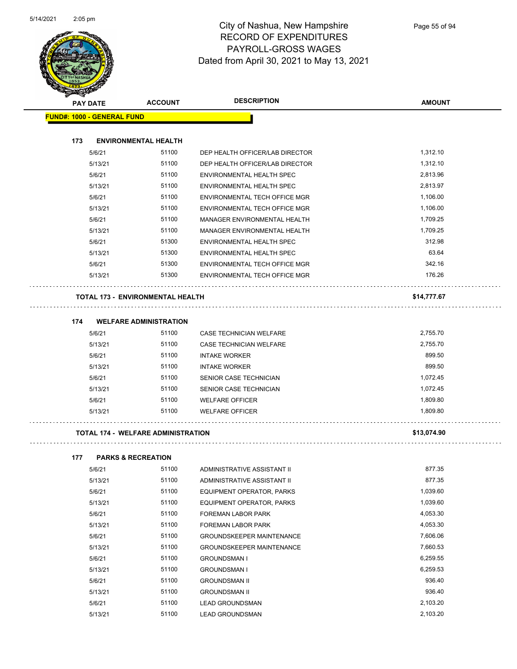

|     | <b>PAY DATE</b>                   | <b>ACCOUNT</b>                            | <b>DESCRIPTION</b>                                        | <b>AMOUNT</b> |
|-----|-----------------------------------|-------------------------------------------|-----------------------------------------------------------|---------------|
|     | <b>FUND#: 1000 - GENERAL FUND</b> |                                           |                                                           |               |
| 173 |                                   | <b>ENVIRONMENTAL HEALTH</b>               |                                                           |               |
|     | 5/6/21                            | 51100                                     | DEP HEALTH OFFICER/LAB DIRECTOR                           | 1,312.10      |
|     | 5/13/21                           | 51100                                     | DEP HEALTH OFFICER/LAB DIRECTOR                           | 1,312.10      |
|     | 5/6/21                            | 51100                                     | ENVIRONMENTAL HEALTH SPEC                                 | 2,813.96      |
|     | 5/13/21                           | 51100                                     | ENVIRONMENTAL HEALTH SPEC                                 | 2,813.97      |
|     | 5/6/21                            | 51100                                     | ENVIRONMENTAL TECH OFFICE MGR                             | 1,106.00      |
|     | 5/13/21                           | 51100                                     | ENVIRONMENTAL TECH OFFICE MGR                             | 1,106.00      |
|     | 5/6/21                            | 51100                                     | MANAGER ENVIRONMENTAL HEALTH                              | 1,709.25      |
|     | 5/13/21                           | 51100                                     | MANAGER ENVIRONMENTAL HEALTH                              | 1,709.25      |
|     | 5/6/21                            | 51300                                     | ENVIRONMENTAL HEALTH SPEC                                 | 312.98        |
|     | 5/13/21                           | 51300                                     | ENVIRONMENTAL HEALTH SPEC                                 | 63.64         |
|     | 5/6/21                            | 51300                                     | ENVIRONMENTAL TECH OFFICE MGR                             | 342.16        |
|     | 5/13/21                           | 51300                                     | ENVIRONMENTAL TECH OFFICE MGR                             | 176.26        |
|     |                                   | <b>TOTAL 173 - ENVIRONMENTAL HEALTH</b>   |                                                           | \$14,777.67   |
|     |                                   |                                           |                                                           |               |
| 174 |                                   | <b>WELFARE ADMINISTRATION</b><br>51100    |                                                           | 2,755.70      |
|     | 5/6/21<br>5/13/21                 | 51100                                     | CASE TECHNICIAN WELFARE<br><b>CASE TECHNICIAN WELFARE</b> | 2,755.70      |
|     | 5/6/21                            | 51100                                     | <b>INTAKE WORKER</b>                                      | 899.50        |
|     | 5/13/21                           | 51100                                     |                                                           | 899.50        |
|     |                                   | 51100                                     | <b>INTAKE WORKER</b>                                      | 1,072.45      |
|     | 5/6/21<br>5/13/21                 | 51100                                     | SENIOR CASE TECHNICIAN<br>SENIOR CASE TECHNICIAN          | 1,072.45      |
|     | 5/6/21                            | 51100                                     | <b>WELFARE OFFICER</b>                                    | 1,809.80      |
|     | 5/13/21                           | 51100                                     | <b>WELFARE OFFICER</b>                                    | 1,809.80      |
|     |                                   |                                           |                                                           |               |
|     |                                   | <b>TOTAL 174 - WELFARE ADMINISTRATION</b> |                                                           | \$13,074.90   |
| 177 |                                   | <b>PARKS &amp; RECREATION</b>             |                                                           |               |
|     | 5/6/21                            | 51100                                     | ADMINISTRATIVE ASSISTANT II                               | 877.35        |
|     | 5/13/21                           | 51100                                     | ADMINISTRATIVE ASSISTANT II                               | 877.35        |
|     | 5/6/21                            | 51100                                     | EQUIPMENT OPERATOR, PARKS                                 | 1,039.60      |
|     | 5/13/21                           | 51100                                     | EQUIPMENT OPERATOR, PARKS                                 | 1,039.60      |
|     | 5/6/21                            | 51100                                     | FOREMAN LABOR PARK                                        | 4,053.30      |
|     | 5/13/21                           | 51100                                     | FOREMAN LABOR PARK                                        | 4,053.30      |
|     | 5/6/21                            | 51100                                     | <b>GROUNDSKEEPER MAINTENANCE</b>                          | 7,606.06      |
|     | 5/13/21                           | 51100                                     | <b>GROUNDSKEEPER MAINTENANCE</b>                          | 7,660.53      |
|     | 5/6/21                            | 51100                                     | <b>GROUNDSMAN I</b>                                       | 6,259.55      |

5/13/21 51100 GROUNDSMAN I 6,259.53 5/6/21 51100 GROUNDSMAN II 936.40 5/13/21 51100 GROUNDSMAN II 936.40 5/6/21 51100 LEAD GROUNDSMAN 2,103.20 5/13/21 51100 LEAD GROUNDSMAN 2,103.20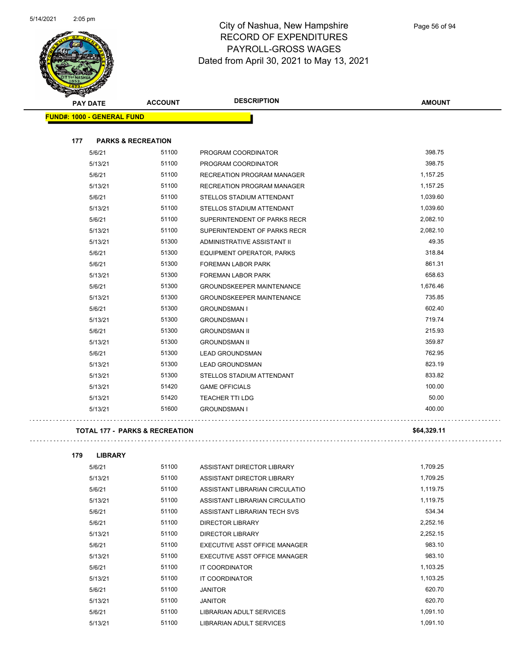

| $\sim$<br><b>PAY DATE</b>            | <b>ACCOUNT</b> | <b>DESCRIPTION</b>                | <b>AMOUNT</b> |
|--------------------------------------|----------------|-----------------------------------|---------------|
| <b>FUND#: 1000 - GENERAL FUND</b>    |                |                                   |               |
|                                      |                |                                   |               |
| 177<br><b>PARKS &amp; RECREATION</b> |                |                                   |               |
| 5/6/21                               | 51100          | PROGRAM COORDINATOR               | 398.75        |
| 5/13/21                              | 51100          | PROGRAM COORDINATOR               | 398.75        |
| 5/6/21                               | 51100          | <b>RECREATION PROGRAM MANAGER</b> | 1,157.25      |
| 5/13/21                              | 51100          | RECREATION PROGRAM MANAGER        | 1,157.25      |
| 5/6/21                               | 51100          | STELLOS STADIUM ATTENDANT         | 1,039.60      |
| 5/13/21                              | 51100          | STELLOS STADIUM ATTENDANT         | 1,039.60      |
| 5/6/21                               | 51100          | SUPERINTENDENT OF PARKS RECR      | 2,082.10      |
| 5/13/21                              | 51100          | SUPERINTENDENT OF PARKS RECR      | 2,082.10      |
| 5/13/21                              | 51300          | ADMINISTRATIVE ASSISTANT II       | 49.35         |
| 5/6/21                               | 51300          | <b>EQUIPMENT OPERATOR, PARKS</b>  | 318.84        |
| 5/6/21                               | 51300          | FOREMAN LABOR PARK                | 861.31        |
| 5/13/21                              | 51300          | <b>FOREMAN LABOR PARK</b>         | 658.63        |
| 5/6/21                               | 51300          | <b>GROUNDSKEEPER MAINTENANCE</b>  | 1,676.46      |
| 5/13/21                              | 51300          | <b>GROUNDSKEEPER MAINTENANCE</b>  | 735.85        |
| 5/6/21                               | 51300          | <b>GROUNDSMAN I</b>               | 602.40        |
| 5/13/21                              | 51300          | <b>GROUNDSMAN I</b>               | 719.74        |
| 5/6/21                               | 51300          | <b>GROUNDSMAN II</b>              | 215.93        |
| 5/13/21                              | 51300          | <b>GROUNDSMAN II</b>              | 359.87        |
| 5/6/21                               | 51300          | <b>LEAD GROUNDSMAN</b>            | 762.95        |
| 5/13/21                              | 51300          | <b>LEAD GROUNDSMAN</b>            | 823.19        |
| 5/13/21                              | 51300          | STELLOS STADIUM ATTENDANT         | 833.82        |
| 5/13/21                              | 51420          | <b>GAME OFFICIALS</b>             | 100.00        |
| 5/13/21                              | 51420          | TEACHER TTI LDG                   | 50.00         |
| 5/13/21                              | 51600          | <b>GROUNDSMAN I</b>               | 400.00        |

**TOTAL 177 - PARKS & RECREATION \$64,329.11**



| 179 | <b>LIBRARY</b> |       |                                 |          |
|-----|----------------|-------|---------------------------------|----------|
|     | 5/6/21         | 51100 | ASSISTANT DIRECTOR LIBRARY      | 1,709.25 |
|     | 5/13/21        | 51100 | ASSISTANT DIRECTOR LIBRARY      | 1,709.25 |
|     | 5/6/21         | 51100 | ASSISTANT LIBRARIAN CIRCULATIO  | 1,119.75 |
|     | 5/13/21        | 51100 | ASSISTANT LIBRARIAN CIRCULATIO  | 1,119.75 |
|     | 5/6/21         | 51100 | ASSISTANT LIBRARIAN TECH SVS    | 534.34   |
|     | 5/6/21         | 51100 | <b>DIRECTOR LIBRARY</b>         | 2,252.16 |
|     | 5/13/21        | 51100 | <b>DIRECTOR LIBRARY</b>         | 2,252.15 |
|     | 5/6/21         | 51100 | EXECUTIVE ASST OFFICE MANAGER   | 983.10   |
|     | 5/13/21        | 51100 | EXECUTIVE ASST OFFICE MANAGER   | 983.10   |
|     | 5/6/21         | 51100 | IT COORDINATOR                  | 1,103.25 |
|     | 5/13/21        | 51100 | <b>IT COORDINATOR</b>           | 1,103.25 |
|     | 5/6/21         | 51100 | <b>JANITOR</b>                  | 620.70   |
|     | 5/13/21        | 51100 | JANITOR                         | 620.70   |
|     | 5/6/21         | 51100 | <b>LIBRARIAN ADULT SERVICES</b> | 1,091.10 |
|     | 5/13/21        | 51100 | LIBRARIAN ADULT SERVICES        | 1.091.10 |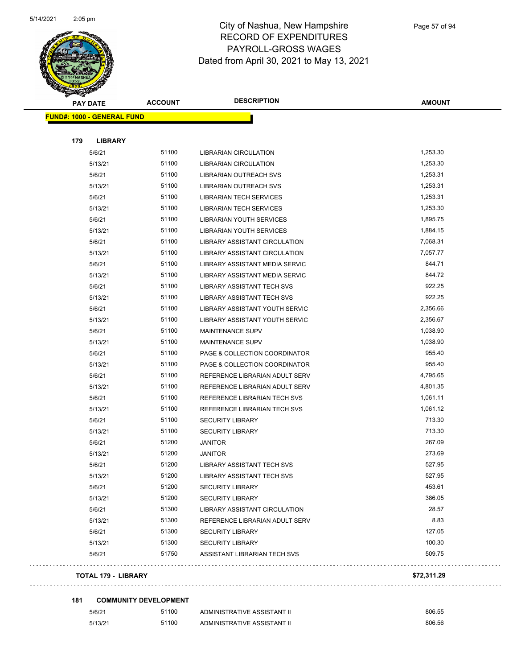

| <b>Antarchiefen</b> |                                   |                |                                   |               |
|---------------------|-----------------------------------|----------------|-----------------------------------|---------------|
|                     | <b>PAY DATE</b>                   | <b>ACCOUNT</b> | <b>DESCRIPTION</b>                | <b>AMOUNT</b> |
|                     | <b>FUND#: 1000 - GENERAL FUND</b> |                |                                   |               |
|                     |                                   |                |                                   |               |
| 179                 | <b>LIBRARY</b>                    |                |                                   |               |
|                     | 5/6/21                            | 51100          | LIBRARIAN CIRCULATION             | 1,253.30      |
|                     | 5/13/21                           | 51100          | LIBRARIAN CIRCULATION             | 1,253.30      |
|                     | 5/6/21                            | 51100          | LIBRARIAN OUTREACH SVS            | 1,253.31      |
|                     | 5/13/21                           | 51100          | <b>LIBRARIAN OUTREACH SVS</b>     | 1,253.31      |
|                     | 5/6/21                            | 51100          | <b>LIBRARIAN TECH SERVICES</b>    | 1,253.31      |
|                     | 5/13/21                           | 51100          | <b>LIBRARIAN TECH SERVICES</b>    | 1,253.30      |
|                     | 5/6/21                            | 51100          | LIBRARIAN YOUTH SERVICES          | 1,895.75      |
|                     | 5/13/21                           | 51100          | LIBRARIAN YOUTH SERVICES          | 1,884.15      |
|                     | 5/6/21                            | 51100          | LIBRARY ASSISTANT CIRCULATION     | 7,068.31      |
|                     | 5/13/21                           | 51100          | LIBRARY ASSISTANT CIRCULATION     | 7,057.77      |
|                     | 5/6/21                            | 51100          | LIBRARY ASSISTANT MEDIA SERVIC    | 844.71        |
|                     | 5/13/21                           | 51100          | LIBRARY ASSISTANT MEDIA SERVIC    | 844.72        |
|                     | 5/6/21                            | 51100          | <b>LIBRARY ASSISTANT TECH SVS</b> | 922.25        |
|                     | 5/13/21                           | 51100          | <b>LIBRARY ASSISTANT TECH SVS</b> | 922.25        |
|                     | 5/6/21                            | 51100          | LIBRARY ASSISTANT YOUTH SERVIC    | 2,356.66      |
|                     | 5/13/21                           | 51100          | LIBRARY ASSISTANT YOUTH SERVIC    | 2,356.67      |
|                     | 5/6/21                            | 51100          | <b>MAINTENANCE SUPV</b>           | 1,038.90      |
|                     | 5/13/21                           | 51100          | MAINTENANCE SUPV                  | 1,038.90      |
|                     | 5/6/21                            | 51100          | PAGE & COLLECTION COORDINATOR     | 955.40        |
|                     | 5/13/21                           | 51100          | PAGE & COLLECTION COORDINATOR     | 955.40        |
|                     | 5/6/21                            | 51100          | REFERENCE LIBRARIAN ADULT SERV    | 4,795.65      |
|                     | 5/13/21                           | 51100          | REFERENCE LIBRARIAN ADULT SERV    | 4,801.35      |
|                     | 5/6/21                            | 51100          | REFERENCE LIBRARIAN TECH SVS      | 1,061.11      |
|                     | 5/13/21                           | 51100          | REFERENCE LIBRARIAN TECH SVS      | 1,061.12      |
|                     | 5/6/21                            | 51100          | <b>SECURITY LIBRARY</b>           | 713.30        |
|                     | 5/13/21                           | 51100          | <b>SECURITY LIBRARY</b>           | 713.30        |
|                     | 5/6/21                            | 51200          | <b>JANITOR</b>                    | 267.09        |
|                     | 5/13/21                           | 51200          | <b>JANITOR</b>                    | 273.69        |
|                     | 5/6/21                            | 51200          | LIBRARY ASSISTANT TECH SVS        | 527.95        |
|                     | 5/13/21                           | 51200          | <b>LIBRARY ASSISTANT TECH SVS</b> | 527.95        |
|                     | 5/6/21                            | 51200          | <b>SECURITY LIBRARY</b>           | 453.61        |
|                     | 5/13/21                           | 51200          | <b>SECURITY LIBRARY</b>           | 386.05        |
|                     | 5/6/21                            | 51300          | LIBRARY ASSISTANT CIRCULATION     | 28.57         |
|                     | 5/13/21                           | 51300          | REFERENCE LIBRARIAN ADULT SERV    | 8.83          |
|                     | 5/6/21                            | 51300          | <b>SECURITY LIBRARY</b>           | 127.05        |
|                     | 5/13/21                           | 51300          | <b>SECURITY LIBRARY</b>           | 100.30        |
|                     | 5/6/21                            | 51750          | ASSISTANT LIBRARIAN TECH SVS      | 509.75        |
|                     | <b>TOTAL 179 - LIBRARY</b>        |                |                                   | \$72,311.29   |
|                     |                                   |                |                                   |               |

#### **181 COMMUNITY DEVELOPMENT**

| 5/6/21  |  |
|---------|--|
| 5/13/21 |  |

 $\bar{1}$  ,  $\bar{1}$ 

 $\sim 10$ 

51100 ADMINISTRATIVE ASSISTANT II 806.55 51100 ADMINISTRATIVE ASSISTANT II 806.56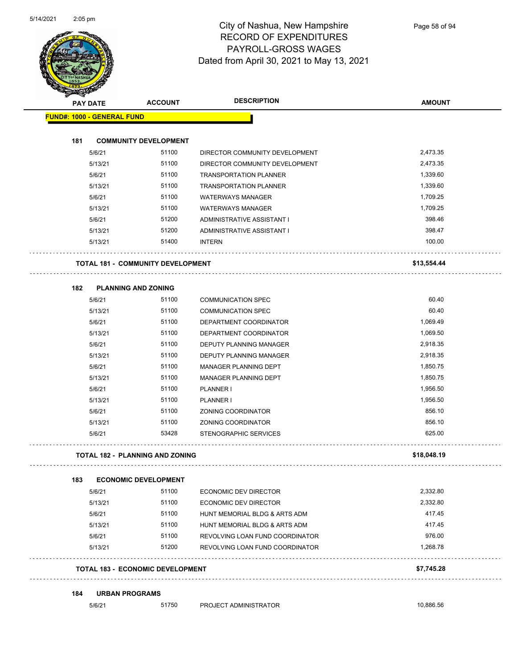

| <b>PAY DATE</b>                          | <b>ACCOUNT</b>               | <b>DESCRIPTION</b>              | <b>AMOUNT</b> |
|------------------------------------------|------------------------------|---------------------------------|---------------|
| <b>FUND#: 1000 - GENERAL FUND</b>        |                              |                                 |               |
| 181                                      | <b>COMMUNITY DEVELOPMENT</b> |                                 |               |
| 5/6/21                                   | 51100                        | DIRECTOR COMMUNITY DEVELOPMENT  | 2,473.35      |
| 5/13/21                                  | 51100                        | DIRECTOR COMMUNITY DEVELOPMENT  | 2,473.35      |
| 5/6/21                                   | 51100                        | <b>TRANSPORTATION PLANNER</b>   | 1,339.60      |
| 5/13/21                                  | 51100                        | <b>TRANSPORTATION PLANNER</b>   | 1,339.60      |
| 5/6/21                                   | 51100                        | <b>WATERWAYS MANAGER</b>        | 1,709.25      |
| 5/13/21                                  | 51100                        | <b>WATERWAYS MANAGER</b>        | 1,709.25      |
| 5/6/21                                   | 51200                        | ADMINISTRATIVE ASSISTANT I      | 398.46        |
| 5/13/21                                  | 51200                        | ADMINISTRATIVE ASSISTANT I      | 398.47        |
| 5/13/21                                  | 51400                        | <b>INTERN</b>                   | 100.00        |
| <b>TOTAL 181 - COMMUNITY DEVELOPMENT</b> |                              |                                 | \$13,554.44   |
| 182                                      | <b>PLANNING AND ZONING</b>   |                                 |               |
| 5/6/21                                   | 51100                        | <b>COMMUNICATION SPEC</b>       | 60.40         |
| 5/13/21                                  | 51100                        | <b>COMMUNICATION SPEC</b>       | 60.40         |
| 5/6/21                                   | 51100                        | DEPARTMENT COORDINATOR          | 1,069.49      |
| 5/13/21                                  | 51100                        | DEPARTMENT COORDINATOR          | 1,069.50      |
| 5/6/21                                   | 51100                        | DEPUTY PLANNING MANAGER         | 2,918.35      |
| 5/13/21                                  | 51100                        | DEPUTY PLANNING MANAGER         | 2,918.35      |
| 5/6/21                                   | 51100                        | <b>MANAGER PLANNING DEPT</b>    | 1,850.75      |
| 5/13/21                                  | 51100                        | <b>MANAGER PLANNING DEPT</b>    | 1,850.75      |
| 5/6/21                                   | 51100                        | PLANNER I                       | 1,956.50      |
| 5/13/21                                  | 51100                        | <b>PLANNER I</b>                | 1,956.50      |
| 5/6/21                                   | 51100                        | ZONING COORDINATOR              | 856.10        |
| 5/13/21                                  | 51100                        | ZONING COORDINATOR              | 856.10        |
| 5/6/21                                   | 53428                        | STENOGRAPHIC SERVICES           | 625.00        |
| <b>TOTAL 182 - PLANNING AND ZONING</b>   |                              |                                 | \$18,048.19   |
| 183                                      | <b>ECONOMIC DEVELOPMENT</b>  |                                 |               |
| 5/6/21                                   | 51100                        | ECONOMIC DEV DIRECTOR           | 2,332.80      |
| 5/13/21                                  | 51100                        | ECONOMIC DEV DIRECTOR           | 2,332.80      |
| 5/6/21                                   | 51100                        | HUNT MEMORIAL BLDG & ARTS ADM   | 417.45        |
| 5/13/21                                  | 51100                        | HUNT MEMORIAL BLDG & ARTS ADM   | 417.45        |
| 5/6/21                                   | 51100                        | REVOLVING LOAN FUND COORDINATOR | 976.00        |
| 5/13/21                                  | 51200                        | REVOLVING LOAN FUND COORDINATOR | 1,268.78      |
| <b>TOTAL 183 - ECONOMIC DEVELOPMENT</b>  |                              |                                 | \$7,745.28    |

5/6/21 51750 PROJECT ADMINISTRATOR 10,886.56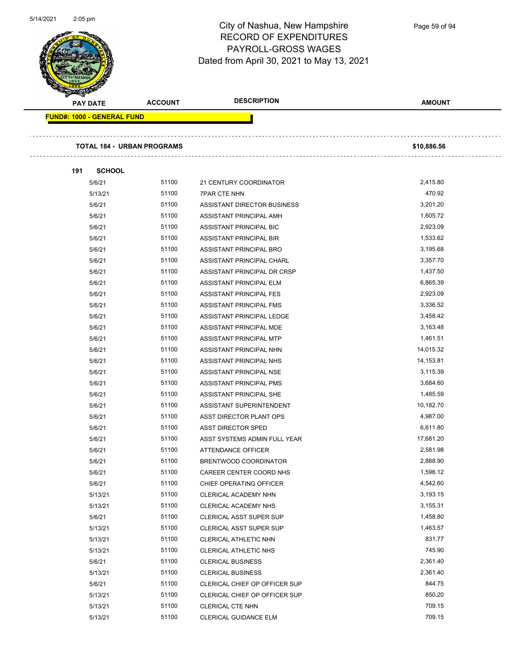

Page 59 of 94

| <b>PAY DATE</b>                   | <b>ACCOUNT</b>                    | <b>DESCRIPTION</b>             | <b>AMOUNT</b> |
|-----------------------------------|-----------------------------------|--------------------------------|---------------|
| <b>FUND#: 1000 - GENERAL FUND</b> |                                   |                                |               |
|                                   |                                   |                                |               |
|                                   | <b>TOTAL 184 - URBAN PROGRAMS</b> |                                | \$10,886.56   |
|                                   |                                   |                                |               |
| 191<br><b>SCHOOL</b>              |                                   |                                |               |
| 5/6/21                            | 51100                             | 21 CENTURY COORDINATOR         | 2,415.80      |
| 5/13/21                           | 51100                             | <b>7PAR CTE NHN</b>            | 470.92        |
| 5/6/21                            | 51100                             | ASSISTANT DIRECTOR BUSINESS    | 3,201.20      |
| 5/6/21                            | 51100                             | ASSISTANT PRINCIPAL AMH        | 1,605.72      |
| 5/6/21                            | 51100                             | ASSISTANT PRINCIPAL BIC        | 2,923.09      |
| 5/6/21                            | 51100                             | ASSISTANT PRINCIPAL BIR        | 1,533.62      |
| 5/6/21                            | 51100                             | ASSISTANT PRINCIPAL BRO        | 3,195.68      |
| 5/6/21                            | 51100                             | ASSISTANT PRINCIPAL CHARL      | 3,357.70      |
| 5/6/21                            | 51100                             | ASSISTANT PRINCIPAL DR CRSP    | 1,437.50      |
| 5/6/21                            | 51100                             | ASSISTANT PRINCIPAL ELM        | 6,865.39      |
| 5/6/21                            | 51100                             | ASSISTANT PRINCIPAL FES        | 2,923.09      |
| 5/6/21                            | 51100                             | <b>ASSISTANT PRINCIPAL FMS</b> | 3,336.52      |
| 5/6/21                            | 51100                             | ASSISTANT PRINCIPAL LEDGE      | 3,458.42      |
| 5/6/21                            | 51100                             | ASSISTANT PRINCIPAL MDE        | 3,163.48      |
| 5/6/21                            | 51100                             | ASSISTANT PRINCIPAL MTP        | 1,461.51      |
| 5/6/21                            | 51100                             | ASSISTANT PRINCIPAL NHN        | 14,015.32     |
| 5/6/21                            | 51100                             | ASSISTANT PRINCIPAL NHS        | 14,153.81     |
| 5/6/21                            | 51100                             | ASSISTANT PRINCIPAL NSE        | 3,115.39      |
| 5/6/21                            | 51100                             | ASSISTANT PRINCIPAL PMS        | 3,684.60      |
| 5/6/21                            | 51100                             | ASSISTANT PRINCIPAL SHE        | 1,485.59      |
| 5/6/21                            | 51100                             | ASSISTANT SUPERINTENDENT       | 10,182.70     |
| 5/6/21                            | 51100                             | ASST DIRECTOR PLANT OPS        | 4,987.00      |
| 5/6/21                            | 51100                             | ASST DIRECTOR SPED             | 6,611.80      |
| 5/6/21                            | 51100                             | ASST SYSTEMS ADMIN FULL YEAR   | 17,681.20     |
| 5/6/21                            | 51100                             | ATTENDANCE OFFICER             | 2,581.98      |
| 5/6/21                            | 51100                             | BRENTWOOD COORDINATOR          | 2,888.90      |
| 5/6/21                            | 51100                             | CAREER CENTER COORD NHS        | 1,596.12      |
| 5/6/21                            | 51100                             | CHIEF OPERATING OFFICER        | 4,542.60      |
| 5/13/21                           | 51100                             | CLERICAL ACADEMY NHN           | 3,193.15      |
| 5/13/21                           | 51100                             | CLERICAL ACADEMY NHS           | 3,155.31      |
| 5/6/21                            | 51100                             | CLERICAL ASST SUPER SUP        | 1,458.80      |
| 5/13/21                           | 51100                             | <b>CLERICAL ASST SUPER SUP</b> | 1,463.57      |
| 5/13/21                           | 51100                             | CLERICAL ATHLETIC NHN          | 831.77        |
| 5/13/21                           | 51100                             | <b>CLERICAL ATHLETIC NHS</b>   | 745.90        |
| 5/6/21                            | 51100                             | <b>CLERICAL BUSINESS</b>       | 2,361.40      |
| 5/13/21                           | 51100                             | <b>CLERICAL BUSINESS</b>       | 2,361.40      |
| 5/6/21                            | 51100                             | CLERICAL CHIEF OP OFFICER SUP  | 844.75        |
| 5/13/21                           | 51100                             | CLERICAL CHIEF OP OFFICER SUP  | 850.20        |
| 5/13/21                           | 51100                             | <b>CLERICAL CTE NHN</b>        | 709.15        |
| 5/13/21                           | 51100                             | <b>CLERICAL GUIDANCE ELM</b>   | 709.15        |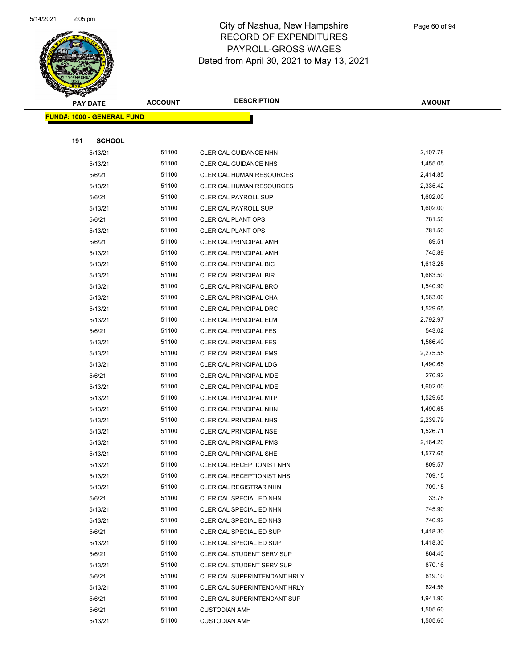

Page 60 of 94

|     | <b>PAY DATE</b>                   | <b>ACCOUNT</b> | <b>DESCRIPTION</b>                                             | <b>AMOUNT</b>        |
|-----|-----------------------------------|----------------|----------------------------------------------------------------|----------------------|
|     | <b>FUND#: 1000 - GENERAL FUND</b> |                |                                                                |                      |
|     |                                   |                |                                                                |                      |
| 191 | <b>SCHOOL</b>                     |                |                                                                |                      |
|     | 5/13/21                           | 51100          | CLERICAL GUIDANCE NHN                                          | 2,107.78             |
|     | 5/13/21                           | 51100          | <b>CLERICAL GUIDANCE NHS</b>                                   | 1,455.05             |
|     | 5/6/21                            | 51100          | <b>CLERICAL HUMAN RESOURCES</b>                                | 2,414.85             |
|     | 5/13/21                           | 51100          | <b>CLERICAL HUMAN RESOURCES</b>                                | 2,335.42             |
|     | 5/6/21                            | 51100          | <b>CLERICAL PAYROLL SUP</b>                                    | 1,602.00             |
|     | 5/13/21                           | 51100          | <b>CLERICAL PAYROLL SUP</b>                                    | 1,602.00             |
|     | 5/6/21                            | 51100          | <b>CLERICAL PLANT OPS</b>                                      | 781.50               |
|     | 5/13/21                           | 51100          | <b>CLERICAL PLANT OPS</b>                                      | 781.50               |
|     | 5/6/21                            | 51100          | <b>CLERICAL PRINCIPAL AMH</b>                                  | 89.51                |
|     | 5/13/21                           | 51100          | <b>CLERICAL PRINCIPAL AMH</b>                                  | 745.89               |
|     | 5/13/21                           | 51100          | CLERICAL PRINCIPAL BIC                                         | 1,613.25             |
|     | 5/13/21                           | 51100          | <b>CLERICAL PRINCIPAL BIR</b>                                  | 1,663.50             |
|     | 5/13/21                           | 51100          | <b>CLERICAL PRINCIPAL BRO</b>                                  | 1,540.90             |
|     | 5/13/21                           | 51100          | CLERICAL PRINCIPAL CHA                                         | 1,563.00             |
|     | 5/13/21                           | 51100          | <b>CLERICAL PRINCIPAL DRC</b>                                  | 1,529.65             |
|     | 5/13/21                           | 51100          | CLERICAL PRINCIPAL ELM                                         | 2,792.97             |
|     | 5/6/21                            | 51100          | <b>CLERICAL PRINCIPAL FES</b>                                  | 543.02               |
|     | 5/13/21                           | 51100          | <b>CLERICAL PRINCIPAL FES</b>                                  | 1,566.40             |
|     | 5/13/21                           | 51100          | <b>CLERICAL PRINCIPAL FMS</b>                                  | 2,275.55             |
|     | 5/13/21                           | 51100          | <b>CLERICAL PRINCIPAL LDG</b>                                  | 1,490.65             |
|     | 5/6/21                            | 51100          | CLERICAL PRINCIPAL MDE                                         | 270.92               |
|     | 5/13/21                           | 51100          | CLERICAL PRINCIPAL MDE                                         | 1,602.00             |
|     | 5/13/21                           | 51100          | <b>CLERICAL PRINCIPAL MTP</b>                                  | 1,529.65             |
|     | 5/13/21                           | 51100          | CLERICAL PRINCIPAL NHN                                         | 1,490.65             |
|     | 5/13/21                           | 51100<br>51100 | CLERICAL PRINCIPAL NHS                                         | 2,239.79             |
|     | 5/13/21                           | 51100          | CLERICAL PRINCIPAL NSE                                         | 1,526.71<br>2,164.20 |
|     | 5/13/21<br>5/13/21                | 51100          | <b>CLERICAL PRINCIPAL PMS</b><br><b>CLERICAL PRINCIPAL SHE</b> | 1,577.65             |
|     | 5/13/21                           | 51100          | CLERICAL RECEPTIONIST NHN                                      | 809.57               |
|     | 5/13/21                           | 51100          | <b>CLERICAL RECEPTIONIST NHS</b>                               | 709.15               |
|     | 5/13/21                           | 51100          | <b>CLERICAL REGISTRAR NHN</b>                                  | 709.15               |
|     | 5/6/21                            | 51100          | CLERICAL SPECIAL ED NHN                                        | 33.78                |
|     | 5/13/21                           | 51100          | CLERICAL SPECIAL ED NHN                                        | 745.90               |
|     | 5/13/21                           | 51100          | CLERICAL SPECIAL ED NHS                                        | 740.92               |
|     | 5/6/21                            | 51100          | CLERICAL SPECIAL ED SUP                                        | 1,418.30             |
|     | 5/13/21                           | 51100          | CLERICAL SPECIAL ED SUP                                        | 1,418.30             |
|     | 5/6/21                            | 51100          | <b>CLERICAL STUDENT SERV SUP</b>                               | 864.40               |
|     | 5/13/21                           | 51100          | <b>CLERICAL STUDENT SERV SUP</b>                               | 870.16               |
|     | 5/6/21                            | 51100          | CLERICAL SUPERINTENDANT HRLY                                   | 819.10               |
|     | 5/13/21                           | 51100          | CLERICAL SUPERINTENDANT HRLY                                   | 824.56               |
|     | 5/6/21                            | 51100          | CLERICAL SUPERINTENDANT SUP                                    | 1,941.90             |
|     | 5/6/21                            | 51100          | <b>CUSTODIAN AMH</b>                                           | 1,505.60             |
|     | 5/13/21                           | 51100          | <b>CUSTODIAN AMH</b>                                           | 1,505.60             |
|     |                                   |                |                                                                |                      |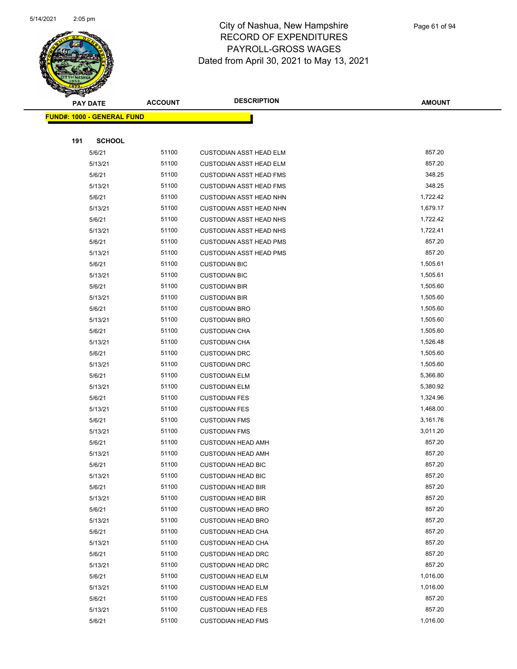

|     | <b>PAY DATE</b>                   | <b>ACCOUNT</b> | <b>DESCRIPTION</b>                                     | <b>AMOUNT</b>    |
|-----|-----------------------------------|----------------|--------------------------------------------------------|------------------|
|     | <b>FUND#: 1000 - GENERAL FUND</b> |                |                                                        |                  |
|     |                                   |                |                                                        |                  |
| 191 | <b>SCHOOL</b>                     |                |                                                        |                  |
|     | 5/6/21                            | 51100          | <b>CUSTODIAN ASST HEAD ELM</b>                         | 857.20           |
|     | 5/13/21                           | 51100          | <b>CUSTODIAN ASST HEAD ELM</b>                         | 857.20           |
|     | 5/6/21                            | 51100          | <b>CUSTODIAN ASST HEAD FMS</b>                         | 348.25           |
|     | 5/13/21                           | 51100          | <b>CUSTODIAN ASST HEAD FMS</b>                         | 348.25           |
|     | 5/6/21                            | 51100          | <b>CUSTODIAN ASST HEAD NHN</b>                         | 1,722.42         |
|     | 5/13/21                           | 51100          | <b>CUSTODIAN ASST HEAD NHN</b>                         | 1,679.17         |
|     | 5/6/21                            | 51100          | <b>CUSTODIAN ASST HEAD NHS</b>                         | 1,722.42         |
|     | 5/13/21                           | 51100          | <b>CUSTODIAN ASST HEAD NHS</b>                         | 1,722.41         |
|     | 5/6/21                            | 51100          | <b>CUSTODIAN ASST HEAD PMS</b>                         | 857.20           |
|     | 5/13/21                           | 51100          | <b>CUSTODIAN ASST HEAD PMS</b>                         | 857.20           |
|     | 5/6/21                            | 51100          | <b>CUSTODIAN BIC</b>                                   | 1,505.61         |
|     | 5/13/21                           | 51100          | <b>CUSTODIAN BIC</b>                                   | 1,505.61         |
|     | 5/6/21                            | 51100          | <b>CUSTODIAN BIR</b>                                   | 1,505.60         |
|     | 5/13/21                           | 51100          | <b>CUSTODIAN BIR</b>                                   | 1,505.60         |
|     | 5/6/21                            | 51100          | <b>CUSTODIAN BRO</b>                                   | 1,505.60         |
|     | 5/13/21                           | 51100          | <b>CUSTODIAN BRO</b>                                   | 1,505.60         |
|     | 5/6/21                            | 51100          | <b>CUSTODIAN CHA</b>                                   | 1,505.60         |
|     | 5/13/21                           | 51100          | <b>CUSTODIAN CHA</b>                                   | 1,526.48         |
|     | 5/6/21                            | 51100          | <b>CUSTODIAN DRC</b>                                   | 1,505.60         |
|     | 5/13/21                           | 51100          | <b>CUSTODIAN DRC</b>                                   | 1,505.60         |
|     | 5/6/21                            | 51100          | <b>CUSTODIAN ELM</b>                                   | 5,366.80         |
|     | 5/13/21                           | 51100          | <b>CUSTODIAN ELM</b>                                   | 5,380.92         |
|     | 5/6/21                            | 51100          | <b>CUSTODIAN FES</b>                                   | 1,324.96         |
|     | 5/13/21                           | 51100          | <b>CUSTODIAN FES</b>                                   | 1,468.00         |
|     | 5/6/21                            | 51100          | <b>CUSTODIAN FMS</b>                                   | 3,161.76         |
|     | 5/13/21                           | 51100          | <b>CUSTODIAN FMS</b>                                   | 3,011.20         |
|     | 5/6/21                            | 51100          | <b>CUSTODIAN HEAD AMH</b>                              | 857.20           |
|     | 5/13/21                           | 51100          | <b>CUSTODIAN HEAD AMH</b>                              | 857.20           |
|     | 5/6/21                            | 51100          | <b>CUSTODIAN HEAD BIC</b>                              | 857.20           |
|     | 5/13/21                           | 51100<br>51100 | <b>CUSTODIAN HEAD BIC</b>                              | 857.20<br>857.20 |
|     | 5/6/21<br>5/13/21                 | 51100          | <b>CUSTODIAN HEAD BIR</b>                              | 857.20           |
|     | 5/6/21                            | 51100          | <b>CUSTODIAN HEAD BIR</b><br><b>CUSTODIAN HEAD BRO</b> | 857.20           |
|     | 5/13/21                           | 51100          | <b>CUSTODIAN HEAD BRO</b>                              | 857.20           |
|     | 5/6/21                            | 51100          | <b>CUSTODIAN HEAD CHA</b>                              | 857.20           |
|     | 5/13/21                           | 51100          | <b>CUSTODIAN HEAD CHA</b>                              | 857.20           |
|     | 5/6/21                            | 51100          | <b>CUSTODIAN HEAD DRC</b>                              | 857.20           |
|     | 5/13/21                           | 51100          | <b>CUSTODIAN HEAD DRC</b>                              | 857.20           |
|     | 5/6/21                            | 51100          | <b>CUSTODIAN HEAD ELM</b>                              | 1,016.00         |
|     | 5/13/21                           | 51100          | <b>CUSTODIAN HEAD ELM</b>                              | 1,016.00         |
|     | 5/6/21                            | 51100          | <b>CUSTODIAN HEAD FES</b>                              | 857.20           |
|     | 5/13/21                           | 51100          | <b>CUSTODIAN HEAD FES</b>                              | 857.20           |
|     | 5/6/21                            | 51100          | <b>CUSTODIAN HEAD FMS</b>                              | 1,016.00         |
|     |                                   |                |                                                        |                  |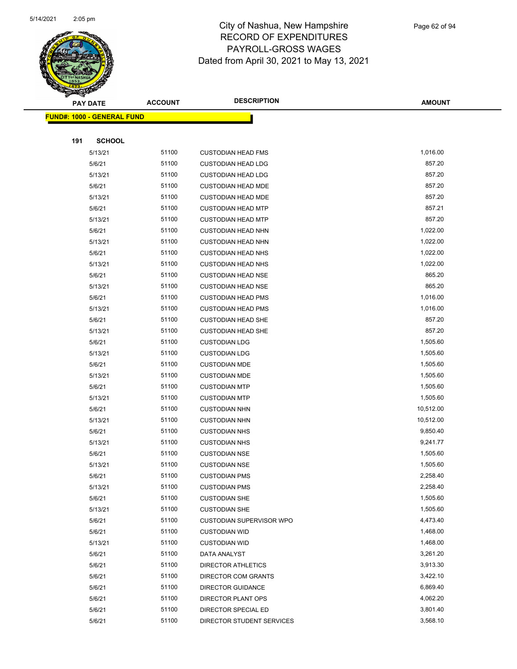

|     | <b>PAY DATE</b>                   | <b>ACCOUNT</b> | <b>DESCRIPTION</b>              | <b>AMOUNT</b> |
|-----|-----------------------------------|----------------|---------------------------------|---------------|
|     | <b>FUND#: 1000 - GENERAL FUND</b> |                |                                 |               |
|     |                                   |                |                                 |               |
| 191 | <b>SCHOOL</b>                     |                |                                 |               |
|     | 5/13/21                           | 51100          | <b>CUSTODIAN HEAD FMS</b>       | 1,016.00      |
|     | 5/6/21                            | 51100          | <b>CUSTODIAN HEAD LDG</b>       | 857.20        |
|     | 5/13/21                           | 51100          | <b>CUSTODIAN HEAD LDG</b>       | 857.20        |
|     | 5/6/21                            | 51100          | <b>CUSTODIAN HEAD MDE</b>       | 857.20        |
|     | 5/13/21                           | 51100          | <b>CUSTODIAN HEAD MDE</b>       | 857.20        |
|     | 5/6/21                            | 51100          | <b>CUSTODIAN HEAD MTP</b>       | 857.21        |
|     | 5/13/21                           | 51100          | <b>CUSTODIAN HEAD MTP</b>       | 857.20        |
|     | 5/6/21                            | 51100          | <b>CUSTODIAN HEAD NHN</b>       | 1,022.00      |
|     | 5/13/21                           | 51100          | <b>CUSTODIAN HEAD NHN</b>       | 1,022.00      |
|     | 5/6/21                            | 51100          | <b>CUSTODIAN HEAD NHS</b>       | 1,022.00      |
|     | 5/13/21                           | 51100          | <b>CUSTODIAN HEAD NHS</b>       | 1,022.00      |
|     | 5/6/21                            | 51100          | <b>CUSTODIAN HEAD NSE</b>       | 865.20        |
|     | 5/13/21                           | 51100          | <b>CUSTODIAN HEAD NSE</b>       | 865.20        |
|     | 5/6/21                            | 51100          | <b>CUSTODIAN HEAD PMS</b>       | 1,016.00      |
|     | 5/13/21                           | 51100          | <b>CUSTODIAN HEAD PMS</b>       | 1,016.00      |
|     | 5/6/21                            | 51100          | <b>CUSTODIAN HEAD SHE</b>       | 857.20        |
|     | 5/13/21                           | 51100          | <b>CUSTODIAN HEAD SHE</b>       | 857.20        |
|     | 5/6/21                            | 51100          | <b>CUSTODIAN LDG</b>            | 1,505.60      |
|     | 5/13/21                           | 51100          | <b>CUSTODIAN LDG</b>            | 1,505.60      |
|     | 5/6/21                            | 51100          | <b>CUSTODIAN MDE</b>            | 1,505.60      |
|     | 5/13/21                           | 51100          | <b>CUSTODIAN MDE</b>            | 1,505.60      |
|     | 5/6/21                            | 51100          | <b>CUSTODIAN MTP</b>            | 1,505.60      |
|     | 5/13/21                           | 51100          | <b>CUSTODIAN MTP</b>            | 1,505.60      |
|     | 5/6/21                            | 51100          | <b>CUSTODIAN NHN</b>            | 10,512.00     |
|     | 5/13/21                           | 51100          | <b>CUSTODIAN NHN</b>            | 10,512.00     |
|     | 5/6/21                            | 51100          | <b>CUSTODIAN NHS</b>            | 9,850.40      |
|     | 5/13/21                           | 51100          | <b>CUSTODIAN NHS</b>            | 9,241.77      |
|     | 5/6/21                            | 51100          | <b>CUSTODIAN NSE</b>            | 1,505.60      |
|     | 5/13/21                           | 51100          | <b>CUSTODIAN NSE</b>            | 1,505.60      |
|     | 5/6/21                            | 51100          | <b>CUSTODIAN PMS</b>            | 2,258.40      |
|     | 5/13/21                           | 51100          | <b>CUSTODIAN PMS</b>            | 2,258.40      |
|     | 5/6/21                            | 51100          | <b>CUSTODIAN SHE</b>            | 1,505.60      |
|     | 5/13/21                           | 51100          | <b>CUSTODIAN SHE</b>            | 1,505.60      |
|     | 5/6/21                            | 51100          | <b>CUSTODIAN SUPERVISOR WPO</b> | 4,473.40      |
|     | 5/6/21                            | 51100          | <b>CUSTODIAN WID</b>            | 1,468.00      |
|     | 5/13/21                           | 51100          | <b>CUSTODIAN WID</b>            | 1,468.00      |
|     | 5/6/21                            | 51100          | DATA ANALYST                    | 3,261.20      |
|     | 5/6/21                            | 51100          | <b>DIRECTOR ATHLETICS</b>       | 3,913.30      |
|     | 5/6/21                            | 51100          | DIRECTOR COM GRANTS             | 3,422.10      |
|     | 5/6/21                            | 51100          | <b>DIRECTOR GUIDANCE</b>        | 6,869.40      |
|     | 5/6/21                            | 51100          | DIRECTOR PLANT OPS              | 4,062.20      |
|     | 5/6/21                            | 51100          | DIRECTOR SPECIAL ED             | 3,801.40      |
|     | 5/6/21                            | 51100          | DIRECTOR STUDENT SERVICES       | 3,568.10      |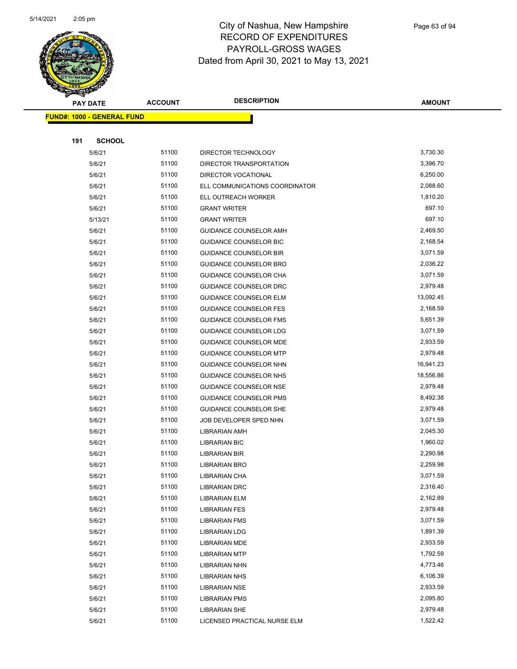

|     | <b>PAY DATE</b>                   | <b>ACCOUNT</b> | <b>DESCRIPTION</b>                           | <b>AMOUNT</b>        |
|-----|-----------------------------------|----------------|----------------------------------------------|----------------------|
|     | <b>FUND#: 1000 - GENERAL FUND</b> |                |                                              |                      |
|     |                                   |                |                                              |                      |
| 191 | <b>SCHOOL</b>                     |                |                                              |                      |
|     | 5/6/21                            | 51100          | DIRECTOR TECHNOLOGY                          | 3,730.30             |
|     | 5/6/21                            | 51100          | DIRECTOR TRANSPORTATION                      | 3,396.70             |
|     | 5/6/21                            | 51100          | DIRECTOR VOCATIONAL                          | 6,250.00             |
|     | 5/6/21                            | 51100          | ELL COMMUNICATIONS COORDINATOR               | 2,088.60             |
|     | 5/6/21                            | 51100          | ELL OUTREACH WORKER                          | 1,810.20             |
|     | 5/6/21                            | 51100          | <b>GRANT WRITER</b>                          | 697.10               |
|     | 5/13/21                           | 51100          | <b>GRANT WRITER</b>                          | 697.10               |
|     | 5/6/21                            | 51100          | GUIDANCE COUNSELOR AMH                       | 2,469.50             |
|     | 5/6/21                            | 51100          | GUIDANCE COUNSELOR BIC                       | 2,168.54             |
|     | 5/6/21                            | 51100          | <b>GUIDANCE COUNSELOR BIR</b>                | 3,071.59             |
|     | 5/6/21                            | 51100          | GUIDANCE COUNSELOR BRO                       | 2,036.22             |
|     | 5/6/21                            | 51100          | GUIDANCE COUNSELOR CHA                       | 3,071.59             |
|     | 5/6/21                            | 51100          | GUIDANCE COUNSELOR DRC                       | 2,979.48             |
|     | 5/6/21                            | 51100          | <b>GUIDANCE COUNSELOR ELM</b>                | 13,092.45            |
|     | 5/6/21                            | 51100          | <b>GUIDANCE COUNSELOR FES</b>                | 2,168.59             |
|     | 5/6/21                            | 51100          | GUIDANCE COUNSELOR FMS                       | 5,651.39             |
|     | 5/6/21                            | 51100          | GUIDANCE COUNSELOR LDG                       | 3,071.59             |
|     | 5/6/21                            | 51100          | <b>GUIDANCE COUNSELOR MDE</b>                | 2,933.59             |
|     | 5/6/21                            | 51100          | <b>GUIDANCE COUNSELOR MTP</b>                | 2,979.48             |
|     | 5/6/21                            | 51100          | GUIDANCE COUNSELOR NHN                       | 16,941.23            |
|     | 5/6/21                            | 51100          | GUIDANCE COUNSELOR NHS                       | 18,556.86            |
|     | 5/6/21                            | 51100          | GUIDANCE COUNSELOR NSE                       | 2,979.48             |
|     | 5/6/21                            | 51100          | <b>GUIDANCE COUNSELOR PMS</b>                | 8,492.38             |
|     | 5/6/21                            | 51100          | GUIDANCE COUNSELOR SHE                       | 2,979.48             |
|     | 5/6/21                            | 51100          | JOB DEVELOPER SPED NHN                       | 3,071.59             |
|     | 5/6/21                            | 51100          | <b>LIBRARIAN AMH</b>                         | 2,045.30             |
|     | 5/6/21                            | 51100          | <b>LIBRARIAN BIC</b>                         | 1,960.02             |
|     | 5/6/21                            | 51100          | LIBRARIAN BIR                                | 2,290.98             |
|     | 5/6/21                            | 51100          | LIBRARIAN BRO                                | 2,259.98             |
|     | 5/6/21                            | 51100          | <b>LIBRARIAN CHA</b>                         | 3,071.59             |
|     | 5/6/21                            | 51100          | <b>LIBRARIAN DRC</b>                         | 2,316.40             |
|     | 5/6/21                            | 51100          | <b>LIBRARIAN ELM</b>                         | 2,162.89             |
|     | 5/6/21                            | 51100          | <b>LIBRARIAN FES</b>                         | 2,979.48             |
|     | 5/6/21                            | 51100          | <b>LIBRARIAN FMS</b>                         | 3,071.59             |
|     | 5/6/21                            | 51100          | LIBRARIAN LDG                                | 1,891.39             |
|     | 5/6/21                            | 51100          | <b>LIBRARIAN MDE</b>                         | 2,933.59             |
|     | 5/6/21                            | 51100          | <b>LIBRARIAN MTP</b>                         | 1,792.59             |
|     | 5/6/21<br>5/6/21                  | 51100<br>51100 | <b>LIBRARIAN NHN</b>                         | 4,773.46<br>6,106.39 |
|     |                                   | 51100          | <b>LIBRARIAN NHS</b>                         | 2,933.59             |
|     | 5/6/21                            | 51100          | <b>LIBRARIAN NSE</b>                         | 2,095.80             |
|     | 5/6/21<br>5/6/21                  | 51100          | <b>LIBRARIAN PMS</b><br><b>LIBRARIAN SHE</b> | 2,979.48             |
|     | 5/6/21                            | 51100          | LICENSED PRACTICAL NURSE ELM                 | 1,522.42             |
|     |                                   |                |                                              |                      |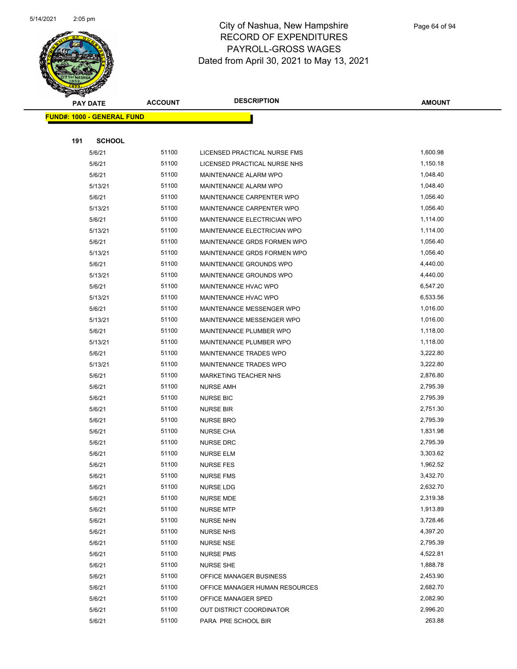

|     | <b>PAY DATE</b>                    | <b>ACCOUNT</b> | <b>DESCRIPTION</b>             | <b>AMOUNT</b> |
|-----|------------------------------------|----------------|--------------------------------|---------------|
|     | <u> FUND#: 1000 - GENERAL FUND</u> |                |                                |               |
|     |                                    |                |                                |               |
| 191 | <b>SCHOOL</b>                      |                |                                |               |
|     | 5/6/21                             | 51100          | LICENSED PRACTICAL NURSE FMS   | 1,600.98      |
|     | 5/6/21                             | 51100          | LICENSED PRACTICAL NURSE NHS   | 1,150.18      |
|     | 5/6/21                             | 51100          | MAINTENANCE ALARM WPO          | 1,048.40      |
|     | 5/13/21                            | 51100          | MAINTENANCE ALARM WPO          | 1,048.40      |
|     | 5/6/21                             | 51100          | MAINTENANCE CARPENTER WPO      | 1,056.40      |
|     | 5/13/21                            | 51100          | MAINTENANCE CARPENTER WPO      | 1,056.40      |
|     | 5/6/21                             | 51100          | MAINTENANCE ELECTRICIAN WPO    | 1,114.00      |
|     | 5/13/21                            | 51100          | MAINTENANCE ELECTRICIAN WPO    | 1,114.00      |
|     | 5/6/21                             | 51100          | MAINTENANCE GRDS FORMEN WPO    | 1,056.40      |
|     | 5/13/21                            | 51100          | MAINTENANCE GRDS FORMEN WPO    | 1,056.40      |
|     | 5/6/21                             | 51100          | MAINTENANCE GROUNDS WPO        | 4,440.00      |
|     | 5/13/21                            | 51100          | MAINTENANCE GROUNDS WPO        | 4,440.00      |
|     | 5/6/21                             | 51100          | MAINTENANCE HVAC WPO           | 6,547.20      |
|     | 5/13/21                            | 51100          | MAINTENANCE HVAC WPO           | 6,533.56      |
|     | 5/6/21                             | 51100          | MAINTENANCE MESSENGER WPO      | 1,016.00      |
|     | 5/13/21                            | 51100          | MAINTENANCE MESSENGER WPO      | 1,016.00      |
|     | 5/6/21                             | 51100          | MAINTENANCE PLUMBER WPO        | 1,118.00      |
|     | 5/13/21                            | 51100          | MAINTENANCE PLUMBER WPO        | 1,118.00      |
|     | 5/6/21                             | 51100          | MAINTENANCE TRADES WPO         | 3,222.80      |
|     | 5/13/21                            | 51100          | MAINTENANCE TRADES WPO         | 3,222.80      |
|     | 5/6/21                             | 51100          | MARKETING TEACHER NHS          | 2,876.80      |
|     | 5/6/21                             | 51100          | <b>NURSE AMH</b>               | 2,795.39      |
|     | 5/6/21                             | 51100          | <b>NURSE BIC</b>               | 2,795.39      |
|     | 5/6/21                             | 51100          | <b>NURSE BIR</b>               | 2,751.30      |
|     | 5/6/21                             | 51100          | <b>NURSE BRO</b>               | 2,795.39      |
|     | 5/6/21                             | 51100          | <b>NURSE CHA</b>               | 1,831.98      |
|     | 5/6/21                             | 51100          | <b>NURSE DRC</b>               | 2,795.39      |
|     | 5/6/21                             | 51100          | <b>NURSE ELM</b>               | 3,303.62      |
|     | 5/6/21                             | 51100          | <b>NURSE FES</b>               | 1,962.52      |
|     | 5/6/21                             | 51100          | <b>NURSE FMS</b>               | 3,432.70      |
|     | 5/6/21                             | 51100          | <b>NURSE LDG</b>               | 2,632.70      |
|     | 5/6/21                             | 51100          | <b>NURSE MDE</b>               | 2,319.38      |
|     | 5/6/21                             | 51100          | <b>NURSE MTP</b>               | 1,913.89      |
|     | 5/6/21                             | 51100          | <b>NURSE NHN</b>               | 3,728.46      |
|     | 5/6/21                             | 51100          | <b>NURSE NHS</b>               | 4,397.20      |
|     | 5/6/21                             | 51100          | <b>NURSE NSE</b>               | 2,795.39      |
|     | 5/6/21                             | 51100          | <b>NURSE PMS</b>               | 4,522.81      |
|     | 5/6/21                             | 51100          | <b>NURSE SHE</b>               | 1,888.78      |
|     | 5/6/21                             | 51100          | OFFICE MANAGER BUSINESS        | 2,453.90      |
|     | 5/6/21                             | 51100          | OFFICE MANAGER HUMAN RESOURCES | 2,682.70      |
|     | 5/6/21                             | 51100          | OFFICE MANAGER SPED            | 2,082.90      |
|     | 5/6/21                             | 51100          | OUT DISTRICT COORDINATOR       | 2,996.20      |
|     | 5/6/21                             | 51100          | PARA PRE SCHOOL BIR            | 263.88        |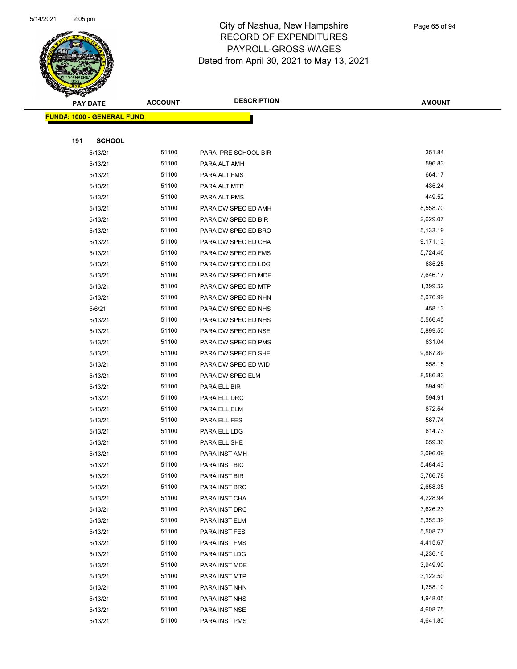

|     | <b>PAY DATE</b>                    | <b>ACCOUNT</b> | <b>DESCRIPTION</b>  | <b>AMOUNT</b> |
|-----|------------------------------------|----------------|---------------------|---------------|
|     | <u> FUND#: 1000 - GENERAL FUND</u> |                |                     |               |
|     |                                    |                |                     |               |
| 191 | <b>SCHOOL</b>                      |                |                     |               |
|     | 5/13/21                            | 51100          | PARA PRE SCHOOL BIR | 351.84        |
|     | 5/13/21                            | 51100          | PARA ALT AMH        | 596.83        |
|     | 5/13/21                            | 51100          | PARA ALT FMS        | 664.17        |
|     | 5/13/21                            | 51100          | PARA ALT MTP        | 435.24        |
|     | 5/13/21                            | 51100          | PARA ALT PMS        | 449.52        |
|     | 5/13/21                            | 51100          | PARA DW SPEC ED AMH | 8,558.70      |
|     | 5/13/21                            | 51100          | PARA DW SPEC ED BIR | 2,629.07      |
|     | 5/13/21                            | 51100          | PARA DW SPEC ED BRO | 5,133.19      |
|     | 5/13/21                            | 51100          | PARA DW SPEC ED CHA | 9,171.13      |
|     | 5/13/21                            | 51100          | PARA DW SPEC ED FMS | 5,724.46      |
|     | 5/13/21                            | 51100          | PARA DW SPEC ED LDG | 635.25        |
|     | 5/13/21                            | 51100          | PARA DW SPEC ED MDE | 7,646.17      |
|     | 5/13/21                            | 51100          | PARA DW SPEC ED MTP | 1,399.32      |
|     | 5/13/21                            | 51100          | PARA DW SPEC ED NHN | 5,076.99      |
|     | 5/6/21                             | 51100          | PARA DW SPEC ED NHS | 458.13        |
|     | 5/13/21                            | 51100          | PARA DW SPEC ED NHS | 5,566.45      |
|     | 5/13/21                            | 51100          | PARA DW SPEC ED NSE | 5,899.50      |
|     | 5/13/21                            | 51100          | PARA DW SPEC ED PMS | 631.04        |
|     | 5/13/21                            | 51100          | PARA DW SPEC ED SHE | 9,867.89      |
|     | 5/13/21                            | 51100          | PARA DW SPEC ED WID | 558.15        |
|     | 5/13/21                            | 51100          | PARA DW SPEC ELM    | 8,586.83      |
|     | 5/13/21                            | 51100          | PARA ELL BIR        | 594.90        |
|     | 5/13/21                            | 51100          | PARA ELL DRC        | 594.91        |
|     | 5/13/21                            | 51100          | PARA ELL ELM        | 872.54        |
|     | 5/13/21                            | 51100          | PARA ELL FES        | 587.74        |
|     | 5/13/21                            | 51100          | PARA ELL LDG        | 614.73        |
|     | 5/13/21                            | 51100          | PARA ELL SHE        | 659.36        |
|     | 5/13/21                            | 51100          | PARA INST AMH       | 3,096.09      |
|     | 5/13/21                            | 51100          | PARA INST BIC       | 5,484.43      |
|     | 5/13/21                            | 51100          | PARA INST BIR       | 3,766.78      |
|     | 5/13/21                            | 51100          | PARA INST BRO       | 2,658.35      |
|     | 5/13/21                            | 51100          | PARA INST CHA       | 4,228.94      |
|     | 5/13/21                            | 51100          | PARA INST DRC       | 3,626.23      |
|     | 5/13/21                            | 51100          | PARA INST ELM       | 5,355.39      |
|     | 5/13/21                            | 51100          | PARA INST FES       | 5,508.77      |
|     | 5/13/21                            | 51100          | PARA INST FMS       | 4,415.67      |
|     | 5/13/21                            | 51100          | PARA INST LDG       | 4,236.16      |
|     | 5/13/21                            | 51100          | PARA INST MDE       | 3,949.90      |
|     | 5/13/21                            | 51100          | PARA INST MTP       | 3,122.50      |
|     | 5/13/21                            | 51100          | PARA INST NHN       | 1,258.10      |
|     | 5/13/21                            | 51100          | PARA INST NHS       | 1,948.05      |
|     | 5/13/21                            | 51100          | PARA INST NSE       | 4,608.75      |
|     | 5/13/21                            | 51100          | PARA INST PMS       | 4,641.80      |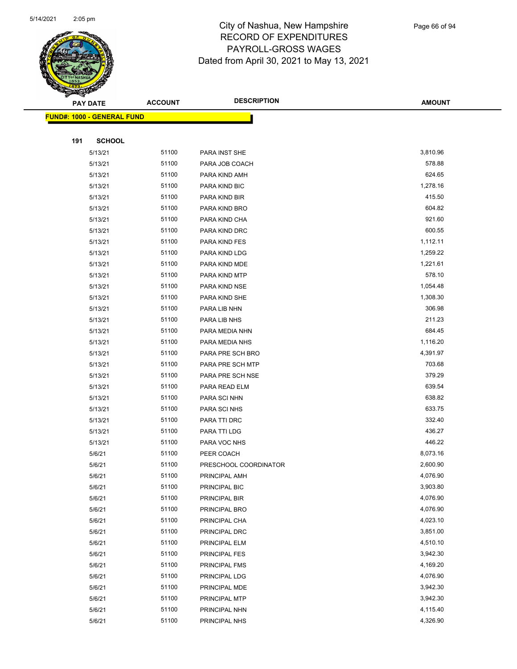

|     | <b>PAY DATE</b>                    | <b>ACCOUNT</b> | <b>DESCRIPTION</b>             | <b>AMOUNT</b>        |
|-----|------------------------------------|----------------|--------------------------------|----------------------|
|     | <u> FUND#: 1000 - GENERAL FUND</u> |                |                                |                      |
|     |                                    |                |                                |                      |
| 191 | <b>SCHOOL</b>                      |                |                                |                      |
|     | 5/13/21                            | 51100          | PARA INST SHE                  | 3,810.96             |
|     | 5/13/21                            | 51100          | PARA JOB COACH                 | 578.88               |
|     | 5/13/21                            | 51100          | PARA KIND AMH                  | 624.65               |
|     | 5/13/21                            | 51100          | PARA KIND BIC                  | 1,278.16             |
|     | 5/13/21                            | 51100          | PARA KIND BIR                  | 415.50               |
|     | 5/13/21                            | 51100          | PARA KIND BRO                  | 604.82               |
|     | 5/13/21                            | 51100          | PARA KIND CHA                  | 921.60               |
|     | 5/13/21                            | 51100          | PARA KIND DRC                  | 600.55               |
|     | 5/13/21                            | 51100          | PARA KIND FES                  | 1,112.11             |
|     | 5/13/21                            | 51100          | PARA KIND LDG                  | 1,259.22             |
|     | 5/13/21                            | 51100          | PARA KIND MDE                  | 1,221.61             |
|     | 5/13/21                            | 51100          | PARA KIND MTP                  | 578.10               |
|     | 5/13/21                            | 51100          | PARA KIND NSE                  | 1,054.48             |
|     | 5/13/21                            | 51100          | PARA KIND SHE                  | 1,308.30             |
|     | 5/13/21                            | 51100          | PARA LIB NHN                   | 306.98               |
|     | 5/13/21                            | 51100          | PARA LIB NHS                   | 211.23               |
|     | 5/13/21                            | 51100          | PARA MEDIA NHN                 | 684.45               |
|     | 5/13/21                            | 51100          | PARA MEDIA NHS                 | 1,116.20             |
|     | 5/13/21                            | 51100          | PARA PRE SCH BRO               | 4,391.97             |
|     | 5/13/21                            | 51100          | PARA PRE SCH MTP               | 703.68               |
|     | 5/13/21                            | 51100          | PARA PRE SCH NSE               | 379.29               |
|     | 5/13/21                            | 51100          | PARA READ ELM                  | 639.54               |
|     | 5/13/21                            | 51100          | PARA SCI NHN                   | 638.82               |
|     | 5/13/21                            | 51100          | PARA SCI NHS                   | 633.75               |
|     | 5/13/21                            | 51100          | PARA TTI DRC                   | 332.40               |
|     | 5/13/21                            | 51100          | PARA TTI LDG                   | 436.27               |
|     | 5/13/21                            | 51100          | PARA VOC NHS                   | 446.22               |
|     | 5/6/21                             | 51100          | PEER COACH                     | 8,073.16             |
|     | 5/6/21                             | 51100          | PRESCHOOL COORDINATOR          | 2,600.90             |
|     | 5/6/21                             | 51100          | PRINCIPAL AMH                  | 4,076.90             |
|     | 5/6/21                             | 51100<br>51100 | PRINCIPAL BIC                  | 3,903.80<br>4,076.90 |
|     | 5/6/21                             |                | PRINCIPAL BIR                  | 4,076.90             |
|     | 5/6/21<br>5/6/21                   | 51100<br>51100 | PRINCIPAL BRO                  | 4,023.10             |
|     | 5/6/21                             | 51100          | PRINCIPAL CHA                  | 3,851.00             |
|     | 5/6/21                             | 51100          | PRINCIPAL DRC<br>PRINCIPAL ELM | 4,510.10             |
|     | 5/6/21                             | 51100          | PRINCIPAL FES                  | 3,942.30             |
|     | 5/6/21                             | 51100          | PRINCIPAL FMS                  | 4,169.20             |
|     | 5/6/21                             | 51100          | PRINCIPAL LDG                  | 4,076.90             |
|     | 5/6/21                             | 51100          | PRINCIPAL MDE                  | 3,942.30             |
|     | 5/6/21                             | 51100          | PRINCIPAL MTP                  | 3,942.30             |
|     | 5/6/21                             | 51100          |                                | 4,115.40             |
|     | 5/6/21                             | 51100          | PRINCIPAL NHN                  | 4,326.90             |
|     |                                    |                | PRINCIPAL NHS                  |                      |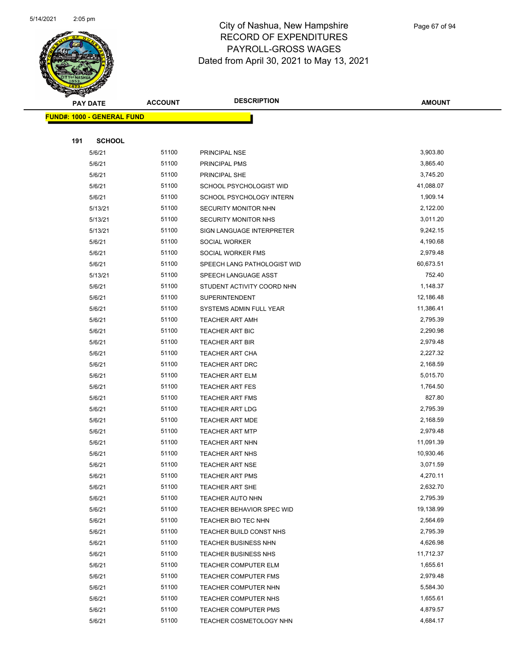

|     | <b>PAY DATE</b>                   | <b>ACCOUNT</b> | <b>DESCRIPTION</b>                           | <b>AMOUNT</b>        |
|-----|-----------------------------------|----------------|----------------------------------------------|----------------------|
|     | <b>FUND#: 1000 - GENERAL FUND</b> |                |                                              |                      |
|     |                                   |                |                                              |                      |
| 191 | <b>SCHOOL</b>                     |                |                                              |                      |
|     | 5/6/21                            | 51100          | PRINCIPAL NSE                                | 3,903.80             |
|     | 5/6/21                            | 51100          | PRINCIPAL PMS                                | 3,865.40             |
|     | 5/6/21                            | 51100          | PRINCIPAL SHE                                | 3,745.20             |
|     | 5/6/21                            | 51100          | SCHOOL PSYCHOLOGIST WID                      | 41,088.07            |
|     | 5/6/21                            | 51100          | SCHOOL PSYCHOLOGY INTERN                     | 1,909.14             |
|     | 5/13/21                           | 51100          | <b>SECURITY MONITOR NHN</b>                  | 2,122.00             |
|     | 5/13/21                           | 51100          | <b>SECURITY MONITOR NHS</b>                  | 3,011.20             |
|     | 5/13/21                           | 51100          | SIGN LANGUAGE INTERPRETER                    | 9,242.15             |
|     | 5/6/21                            | 51100          | SOCIAL WORKER                                | 4,190.68             |
|     | 5/6/21                            | 51100          | SOCIAL WORKER FMS                            | 2,979.48             |
|     | 5/6/21                            | 51100          | SPEECH LANG PATHOLOGIST WID                  | 60,673.51            |
|     | 5/13/21                           | 51100          | SPEECH LANGUAGE ASST                         | 752.40               |
|     | 5/6/21                            | 51100          | STUDENT ACTIVITY COORD NHN                   | 1,148.37             |
|     | 5/6/21                            | 51100          | <b>SUPERINTENDENT</b>                        | 12,186.48            |
|     | 5/6/21                            | 51100          | SYSTEMS ADMIN FULL YEAR                      | 11,386.41            |
|     | 5/6/21                            | 51100          | <b>TEACHER ART AMH</b>                       | 2,795.39             |
|     | 5/6/21                            | 51100          | <b>TEACHER ART BIC</b>                       | 2,290.98             |
|     | 5/6/21                            | 51100          | <b>TEACHER ART BIR</b>                       | 2,979.48             |
|     | 5/6/21                            | 51100          | <b>TEACHER ART CHA</b>                       | 2,227.32             |
|     | 5/6/21                            | 51100          | <b>TEACHER ART DRC</b>                       | 2,168.59             |
|     | 5/6/21                            | 51100          | <b>TEACHER ART ELM</b>                       | 5,015.70             |
|     | 5/6/21                            | 51100          | <b>TEACHER ART FES</b>                       | 1,764.50             |
|     | 5/6/21                            | 51100          | <b>TEACHER ART FMS</b>                       | 827.80               |
|     | 5/6/21                            | 51100          | <b>TEACHER ART LDG</b>                       | 2,795.39             |
|     | 5/6/21                            | 51100          | <b>TEACHER ART MDE</b>                       | 2,168.59             |
|     | 5/6/21                            | 51100          | <b>TEACHER ART MTP</b>                       | 2,979.48             |
|     | 5/6/21                            | 51100          | <b>TEACHER ART NHN</b>                       | 11,091.39            |
|     | 5/6/21                            | 51100          | <b>TEACHER ART NHS</b>                       | 10,930.46            |
|     | 5/6/21                            | 51100          | <b>TEACHER ART NSE</b>                       | 3,071.59             |
|     | 5/6/21                            | 51100          | <b>TEACHER ART PMS</b>                       | 4,270.11             |
|     | 5/6/21                            | 51100          | TEACHER ART SHE                              | 2,632.70             |
|     | 5/6/21                            | 51100          | <b>TEACHER AUTO NHN</b>                      | 2,795.39             |
|     | 5/6/21                            | 51100          | TEACHER BEHAVIOR SPEC WID                    | 19,138.99            |
|     | 5/6/21                            | 51100          | TEACHER BIO TEC NHN                          | 2,564.69<br>2,795.39 |
|     | 5/6/21                            | 51100<br>51100 | TEACHER BUILD CONST NHS                      | 4,626.98             |
|     | 5/6/21                            | 51100          | <b>TEACHER BUSINESS NHN</b>                  | 11,712.37            |
|     | 5/6/21<br>5/6/21                  | 51100          | <b>TEACHER BUSINESS NHS</b>                  | 1,655.61             |
|     | 5/6/21                            | 51100          | <b>TEACHER COMPUTER ELM</b>                  | 2,979.48             |
|     | 5/6/21                            | 51100          | TEACHER COMPUTER FMS<br>TEACHER COMPUTER NHN | 5,584.30             |
|     | 5/6/21                            | 51100          | TEACHER COMPUTER NHS                         | 1,655.61             |
|     | 5/6/21                            | 51100          | <b>TEACHER COMPUTER PMS</b>                  | 4,879.57             |
|     |                                   | 51100          |                                              | 4,684.17             |
|     | 5/6/21                            |                | TEACHER COSMETOLOGY NHN                      |                      |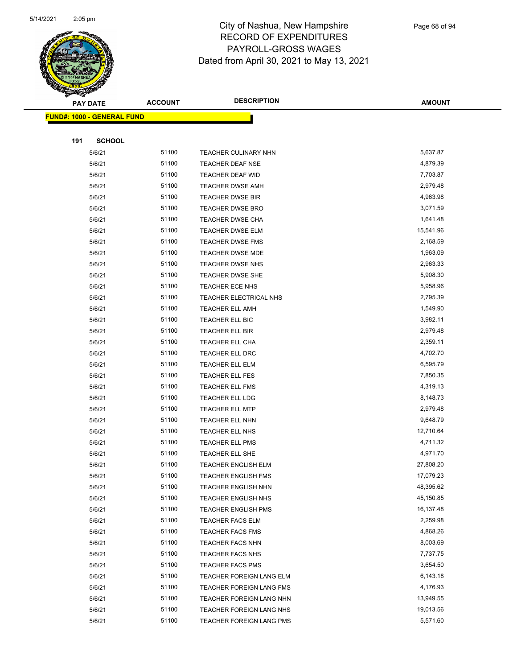

Page 68 of 94

|     | <b>PAY DATE</b>                    | <b>ACCOUNT</b> | <b>DESCRIPTION</b>         | <b>AMOUNT</b> |
|-----|------------------------------------|----------------|----------------------------|---------------|
|     | <u> FUND#: 1000 - GENERAL FUND</u> |                |                            |               |
|     |                                    |                |                            |               |
| 191 | <b>SCHOOL</b>                      |                |                            |               |
|     | 5/6/21                             | 51100          | TEACHER CULINARY NHN       | 5,637.87      |
|     | 5/6/21                             | 51100          | TEACHER DEAF NSE           | 4,879.39      |
|     | 5/6/21                             | 51100          | TEACHER DEAF WID           | 7,703.87      |
|     | 5/6/21                             | 51100          | <b>TEACHER DWSE AMH</b>    | 2,979.48      |
|     | 5/6/21                             | 51100          | <b>TEACHER DWSE BIR</b>    | 4,963.98      |
|     | 5/6/21                             | 51100          | <b>TEACHER DWSE BRO</b>    | 3,071.59      |
|     | 5/6/21                             | 51100          | <b>TEACHER DWSE CHA</b>    | 1,641.48      |
|     | 5/6/21                             | 51100          | <b>TEACHER DWSE ELM</b>    | 15,541.96     |
|     | 5/6/21                             | 51100          | <b>TEACHER DWSE FMS</b>    | 2,168.59      |
|     | 5/6/21                             | 51100          | <b>TEACHER DWSE MDE</b>    | 1,963.09      |
|     | 5/6/21                             | 51100          | TEACHER DWSE NHS           | 2,963.33      |
|     | 5/6/21                             | 51100          | TEACHER DWSE SHE           | 5,908.30      |
|     | 5/6/21                             | 51100          | <b>TEACHER ECE NHS</b>     | 5,958.96      |
|     | 5/6/21                             | 51100          | TEACHER ELECTRICAL NHS     | 2,795.39      |
|     | 5/6/21                             | 51100          | <b>TEACHER ELL AMH</b>     | 1,549.90      |
|     | 5/6/21                             | 51100          | TEACHER ELL BIC            | 3,982.11      |
|     | 5/6/21                             | 51100          | TEACHER ELL BIR            | 2,979.48      |
|     | 5/6/21                             | 51100          | <b>TEACHER ELL CHA</b>     | 2,359.11      |
|     | 5/6/21                             | 51100          | <b>TEACHER ELL DRC</b>     | 4,702.70      |
|     | 5/6/21                             | 51100          | <b>TEACHER ELL ELM</b>     | 6,595.79      |
|     | 5/6/21                             | 51100          | TEACHER ELL FES            | 7,850.35      |
|     | 5/6/21                             | 51100          | <b>TEACHER ELL FMS</b>     | 4,319.13      |
|     | 5/6/21                             | 51100          | <b>TEACHER ELL LDG</b>     | 8,148.73      |
|     | 5/6/21                             | 51100          | <b>TEACHER ELL MTP</b>     | 2,979.48      |
|     | 5/6/21                             | 51100          | <b>TEACHER ELL NHN</b>     | 9,648.79      |
|     | 5/6/21                             | 51100          | TEACHER ELL NHS            | 12,710.64     |
|     | 5/6/21                             | 51100          | <b>TEACHER ELL PMS</b>     | 4,711.32      |
|     | 5/6/21                             | 51100          | TEACHER ELL SHE            | 4,971.70      |
|     | 5/6/21                             | 51100          | <b>TEACHER ENGLISH ELM</b> | 27,808.20     |
|     | 5/6/21                             | 51100          | <b>TEACHER ENGLISH FMS</b> | 17,079.23     |
|     | 5/6/21                             | 51100          | <b>TEACHER ENGLISH NHN</b> | 48,395.62     |
|     | 5/6/21                             | 51100          | <b>TEACHER ENGLISH NHS</b> | 45,150.85     |
|     | 5/6/21                             | 51100          | <b>TEACHER ENGLISH PMS</b> | 16,137.48     |
|     | 5/6/21                             | 51100          | <b>TEACHER FACS ELM</b>    | 2,259.98      |
|     | 5/6/21                             | 51100          | <b>TEACHER FACS FMS</b>    | 4,868.26      |
|     | 5/6/21                             | 51100          | <b>TEACHER FACS NHN</b>    | 8,003.69      |
|     | 5/6/21                             | 51100          | <b>TEACHER FACS NHS</b>    | 7,737.75      |
|     | 5/6/21                             | 51100          | <b>TEACHER FACS PMS</b>    | 3,654.50      |
|     | 5/6/21                             | 51100          | TEACHER FOREIGN LANG ELM   | 6,143.18      |
|     | 5/6/21                             | 51100          | TEACHER FOREIGN LANG FMS   | 4,176.93      |
|     | 5/6/21                             | 51100          | TEACHER FOREIGN LANG NHN   | 13,949.55     |
|     | 5/6/21                             | 51100          | TEACHER FOREIGN LANG NHS   | 19,013.56     |
|     | 5/6/21                             | 51100          | TEACHER FOREIGN LANG PMS   | 5,571.60      |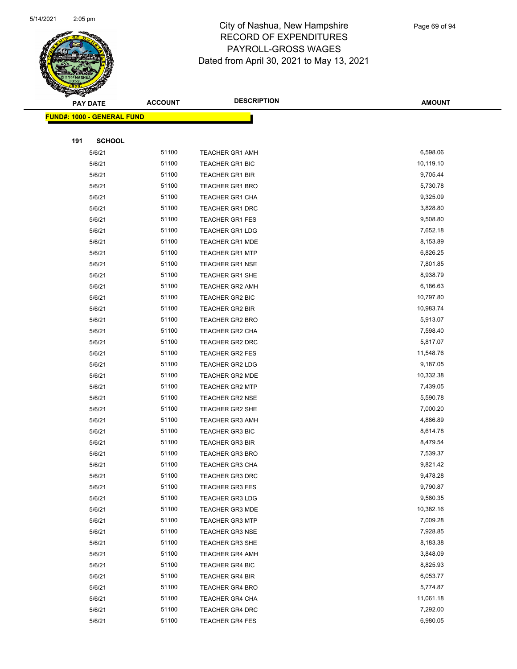

|     | <b>PAY DATE</b>                    | <b>ACCOUNT</b> | <b>DESCRIPTION</b>     | <b>AMOUNT</b> |
|-----|------------------------------------|----------------|------------------------|---------------|
|     | <u> FUND#: 1000 - GENERAL FUND</u> |                |                        |               |
|     |                                    |                |                        |               |
| 191 | <b>SCHOOL</b>                      |                |                        |               |
|     | 5/6/21                             | 51100          | <b>TEACHER GR1 AMH</b> | 6,598.06      |
|     | 5/6/21                             | 51100          | TEACHER GR1 BIC        | 10,119.10     |
|     | 5/6/21                             | 51100          | <b>TEACHER GR1 BIR</b> | 9,705.44      |
|     | 5/6/21                             | 51100          | <b>TEACHER GR1 BRO</b> | 5,730.78      |
|     | 5/6/21                             | 51100          | <b>TEACHER GR1 CHA</b> | 9,325.09      |
|     | 5/6/21                             | 51100          | <b>TEACHER GR1 DRC</b> | 3,828.80      |
|     | 5/6/21                             | 51100          | <b>TEACHER GR1 FES</b> | 9,508.80      |
|     | 5/6/21                             | 51100          | <b>TEACHER GR1 LDG</b> | 7,652.18      |
|     | 5/6/21                             | 51100          | <b>TEACHER GR1 MDE</b> | 8,153.89      |
|     | 5/6/21                             | 51100          | <b>TEACHER GR1 MTP</b> | 6,826.25      |
|     | 5/6/21                             | 51100          | <b>TEACHER GR1 NSE</b> | 7,801.85      |
|     | 5/6/21                             | 51100          | <b>TEACHER GR1 SHE</b> | 8,938.79      |
|     | 5/6/21                             | 51100          | <b>TEACHER GR2 AMH</b> | 6,186.63      |
|     | 5/6/21                             | 51100          | TEACHER GR2 BIC        | 10,797.80     |
|     | 5/6/21                             | 51100          | <b>TEACHER GR2 BIR</b> | 10,983.74     |
|     | 5/6/21                             | 51100          | TEACHER GR2 BRO        | 5,913.07      |
|     | 5/6/21                             | 51100          | <b>TEACHER GR2 CHA</b> | 7,598.40      |
|     | 5/6/21                             | 51100          | <b>TEACHER GR2 DRC</b> | 5,817.07      |
|     | 5/6/21                             | 51100          | <b>TEACHER GR2 FES</b> | 11,548.76     |
|     | 5/6/21                             | 51100          | <b>TEACHER GR2 LDG</b> | 9,187.05      |
|     | 5/6/21                             | 51100          | <b>TEACHER GR2 MDE</b> | 10,332.38     |
|     | 5/6/21                             | 51100          | <b>TEACHER GR2 MTP</b> | 7,439.05      |
|     | 5/6/21                             | 51100          | <b>TEACHER GR2 NSE</b> | 5,590.78      |
|     | 5/6/21                             | 51100          | TEACHER GR2 SHE        | 7,000.20      |
|     | 5/6/21                             | 51100          | <b>TEACHER GR3 AMH</b> | 4,886.89      |
|     | 5/6/21                             | 51100          | <b>TEACHER GR3 BIC</b> | 8,614.78      |
|     | 5/6/21                             | 51100          | <b>TEACHER GR3 BIR</b> | 8,479.54      |
|     | 5/6/21                             | 51100          | <b>TEACHER GR3 BRO</b> | 7,539.37      |
|     | 5/6/21                             | 51100          | <b>TEACHER GR3 CHA</b> | 9,821.42      |
|     | 5/6/21                             | 51100          | <b>TEACHER GR3 DRC</b> | 9,478.28      |
|     | 5/6/21                             | 51100          | <b>TEACHER GR3 FES</b> | 9,790.87      |
|     | 5/6/21                             | 51100          | <b>TEACHER GR3 LDG</b> | 9,580.35      |
|     | 5/6/21                             | 51100          | <b>TEACHER GR3 MDE</b> | 10,382.16     |
|     | 5/6/21                             | 51100          | <b>TEACHER GR3 MTP</b> | 7,009.28      |
|     | 5/6/21                             | 51100          | <b>TEACHER GR3 NSE</b> | 7,928.85      |
|     | 5/6/21                             | 51100          | <b>TEACHER GR3 SHE</b> | 8,183.38      |
|     | 5/6/21                             | 51100          | <b>TEACHER GR4 AMH</b> | 3,848.09      |
|     | 5/6/21                             | 51100          | <b>TEACHER GR4 BIC</b> | 8,825.93      |
|     | 5/6/21                             | 51100          | <b>TEACHER GR4 BIR</b> | 6,053.77      |
|     | 5/6/21                             | 51100          | <b>TEACHER GR4 BRO</b> | 5,774.87      |
|     | 5/6/21                             | 51100          | TEACHER GR4 CHA        | 11,061.18     |
|     | 5/6/21                             | 51100          | <b>TEACHER GR4 DRC</b> | 7,292.00      |
|     | 5/6/21                             | 51100          | <b>TEACHER GR4 FES</b> | 6,980.05      |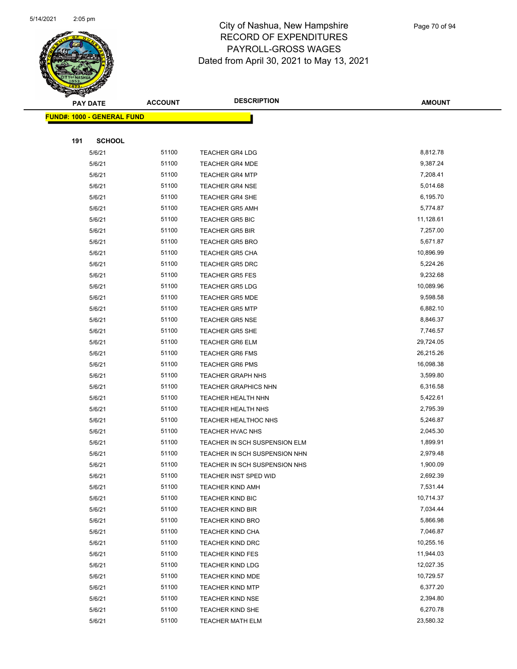

Page 70 of 94

|     | <b>PAY DATE</b>                   | <b>ACCOUNT</b> | <b>DESCRIPTION</b>                                | <b>AMOUNT</b>        |
|-----|-----------------------------------|----------------|---------------------------------------------------|----------------------|
|     | <b>FUND#: 1000 - GENERAL FUND</b> |                |                                                   |                      |
|     |                                   |                |                                                   |                      |
| 191 | <b>SCHOOL</b>                     |                |                                                   |                      |
|     | 5/6/21                            | 51100          | <b>TEACHER GR4 LDG</b>                            | 8,812.78             |
|     | 5/6/21                            | 51100          | <b>TEACHER GR4 MDE</b>                            | 9,387.24             |
|     | 5/6/21                            | 51100          | <b>TEACHER GR4 MTP</b>                            | 7,208.41             |
|     | 5/6/21                            | 51100          | <b>TEACHER GR4 NSE</b>                            | 5,014.68             |
|     | 5/6/21                            | 51100          | TEACHER GR4 SHE                                   | 6,195.70             |
|     | 5/6/21                            | 51100          | <b>TEACHER GR5 AMH</b>                            | 5,774.87             |
|     | 5/6/21                            | 51100          | <b>TEACHER GR5 BIC</b>                            | 11,128.61            |
|     | 5/6/21                            | 51100          | <b>TEACHER GR5 BIR</b>                            | 7,257.00             |
|     | 5/6/21                            | 51100          | <b>TEACHER GR5 BRO</b>                            | 5,671.87             |
|     | 5/6/21                            | 51100          | <b>TEACHER GR5 CHA</b>                            | 10,896.99            |
|     | 5/6/21                            | 51100          | <b>TEACHER GR5 DRC</b>                            | 5,224.26             |
|     | 5/6/21                            | 51100          | <b>TEACHER GR5 FES</b>                            | 9,232.68             |
|     | 5/6/21                            | 51100          | <b>TEACHER GR5 LDG</b>                            | 10,089.96            |
|     | 5/6/21                            | 51100          | <b>TEACHER GR5 MDE</b>                            | 9,598.58             |
|     | 5/6/21                            | 51100          | <b>TEACHER GR5 MTP</b>                            | 6,882.10             |
|     | 5/6/21                            | 51100          | <b>TEACHER GR5 NSE</b>                            | 8,846.37             |
|     | 5/6/21                            | 51100          | <b>TEACHER GR5 SHE</b>                            | 7,746.57             |
|     | 5/6/21                            | 51100          | <b>TEACHER GR6 ELM</b>                            | 29,724.05            |
|     | 5/6/21                            | 51100          | <b>TEACHER GR6 FMS</b>                            | 26,215.26            |
|     | 5/6/21                            | 51100          | <b>TEACHER GR6 PMS</b>                            | 16,098.38            |
|     | 5/6/21                            | 51100          | <b>TEACHER GRAPH NHS</b>                          | 3,599.80             |
|     | 5/6/21                            | 51100          | <b>TEACHER GRAPHICS NHN</b>                       | 6,316.58             |
|     | 5/6/21<br>5/6/21                  | 51100<br>51100 | <b>TEACHER HEALTH NHN</b>                         | 5,422.61<br>2,795.39 |
|     | 5/6/21                            | 51100          | <b>TEACHER HEALTH NHS</b><br>TEACHER HEALTHOC NHS | 5,246.87             |
|     | 5/6/21                            | 51100          | TEACHER HVAC NHS                                  | 2,045.30             |
|     | 5/6/21                            | 51100          | TEACHER IN SCH SUSPENSION ELM                     | 1,899.91             |
|     | 5/6/21                            | 51100          | TEACHER IN SCH SUSPENSION NHN                     | 2,979.48             |
|     | 5/6/21                            | 51100          | TEACHER IN SCH SUSPENSION NHS                     | 1,900.09             |
|     | 5/6/21                            | 51100          | TEACHER INST SPED WID                             | 2,692.39             |
|     | 5/6/21                            | 51100          | <b>TEACHER KIND AMH</b>                           | 7,531.44             |
|     | 5/6/21                            | 51100          | <b>TEACHER KIND BIC</b>                           | 10,714.37            |
|     | 5/6/21                            | 51100          | TEACHER KIND BIR                                  | 7,034.44             |
|     | 5/6/21                            | 51100          | <b>TEACHER KIND BRO</b>                           | 5,866.98             |
|     | 5/6/21                            | 51100          | TEACHER KIND CHA                                  | 7,046.87             |
|     | 5/6/21                            | 51100          | TEACHER KIND DRC                                  | 10,255.16            |
|     | 5/6/21                            | 51100          | <b>TEACHER KIND FES</b>                           | 11,944.03            |
|     | 5/6/21                            | 51100          | <b>TEACHER KIND LDG</b>                           | 12,027.35            |
|     | 5/6/21                            | 51100          | TEACHER KIND MDE                                  | 10,729.57            |
|     | 5/6/21                            | 51100          | <b>TEACHER KIND MTP</b>                           | 6,377.20             |
|     | 5/6/21                            | 51100          | <b>TEACHER KIND NSE</b>                           | 2,394.80             |
|     | 5/6/21                            | 51100          | <b>TEACHER KIND SHE</b>                           | 6,270.78             |
|     | 5/6/21                            | 51100          | <b>TEACHER MATH ELM</b>                           | 23,580.32            |
|     |                                   |                |                                                   |                      |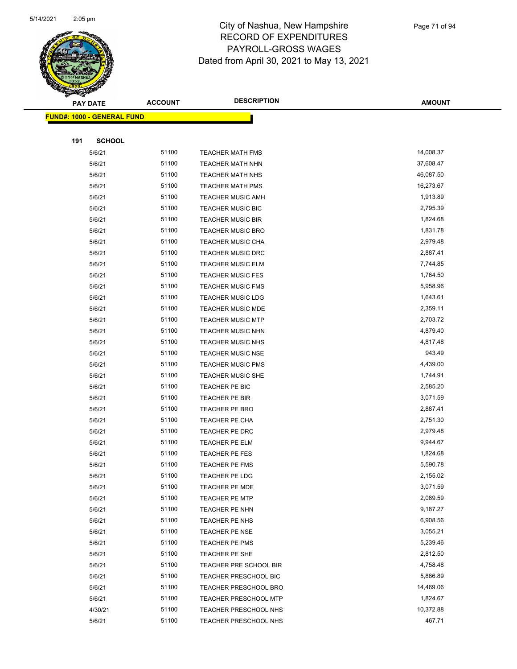

|                                   | <b>PAY DATE</b> | <b>ACCOUNT</b> | <b>DESCRIPTION</b>           | <b>AMOUNT</b> |
|-----------------------------------|-----------------|----------------|------------------------------|---------------|
| <b>FUND#: 1000 - GENERAL FUND</b> |                 |                |                              |               |
|                                   |                 |                |                              |               |
| 191                               | <b>SCHOOL</b>   |                |                              |               |
|                                   | 5/6/21          | 51100          | <b>TEACHER MATH FMS</b>      | 14,008.37     |
|                                   | 5/6/21          | 51100          | TEACHER MATH NHN             | 37,608.47     |
|                                   | 5/6/21          | 51100          | <b>TEACHER MATH NHS</b>      | 46,087.50     |
|                                   | 5/6/21          | 51100          | <b>TEACHER MATH PMS</b>      | 16,273.67     |
|                                   | 5/6/21          | 51100          | <b>TEACHER MUSIC AMH</b>     | 1,913.89      |
|                                   | 5/6/21          | 51100          | <b>TEACHER MUSIC BIC</b>     | 2,795.39      |
|                                   | 5/6/21          | 51100          | <b>TEACHER MUSIC BIR</b>     | 1,824.68      |
|                                   | 5/6/21          | 51100          | <b>TEACHER MUSIC BRO</b>     | 1,831.78      |
|                                   | 5/6/21          | 51100          | <b>TEACHER MUSIC CHA</b>     | 2,979.48      |
|                                   | 5/6/21          | 51100          | <b>TEACHER MUSIC DRC</b>     | 2,887.41      |
|                                   | 5/6/21          | 51100          | <b>TEACHER MUSIC ELM</b>     | 7,744.85      |
|                                   | 5/6/21          | 51100          | <b>TEACHER MUSIC FES</b>     | 1,764.50      |
|                                   | 5/6/21          | 51100          | <b>TEACHER MUSIC FMS</b>     | 5,958.96      |
|                                   | 5/6/21          | 51100          | <b>TEACHER MUSIC LDG</b>     | 1,643.61      |
|                                   | 5/6/21          | 51100          | <b>TEACHER MUSIC MDE</b>     | 2,359.11      |
|                                   | 5/6/21          | 51100          | <b>TEACHER MUSIC MTP</b>     | 2,703.72      |
|                                   | 5/6/21          | 51100          | <b>TEACHER MUSIC NHN</b>     | 4,879.40      |
|                                   | 5/6/21          | 51100          | <b>TEACHER MUSIC NHS</b>     | 4,817.48      |
|                                   | 5/6/21          | 51100          | <b>TEACHER MUSIC NSE</b>     | 943.49        |
|                                   | 5/6/21          | 51100          | <b>TEACHER MUSIC PMS</b>     | 4,439.00      |
|                                   | 5/6/21          | 51100          | TEACHER MUSIC SHE            | 1,744.91      |
|                                   | 5/6/21          | 51100          | TEACHER PE BIC               | 2,585.20      |
|                                   | 5/6/21          | 51100          | TEACHER PE BIR               | 3,071.59      |
|                                   | 5/6/21          | 51100          | TEACHER PE BRO               | 2,887.41      |
|                                   | 5/6/21          | 51100          | TEACHER PE CHA               | 2,751.30      |
|                                   | 5/6/21          | 51100          | TEACHER PE DRC               | 2,979.48      |
|                                   | 5/6/21          | 51100          | <b>TEACHER PE ELM</b>        | 9,944.67      |
|                                   | 5/6/21          | 51100          | <b>TEACHER PE FES</b>        | 1,824.68      |
|                                   | 5/6/21          | 51100          | <b>TEACHER PE FMS</b>        | 5,590.78      |
|                                   | 5/6/21          | 51100          | <b>TEACHER PE LDG</b>        | 2,155.02      |
|                                   | 5/6/21          | 51100          | TEACHER PE MDE               | 3,071.59      |
|                                   | 5/6/21          | 51100          | <b>TEACHER PE MTP</b>        | 2,089.59      |
|                                   | 5/6/21          | 51100          | TEACHER PE NHN               | 9,187.27      |
|                                   | 5/6/21          | 51100          | TEACHER PE NHS               | 6,908.56      |
|                                   | 5/6/21          | 51100          | <b>TEACHER PE NSE</b>        | 3,055.21      |
|                                   | 5/6/21          | 51100          | TEACHER PE PMS               | 5,239.46      |
|                                   | 5/6/21          | 51100          | TEACHER PE SHE               | 2,812.50      |
|                                   | 5/6/21          | 51100          | TEACHER PRE SCHOOL BIR       | 4,758.48      |
|                                   | 5/6/21          | 51100          | TEACHER PRESCHOOL BIC        | 5,866.89      |
|                                   | 5/6/21          | 51100          | <b>TEACHER PRESCHOOL BRO</b> | 14,469.06     |
|                                   | 5/6/21          | 51100          | <b>TEACHER PRESCHOOL MTP</b> | 1,824.67      |
|                                   | 4/30/21         | 51100          | <b>TEACHER PRESCHOOL NHS</b> | 10,372.88     |
|                                   | 5/6/21          | 51100          | <b>TEACHER PRESCHOOL NHS</b> | 467.71        |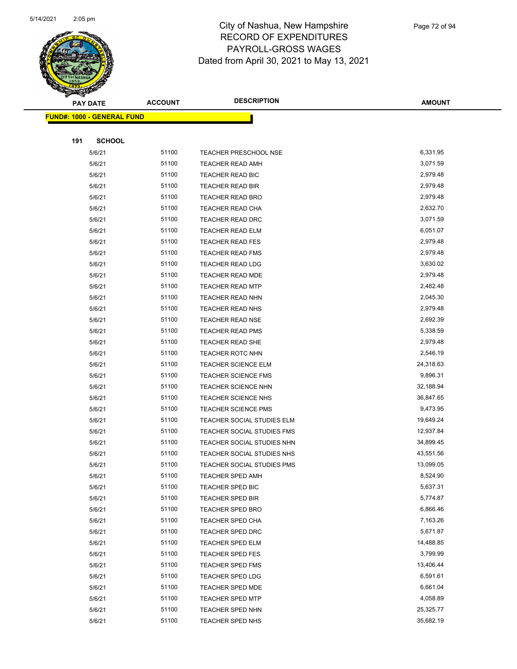

| <b>PAY DATE</b>                    | <b>ACCOUNT</b> | <b>DESCRIPTION</b>         | <b>AMOUNT</b> |
|------------------------------------|----------------|----------------------------|---------------|
| <u> FUND#: 1000 - GENERAL FUND</u> |                |                            |               |
|                                    |                |                            |               |
| 191<br><b>SCHOOL</b>               |                |                            |               |
| 5/6/21                             | 51100          | TEACHER PRESCHOOL NSE      | 6,331.95      |
| 5/6/21                             | 51100          | <b>TEACHER READ AMH</b>    | 3,071.59      |
| 5/6/21                             | 51100          | TEACHER READ BIC           | 2,979.48      |
| 5/6/21                             | 51100          | TEACHER READ BIR           | 2,979.48      |
| 5/6/21                             | 51100          | <b>TEACHER READ BRO</b>    | 2,979.48      |
| 5/6/21                             | 51100          | TEACHER READ CHA           | 2,632.70      |
| 5/6/21                             | 51100          | TEACHER READ DRC           | 3,071.59      |
| 5/6/21                             | 51100          | TEACHER READ ELM           | 6,051.07      |
| 5/6/21                             | 51100          | <b>TEACHER READ FES</b>    | 2,979.48      |
| 5/6/21                             | 51100          | <b>TEACHER READ FMS</b>    | 2,979.48      |
| 5/6/21                             | 51100          | TEACHER READ LDG           | 3,630.02      |
| 5/6/21                             | 51100          | TEACHER READ MDE           | 2,979.48      |
| 5/6/21                             | 51100          | <b>TEACHER READ MTP</b>    | 2,482.48      |
| 5/6/21                             | 51100          | <b>TEACHER READ NHN</b>    | 2,045.30      |
| 5/6/21                             | 51100          | <b>TEACHER READ NHS</b>    | 2,979.48      |
| 5/6/21                             | 51100          | TEACHER READ NSE           | 2,692.39      |
| 5/6/21                             | 51100          | <b>TEACHER READ PMS</b>    | 5,338.59      |
| 5/6/21                             | 51100          | TEACHER READ SHE           | 2,979.48      |
| 5/6/21                             | 51100          | <b>TEACHER ROTC NHN</b>    | 2,546.19      |
| 5/6/21                             | 51100          | <b>TEACHER SCIENCE ELM</b> | 24,318.63     |
| 5/6/21                             | 51100          | <b>TEACHER SCIENCE FMS</b> | 9,896.31      |
| 5/6/21                             | 51100          | TEACHER SCIENCE NHN        | 32,188.94     |
| 5/6/21                             | 51100          | TEACHER SCIENCE NHS        | 36,847.65     |
| 5/6/21                             | 51100          | <b>TEACHER SCIENCE PMS</b> | 9,473.95      |
| 5/6/21                             | 51100          | TEACHER SOCIAL STUDIES ELM | 19,649.24     |
| 5/6/21                             | 51100          | TEACHER SOCIAL STUDIES FMS | 12,937.84     |
| 5/6/21                             | 51100          | TEACHER SOCIAL STUDIES NHN | 34,899.45     |
| 5/6/21                             | 51100          | TEACHER SOCIAL STUDIES NHS | 43,551.56     |
| 5/6/21                             | 51100          | TEACHER SOCIAL STUDIES PMS | 13,099.05     |
| 5/6/21                             | 51100          | TEACHER SPED AMH           | 8,524.90      |
| 5/6/21                             | 51100          | TEACHER SPED BIC           | 5,637.31      |
| 5/6/21                             | 51100          | <b>TEACHER SPED BIR</b>    | 5,774.87      |
| 5/6/21                             | 51100          | TEACHER SPED BRO           | 6,866.46      |
| 5/6/21                             | 51100          | <b>TEACHER SPED CHA</b>    | 7,163.26      |
| 5/6/21                             | 51100          | <b>TEACHER SPED DRC</b>    | 5,671.87      |
| 5/6/21                             | 51100          | <b>TEACHER SPED ELM</b>    | 14,488.85     |
| 5/6/21                             | 51100          | TEACHER SPED FES           | 3,799.99      |
| 5/6/21                             | 51100          | TEACHER SPED FMS           | 13,406.44     |
| 5/6/21                             | 51100          | <b>TEACHER SPED LDG</b>    | 6,591.61      |
| 5/6/21                             | 51100          | <b>TEACHER SPED MDE</b>    | 6,661.04      |
| 5/6/21                             | 51100          | <b>TEACHER SPED MTP</b>    | 4,058.89      |
| 5/6/21                             | 51100          | TEACHER SPED NHN           | 25,325.77     |
| 5/6/21                             | 51100          | TEACHER SPED NHS           | 35,682.19     |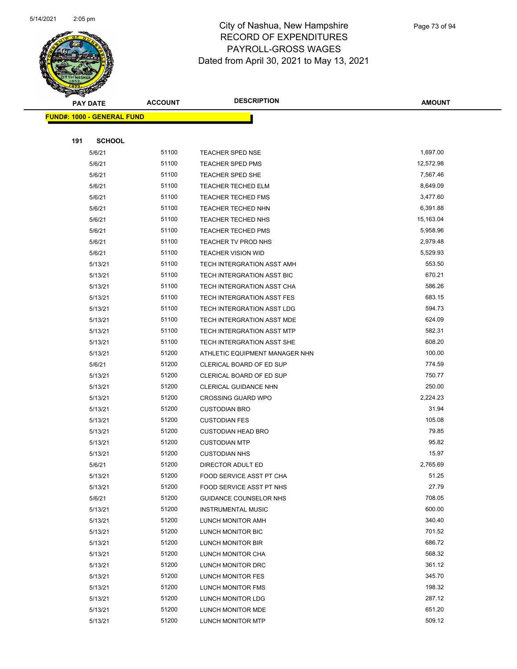

Page 73 of 94

| <b>PAY DATE</b>                   | <b>ACCOUNT</b> | <b>DESCRIPTION</b>                                       | <b>AMOUNT</b>    |  |
|-----------------------------------|----------------|----------------------------------------------------------|------------------|--|
| <b>FUND#: 1000 - GENERAL FUND</b> |                |                                                          |                  |  |
|                                   |                |                                                          |                  |  |
| 191<br><b>SCHOOL</b>              |                |                                                          |                  |  |
| 5/6/21                            | 51100          | <b>TEACHER SPED NSE</b>                                  | 1,697.00         |  |
| 5/6/21                            | 51100          | <b>TEACHER SPED PMS</b>                                  | 12,572.98        |  |
| 5/6/21                            | 51100          | <b>TEACHER SPED SHE</b>                                  | 7,567.46         |  |
| 5/6/21                            | 51100          | <b>TEACHER TECHED ELM</b>                                | 8,649.09         |  |
| 5/6/21                            | 51100          | <b>TEACHER TECHED FMS</b>                                | 3,477.60         |  |
| 5/6/21                            | 51100          | TEACHER TECHED NHN                                       | 6,391.88         |  |
| 5/6/21                            | 51100          | <b>TEACHER TECHED NHS</b>                                | 15,163.04        |  |
| 5/6/21                            | 51100          | <b>TEACHER TECHED PMS</b>                                | 5,958.96         |  |
| 5/6/21                            | 51100          | TEACHER TV PROD NHS                                      | 2,979.48         |  |
| 5/6/21                            | 51100          | <b>TEACHER VISION WID</b>                                | 5,529.93         |  |
| 5/13/21                           | 51100          | TECH INTERGRATION ASST AMH                               | 553.50           |  |
| 5/13/21                           | 51100          | TECH INTERGRATION ASST BIC                               | 670.21           |  |
| 5/13/21                           | 51100          | TECH INTERGRATION ASST CHA                               | 586.26           |  |
| 5/13/21                           | 51100          | TECH INTERGRATION ASST FES                               | 683.15           |  |
| 5/13/21                           | 51100          | TECH INTERGRATION ASST LDG                               | 594.73           |  |
| 5/13/21                           | 51100          | TECH INTERGRATION ASST MDE                               | 624.09           |  |
| 5/13/21                           | 51100          | TECH INTERGRATION ASST MTP                               | 582.31           |  |
| 5/13/21                           | 51100          | TECH INTERGRATION ASST SHE                               | 608.20           |  |
| 5/13/21                           | 51200<br>51200 | ATHLETIC EQUIPMENT MANAGER NHN                           | 100.00<br>774.59 |  |
| 5/6/21<br>5/13/21                 | 51200          | CLERICAL BOARD OF ED SUP                                 | 750.77           |  |
| 5/13/21                           | 51200          | CLERICAL BOARD OF ED SUP<br><b>CLERICAL GUIDANCE NHN</b> | 250.00           |  |
| 5/13/21                           | 51200          | <b>CROSSING GUARD WPO</b>                                | 2,224.23         |  |
| 5/13/21                           | 51200          | <b>CUSTODIAN BRO</b>                                     | 31.94            |  |
| 5/13/21                           | 51200          | <b>CUSTODIAN FES</b>                                     | 105.08           |  |
| 5/13/21                           | 51200          | <b>CUSTODIAN HEAD BRO</b>                                | 79.85            |  |
| 5/13/21                           | 51200          | <b>CUSTODIAN MTP</b>                                     | 95.82            |  |
| 5/13/21                           | 51200          | <b>CUSTODIAN NHS</b>                                     | 15.97            |  |
| 5/6/21                            | 51200          | DIRECTOR ADULT ED                                        | 2,765.69         |  |
| 5/13/21                           | 51200          | <b>FOOD SERVICE ASST PT CHA</b>                          | 51.25            |  |
| 5/13/21                           | 51200          | FOOD SERVICE ASST PT NHS                                 | 27.79            |  |
| 5/6/21                            | 51200          | <b>GUIDANCE COUNSELOR NHS</b>                            | 708.05           |  |
| 5/13/21                           | 51200          | <b>INSTRUMENTAL MUSIC</b>                                | 600.00           |  |
| 5/13/21                           | 51200          | LUNCH MONITOR AMH                                        | 340.40           |  |
| 5/13/21                           | 51200          | LUNCH MONITOR BIC                                        | 701.52           |  |
| 5/13/21                           | 51200          | LUNCH MONITOR BIR                                        | 686.72           |  |
| 5/13/21                           | 51200          | LUNCH MONITOR CHA                                        | 568.32           |  |
| 5/13/21                           | 51200          | LUNCH MONITOR DRC                                        | 361.12           |  |
| 5/13/21                           | 51200          | LUNCH MONITOR FES                                        | 345.70           |  |
| 5/13/21                           | 51200          | LUNCH MONITOR FMS                                        | 198.32           |  |
| 5/13/21                           | 51200          | LUNCH MONITOR LDG                                        | 287.12           |  |
| 5/13/21                           | 51200          | LUNCH MONITOR MDE                                        | 651.20           |  |
| 5/13/21                           | 51200          | LUNCH MONITOR MTP                                        | 509.12           |  |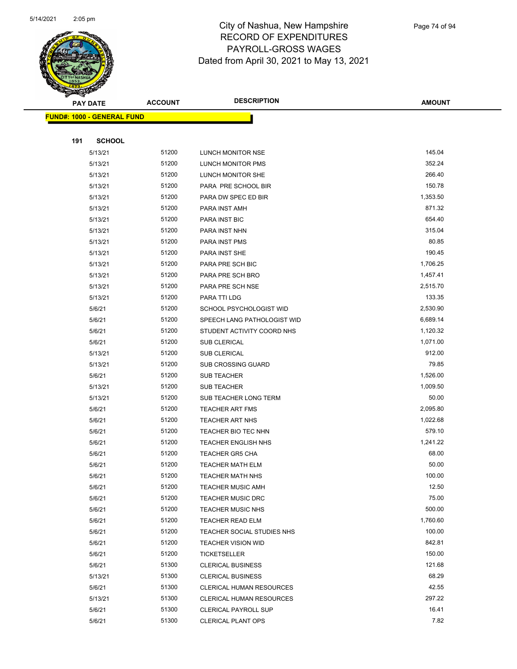

|     | <b>PAY DATE</b>                   | <b>ACCOUNT</b> | <b>DESCRIPTION</b>              | <b>AMOUNT</b> |
|-----|-----------------------------------|----------------|---------------------------------|---------------|
|     | <b>FUND#: 1000 - GENERAL FUND</b> |                |                                 |               |
|     |                                   |                |                                 |               |
| 191 | <b>SCHOOL</b>                     |                |                                 |               |
|     | 5/13/21                           | 51200          | LUNCH MONITOR NSE               | 145.04        |
|     | 5/13/21                           | 51200          | LUNCH MONITOR PMS               | 352.24        |
|     | 5/13/21                           | 51200          | LUNCH MONITOR SHE               | 266.40        |
|     | 5/13/21                           | 51200          | PARA PRE SCHOOL BIR             | 150.78        |
|     | 5/13/21                           | 51200          | PARA DW SPEC ED BIR             | 1,353.50      |
|     | 5/13/21                           | 51200          | PARA INST AMH                   | 871.32        |
|     | 5/13/21                           | 51200          | PARA INST BIC                   | 654.40        |
|     | 5/13/21                           | 51200          | PARA INST NHN                   | 315.04        |
|     | 5/13/21                           | 51200          | PARA INST PMS                   | 80.85         |
|     | 5/13/21                           | 51200          | PARA INST SHE                   | 190.45        |
|     | 5/13/21                           | 51200          | PARA PRE SCH BIC                | 1,706.25      |
|     | 5/13/21                           | 51200          | PARA PRE SCH BRO                | 1,457.41      |
|     | 5/13/21                           | 51200          | PARA PRE SCH NSE                | 2,515.70      |
|     | 5/13/21                           | 51200          | PARA TTI LDG                    | 133.35        |
|     | 5/6/21                            | 51200          | SCHOOL PSYCHOLOGIST WID         | 2,530.90      |
|     | 5/6/21                            | 51200          | SPEECH LANG PATHOLOGIST WID     | 6,689.14      |
|     | 5/6/21                            | 51200          | STUDENT ACTIVITY COORD NHS      | 1,120.32      |
|     | 5/6/21                            | 51200          | <b>SUB CLERICAL</b>             | 1,071.00      |
|     | 5/13/21                           | 51200          | <b>SUB CLERICAL</b>             | 912.00        |
|     | 5/13/21                           | 51200          | <b>SUB CROSSING GUARD</b>       | 79.85         |
|     | 5/6/21                            | 51200          | <b>SUB TEACHER</b>              | 1,526.00      |
|     | 5/13/21                           | 51200          | <b>SUB TEACHER</b>              | 1,009.50      |
|     | 5/13/21                           | 51200          | SUB TEACHER LONG TERM           | 50.00         |
|     | 5/6/21                            | 51200          | <b>TEACHER ART FMS</b>          | 2,095.80      |
|     | 5/6/21                            | 51200          | TEACHER ART NHS                 | 1,022.68      |
|     | 5/6/21                            | 51200          | TEACHER BIO TEC NHN             | 579.10        |
|     | 5/6/21                            | 51200          | <b>TEACHER ENGLISH NHS</b>      | 1,241.22      |
|     | 5/6/21                            | 51200          | <b>TEACHER GR5 CHA</b>          | 68.00         |
|     | 5/6/21                            | 51200          | TEACHER MATH ELM                | 50.00         |
|     | 5/6/21                            | 51200          | TEACHER MATH NHS                | 100.00        |
|     | 5/6/21                            | 51200          | <b>TEACHER MUSIC AMH</b>        | 12.50         |
|     | 5/6/21                            | 51200          | <b>TEACHER MUSIC DRC</b>        | 75.00         |
|     | 5/6/21                            | 51200          | <b>TEACHER MUSIC NHS</b>        | 500.00        |
|     | 5/6/21                            | 51200          | TEACHER READ ELM                | 1,760.60      |
|     | 5/6/21                            | 51200          | TEACHER SOCIAL STUDIES NHS      | 100.00        |
|     | 5/6/21                            | 51200          | <b>TEACHER VISION WID</b>       | 842.81        |
|     | 5/6/21                            | 51200          | TICKETSELLER                    | 150.00        |
|     | 5/6/21                            | 51300          | <b>CLERICAL BUSINESS</b>        | 121.68        |
|     | 5/13/21                           | 51300          | <b>CLERICAL BUSINESS</b>        | 68.29         |
|     | 5/6/21                            | 51300          | <b>CLERICAL HUMAN RESOURCES</b> | 42.55         |
|     | 5/13/21                           | 51300          | CLERICAL HUMAN RESOURCES        | 297.22        |
|     | 5/6/21                            | 51300          | <b>CLERICAL PAYROLL SUP</b>     | 16.41         |
|     | 5/6/21                            | 51300          | <b>CLERICAL PLANT OPS</b>       | 7.82          |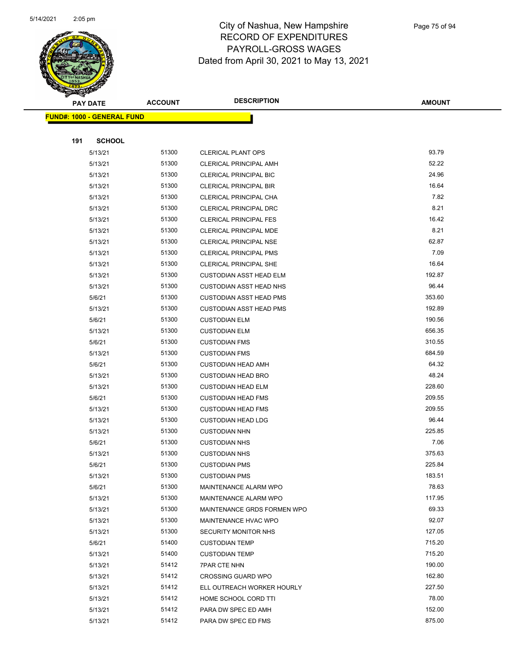

|     | <b>PAY DATE</b>                   | <b>ACCOUNT</b> | <b>DESCRIPTION</b>             | <b>AMOUNT</b> |
|-----|-----------------------------------|----------------|--------------------------------|---------------|
|     | <b>FUND#: 1000 - GENERAL FUND</b> |                |                                |               |
|     |                                   |                |                                |               |
| 191 | <b>SCHOOL</b>                     |                |                                |               |
|     | 5/13/21                           | 51300          | <b>CLERICAL PLANT OPS</b>      | 93.79         |
|     | 5/13/21                           | 51300          | <b>CLERICAL PRINCIPAL AMH</b>  | 52.22         |
|     | 5/13/21                           | 51300          | <b>CLERICAL PRINCIPAL BIC</b>  | 24.96         |
|     | 5/13/21                           | 51300          | <b>CLERICAL PRINCIPAL BIR</b>  | 16.64         |
|     | 5/13/21                           | 51300          | CLERICAL PRINCIPAL CHA         | 7.82          |
|     | 5/13/21                           | 51300          | CLERICAL PRINCIPAL DRC         | 8.21          |
|     | 5/13/21                           | 51300          | <b>CLERICAL PRINCIPAL FES</b>  | 16.42         |
|     | 5/13/21                           | 51300          | CLERICAL PRINCIPAL MDE         | 8.21          |
|     | 5/13/21                           | 51300          | CLERICAL PRINCIPAL NSE         | 62.87         |
|     | 5/13/21                           | 51300          | <b>CLERICAL PRINCIPAL PMS</b>  | 7.09          |
|     | 5/13/21                           | 51300          | CLERICAL PRINCIPAL SHE         | 16.64         |
|     | 5/13/21                           | 51300          | <b>CUSTODIAN ASST HEAD ELM</b> | 192.87        |
|     | 5/13/21                           | 51300          | <b>CUSTODIAN ASST HEAD NHS</b> | 96.44         |
|     | 5/6/21                            | 51300          | <b>CUSTODIAN ASST HEAD PMS</b> | 353.60        |
|     | 5/13/21                           | 51300          | <b>CUSTODIAN ASST HEAD PMS</b> | 192.89        |
|     | 5/6/21                            | 51300          | <b>CUSTODIAN ELM</b>           | 190.56        |
|     | 5/13/21                           | 51300          | <b>CUSTODIAN ELM</b>           | 656.35        |
|     | 5/6/21                            | 51300          | <b>CUSTODIAN FMS</b>           | 310.55        |
|     | 5/13/21                           | 51300          | <b>CUSTODIAN FMS</b>           | 684.59        |
|     | 5/6/21                            | 51300          | <b>CUSTODIAN HEAD AMH</b>      | 64.32         |
|     | 5/13/21                           | 51300          | <b>CUSTODIAN HEAD BRO</b>      | 48.24         |
|     | 5/13/21                           | 51300          | <b>CUSTODIAN HEAD ELM</b>      | 228.60        |
|     | 5/6/21                            | 51300          | <b>CUSTODIAN HEAD FMS</b>      | 209.55        |
|     | 5/13/21                           | 51300          | <b>CUSTODIAN HEAD FMS</b>      | 209.55        |
|     | 5/13/21                           | 51300          | <b>CUSTODIAN HEAD LDG</b>      | 96.44         |
|     | 5/13/21                           | 51300          | <b>CUSTODIAN NHN</b>           | 225.85        |
|     | 5/6/21                            | 51300          | <b>CUSTODIAN NHS</b>           | 7.06          |
|     | 5/13/21                           | 51300          | <b>CUSTODIAN NHS</b>           | 375.63        |
|     | 5/6/21                            | 51300          | <b>CUSTODIAN PMS</b>           | 225.84        |
|     | 5/13/21                           | 51300          | <b>CUSTODIAN PMS</b>           | 183.51        |
|     | 5/6/21                            | 51300          | MAINTENANCE ALARM WPO          | 78.63         |
|     | 5/13/21                           | 51300          | MAINTENANCE ALARM WPO          | 117.95        |
|     | 5/13/21                           | 51300          | MAINTENANCE GRDS FORMEN WPO    | 69.33         |
|     | 5/13/21                           | 51300          | MAINTENANCE HVAC WPO           | 92.07         |
|     | 5/13/21                           | 51300          | SECURITY MONITOR NHS           | 127.05        |
|     | 5/6/21                            | 51400          | <b>CUSTODIAN TEMP</b>          | 715.20        |
|     | 5/13/21                           | 51400          | <b>CUSTODIAN TEMP</b>          | 715.20        |
|     | 5/13/21                           | 51412          | <b>7PAR CTE NHN</b>            | 190.00        |
|     | 5/13/21                           | 51412          | <b>CROSSING GUARD WPO</b>      | 162.80        |
|     | 5/13/21                           | 51412          | ELL OUTREACH WORKER HOURLY     | 227.50        |
|     | 5/13/21                           | 51412          | HOME SCHOOL CORD TTI           | 78.00         |
|     | 5/13/21                           | 51412          | PARA DW SPEC ED AMH            | 152.00        |
|     | 5/13/21                           | 51412          | PARA DW SPEC ED FMS            | 875.00        |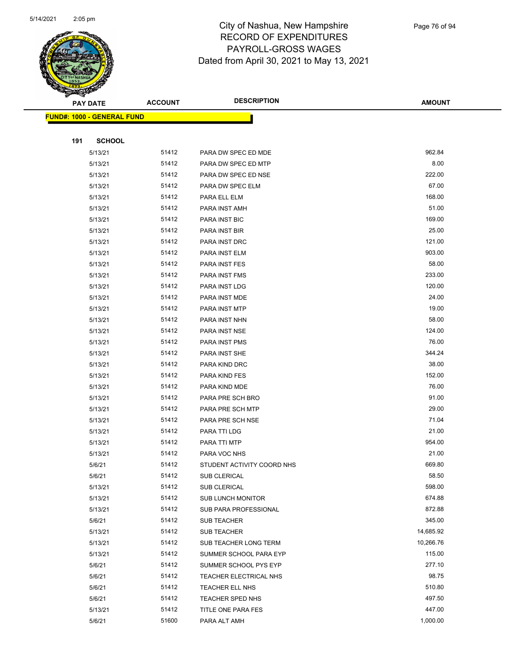

|     | <b>PAY DATE</b>                    | <b>ACCOUNT</b> | <b>DESCRIPTION</b>         | <b>AMOUNT</b> |
|-----|------------------------------------|----------------|----------------------------|---------------|
|     | <u> FUND#: 1000 - GENERAL FUND</u> |                |                            |               |
|     |                                    |                |                            |               |
| 191 | <b>SCHOOL</b>                      |                |                            |               |
|     | 5/13/21                            | 51412          | PARA DW SPEC ED MDE        | 962.84        |
|     | 5/13/21                            | 51412          | PARA DW SPEC ED MTP        | 8.00          |
|     | 5/13/21                            | 51412          | PARA DW SPEC ED NSE        | 222.00        |
|     | 5/13/21                            | 51412          | PARA DW SPEC ELM           | 67.00         |
|     | 5/13/21                            | 51412          | PARA ELL ELM               | 168.00        |
|     | 5/13/21                            | 51412          | PARA INST AMH              | 51.00         |
|     | 5/13/21                            | 51412          | PARA INST BIC              | 169.00        |
|     | 5/13/21                            | 51412          | PARA INST BIR              | 25.00         |
|     | 5/13/21                            | 51412          | PARA INST DRC              | 121.00        |
|     | 5/13/21                            | 51412          | PARA INST ELM              | 903.00        |
|     | 5/13/21                            | 51412          | PARA INST FES              | 58.00         |
|     | 5/13/21                            | 51412          | PARA INST FMS              | 233.00        |
|     | 5/13/21                            | 51412          | PARA INST LDG              | 120.00        |
|     | 5/13/21                            | 51412          | PARA INST MDE              | 24.00         |
|     | 5/13/21                            | 51412          | PARA INST MTP              | 19.00         |
|     | 5/13/21                            | 51412          | PARA INST NHN              | 58.00         |
|     | 5/13/21                            | 51412          | PARA INST NSE              | 124.00        |
|     | 5/13/21                            | 51412          | PARA INST PMS              | 76.00         |
|     | 5/13/21                            | 51412          | PARA INST SHE              | 344.24        |
|     | 5/13/21                            | 51412          | PARA KIND DRC              | 38.00         |
|     | 5/13/21                            | 51412          | PARA KIND FES              | 152.00        |
|     | 5/13/21                            | 51412          | PARA KIND MDE              | 76.00         |
|     | 5/13/21                            | 51412          | PARA PRE SCH BRO           | 91.00         |
|     | 5/13/21                            | 51412          | PARA PRE SCH MTP           | 29.00         |
|     | 5/13/21                            | 51412          | PARA PRE SCH NSE           | 71.04         |
|     | 5/13/21                            | 51412          | PARA TTI LDG               | 21.00         |
|     | 5/13/21                            | 51412          | PARA TTI MTP               | 954.00        |
|     | 5/13/21                            | 51412          | PARA VOC NHS               | 21.00         |
|     | 5/6/21                             | 51412          | STUDENT ACTIVITY COORD NHS | 669.80        |
|     | 5/6/21                             | 51412          | <b>SUB CLERICAL</b>        | 58.50         |
|     | 5/13/21                            | 51412          | SUB CLERICAL               | 598.00        |
|     | 5/13/21                            | 51412          | <b>SUB LUNCH MONITOR</b>   | 674.88        |
|     | 5/13/21                            | 51412          | SUB PARA PROFESSIONAL      | 872.88        |
|     | 5/6/21                             | 51412          | SUB TEACHER                | 345.00        |
|     | 5/13/21                            | 51412          | SUB TEACHER                | 14,685.92     |
|     | 5/13/21                            | 51412          | SUB TEACHER LONG TERM      | 10,266.76     |
|     | 5/13/21                            | 51412          | SUMMER SCHOOL PARA EYP     | 115.00        |
|     | 5/6/21                             | 51412          | SUMMER SCHOOL PYS EYP      | 277.10        |
|     | 5/6/21                             | 51412          | TEACHER ELECTRICAL NHS     | 98.75         |
|     | 5/6/21                             | 51412          | TEACHER ELL NHS            | 510.80        |
|     | 5/6/21                             | 51412          | TEACHER SPED NHS           | 497.50        |
|     | 5/13/21                            | 51412          | TITLE ONE PARA FES         | 447.00        |
|     | 5/6/21                             | 51600          | PARA ALT AMH               | 1,000.00      |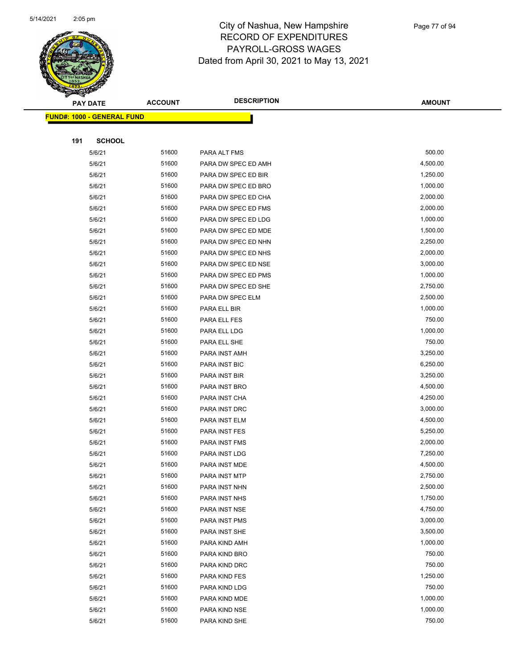

|     | <b>PAY DATE</b>                   | <b>ACCOUNT</b> | <b>DESCRIPTION</b>  | <b>AMOUNT</b> |
|-----|-----------------------------------|----------------|---------------------|---------------|
|     | <b>FUND#: 1000 - GENERAL FUND</b> |                |                     |               |
|     |                                   |                |                     |               |
| 191 | <b>SCHOOL</b>                     |                |                     |               |
|     | 5/6/21                            | 51600          | PARA ALT FMS        | 500.00        |
|     | 5/6/21                            | 51600          | PARA DW SPEC ED AMH | 4,500.00      |
|     | 5/6/21                            | 51600          | PARA DW SPEC ED BIR | 1,250.00      |
|     | 5/6/21                            | 51600          | PARA DW SPEC ED BRO | 1,000.00      |
|     | 5/6/21                            | 51600          | PARA DW SPEC ED CHA | 2,000.00      |
|     | 5/6/21                            | 51600          | PARA DW SPEC ED FMS | 2,000.00      |
|     | 5/6/21                            | 51600          | PARA DW SPEC ED LDG | 1,000.00      |
|     | 5/6/21                            | 51600          | PARA DW SPEC ED MDE | 1,500.00      |
|     | 5/6/21                            | 51600          | PARA DW SPEC ED NHN | 2,250.00      |
|     | 5/6/21                            | 51600          | PARA DW SPEC ED NHS | 2,000.00      |
|     | 5/6/21                            | 51600          | PARA DW SPEC ED NSE | 3,000.00      |
|     | 5/6/21                            | 51600          | PARA DW SPEC ED PMS | 1,000.00      |
|     | 5/6/21                            | 51600          | PARA DW SPEC ED SHE | 2,750.00      |
|     | 5/6/21                            | 51600          | PARA DW SPEC ELM    | 2,500.00      |
|     | 5/6/21                            | 51600          | PARA ELL BIR        | 1,000.00      |
|     | 5/6/21                            | 51600          | PARA ELL FES        | 750.00        |
|     | 5/6/21                            | 51600          | PARA ELL LDG        | 1,000.00      |
|     | 5/6/21                            | 51600          | PARA ELL SHE        | 750.00        |
|     | 5/6/21                            | 51600          | PARA INST AMH       | 3,250.00      |
|     | 5/6/21                            | 51600          | PARA INST BIC       | 6,250.00      |
|     | 5/6/21                            | 51600          | PARA INST BIR       | 3,250.00      |
|     | 5/6/21                            | 51600          | PARA INST BRO       | 4,500.00      |
|     | 5/6/21                            | 51600          | PARA INST CHA       | 4,250.00      |
|     | 5/6/21                            | 51600          | PARA INST DRC       | 3,000.00      |
|     | 5/6/21                            | 51600          | PARA INST ELM       | 4,500.00      |
|     | 5/6/21                            | 51600          | PARA INST FES       | 5,250.00      |
|     | 5/6/21                            | 51600          | PARA INST FMS       | 2,000.00      |
|     | 5/6/21                            | 51600          | PARA INST LDG       | 7,250.00      |
|     | 5/6/21                            | 51600          | PARA INST MDE       | 4,500.00      |
|     | 5/6/21                            | 51600          | PARA INST MTP       | 2,750.00      |
|     | 5/6/21                            | 51600          | PARA INST NHN       | 2,500.00      |
|     | 5/6/21                            | 51600          | PARA INST NHS       | 1,750.00      |
|     | 5/6/21                            | 51600          | PARA INST NSE       | 4,750.00      |
|     | 5/6/21                            | 51600          | PARA INST PMS       | 3,000.00      |
|     | 5/6/21                            | 51600          | PARA INST SHE       | 3,500.00      |
|     | 5/6/21                            | 51600          | PARA KIND AMH       | 1,000.00      |
|     | 5/6/21                            | 51600          | PARA KIND BRO       | 750.00        |
|     | 5/6/21                            | 51600          | PARA KIND DRC       | 750.00        |
|     | 5/6/21                            | 51600          | PARA KIND FES       | 1,250.00      |
|     | 5/6/21                            | 51600          | PARA KIND LDG       | 750.00        |
|     | 5/6/21                            | 51600          | PARA KIND MDE       | 1,000.00      |
|     | 5/6/21                            | 51600          | PARA KIND NSE       | 1,000.00      |
|     | 5/6/21                            | 51600          | PARA KIND SHE       | 750.00        |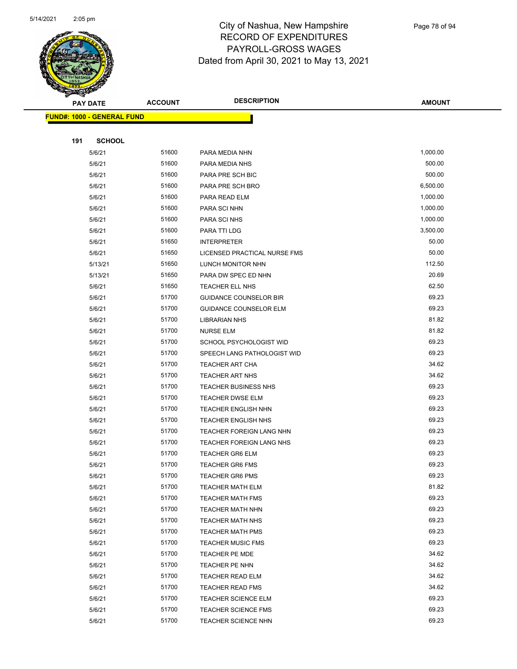

|     | <b>PAY DATE</b>                    | <b>ACCOUNT</b> | <b>DESCRIPTION</b>                               | <b>AMOUNT</b>  |
|-----|------------------------------------|----------------|--------------------------------------------------|----------------|
|     | <u> FUND#: 1000 - GENERAL FUND</u> |                |                                                  |                |
|     |                                    |                |                                                  |                |
| 191 | <b>SCHOOL</b>                      |                |                                                  |                |
|     | 5/6/21                             | 51600          | PARA MEDIA NHN                                   | 1,000.00       |
|     | 5/6/21                             | 51600          | PARA MEDIA NHS                                   | 500.00         |
|     | 5/6/21                             | 51600          | PARA PRE SCH BIC                                 | 500.00         |
|     | 5/6/21                             | 51600          | PARA PRE SCH BRO                                 | 6,500.00       |
|     | 5/6/21                             | 51600          | PARA READ ELM                                    | 1,000.00       |
|     | 5/6/21                             | 51600          | PARA SCI NHN                                     | 1,000.00       |
|     | 5/6/21                             | 51600          | PARA SCI NHS                                     | 1,000.00       |
|     | 5/6/21                             | 51600          | PARA TTI LDG                                     | 3,500.00       |
|     | 5/6/21                             | 51650          | <b>INTERPRETER</b>                               | 50.00          |
|     | 5/6/21                             | 51650          | LICENSED PRACTICAL NURSE FMS                     | 50.00          |
|     | 5/13/21                            | 51650          | LUNCH MONITOR NHN                                | 112.50         |
|     | 5/13/21                            | 51650          | PARA DW SPEC ED NHN                              | 20.69          |
|     | 5/6/21                             | 51650          | TEACHER ELL NHS                                  | 62.50          |
|     | 5/6/21                             | 51700          | <b>GUIDANCE COUNSELOR BIR</b>                    | 69.23          |
|     | 5/6/21                             | 51700          | <b>GUIDANCE COUNSELOR ELM</b>                    | 69.23          |
|     | 5/6/21                             | 51700          | <b>LIBRARIAN NHS</b>                             | 81.82          |
|     | 5/6/21                             | 51700          | <b>NURSE ELM</b>                                 | 81.82          |
|     | 5/6/21                             | 51700          | SCHOOL PSYCHOLOGIST WID                          | 69.23          |
|     | 5/6/21                             | 51700          | SPEECH LANG PATHOLOGIST WID                      | 69.23          |
|     | 5/6/21                             | 51700          | <b>TEACHER ART CHA</b>                           | 34.62          |
|     | 5/6/21                             | 51700          | <b>TEACHER ART NHS</b>                           | 34.62          |
|     | 5/6/21                             | 51700          | <b>TEACHER BUSINESS NHS</b>                      | 69.23          |
|     | 5/6/21                             | 51700          | <b>TEACHER DWSE ELM</b>                          | 69.23          |
|     | 5/6/21                             | 51700          | <b>TEACHER ENGLISH NHN</b>                       | 69.23          |
|     | 5/6/21                             | 51700          | <b>TEACHER ENGLISH NHS</b>                       | 69.23          |
|     | 5/6/21                             | 51700          | TEACHER FOREIGN LANG NHN                         | 69.23          |
|     | 5/6/21                             | 51700<br>51700 | <b>TEACHER FOREIGN LANG NHS</b>                  | 69.23<br>69.23 |
|     | 5/6/21<br>5/6/21                   | 51700          | <b>TEACHER GR6 ELM</b><br><b>TEACHER GR6 FMS</b> | 69.23          |
|     | 5/6/21                             | 51700          | <b>TEACHER GR6 PMS</b>                           | 69.23          |
|     | 5/6/21                             | 51700          | <b>TEACHER MATH ELM</b>                          | 81.82          |
|     | 5/6/21                             | 51700          | <b>TEACHER MATH FMS</b>                          | 69.23          |
|     | 5/6/21                             | 51700          | <b>TEACHER MATH NHN</b>                          | 69.23          |
|     | 5/6/21                             | 51700          | <b>TEACHER MATH NHS</b>                          | 69.23          |
|     | 5/6/21                             | 51700          | <b>TEACHER MATH PMS</b>                          | 69.23          |
|     | 5/6/21                             | 51700          | <b>TEACHER MUSIC FMS</b>                         | 69.23          |
|     | 5/6/21                             | 51700          | TEACHER PE MDE                                   | 34.62          |
|     | 5/6/21                             | 51700          | TEACHER PE NHN                                   | 34.62          |
|     | 5/6/21                             | 51700          | TEACHER READ ELM                                 | 34.62          |
|     | 5/6/21                             | 51700          | <b>TEACHER READ FMS</b>                          | 34.62          |
|     | 5/6/21                             | 51700          | <b>TEACHER SCIENCE ELM</b>                       | 69.23          |
|     | 5/6/21                             | 51700          | <b>TEACHER SCIENCE FMS</b>                       | 69.23          |
|     | 5/6/21                             | 51700          | <b>TEACHER SCIENCE NHN</b>                       | 69.23          |
|     |                                    |                |                                                  |                |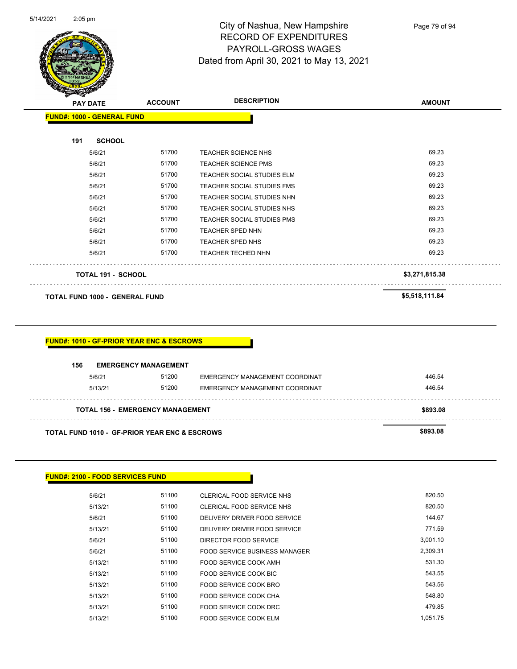

| $\sim$<br><b>PAY DATE</b>             | <b>ACCOUNT</b> | <b>DESCRIPTION</b>                | <b>AMOUNT</b>  |
|---------------------------------------|----------------|-----------------------------------|----------------|
| <b>FUND#: 1000 - GENERAL FUND</b>     |                |                                   |                |
| <b>SCHOOL</b><br>191                  |                |                                   |                |
| 5/6/21                                | 51700          | <b>TEACHER SCIENCE NHS</b>        | 69.23          |
| 5/6/21                                | 51700          | <b>TEACHER SCIENCE PMS</b>        | 69.23          |
| 5/6/21                                | 51700          | <b>TEACHER SOCIAL STUDIES ELM</b> | 69.23          |
| 5/6/21                                | 51700          | <b>TEACHER SOCIAL STUDIES FMS</b> | 69.23          |
| 5/6/21                                | 51700          | TEACHER SOCIAL STUDIES NHN        | 69.23          |
| 5/6/21                                | 51700          | TEACHER SOCIAL STUDIES NHS        | 69.23          |
| 5/6/21                                | 51700          | <b>TEACHER SOCIAL STUDIES PMS</b> | 69.23          |
| 5/6/21                                | 51700          | <b>TEACHER SPED NHN</b>           | 69.23          |
| 5/6/21                                | 51700          | <b>TEACHER SPED NHS</b>           | 69.23          |
| 5/6/21                                | 51700          | <b>TEACHER TECHED NHN</b>         | 69.23          |
| <b>TOTAL 191 - SCHOOL</b>             |                |                                   | \$3,271,815.38 |
| <b>TOTAL FUND 1000 - GENERAL FUND</b> |                |                                   | \$5,518,111.84 |

#### **FUND#: 1010 - GF-PRIOR YEAR ENC & ESCROWS**

 $\bar{\psi}$  .

| 156                                                      | <b>EMERGENCY MANAGEMENT</b>             |                                |          |  |
|----------------------------------------------------------|-----------------------------------------|--------------------------------|----------|--|
| 5/6/21                                                   | 51200                                   | EMERGENCY MANAGEMENT COORDINAT | 446.54   |  |
| 5/13/21                                                  | 51200                                   | EMERGENCY MANAGEMENT COORDINAT | 446.54   |  |
|                                                          | <b>TOTAL 156 - EMERGENCY MANAGEMENT</b> |                                | \$893.08 |  |
| <b>TOTAL FUND 1010 - GF-PRIOR YEAR ENC &amp; ESCROWS</b> |                                         |                                | \$893.08 |  |

| <b>FUND#: 2100 - FOOD SERVICES FUND</b> |       |                               |          |
|-----------------------------------------|-------|-------------------------------|----------|
| 5/6/21                                  | 51100 | CLERICAL FOOD SERVICE NHS     | 820.50   |
| 5/13/21                                 | 51100 | CLERICAL FOOD SERVICE NHS     | 820.50   |
| 5/6/21                                  | 51100 | DELIVERY DRIVER FOOD SERVICE  | 144.67   |
| 5/13/21                                 | 51100 | DELIVERY DRIVER FOOD SERVICE  | 771.59   |
| 5/6/21                                  | 51100 | DIRECTOR FOOD SERVICE         | 3,001.10 |
| 5/6/21                                  | 51100 | FOOD SERVICE BUSINESS MANAGER | 2,309.31 |
| 5/13/21                                 | 51100 | FOOD SERVICE COOK AMH         | 531.30   |
| 5/13/21                                 | 51100 | FOOD SERVICE COOK BIC         | 543.55   |
| 5/13/21                                 | 51100 | FOOD SERVICE COOK BRO         | 543.56   |
| 5/13/21                                 | 51100 | <b>FOOD SERVICE COOK CHA</b>  | 548.80   |
| 5/13/21                                 | 51100 | FOOD SERVICE COOK DRC         | 479.85   |
| 5/13/21                                 | 51100 | FOOD SERVICE COOK ELM         | 1,051.75 |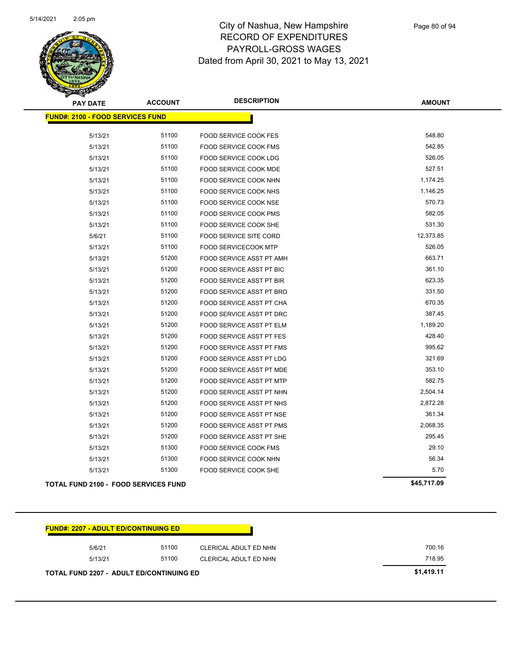

| <b>PAY DATE</b>                             | <b>ACCOUNT</b> | <b>DESCRIPTION</b>              | <b>AMOUNT</b> |
|---------------------------------------------|----------------|---------------------------------|---------------|
| <b>FUND#: 2100 - FOOD SERVICES FUND</b>     |                |                                 |               |
| 5/13/21                                     | 51100          | <b>FOOD SERVICE COOK FES</b>    | 548.80        |
| 5/13/21                                     | 51100          | <b>FOOD SERVICE COOK FMS</b>    | 542.85        |
| 5/13/21                                     | 51100          | <b>FOOD SERVICE COOK LDG</b>    | 526.05        |
| 5/13/21                                     | 51100          | <b>FOOD SERVICE COOK MDE</b>    | 527.51        |
| 5/13/21                                     | 51100          | FOOD SERVICE COOK NHN           | 1,174.25      |
| 5/13/21                                     | 51100          | <b>FOOD SERVICE COOK NHS</b>    | 1,146.25      |
| 5/13/21                                     | 51100          | FOOD SERVICE COOK NSE           | 570.73        |
| 5/13/21                                     | 51100          | FOOD SERVICE COOK PMS           | 582.05        |
| 5/13/21                                     | 51100          | FOOD SERVICE COOK SHE           | 531.30        |
| 5/6/21                                      | 51100          | <b>FOOD SERVICE SITE CORD</b>   | 12,373.85     |
| 5/13/21                                     | 51100          | <b>FOOD SERVICECOOK MTP</b>     | 526.05        |
| 5/13/21                                     | 51200          | FOOD SERVICE ASST PT AMH        | 663.71        |
| 5/13/21                                     | 51200          | FOOD SERVICE ASST PT BIC        | 361.10        |
| 5/13/21                                     | 51200          | FOOD SERVICE ASST PT BIR        | 623.35        |
| 5/13/21                                     | 51200          | FOOD SERVICE ASST PT BRO        | 331.50        |
| 5/13/21                                     | 51200          | FOOD SERVICE ASST PT CHA        | 670.35        |
| 5/13/21                                     | 51200          | FOOD SERVICE ASST PT DRC        | 387.45        |
| 5/13/21                                     | 51200          | FOOD SERVICE ASST PT ELM        | 1,189.20      |
| 5/13/21                                     | 51200          | <b>FOOD SERVICE ASST PT FES</b> | 428.40        |
| 5/13/21                                     | 51200          | <b>FOOD SERVICE ASST PT FMS</b> | 995.62        |
| 5/13/21                                     | 51200          | <b>FOOD SERVICE ASST PT LDG</b> | 321.69        |
| 5/13/21                                     | 51200          | FOOD SERVICE ASST PT MDE        | 353.10        |
| 5/13/21                                     | 51200          | FOOD SERVICE ASST PT MTP        | 582.75        |
| 5/13/21                                     | 51200          | FOOD SERVICE ASST PT NHN        | 2,504.14      |
| 5/13/21                                     | 51200          | FOOD SERVICE ASST PT NHS        | 2,872.28      |
| 5/13/21                                     | 51200          | <b>FOOD SERVICE ASST PT NSE</b> | 361.34        |
| 5/13/21                                     | 51200          | FOOD SERVICE ASST PT PMS        | 2,068.35      |
| 5/13/21                                     | 51200          | FOOD SERVICE ASST PT SHE        | 295.45        |
| 5/13/21                                     | 51300          | FOOD SERVICE COOK FMS           | 29.10         |
| 5/13/21                                     | 51300          | FOOD SERVICE COOK NHN           | 56.34         |
| 5/13/21                                     | 51300          | <b>FOOD SERVICE COOK SHE</b>    | 5.70          |
| <b>TOTAL FUND 2100 - FOOD SERVICES FUND</b> |                |                                 | \$45,717.09   |

| 5/6/21  | 51100 | CLERICAL ADULT ED NHN | 700.16 |
|---------|-------|-----------------------|--------|
| 5/13/21 | 51100 | CLERICAL ADULT ED NHN | 718.95 |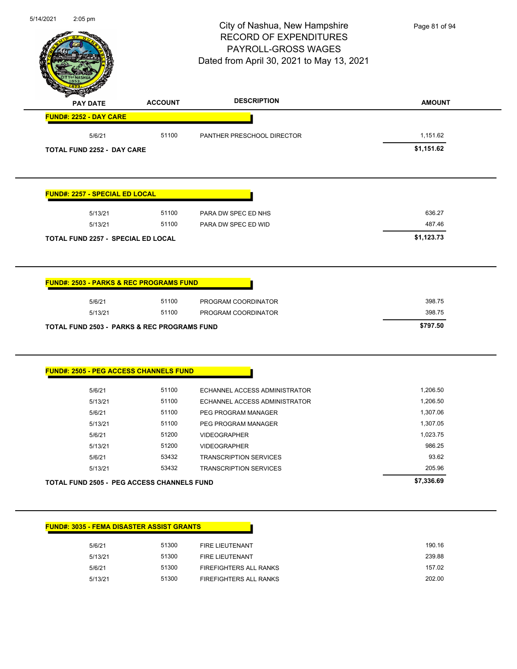| 5/14/2021 | 2:05 pm                                                |                | City of Nashua, New Hampshire<br><b>RECORD OF EXPENDITURES</b><br>PAYROLL-GROSS WAGES<br>Dated from April 30, 2021 to May 13, 2021 | Page 81 of 94 |
|-----------|--------------------------------------------------------|----------------|------------------------------------------------------------------------------------------------------------------------------------|---------------|
|           | <b>PAY DATE</b>                                        | <b>ACCOUNT</b> | <b>DESCRIPTION</b>                                                                                                                 | <b>AMOUNT</b> |
|           | FUND#: 2252 - DAY CARE                                 |                |                                                                                                                                    |               |
|           | 5/6/21                                                 | 51100          | PANTHER PRESCHOOL DIRECTOR                                                                                                         | 1,151.62      |
|           | <b>TOTAL FUND 2252 - DAY CARE</b>                      |                |                                                                                                                                    | \$1,151.62    |
|           | <b>FUND#: 2257 - SPECIAL ED LOCAL</b>                  |                |                                                                                                                                    |               |
|           | 5/13/21                                                | 51100          | PARA DW SPEC ED NHS                                                                                                                | 636.27        |
|           | 5/13/21                                                | 51100          | PARA DW SPEC ED WID                                                                                                                | 487.46        |
|           | <b>TOTAL FUND 2257 - SPECIAL ED LOCAL</b>              |                |                                                                                                                                    | \$1,123.73    |
|           |                                                        |                |                                                                                                                                    |               |
|           | <b>FUND#: 2503 - PARKS &amp; REC PROGRAMS FUND</b>     |                |                                                                                                                                    |               |
|           | 5/6/21                                                 | 51100          | PROGRAM COORDINATOR                                                                                                                | 398.75        |
|           | 5/13/21                                                | 51100          | PROGRAM COORDINATOR                                                                                                                | 398.75        |
|           | <b>TOTAL FUND 2503 - PARKS &amp; REC PROGRAMS FUND</b> |                |                                                                                                                                    | \$797.50      |
|           | <b>FUND#: 2505 - PEG ACCESS CHANNELS FUND</b>          |                |                                                                                                                                    |               |
|           | 5/6/21                                                 | 51100          | ECHANNEL ACCESS ADMINISTRATOR                                                                                                      | 1,206.50      |
|           | 5/13/21                                                | 51100          | ECHANNEL ACCESS ADMINISTRATOR                                                                                                      | 1,206.50      |
|           | 5/6/21                                                 | 51100          | PEG PROGRAM MANAGER                                                                                                                | 1,307.06      |
|           | 5/13/21                                                | 51100          | PEG PROGRAM MANAGER                                                                                                                | 1,307.05      |
|           | 5/6/21                                                 | 51200          | <b>VIDEOGRAPHER</b>                                                                                                                | 1,023.75      |
|           | 5/13/21                                                | 51200          | <b>VIDEOGRAPHER</b>                                                                                                                | 986.25        |
|           | 5/6/21                                                 | 53432          | <b>TRANSCRIPTION SERVICES</b>                                                                                                      | 93.62         |
|           | 5/13/21                                                | 53432          | <b>TRANSCRIPTION SERVICES</b>                                                                                                      | 205.96        |
|           | TOTAL FUND 2505 - PEG ACCESS CHANNELS FUND             |                |                                                                                                                                    | \$7,336.69    |
|           | <b>FUND#: 3035 - FEMA DISASTER ASSIST GRANTS</b>       |                |                                                                                                                                    |               |
|           | 5/6/21                                                 | 51300          | FIRE LIEUTENANT                                                                                                                    | 190.16        |
|           | 5/13/21                                                | 51300          | FIRE LIEUTENANT                                                                                                                    | 239.88        |
|           | 5/6/21                                                 | 51300          | FIREFIGHTERS ALL RANKS                                                                                                             | 157.02        |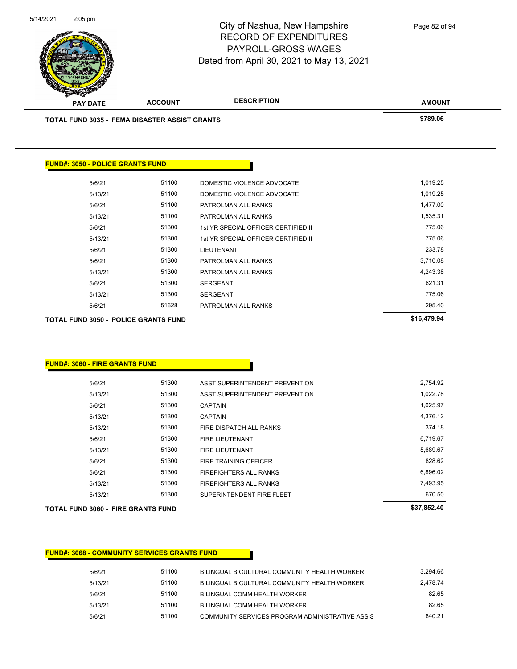

| TOTAL FUND 3050 - POLICE GRANTS FUND |       |                                     | \$16,479.94 |
|--------------------------------------|-------|-------------------------------------|-------------|
| 5/6/21                               | 51628 | PATROLMAN ALL RANKS                 | 295.40      |
| 5/13/21                              | 51300 | <b>SERGEANT</b>                     | 775.06      |
| 5/6/21                               | 51300 | <b>SERGEANT</b>                     | 621.31      |
| 5/13/21                              | 51300 | PATROLMAN ALL RANKS                 | 4,243.38    |
| 5/6/21                               | 51300 | PATROLMAN ALL RANKS                 | 3,710.08    |
| 5/6/21                               | 51300 | LIEUTENANT                          | 233.78      |
| 5/13/21                              | 51300 | 1st YR SPECIAL OFFICER CERTIFIED II | 775.06      |
| 5/6/21                               | 51300 | 1st YR SPECIAL OFFICER CERTIFIED II | 775.06      |
| 5/13/21                              | 51100 | PATROLMAN ALL RANKS                 | 1,535.31    |
| 5/6/21                               | 51100 | PATROLMAN ALL RANKS                 | 1,477.00    |
| 5/13/21                              | 51100 | DOMESTIC VIOLENCE ADVOCATE          | 1,019.25    |
| 5/6/21                               | 51100 | DOMESTIC VIOLENCE ADVOCATE          | 1,019.25    |
|                                      |       |                                     |             |

| FUND#: 3060 - FIRE GRANTS FUND. |  |
|---------------------------------|--|
|---------------------------------|--|

**FUND#: 3050 - POLICE GRANTS FUND**

| TOTAL FUND 3060 - FIRE GRANTS FUND |       |                                | \$37,852.40 |
|------------------------------------|-------|--------------------------------|-------------|
| 5/13/21                            | 51300 | SUPERINTENDENT FIRE FLEET      | 670.50      |
| 5/13/21                            | 51300 | FIREFIGHTERS ALL RANKS         | 7,493.95    |
| 5/6/21                             | 51300 | <b>FIREFIGHTERS ALL RANKS</b>  | 6.896.02    |
| 5/6/21                             | 51300 | <b>FIRE TRAINING OFFICER</b>   | 828.62      |
| 5/13/21                            | 51300 | <b>FIRE LIEUTENANT</b>         | 5,689.67    |
| 5/6/21                             | 51300 | <b>FIRE LIEUTENANT</b>         | 6,719.67    |
| 5/13/21                            | 51300 | FIRE DISPATCH ALL RANKS        | 374.18      |
| 5/13/21                            | 51300 | <b>CAPTAIN</b>                 | 4,376.12    |
| 5/6/21                             | 51300 | <b>CAPTAIN</b>                 | 1,025.97    |
| 5/13/21                            | 51300 | ASST SUPERINTENDENT PREVENTION | 1,022.78    |
| 5/6/21                             | 51300 | ASST SUPERINTENDENT PREVENTION | 2,754.92    |
|                                    |       |                                |             |

#### **FUND#: 3068 - COMMUNITY SERVICES GRANTS FUND**

| 5/6/21  | 51100 | BILINGUAL BICULTURAL COMMUNITY HEALTH WORKER    | 3.294.66 |
|---------|-------|-------------------------------------------------|----------|
| 5/13/21 | 51100 | BILINGUAL BICULTURAL COMMUNITY HEALTH WORKER    | 2.478.74 |
| 5/6/21  | 51100 | BILINGUAL COMM HEALTH WORKER                    | 82.65    |
| 5/13/21 | 51100 | BILINGUAL COMM HEALTH WORKER                    | 82.65    |
| 5/6/21  | 51100 | COMMUNITY SERVICES PROGRAM ADMINISTRATIVE ASSIS | 840.21   |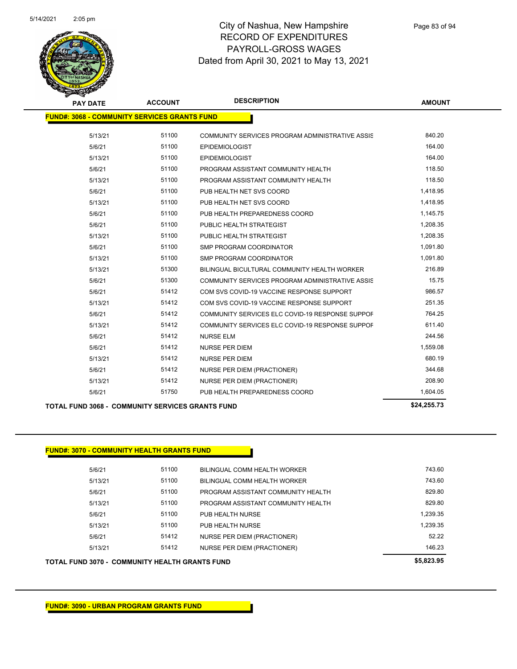

| <b>PAY DATE</b>                                         | <b>ACCOUNT</b> | <b>DESCRIPTION</b>                              | <b>AMOUNT</b> |
|---------------------------------------------------------|----------------|-------------------------------------------------|---------------|
| <b>FUND#: 3068 - COMMUNITY SERVICES GRANTS FUND</b>     |                |                                                 |               |
| 5/13/21                                                 | 51100          | COMMUNITY SERVICES PROGRAM ADMINISTRATIVE ASSIS | 840.20        |
| 5/6/21                                                  | 51100          | <b>EPIDEMIOLOGIST</b>                           | 164.00        |
| 5/13/21                                                 | 51100          | <b>EPIDEMIOLOGIST</b>                           | 164.00        |
| 5/6/21                                                  | 51100          | PROGRAM ASSISTANT COMMUNITY HEALTH              | 118.50        |
| 5/13/21                                                 | 51100          | PROGRAM ASSISTANT COMMUNITY HEALTH              | 118.50        |
| 5/6/21                                                  | 51100          | PUB HEALTH NET SVS COORD                        | 1,418.95      |
| 5/13/21                                                 | 51100          | PUB HEALTH NET SVS COORD                        | 1,418.95      |
| 5/6/21                                                  | 51100          | PUB HEALTH PREPAREDNESS COORD                   | 1,145.75      |
| 5/6/21                                                  | 51100          | PUBLIC HEALTH STRATEGIST                        | 1,208.35      |
| 5/13/21                                                 | 51100          | PUBLIC HEALTH STRATEGIST                        | 1,208.35      |
| 5/6/21                                                  | 51100          | <b>SMP PROGRAM COORDINATOR</b>                  | 1,091.80      |
| 5/13/21                                                 | 51100          | <b>SMP PROGRAM COORDINATOR</b>                  | 1,091.80      |
| 5/13/21                                                 | 51300          | BILINGUAL BICULTURAL COMMUNITY HEALTH WORKER    | 216.89        |
| 5/6/21                                                  | 51300          | COMMUNITY SERVICES PROGRAM ADMINISTRATIVE ASSIS | 15.75         |
| 5/6/21                                                  | 51412          | COM SVS COVID-19 VACCINE RESPONSE SUPPORT       | 986.57        |
| 5/13/21                                                 | 51412          | COM SVS COVID-19 VACCINE RESPONSE SUPPORT       | 251.35        |
| 5/6/21                                                  | 51412          | COMMUNITY SERVICES ELC COVID-19 RESPONSE SUPPOF | 764.25        |
| 5/13/21                                                 | 51412          | COMMUNITY SERVICES ELC COVID-19 RESPONSE SUPPOF | 611.40        |
| 5/6/21                                                  | 51412          | <b>NURSE ELM</b>                                | 244.56        |
| 5/6/21                                                  | 51412          | <b>NURSE PER DIEM</b>                           | 1,559.08      |
| 5/13/21                                                 | 51412          | <b>NURSE PER DIEM</b>                           | 680.19        |
| 5/6/21                                                  | 51412          | NURSE PER DIEM (PRACTIONER)                     | 344.68        |
| 5/13/21                                                 | 51412          | <b>NURSE PER DIEM (PRACTIONER)</b>              | 208.90        |
| 5/6/21                                                  | 51750          | PUB HEALTH PREPAREDNESS COORD                   | 1,604.05      |
| <b>TOTAL FUND 3068 - COMMUNITY SERVICES GRANTS FUND</b> |                |                                                 | \$24,255.73   |

#### **FUND#: 3070 - COMMUNITY HEALTH GRANTS FUND**

| 5/6/21  | 51100 | <b>BILINGUAL COMM HEALTH WORKER</b> | 743.60   |
|---------|-------|-------------------------------------|----------|
| 5/13/21 | 51100 | BILINGUAL COMM HEALTH WORKER        | 743.60   |
| 5/6/21  | 51100 | PROGRAM ASSISTANT COMMUNITY HEALTH  | 829.80   |
| 5/13/21 | 51100 | PROGRAM ASSISTANT COMMUNITY HEALTH  | 829.80   |
| 5/6/21  | 51100 | PUB HEALTH NURSE                    | 1.239.35 |
| 5/13/21 | 51100 | PUB HEALTH NURSE                    | 1.239.35 |
| 5/6/21  | 51412 | NURSE PER DIEM (PRACTIONER)         | 52.22    |
| 5/13/21 | 51412 | NURSE PER DIEM (PRACTIONER)         | 146.23   |
|         |       |                                     |          |

**TOTAL FUND 3070 - COMMUNITY HEALTH GRANTS FUND \$5,823.95**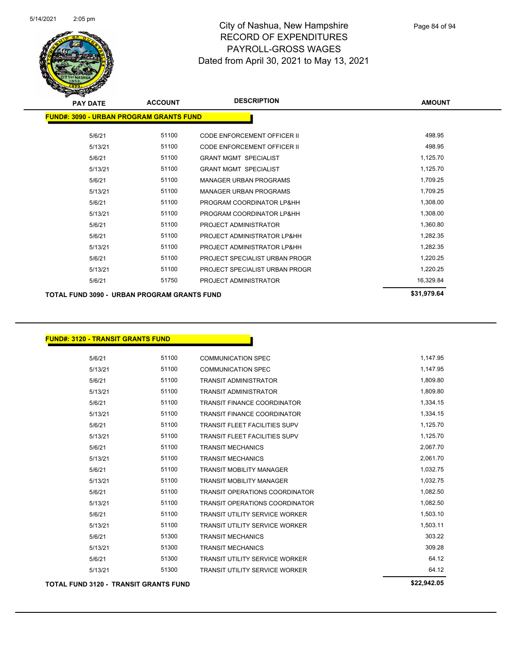

| <b>PAY DATE</b>                                | <b>ACCOUNT</b> | <b>DESCRIPTION</b>                 | <b>AMOUNT</b> |
|------------------------------------------------|----------------|------------------------------------|---------------|
| <b>FUND#: 3090 - URBAN PROGRAM GRANTS FUND</b> |                |                                    |               |
| 5/6/21                                         | 51100          | <b>CODE ENFORCEMENT OFFICER II</b> | 498.95        |
| 5/13/21                                        | 51100          | CODE ENFORCEMENT OFFICER II        | 498.95        |
| 5/6/21                                         | 51100          | <b>GRANT MGMT SPECIALIST</b>       | 1,125.70      |
| 5/13/21                                        | 51100          | <b>GRANT MGMT SPECIALIST</b>       | 1,125.70      |
| 5/6/21                                         | 51100          | <b>MANAGER URBAN PROGRAMS</b>      | 1,709.25      |
| 5/13/21                                        | 51100          | <b>MANAGER URBAN PROGRAMS</b>      | 1,709.25      |
| 5/6/21                                         | 51100          | PROGRAM COORDINATOR LP&HH          | 1,308.00      |
| 5/13/21                                        | 51100          | PROGRAM COORDINATOR LP&HH          | 1,308.00      |
| 5/6/21                                         | 51100          | PROJECT ADMINISTRATOR              | 1,360.80      |
| 5/6/21                                         | 51100          | PROJECT ADMINISTRATOR LP&HH        | 1,282.35      |
| 5/13/21                                        | 51100          | PROJECT ADMINISTRATOR LP&HH        | 1,282.35      |
| 5/6/21                                         | 51100          | PROJECT SPECIALIST URBAN PROGR     | 1,220.25      |
| 5/13/21                                        | 51100          | PROJECT SPECIALIST URBAN PROGR     | 1,220.25      |
| 5/6/21                                         | 51750          | PROJECT ADMINISTRATOR              | 16,329.84     |
| TOTAL FUND 3090 - URBAN PROGRAM GRANTS FUND    |                |                                    | \$31,979.64   |

| <b>FUND#: 3120 - TRANSIT GRANTS FUND</b>     |       |                                       |             |
|----------------------------------------------|-------|---------------------------------------|-------------|
|                                              |       |                                       |             |
| 5/6/21                                       | 51100 | <b>COMMUNICATION SPEC</b>             | 1,147.95    |
| 5/13/21                                      | 51100 | <b>COMMUNICATION SPEC</b>             | 1,147.95    |
| 5/6/21                                       | 51100 | <b>TRANSIT ADMINISTRATOR</b>          | 1,809.80    |
| 5/13/21                                      | 51100 | <b>TRANSIT ADMINISTRATOR</b>          | 1,809.80    |
| 5/6/21                                       | 51100 | <b>TRANSIT FINANCE COORDINATOR</b>    | 1,334.15    |
| 5/13/21                                      | 51100 | <b>TRANSIT FINANCE COORDINATOR</b>    | 1,334.15    |
| 5/6/21                                       | 51100 | <b>TRANSIT FLEET FACILITIES SUPV</b>  | 1,125.70    |
| 5/13/21                                      | 51100 | <b>TRANSIT FLEET FACILITIES SUPV</b>  | 1,125.70    |
| 5/6/21                                       | 51100 | <b>TRANSIT MECHANICS</b>              | 2,067.70    |
| 5/13/21                                      | 51100 | <b>TRANSIT MECHANICS</b>              | 2,061.70    |
| 5/6/21                                       | 51100 | <b>TRANSIT MOBILITY MANAGER</b>       | 1,032.75    |
| 5/13/21                                      | 51100 | <b>TRANSIT MOBILITY MANAGER</b>       | 1,032.75    |
| 5/6/21                                       | 51100 | <b>TRANSIT OPERATIONS COORDINATOR</b> | 1,082.50    |
| 5/13/21                                      | 51100 | <b>TRANSIT OPERATIONS COORDINATOR</b> | 1,082.50    |
| 5/6/21                                       | 51100 | <b>TRANSIT UTILITY SERVICE WORKER</b> | 1,503.10    |
| 5/13/21                                      | 51100 | <b>TRANSIT UTILITY SERVICE WORKER</b> | 1,503.11    |
| 5/6/21                                       | 51300 | <b>TRANSIT MECHANICS</b>              | 303.22      |
| 5/13/21                                      | 51300 | <b>TRANSIT MECHANICS</b>              | 309.28      |
| 5/6/21                                       | 51300 | <b>TRANSIT UTILITY SERVICE WORKER</b> | 64.12       |
| 5/13/21                                      | 51300 | <b>TRANSIT UTILITY SERVICE WORKER</b> | 64.12       |
| <b>TOTAL FUND 3120 - TRANSIT GRANTS FUND</b> |       |                                       | \$22,942.05 |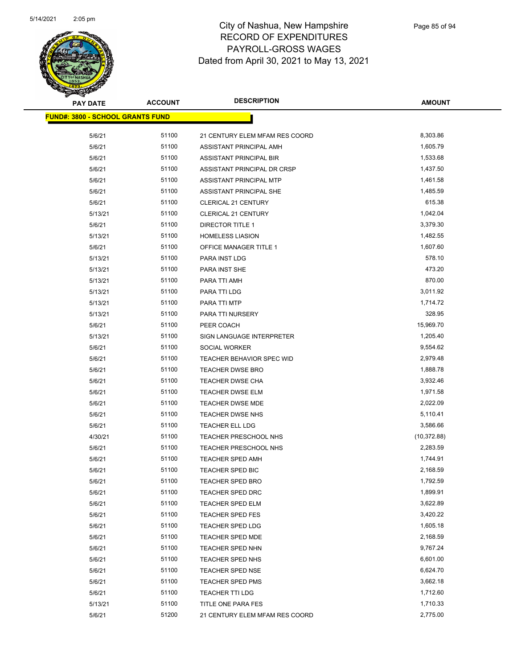

| <b>PAY DATE</b>                         | <b>ACCOUNT</b> | <b>DESCRIPTION</b>             | <b>AMOUNT</b> |
|-----------------------------------------|----------------|--------------------------------|---------------|
| <b>FUND#: 3800 - SCHOOL GRANTS FUND</b> |                |                                |               |
| 5/6/21                                  | 51100          | 21 CENTURY ELEM MFAM RES COORD | 8,303.86      |
| 5/6/21                                  | 51100          | ASSISTANT PRINCIPAL AMH        | 1,605.79      |
| 5/6/21                                  | 51100          | ASSISTANT PRINCIPAL BIR        | 1,533.68      |
| 5/6/21                                  | 51100          | ASSISTANT PRINCIPAL DR CRSP    | 1,437.50      |
| 5/6/21                                  | 51100          | ASSISTANT PRINCIPAL MTP        | 1,461.58      |
| 5/6/21                                  | 51100          | ASSISTANT PRINCIPAL SHE        | 1,485.59      |
| 5/6/21                                  | 51100          | <b>CLERICAL 21 CENTURY</b>     | 615.38        |
| 5/13/21                                 | 51100          | <b>CLERICAL 21 CENTURY</b>     | 1,042.04      |
| 5/6/21                                  | 51100          | <b>DIRECTOR TITLE 1</b>        | 3,379.30      |
| 5/13/21                                 | 51100          | <b>HOMELESS LIASION</b>        | 1,482.55      |
| 5/6/21                                  | 51100          | OFFICE MANAGER TITLE 1         | 1,607.60      |
| 5/13/21                                 | 51100          | PARA INST LDG                  | 578.10        |
| 5/13/21                                 | 51100          | PARA INST SHE                  | 473.20        |
| 5/13/21                                 | 51100          | PARA TTI AMH                   | 870.00        |
| 5/13/21                                 | 51100          | PARA TTI LDG                   | 3,011.92      |
| 5/13/21                                 | 51100          | PARA TTI MTP                   | 1,714.72      |
| 5/13/21                                 | 51100          | PARA TTI NURSERY               | 328.95        |
| 5/6/21                                  | 51100          | PEER COACH                     | 15,969.70     |
| 5/13/21                                 | 51100          | SIGN LANGUAGE INTERPRETER      | 1,205.40      |
| 5/6/21                                  | 51100          | <b>SOCIAL WORKER</b>           | 9,554.62      |
| 5/6/21                                  | 51100          | TEACHER BEHAVIOR SPEC WID      | 2,979.48      |
| 5/6/21                                  | 51100          | <b>TEACHER DWSE BRO</b>        | 1,888.78      |
| 5/6/21                                  | 51100          | TEACHER DWSE CHA               | 3,932.46      |
| 5/6/21                                  | 51100          | TEACHER DWSE ELM               | 1,971.58      |
| 5/6/21                                  | 51100          | <b>TEACHER DWSE MDE</b>        | 2,022.09      |
| 5/6/21                                  | 51100          | <b>TEACHER DWSE NHS</b>        | 5,110.41      |
| 5/6/21                                  | 51100          | <b>TEACHER ELL LDG</b>         | 3,586.66      |
| 4/30/21                                 | 51100          | <b>TEACHER PRESCHOOL NHS</b>   | (10, 372.88)  |
| 5/6/21                                  | 51100          | <b>TEACHER PRESCHOOL NHS</b>   | 2,283.59      |
| 5/6/21                                  | 51100          | <b>TEACHER SPED AMH</b>        | 1,744.91      |
| 5/6/21                                  | 51100          | <b>TEACHER SPED BIC</b>        | 2,168.59      |
| 5/6/21                                  | 51100          | <b>TEACHER SPED BRO</b>        | 1,792.59      |
| 5/6/21                                  | 51100          | TEACHER SPED DRC               | 1,899.91      |
| 5/6/21                                  | 51100          | TEACHER SPED ELM               | 3,622.89      |
| 5/6/21                                  | 51100          | TEACHER SPED FES               | 3,420.22      |
| 5/6/21                                  | 51100          | TEACHER SPED LDG               | 1,605.18      |
| 5/6/21                                  | 51100          | TEACHER SPED MDE               | 2,168.59      |
| 5/6/21                                  | 51100          | TEACHER SPED NHN               | 9,767.24      |
| 5/6/21                                  | 51100          | TEACHER SPED NHS               | 6,601.00      |
| 5/6/21                                  | 51100          | TEACHER SPED NSE               | 6,624.70      |
| 5/6/21                                  | 51100          | TEACHER SPED PMS               | 3,662.18      |
| 5/6/21                                  | 51100          | <b>TEACHER TTI LDG</b>         | 1,712.60      |
| 5/13/21                                 | 51100          | TITLE ONE PARA FES             | 1,710.33      |
| 5/6/21                                  | 51200          | 21 CENTURY ELEM MFAM RES COORD | 2,775.00      |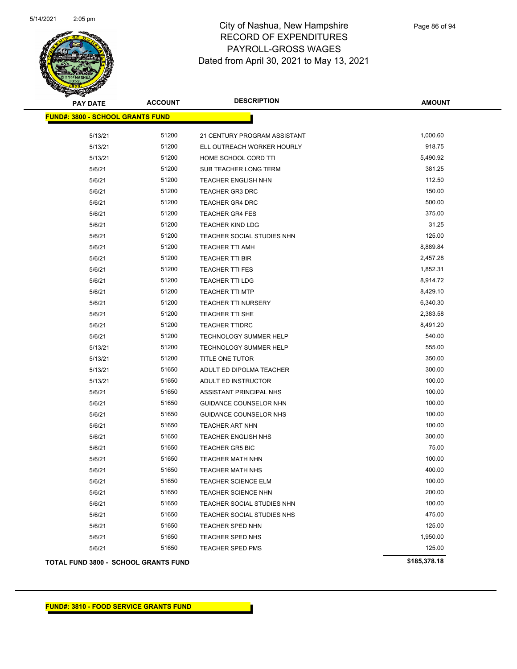

| <b>PAY DATE</b>                         | <b>ACCOUNT</b> | <b>DESCRIPTION</b>           | <b>AMOUNT</b> |
|-----------------------------------------|----------------|------------------------------|---------------|
| <b>FUND#: 3800 - SCHOOL GRANTS FUND</b> |                |                              |               |
| 5/13/21                                 | 51200          | 21 CENTURY PROGRAM ASSISTANT | 1,000.60      |
| 5/13/21                                 | 51200          | ELL OUTREACH WORKER HOURLY   | 918.75        |
| 5/13/21                                 | 51200          | HOME SCHOOL CORD TTI         | 5,490.92      |
| 5/6/21                                  | 51200          | SUB TEACHER LONG TERM        | 381.25        |
| 5/6/21                                  | 51200          | <b>TEACHER ENGLISH NHN</b>   | 112.50        |
| 5/6/21                                  | 51200          | <b>TEACHER GR3 DRC</b>       | 150.00        |
| 5/6/21                                  | 51200          | <b>TEACHER GR4 DRC</b>       | 500.00        |
| 5/6/21                                  | 51200          | <b>TEACHER GR4 FES</b>       | 375.00        |
| 5/6/21                                  | 51200          | <b>TEACHER KIND LDG</b>      | 31.25         |
| 5/6/21                                  | 51200          | TEACHER SOCIAL STUDIES NHN   | 125.00        |
| 5/6/21                                  | 51200          | <b>TEACHER TTI AMH</b>       | 8,889.84      |
| 5/6/21                                  | 51200          | <b>TEACHER TTI BIR</b>       | 2,457.28      |
| 5/6/21                                  | 51200          | <b>TEACHER TTI FES</b>       | 1,852.31      |
| 5/6/21                                  | 51200          | <b>TEACHER TTI LDG</b>       | 8,914.72      |
| 5/6/21                                  | 51200          | <b>TEACHER TTI MTP</b>       | 8,429.10      |
| 5/6/21                                  | 51200          | <b>TEACHER TTI NURSERY</b>   | 6,340.30      |
| 5/6/21                                  | 51200          | <b>TEACHER TTI SHE</b>       | 2,383.58      |
| 5/6/21                                  | 51200          | <b>TEACHER TTIDRC</b>        | 8,491.20      |
| 5/6/21                                  | 51200          | TECHNOLOGY SUMMER HELP       | 540.00        |
| 5/13/21                                 | 51200          | TECHNOLOGY SUMMER HELP       | 555.00        |
| 5/13/21                                 | 51200          | TITLE ONE TUTOR              | 350.00        |
| 5/13/21                                 | 51650          | ADULT ED DIPOLMA TEACHER     | 300.00        |
| 5/13/21                                 | 51650          | ADULT ED INSTRUCTOR          | 100.00        |
| 5/6/21                                  | 51650          | ASSISTANT PRINCIPAL NHS      | 100.00        |
| 5/6/21                                  | 51650          | GUIDANCE COUNSELOR NHN       | 100.00        |
| 5/6/21                                  | 51650          | GUIDANCE COUNSELOR NHS       | 100.00        |
| 5/6/21                                  | 51650          | TEACHER ART NHN              | 100.00        |
| 5/6/21                                  | 51650          | <b>TEACHER ENGLISH NHS</b>   | 300.00        |
| 5/6/21                                  | 51650          | <b>TEACHER GR5 BIC</b>       | 75.00         |
| 5/6/21                                  | 51650          | <b>TEACHER MATH NHN</b>      | 100.00        |
| 5/6/21                                  | 51650          | <b>TEACHER MATH NHS</b>      | 400.00        |
| 5/6/21                                  | 51650          | TEACHER SCIENCE ELM          | 100.00        |
| 5/6/21                                  | 51650          | <b>TEACHER SCIENCE NHN</b>   | 200.00        |
| 5/6/21                                  | 51650          | TEACHER SOCIAL STUDIES NHN   | 100.00        |
| 5/6/21                                  | 51650          | TEACHER SOCIAL STUDIES NHS   | 475.00        |
| 5/6/21                                  | 51650          | TEACHER SPED NHN             | 125.00        |
| 5/6/21                                  | 51650          | TEACHER SPED NHS             | 1,950.00      |
| 5/6/21                                  | 51650          | TEACHER SPED PMS             | 125.00        |
| TOTAL FUND 3800 - SCHOOL GRANTS FUND    |                |                              | \$185,378.18  |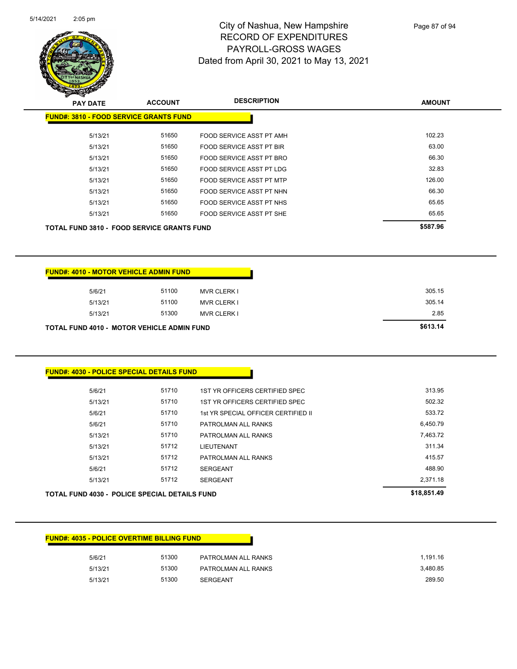

| <b>PAY DATE</b>                                   | <b>ACCOUNT</b> | <b>DESCRIPTION</b>       | <b>AMOUNT</b> |
|---------------------------------------------------|----------------|--------------------------|---------------|
| <b>FUND#: 3810 - FOOD SERVICE GRANTS FUND</b>     |                |                          |               |
| 5/13/21                                           | 51650          | FOOD SERVICE ASST PT AMH | 102.23        |
| 5/13/21                                           | 51650          | FOOD SERVICE ASST PT BIR | 63.00         |
| 5/13/21                                           | 51650          | FOOD SERVICE ASST PT BRO | 66.30         |
| 5/13/21                                           | 51650          | FOOD SERVICE ASST PT LDG | 32.83         |
| 5/13/21                                           | 51650          | FOOD SERVICE ASST PT MTP | 126.00        |
| 5/13/21                                           | 51650          | FOOD SERVICE ASST PT NHN | 66.30         |
| 5/13/21                                           | 51650          | FOOD SERVICE ASST PT NHS | 65.65         |
| 5/13/21                                           | 51650          | FOOD SERVICE ASST PT SHE | 65.65         |
| <b>TOTAL FUND 3810 - FOOD SERVICE GRANTS FUND</b> |                |                          | \$587.96      |

|         | <b>FUND#: 4010 - MOTOR VEHICLE ADMIN FUND</b>     |                    |
|---------|---------------------------------------------------|--------------------|
| 5/6/21  | 51100                                             | <b>MVR CLERK I</b> |
| 5/13/21 | 51100                                             | <b>MVR CLERK I</b> |
| 5/13/21 | 51300                                             | <b>MVR CLERK I</b> |
|         | <b>TOTAL FUND 4010 - MOTOR VEHICLE ADMIN FUND</b> |                    |

#### **FUND#: 4030 - POLICE SPECIAL DETAILS FUND**

|         | <b>TOTAL FUND 4030 - POLICE SPECIAL DETAILS FUND</b> |                                     | \$18,851.49 |
|---------|------------------------------------------------------|-------------------------------------|-------------|
| 5/13/21 | 51712                                                | <b>SERGEANT</b>                     | 2.371.18    |
| 5/6/21  | 51712                                                | <b>SERGEANT</b>                     | 488.90      |
| 5/13/21 | 51712                                                | PATROLMAN ALL RANKS                 | 415.57      |
| 5/13/21 | 51712                                                | LIEUTENANT                          | 311.34      |
| 5/13/21 | 51710                                                | PATROLMAN ALL RANKS                 | 7,463.72    |
| 5/6/21  | 51710                                                | PATROLMAN ALL RANKS                 | 6.450.79    |
| 5/6/21  | 51710                                                | 1st YR SPECIAL OFFICER CERTIFIED II | 533.72      |
| 5/13/21 | 51710                                                | 1ST YR OFFICERS CERTIFIED SPEC      | 502.32      |
| 5/6/21  | 51710                                                | 1ST YR OFFICERS CERTIFIED SPEC      | 313.95      |
|         |                                                      |                                     |             |

#### **FUND#: 4035 - POLICE OVERTIME BILLING FUND**

| 5/6/21  | 51300 | PATROLMAN ALL RANKS | 1.191.16 |
|---------|-------|---------------------|----------|
| 5/13/21 | 51300 | PATROLMAN ALL RANKS | 3,480.85 |
| 5/13/21 | 51300 | <b>SERGEANT</b>     | 289.50   |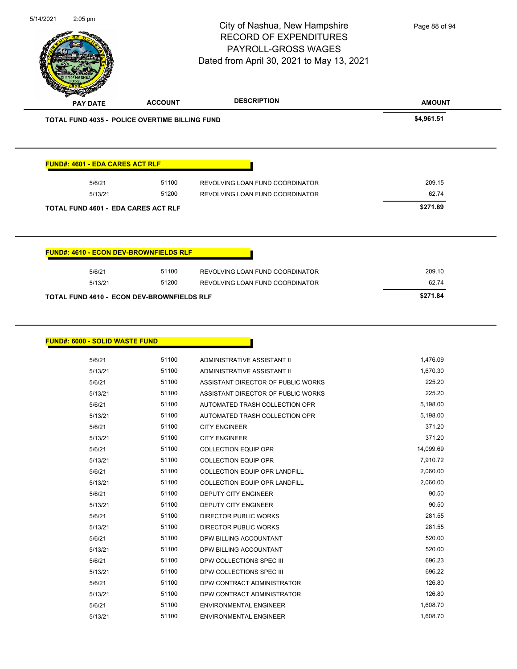| 5/14/2021<br>2:05 pm                       |         |                                                | City of Nashua, New Hampshire<br><b>RECORD OF EXPENDITURES</b><br>PAYROLL-GROSS WAGES<br>Dated from April 30, 2021 to May 13, 2021 | Page 88 of 94 |
|--------------------------------------------|---------|------------------------------------------------|------------------------------------------------------------------------------------------------------------------------------------|---------------|
| <b>PAY DATE</b>                            |         | <b>ACCOUNT</b>                                 | <b>DESCRIPTION</b>                                                                                                                 | <b>AMOUNT</b> |
|                                            |         | TOTAL FUND 4035 - POLICE OVERTIME BILLING FUND |                                                                                                                                    | \$4,961.51    |
| <b>FUND#: 4601 - EDA CARES ACT RLF</b>     |         |                                                |                                                                                                                                    |               |
|                                            | 5/6/21  | 51100                                          | REVOLVING LOAN FUND COORDINATOR                                                                                                    | 209.15        |
|                                            | 5/13/21 | 51200                                          | REVOLVING LOAN FUND COORDINATOR                                                                                                    | 62.74         |
| <b>TOTAL FUND 4601 - EDA CARES ACT RLF</b> |         |                                                |                                                                                                                                    | \$271.89      |
|                                            |         | <b>FUND#: 4610 - ECON DEV-BROWNFIELDS RLF</b>  |                                                                                                                                    |               |
|                                            | 5/6/21  | 51100                                          | REVOLVING LOAN FUND COORDINATOR                                                                                                    | 209.10        |
|                                            | 5/13/21 | 51200                                          | REVOLVING LOAN FUND COORDINATOR                                                                                                    | 62.74         |
|                                            |         | TOTAL FUND 4610 - ECON DEV-BROWNFIELDS RLF     |                                                                                                                                    | \$271.84      |
| <b>FUND#: 6000 - SOLID WASTE FUND</b>      |         |                                                |                                                                                                                                    |               |
|                                            | 5/6/21  | 51100                                          | ADMINISTRATIVE ASSISTANT II                                                                                                        | 1,476.09      |
|                                            | 5/13/21 | 51100                                          | ADMINISTRATIVE ASSISTANT II                                                                                                        | 1,670.30      |
|                                            | 5/6/21  | 51100                                          | ASSISTANT DIRECTOR OF PUBLIC WORKS                                                                                                 | 225.20        |
|                                            | 5/13/21 | 51100                                          | ASSISTANT DIRECTOR OF PUBLIC WORKS                                                                                                 | 225.20        |
|                                            | 5/6/21  | 51100                                          | AUTOMATED TRASH COLLECTION OPR                                                                                                     | 5,198.00      |
|                                            | 5/13/21 | 51100                                          | AUTOMATED TRASH COLLECTION OPR                                                                                                     | 5,198.00      |

| 5/6/21  | 51100 | <b>ADMINISTRATIVE ASSISTANT II</b>   | 1,476.09  |
|---------|-------|--------------------------------------|-----------|
| 5/13/21 | 51100 | ADMINISTRATIVE ASSISTANT II          | 1,670.30  |
| 5/6/21  | 51100 | ASSISTANT DIRECTOR OF PUBLIC WORKS   | 225.20    |
| 5/13/21 | 51100 | ASSISTANT DIRECTOR OF PUBLIC WORKS   | 225.20    |
| 5/6/21  | 51100 | AUTOMATED TRASH COLLECTION OPR       | 5,198.00  |
| 5/13/21 | 51100 | AUTOMATED TRASH COLLECTION OPR       | 5,198.00  |
| 5/6/21  | 51100 | <b>CITY ENGINEER</b>                 | 371.20    |
| 5/13/21 | 51100 | <b>CITY ENGINEER</b>                 | 371.20    |
| 5/6/21  | 51100 | <b>COLLECTION EQUIP OPR</b>          | 14,099.69 |
| 5/13/21 | 51100 | <b>COLLECTION EQUIP OPR</b>          | 7,910.72  |
| 5/6/21  | 51100 | COLLECTION EQUIP OPR LANDFILL        | 2,060.00  |
| 5/13/21 | 51100 | <b>COLLECTION EQUIP OPR LANDFILL</b> | 2,060.00  |
| 5/6/21  | 51100 | <b>DEPUTY CITY ENGINEER</b>          | 90.50     |
| 5/13/21 | 51100 | <b>DEPUTY CITY ENGINEER</b>          | 90.50     |
| 5/6/21  | 51100 | <b>DIRECTOR PUBLIC WORKS</b>         | 281.55    |
| 5/13/21 | 51100 | <b>DIRECTOR PUBLIC WORKS</b>         | 281.55    |
| 5/6/21  | 51100 | DPW BILLING ACCOUNTANT               | 520.00    |
| 5/13/21 | 51100 | DPW BILLING ACCOUNTANT               | 520.00    |
| 5/6/21  | 51100 | DPW COLLECTIONS SPEC III             | 696.23    |
| 5/13/21 | 51100 | DPW COLLECTIONS SPEC III             | 696.22    |
| 5/6/21  | 51100 | DPW CONTRACT ADMINISTRATOR           | 126.80    |
| 5/13/21 | 51100 | DPW CONTRACT ADMINISTRATOR           | 126.80    |
| 5/6/21  | 51100 | <b>ENVIRONMENTAL ENGINEER</b>        | 1,608.70  |
| 5/13/21 | 51100 | <b>ENVIRONMENTAL ENGINEER</b>        | 1,608.70  |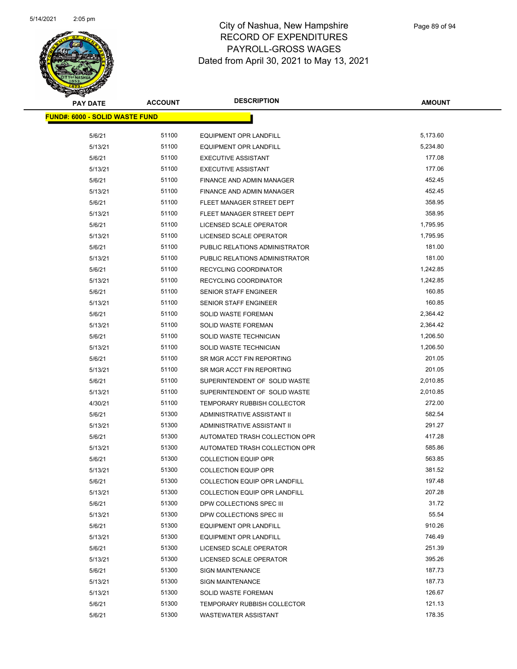

| <b>PAY DATE</b>                       | <b>ACCOUNT</b> | <b>DESCRIPTION</b>                   | <b>AMOUNT</b> |
|---------------------------------------|----------------|--------------------------------------|---------------|
| <b>FUND#: 6000 - SOLID WASTE FUND</b> |                |                                      |               |
| 5/6/21                                | 51100          | <b>EQUIPMENT OPR LANDFILL</b>        | 5,173.60      |
| 5/13/21                               | 51100          | <b>EQUIPMENT OPR LANDFILL</b>        | 5,234.80      |
| 5/6/21                                | 51100          | <b>EXECUTIVE ASSISTANT</b>           | 177.08        |
| 5/13/21                               | 51100          | <b>EXECUTIVE ASSISTANT</b>           | 177.06        |
| 5/6/21                                | 51100          | FINANCE AND ADMIN MANAGER            | 452.45        |
| 5/13/21                               | 51100          | FINANCE AND ADMIN MANAGER            | 452.45        |
| 5/6/21                                | 51100          | FLEET MANAGER STREET DEPT            | 358.95        |
| 5/13/21                               | 51100          | FLEET MANAGER STREET DEPT            | 358.95        |
| 5/6/21                                | 51100          | LICENSED SCALE OPERATOR              | 1,795.95      |
| 5/13/21                               | 51100          | LICENSED SCALE OPERATOR              | 1,795.95      |
| 5/6/21                                | 51100          | PUBLIC RELATIONS ADMINISTRATOR       | 181.00        |
| 5/13/21                               | 51100          | PUBLIC RELATIONS ADMINISTRATOR       | 181.00        |
| 5/6/21                                | 51100          | RECYCLING COORDINATOR                | 1,242.85      |
| 5/13/21                               | 51100          | RECYCLING COORDINATOR                | 1,242.85      |
| 5/6/21                                | 51100          | SENIOR STAFF ENGINEER                | 160.85        |
| 5/13/21                               | 51100          | SENIOR STAFF ENGINEER                | 160.85        |
| 5/6/21                                | 51100          | <b>SOLID WASTE FOREMAN</b>           | 2,364.42      |
| 5/13/21                               | 51100          | <b>SOLID WASTE FOREMAN</b>           | 2,364.42      |
| 5/6/21                                | 51100          | SOLID WASTE TECHNICIAN               | 1,206.50      |
| 5/13/21                               | 51100          | SOLID WASTE TECHNICIAN               | 1,206.50      |
| 5/6/21                                | 51100          | SR MGR ACCT FIN REPORTING            | 201.05        |
| 5/13/21                               | 51100          | SR MGR ACCT FIN REPORTING            | 201.05        |
| 5/6/21                                | 51100          | SUPERINTENDENT OF SOLID WASTE        | 2,010.85      |
| 5/13/21                               | 51100          | SUPERINTENDENT OF SOLID WASTE        | 2,010.85      |
| 4/30/21                               | 51100          | TEMPORARY RUBBISH COLLECTOR          | 272.00        |
| 5/6/21                                | 51300          | ADMINISTRATIVE ASSISTANT II          | 582.54        |
| 5/13/21                               | 51300          | ADMINISTRATIVE ASSISTANT II          | 291.27        |
| 5/6/21                                | 51300          | AUTOMATED TRASH COLLECTION OPR       | 417.28        |
| 5/13/21                               | 51300          | AUTOMATED TRASH COLLECTION OPR       | 585.86        |
| 5/6/21                                | 51300          | <b>COLLECTION EQUIP OPR</b>          | 563.85        |
| 5/13/21                               | 51300          | <b>COLLECTION EQUIP OPR</b>          | 381.52        |
| 5/6/21                                | 51300          | COLLECTION EQUIP OPR LANDFILL        | 197.48        |
| 5/13/21                               | 51300          | <b>COLLECTION EQUIP OPR LANDFILL</b> | 207.28        |
| 5/6/21                                | 51300          | DPW COLLECTIONS SPEC III             | 31.72         |
| 5/13/21                               | 51300          | DPW COLLECTIONS SPEC III             | 55.54         |
| 5/6/21                                | 51300          | <b>EQUIPMENT OPR LANDFILL</b>        | 910.26        |
| 5/13/21                               | 51300          | <b>EQUIPMENT OPR LANDFILL</b>        | 746.49        |
| 5/6/21                                | 51300          | LICENSED SCALE OPERATOR              | 251.39        |
| 5/13/21                               | 51300          | LICENSED SCALE OPERATOR              | 395.26        |
| 5/6/21                                | 51300          | SIGN MAINTENANCE                     | 187.73        |
| 5/13/21                               | 51300          | <b>SIGN MAINTENANCE</b>              | 187.73        |
| 5/13/21                               | 51300          | SOLID WASTE FOREMAN                  | 126.67        |
| 5/6/21                                | 51300          | TEMPORARY RUBBISH COLLECTOR          | 121.13        |
| 5/6/21                                | 51300          | WASTEWATER ASSISTANT                 | 178.35        |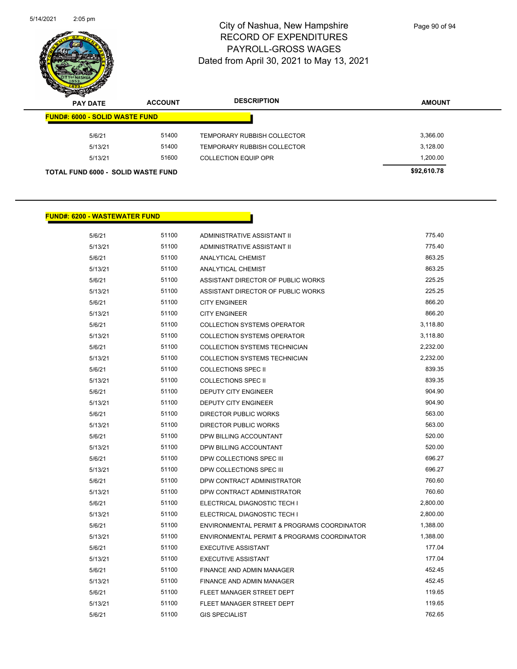

Page 90 of 94

| $\boldsymbol{z}$<br>-<br><b>PAY DATE</b>  | <b>ACCOUNT</b> | <b>DESCRIPTION</b>                 | <b>AMOUNT</b> |
|-------------------------------------------|----------------|------------------------------------|---------------|
| <b>FUND#: 6000 - SOLID WASTE FUND</b>     |                |                                    |               |
| 5/6/21                                    | 51400          | TEMPORARY RUBBISH COLLECTOR        | 3.366.00      |
| 5/13/21                                   | 51400          | <b>TEMPORARY RUBBISH COLLECTOR</b> | 3,128.00      |
| 5/13/21                                   | 51600          | <b>COLLECTION EQUIP OPR</b>        | 1,200.00      |
| <b>TOTAL FUND 6000 - SOLID WASTE FUND</b> |                |                                    | \$92,610.78   |

#### **FUND#: 6200 - WASTEWATER FUND**

| 5/6/21  | 51100 | ADMINISTRATIVE ASSISTANT II                 | 775.40   |
|---------|-------|---------------------------------------------|----------|
| 5/13/21 | 51100 | ADMINISTRATIVE ASSISTANT II                 | 775.40   |
| 5/6/21  | 51100 | ANALYTICAL CHEMIST                          | 863.25   |
| 5/13/21 | 51100 | ANALYTICAL CHEMIST                          | 863.25   |
| 5/6/21  | 51100 | ASSISTANT DIRECTOR OF PUBLIC WORKS          | 225.25   |
| 5/13/21 | 51100 | ASSISTANT DIRECTOR OF PUBLIC WORKS          | 225.25   |
| 5/6/21  | 51100 | <b>CITY ENGINEER</b>                        | 866.20   |
| 5/13/21 | 51100 | <b>CITY ENGINEER</b>                        | 866.20   |
| 5/6/21  | 51100 | <b>COLLECTION SYSTEMS OPERATOR</b>          | 3,118.80 |
| 5/13/21 | 51100 | <b>COLLECTION SYSTEMS OPERATOR</b>          | 3,118.80 |
| 5/6/21  | 51100 | COLLECTION SYSTEMS TECHNICIAN               | 2,232.00 |
| 5/13/21 | 51100 | COLLECTION SYSTEMS TECHNICIAN               | 2,232.00 |
| 5/6/21  | 51100 | <b>COLLECTIONS SPEC II</b>                  | 839.35   |
| 5/13/21 | 51100 | <b>COLLECTIONS SPEC II</b>                  | 839.35   |
| 5/6/21  | 51100 | <b>DEPUTY CITY ENGINEER</b>                 | 904.90   |
| 5/13/21 | 51100 | <b>DEPUTY CITY ENGINEER</b>                 | 904.90   |
| 5/6/21  | 51100 | <b>DIRECTOR PUBLIC WORKS</b>                | 563.00   |
| 5/13/21 | 51100 | <b>DIRECTOR PUBLIC WORKS</b>                | 563.00   |
| 5/6/21  | 51100 | DPW BILLING ACCOUNTANT                      | 520.00   |
| 5/13/21 | 51100 | DPW BILLING ACCOUNTANT                      | 520.00   |
| 5/6/21  | 51100 | DPW COLLECTIONS SPEC III                    | 696.27   |
| 5/13/21 | 51100 | DPW COLLECTIONS SPEC III                    | 696.27   |
| 5/6/21  | 51100 | DPW CONTRACT ADMINISTRATOR                  | 760.60   |
| 5/13/21 | 51100 | DPW CONTRACT ADMINISTRATOR                  | 760.60   |
| 5/6/21  | 51100 | ELECTRICAL DIAGNOSTIC TECH I                | 2,800.00 |
| 5/13/21 | 51100 | ELECTRICAL DIAGNOSTIC TECH I                | 2,800.00 |
| 5/6/21  | 51100 | ENVIRONMENTAL PERMIT & PROGRAMS COORDINATOR | 1,388.00 |
| 5/13/21 | 51100 | ENVIRONMENTAL PERMIT & PROGRAMS COORDINATOR | 1,388.00 |
| 5/6/21  | 51100 | <b>EXECUTIVE ASSISTANT</b>                  | 177.04   |
| 5/13/21 | 51100 | <b>EXECUTIVE ASSISTANT</b>                  | 177.04   |
| 5/6/21  | 51100 | FINANCE AND ADMIN MANAGER                   | 452.45   |
| 5/13/21 | 51100 | FINANCE AND ADMIN MANAGER                   | 452.45   |
| 5/6/21  | 51100 | FLEET MANAGER STREET DEPT                   | 119.65   |
| 5/13/21 | 51100 | FLEET MANAGER STREET DEPT                   | 119.65   |
| 5/6/21  | 51100 | <b>GIS SPECIALIST</b>                       | 762.65   |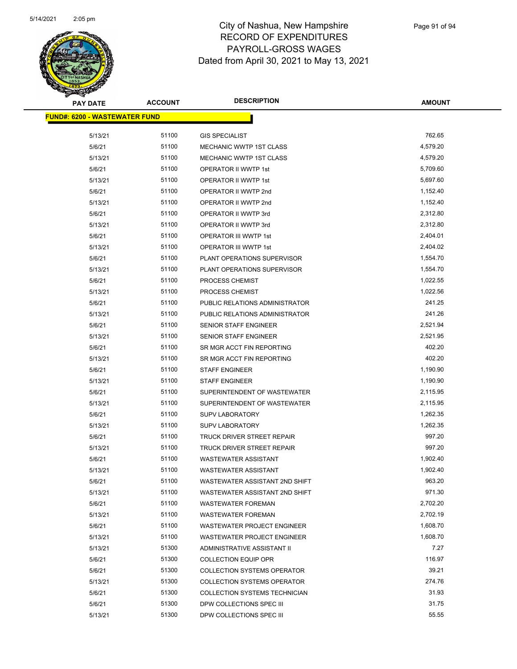

| <b>PAY DATE</b>                       | <b>ACCOUNT</b> | <b>DESCRIPTION</b>                 | <b>AMOUNT</b> |
|---------------------------------------|----------------|------------------------------------|---------------|
| <u> FUND#: 6200 - WASTEWATER FUND</u> |                |                                    |               |
| 5/13/21                               | 51100          | <b>GIS SPECIALIST</b>              | 762.65        |
| 5/6/21                                | 51100          | MECHANIC WWTP 1ST CLASS            | 4,579.20      |
| 5/13/21                               | 51100          | <b>MECHANIC WWTP 1ST CLASS</b>     | 4,579.20      |
| 5/6/21                                | 51100          | OPERATOR II WWTP 1st               | 5,709.60      |
| 5/13/21                               | 51100          | <b>OPERATOR II WWTP 1st</b>        | 5,697.60      |
| 5/6/21                                | 51100          | OPERATOR II WWTP 2nd               | 1,152.40      |
| 5/13/21                               | 51100          | OPERATOR II WWTP 2nd               | 1,152.40      |
| 5/6/21                                | 51100          | OPERATOR II WWTP 3rd               | 2,312.80      |
| 5/13/21                               | 51100          | OPERATOR II WWTP 3rd               | 2,312.80      |
| 5/6/21                                | 51100          | OPERATOR III WWTP 1st              | 2,404.01      |
| 5/13/21                               | 51100          | OPERATOR III WWTP 1st              | 2,404.02      |
| 5/6/21                                | 51100          | PLANT OPERATIONS SUPERVISOR        | 1,554.70      |
| 5/13/21                               | 51100          | PLANT OPERATIONS SUPERVISOR        | 1,554.70      |
| 5/6/21                                | 51100          | PROCESS CHEMIST                    | 1,022.55      |
| 5/13/21                               | 51100          | PROCESS CHEMIST                    | 1,022.56      |
| 5/6/21                                | 51100          | PUBLIC RELATIONS ADMINISTRATOR     | 241.25        |
| 5/13/21                               | 51100          | PUBLIC RELATIONS ADMINISTRATOR     | 241.26        |
| 5/6/21                                | 51100          | SENIOR STAFF ENGINEER              | 2,521.94      |
| 5/13/21                               | 51100          | <b>SENIOR STAFF ENGINEER</b>       | 2,521.95      |
| 5/6/21                                | 51100          | SR MGR ACCT FIN REPORTING          | 402.20        |
| 5/13/21                               | 51100          | SR MGR ACCT FIN REPORTING          | 402.20        |
| 5/6/21                                | 51100          | <b>STAFF ENGINEER</b>              | 1,190.90      |
| 5/13/21                               | 51100          | <b>STAFF ENGINEER</b>              | 1,190.90      |
| 5/6/21                                | 51100          | SUPERINTENDENT OF WASTEWATER       | 2,115.95      |
| 5/13/21                               | 51100          | SUPERINTENDENT OF WASTEWATER       | 2,115.95      |
| 5/6/21                                | 51100          | <b>SUPV LABORATORY</b>             | 1,262.35      |
| 5/13/21                               | 51100          | <b>SUPV LABORATORY</b>             | 1,262.35      |
| 5/6/21                                | 51100          | TRUCK DRIVER STREET REPAIR         | 997.20        |
| 5/13/21                               | 51100          | TRUCK DRIVER STREET REPAIR         | 997.20        |
| 5/6/21                                | 51100          | WASTEWATER ASSISTANT               | 1,902.40      |
| 5/13/21                               | 51100          | <b>WASTEWATER ASSISTANT</b>        | 1,902.40      |
| 5/6/21                                | 51100          | WASTEWATER ASSISTANT 2ND SHIFT     | 963.20        |
| 5/13/21                               | 51100          | WASTEWATER ASSISTANT 2ND SHIFT     | 971.30        |
| 5/6/21                                | 51100          | <b>WASTEWATER FOREMAN</b>          | 2,702.20      |
| 5/13/21                               | 51100          | <b>WASTEWATER FOREMAN</b>          | 2,702.19      |
| 5/6/21                                | 51100          | WASTEWATER PROJECT ENGINEER        | 1,608.70      |
| 5/13/21                               | 51100          | WASTEWATER PROJECT ENGINEER        | 1,608.70      |
| 5/13/21                               | 51300          | <b>ADMINISTRATIVE ASSISTANT II</b> | 7.27          |
| 5/6/21                                | 51300          | <b>COLLECTION EQUIP OPR</b>        | 116.97        |
| 5/6/21                                | 51300          | <b>COLLECTION SYSTEMS OPERATOR</b> | 39.21         |
| 5/13/21                               | 51300          | <b>COLLECTION SYSTEMS OPERATOR</b> | 274.76        |
| 5/6/21                                | 51300          | COLLECTION SYSTEMS TECHNICIAN      | 31.93         |
| 5/6/21                                | 51300          | DPW COLLECTIONS SPEC III           | 31.75         |
| 5/13/21                               | 51300          | DPW COLLECTIONS SPEC III           | 55.55         |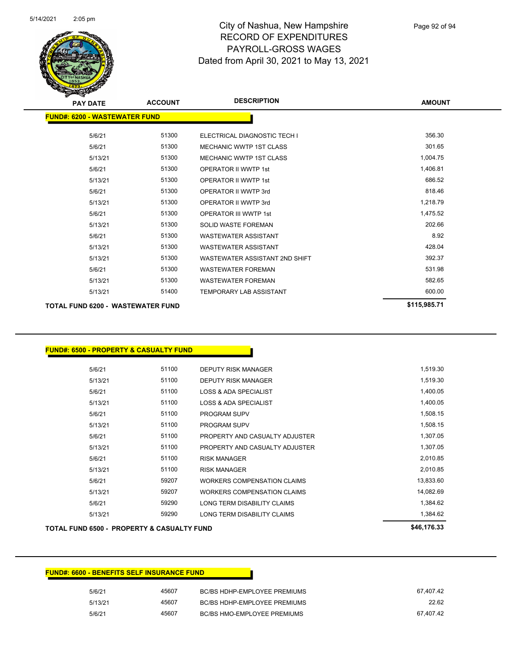

| <b>PAY DATE</b>                          | <b>ACCOUNT</b> | <b>DESCRIPTION</b>             | <b>AMOUNT</b> |
|------------------------------------------|----------------|--------------------------------|---------------|
| <b>FUND#: 6200 - WASTEWATER FUND</b>     |                |                                |               |
| 5/6/21                                   | 51300          | ELECTRICAL DIAGNOSTIC TECH I   | 356.30        |
| 5/6/21                                   | 51300          | <b>MECHANIC WWTP 1ST CLASS</b> | 301.65        |
| 5/13/21                                  | 51300          | <b>MECHANIC WWTP 1ST CLASS</b> | 1,004.75      |
| 5/6/21                                   | 51300          | <b>OPERATOR II WWTP 1st</b>    | 1,406.81      |
| 5/13/21                                  | 51300          | <b>OPERATOR II WWTP 1st</b>    | 686.52        |
| 5/6/21                                   | 51300          | OPERATOR II WWTP 3rd           | 818.46        |
| 5/13/21                                  | 51300          | OPERATOR II WWTP 3rd           | 1,218.79      |
| 5/6/21                                   | 51300          | <b>OPERATOR III WWTP 1st</b>   | 1,475.52      |
| 5/13/21                                  | 51300          | <b>SOLID WASTE FOREMAN</b>     | 202.66        |
| 5/6/21                                   | 51300          | <b>WASTEWATER ASSISTANT</b>    | 8.92          |
| 5/13/21                                  | 51300          | <b>WASTEWATER ASSISTANT</b>    | 428.04        |
| 5/13/21                                  | 51300          | WASTEWATER ASSISTANT 2ND SHIFT | 392.37        |
| 5/6/21                                   | 51300          | <b>WASTEWATER FOREMAN</b>      | 531.98        |
| 5/13/21                                  | 51300          | <b>WASTEWATER FOREMAN</b>      | 582.65        |
| 5/13/21                                  | 51400          | <b>TEMPORARY LAB ASSISTANT</b> | 600.00        |
| <b>TOTAL FUND 6200 - WASTEWATER FUND</b> |                |                                | \$115,985.71  |

**FUND#: 6500 - PROPERTY & CASUALTY FUND**

| 5/13/21 | 59290 | LONG TERM DISABILITY CLAIMS        | 1,384.62  |
|---------|-------|------------------------------------|-----------|
| 5/6/21  | 59290 | <b>LONG TERM DISABILITY CLAIMS</b> | 1,384.62  |
| 5/13/21 | 59207 | <b>WORKERS COMPENSATION CLAIMS</b> | 14,082.69 |
| 5/6/21  | 59207 | <b>WORKERS COMPENSATION CLAIMS</b> | 13,833.60 |
| 5/13/21 | 51100 | <b>RISK MANAGER</b>                | 2.010.85  |
| 5/6/21  | 51100 | <b>RISK MANAGER</b>                | 2,010.85  |
| 5/13/21 | 51100 | PROPERTY AND CASUALTY ADJUSTER     | 1,307.05  |
| 5/6/21  | 51100 | PROPERTY AND CASUALTY ADJUSTER     | 1,307.05  |
| 5/13/21 | 51100 | <b>PROGRAM SUPV</b>                | 1,508.15  |
| 5/6/21  | 51100 | <b>PROGRAM SUPV</b>                | 1,508.15  |
| 5/13/21 | 51100 | LOSS & ADA SPECIALIST              | 1,400.05  |
| 5/6/21  | 51100 | LOSS & ADA SPECIALIST              | 1,400.05  |
| 5/13/21 | 51100 | <b>DEPUTY RISK MANAGER</b>         | 1,519.30  |
| 5/6/21  | 51100 | <b>DEPUTY RISK MANAGER</b>         | 1,519.30  |
|         |       |                                    |           |

**TOTAL FUND 6500 - PROPERTY & CASUALTY FUND \$46,176.33** 

#### **FUND#: 6600 - BENEFITS SELF INSURANCE FUND**

| 5/6/21  | 45607 | BC/BS HDHP-EMPLOYEE PREMIUMS        | 67.407.42 |
|---------|-------|-------------------------------------|-----------|
| 5/13/21 | 45607 | <b>BC/BS HDHP-EMPLOYEE PREMIUMS</b> | 22.62     |
| 5/6/21  | 45607 | <b>BC/BS HMO-EMPLOYEE PREMIUMS</b>  | 67.407.42 |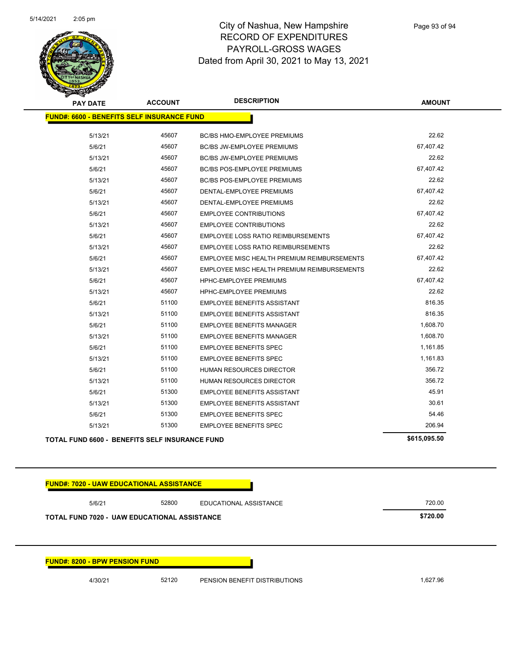

| <b>PAY DATE</b>                                       | <b>ACCOUNT</b> | <b>DESCRIPTION</b>                          | <b>AMOUNT</b> |
|-------------------------------------------------------|----------------|---------------------------------------------|---------------|
| <b>FUND#: 6600 - BENEFITS SELF INSURANCE FUND</b>     |                |                                             |               |
| 5/13/21                                               | 45607          | BC/BS HMO-EMPLOYEE PREMIUMS                 | 22.62         |
| 5/6/21                                                | 45607          | <b>BC/BS JW-EMPLOYEE PREMIUMS</b>           | 67,407.42     |
| 5/13/21                                               | 45607          | <b>BC/BS JW-EMPLOYEE PREMIUMS</b>           | 22.62         |
| 5/6/21                                                | 45607          | <b>BC/BS POS-EMPLOYEE PREMIUMS</b>          | 67,407.42     |
| 5/13/21                                               | 45607          | <b>BC/BS POS-EMPLOYEE PREMIUMS</b>          | 22.62         |
| 5/6/21                                                | 45607          | DENTAL-EMPLOYEE PREMIUMS                    | 67,407.42     |
| 5/13/21                                               | 45607          | DENTAL-EMPLOYEE PREMIUMS                    | 22.62         |
| 5/6/21                                                | 45607          | <b>EMPLOYEE CONTRIBUTIONS</b>               | 67,407.42     |
| 5/13/21                                               | 45607          | <b>EMPLOYEE CONTRIBUTIONS</b>               | 22.62         |
| 5/6/21                                                | 45607          | <b>EMPLOYEE LOSS RATIO REIMBURSEMENTS</b>   | 67,407.42     |
| 5/13/21                                               | 45607          | <b>EMPLOYEE LOSS RATIO REIMBURSEMENTS</b>   | 22.62         |
| 5/6/21                                                | 45607          | EMPLOYEE MISC HEALTH PREMIUM REIMBURSEMENTS | 67,407.42     |
| 5/13/21                                               | 45607          | EMPLOYEE MISC HEALTH PREMIUM REIMBURSEMENTS | 22.62         |
| 5/6/21                                                | 45607          | HPHC-EMPLOYEE PREMIUMS                      | 67,407.42     |
| 5/13/21                                               | 45607          | <b>HPHC-EMPLOYEE PREMIUMS</b>               | 22.62         |
| 5/6/21                                                | 51100          | <b>EMPLOYEE BENEFITS ASSISTANT</b>          | 816.35        |
| 5/13/21                                               | 51100          | <b>EMPLOYEE BENEFITS ASSISTANT</b>          | 816.35        |
| 5/6/21                                                | 51100          | <b>EMPLOYEE BENEFITS MANAGER</b>            | 1,608.70      |
| 5/13/21                                               | 51100          | <b>EMPLOYEE BENEFITS MANAGER</b>            | 1,608.70      |
| 5/6/21                                                | 51100          | <b>EMPLOYEE BENEFITS SPEC</b>               | 1,161.85      |
| 5/13/21                                               | 51100          | <b>EMPLOYEE BENEFITS SPEC</b>               | 1,161.83      |
| 5/6/21                                                | 51100          | <b>HUMAN RESOURCES DIRECTOR</b>             | 356.72        |
| 5/13/21                                               | 51100          | HUMAN RESOURCES DIRECTOR                    | 356.72        |
| 5/6/21                                                | 51300          | <b>EMPLOYEE BENEFITS ASSISTANT</b>          | 45.91         |
| 5/13/21                                               | 51300          | <b>EMPLOYEE BENEFITS ASSISTANT</b>          | 30.61         |
| 5/6/21                                                | 51300          | <b>EMPLOYEE BENEFITS SPEC</b>               | 54.46         |
| 5/13/21                                               | 51300          | <b>EMPLOYEE BENEFITS SPEC</b>               | 206.94        |
| <b>TOTAL FUND 6600 - BENEFITS SELF INSURANCE FUND</b> |                |                                             | \$615,095.50  |

**FUND#: 7020 - UAW EDUCATIONAL ASSISTANCE** 5/6/21 52800 EDUCATIONAL ASSISTANCE 720.00 **TOTAL FUND 7020 - UAW EDUCATIONAL ASSISTANCE \$720.00 FUND#: 8200 - BPW PENSION FUND** 4/30/21 52120 PENSION BENEFIT DISTRIBUTIONS 1,627.96